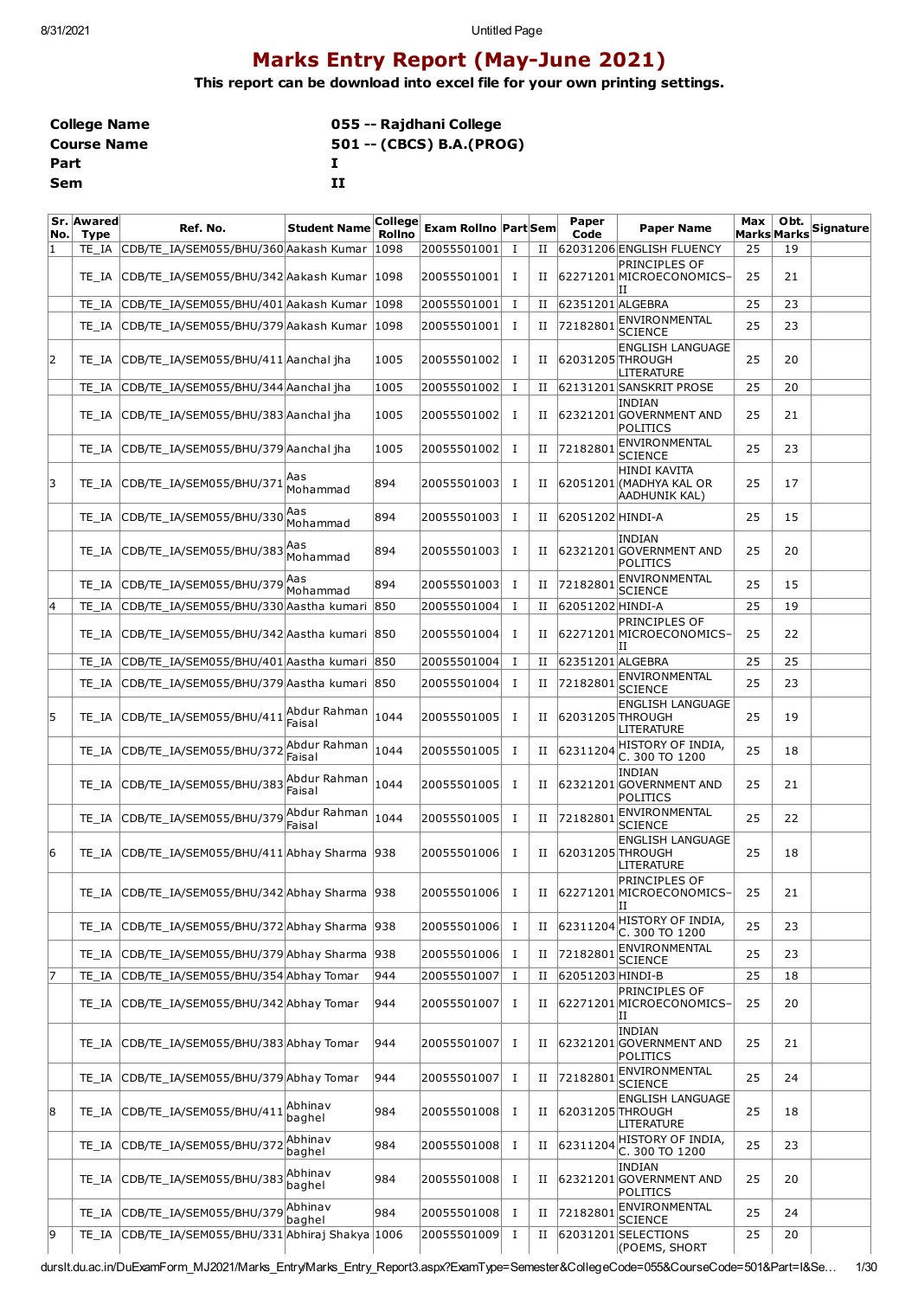# **Marks Entry Report (May-June 2021)**

**This report can be download into excel file for your own printing settings.**

| <b>College Name</b> | 055 -- Rajdhani College  |
|---------------------|--------------------------|
| <b>Course Name</b>  | 501 -- (CBCS) B.A.(PROG) |
| Part                |                          |
| Sem                 | тт                       |

| No. | Sr. Awared<br><b>Type</b> | Ref. No.                                        | <b>Student Name</b>    | <b>College</b><br><b>Rollno</b> | <b>Exam Rollno Part Sem</b> |             |   | Paper<br>Code    | <b>Paper Name</b>                                        | Max | Obt.<br><b>Marks Marks</b> | Signature |
|-----|---------------------------|-------------------------------------------------|------------------------|---------------------------------|-----------------------------|-------------|---|------------------|----------------------------------------------------------|-----|----------------------------|-----------|
| 11  | TE IA                     | CDB/TE_IA/SEM055/BHU/360 Aakash Kumar           |                        | 1098                            | 20055501001                 | I           | П |                  | 62031206 ENGLISH FLUENCY                                 | 25  | 19                         |           |
|     | TE IA                     | CDB/TE_IA/SEM055/BHU/342 Aakash Kumar   1098    |                        |                                 | 20055501001                 | п.          | П |                  | PRINCIPLES OF<br>62271201 MICROECONOMICS-<br>н           | 25  | 21                         |           |
|     | TE IA                     | CDB/TE_IA/SEM055/BHU/401 Aakash Kumar           |                        | 1098                            | 20055501001                 | $\bf{I}$    | П | 62351201 ALGEBRA |                                                          | 25  | 23                         |           |
|     | TE IA                     | CDB/TE_IA/SEM055/BHU/379 Aakash Kumar           |                        | 1098                            | 20055501001                 | Ι.          | П | 72182801         | ENVIRONMENTAL<br><b>SCIENCE</b>                          | 25  | 23                         |           |
| 2   | TE IA                     | CDB/TE_IA/SEM055/BHU/411 Aanchal jha            |                        | 1005                            | 20055501002                 | п.          | н | 62031205 THROUGH | <b>ENGLISH LANGUAGE</b><br>LITERATURE                    | 25  | 20                         |           |
|     | TE IA                     | CDB/TE_IA/SEM055/BHU/344 Aanchal jha            |                        | 1005                            | 20055501002                 | $\bf{I}$    | П |                  | 62131201 SANSKRIT PROSE                                  | 25  | 20                         |           |
|     | TE IA                     | CDB/TE_IA/SEM055/BHU/383 Aanchal jha            |                        | 1005                            | 20055501002                 | п.          | П |                  | <b>INDIAN</b><br>62321201 GOVERNMENT AND<br>POLITICS     | 25  | 21                         |           |
|     | TE IA                     | CDB/TE_IA/SEM055/BHU/379 Aanchal jha            |                        | 1005                            | 20055501002                 | $\bf{I}$    | П | 72182801         | ENVIRONMENTAL<br><b>SCIENCE</b>                          | 25  | 23                         |           |
| 13  | TE IA                     | CDB/TE_IA/SEM055/BHU/371                        | Aas<br>Mohammad        | 894                             | 20055501003                 | Ι.          | П |                  | HINDI KAVITA<br>62051201 (MADHYA KAL OR<br>AADHUNIK KAL) | 25  | 17                         |           |
|     | TE IA                     | CDB/TE_IA/SEM055/BHU/330                        | Aas<br>Mohammad        | 894                             | 20055501003                 | Ι.          | П | 62051202 HINDI-A |                                                          | 25  | 15                         |           |
|     | TE IA                     | CDB/TE_IA/SEM055/BHU/383 <sup>Aas</sup>         | Mohammad               | 894                             | 20055501003                 | Ι.          | П |                  | <b>INDIAN</b><br>62321201 GOVERNMENT AND<br>POLITICS     | 25  | 20                         |           |
|     | TE IA                     | CDB/TE IA/SEM055/BHU/379                        | lAas<br>Mohammad       | 894                             | 20055501003                 | Ι.          | П | 72182801         | ENVIRONMENTAL<br><b>SCIENCE</b>                          | 25  | 15                         |           |
| 14  | TE_IA                     | CDB/TE IA/SEM055/BHU/330 Aastha kumari 850      |                        |                                 | 20055501004                 | 1           | П | 62051202 HINDI-A |                                                          | 25  | 19                         |           |
|     | TE IA                     | CDB/TE IA/SEM055/BHU/342 Aastha kumari 850      |                        |                                 | 20055501004                 | $\bf{I}$    | П |                  | PRINCIPLES OF<br>62271201 MICROECONOMICS-<br>Н           | 25  | 22                         |           |
|     | TE IA                     | CDB/TE IA/SEM055/BHU/401 Aastha kumari 850      |                        |                                 | 20055501004                 | $\bf{I}$    | П | 62351201 ALGEBRA |                                                          | 25  | 25                         |           |
|     | TE IA                     | CDB/TE_IA/SEM055/BHU/379 Aastha kumari 850      |                        |                                 | 20055501004                 | $\mathbf I$ | П | 72182801         | ENVIRONMENTAL<br><b>SCIENCE</b>                          | 25  | 23                         |           |
| 5   | TE IA                     | CDB/TE_IA/SEM055/BHU/411                        | Abdur Rahman<br>Faisal | 1044                            | 20055501005                 | Ι.          | П | 62031205 THROUGH | <b>ENGLISH LANGUAGE</b><br>LITERATURE                    | 25  | 19                         |           |
|     | TE IA                     | CDB/TE_IA/SEM055/BHU/372                        | Abdur Rahman<br>Faisal | 1044                            | 20055501005                 | Ι.          | П | 62311204         | HISTORY OF INDIA,<br>C. 300 TO 1200                      | 25  | 18                         |           |
|     | TE IA                     | CDB/TE_IA/SEM055/BHU/383                        | Abdur Rahman<br>Faisal | 1044                            | 20055501005                 | <b>I</b>    | н |                  | <b>INDIAN</b><br>62321201 GOVERNMENT AND<br>POLITICS     | 25  | 21                         |           |
|     | TE IA                     | CDB/TE_IA/SEM055/BHU/379                        | Abdur Rahman<br>Faisal | 1044                            | 20055501005                 | Ι.          | П | 72182801         | ENVIRONMENTAL<br><b>SCIENCE</b>                          | 25  | 22                         |           |
| 6   | TE IA                     | CDB/TE IA/SEM055/BHU/411 Abhay Sharma 938       |                        |                                 | 20055501006                 | Ι.          | П | 62031205 THROUGH | <b>ENGLISH LANGUAGE</b><br>LITERATURE                    | 25  | 18                         |           |
|     |                           | TE_IA CDB/TE_IA/SEM055/BHU/342 Abhay Sharma 938 |                        |                                 | 20055501006                 | $\mathbf I$ | П |                  | PRINCIPLES OF<br>62271201 MICROECONOMICS-<br>П           | 25  | 21                         |           |
|     | TE IA                     | CDB/TE_IA/SEM055/BHU/372 Abhay Sharma           |                        | 938                             | 20055501006                 | Ι.          | П | 62311204         | HISTORY OF INDIA,<br>C. 300 TO 1200                      | 25  | 23                         |           |
|     | TE IA                     | CDB/TE_IA/SEM055/BHU/379 Abhay Sharma           |                        | 938                             | 20055501006                 | Ι.          | П | 72182801         | ENVIRONMENTAL<br><b>SCIENCE</b>                          | 25  | 23                         |           |
| 17  | TE IA                     | CDB/TE_IA/SEM055/BHU/354 Abhay Tomar            |                        | 944                             | 20055501007                 | Ι.          | П | 62051203 HINDI-B |                                                          | 25  | 18                         |           |
|     | TE IA                     | CDB/TE_IA/SEM055/BHU/342 Abhay Tomar            |                        | 944                             | 20055501007                 | Ι.          | П |                  | PRINCIPLES OF<br>62271201 MICROECONOMICS-<br>н           | 25  | 20                         |           |
|     | TE IA                     | CDB/TE IA/SEM055/BHU/383 Abhay Tomar            |                        | 944                             | 20055501007                 | Ι.          | П |                  | <b>INDIAN</b><br>62321201 GOVERNMENT AND<br>POLITICS     | 25  | 21                         |           |
|     | TE IA                     | CDB/TE IA/SEM055/BHU/379 Abhay Tomar            |                        | 944                             | 20055501007                 | Ι.          | П | 72182801         | ENVIRONMENTAL<br>SCIENCE                                 | 25  | 24                         |           |
| 8   | TE IA                     | CDB/TE_IA/SEM055/BHU/411                        | Abhinav<br>baghel      | 984                             | 20055501008                 | Ι.          | П | 62031205 THROUGH | <b>ENGLISH LANGUAGE</b><br>LITERATURE                    | 25  | 18                         |           |
|     | TE_IA                     | CDB/TE_IA/SEM055/BHU/37                         | Abhinav<br>baghel      | 984                             | 20055501008                 | Ι.          | П | 62311204         | HISTORY OF INDIA,<br>C. 300 TO 1200                      | 25  | 23                         |           |
|     | TE_IA                     | CDB/TE_IA/SEM055/BHU/383                        | Abhinav<br>baghel      | 984                             | 20055501008                 | Ι.          | П |                  | <b>INDIAN</b><br>62321201 GOVERNMENT AND<br>POLITICS     | 25  | 20                         |           |
|     | TE_IA                     | CDB/TE_IA/SEM055/BHU/379                        | Abhinav<br>baghel      | 984                             | 20055501008                 | Ι.          | П | 72182801         | ENVIRONMENTAL<br><b>SCIENCE</b>                          | 25  | 24                         |           |
| 9   | TE_IA                     | CDB/TE_IA/SEM055/BHU/331 Abhiraj Shakya 1006    |                        |                                 | 20055501009                 | $\bf{I}$    | П |                  | 62031201 SELECTIONS<br>(POEMS, SHORT                     | 25  | 20                         |           |

durslt.du.ac.in/DuExamForm\_MJ2021/Marks\_Entry/Marks\_Entry\_Report3.aspx?ExamType=Semester&CollegeCode=055&CourseCode=501&Part=I&Se… 1/30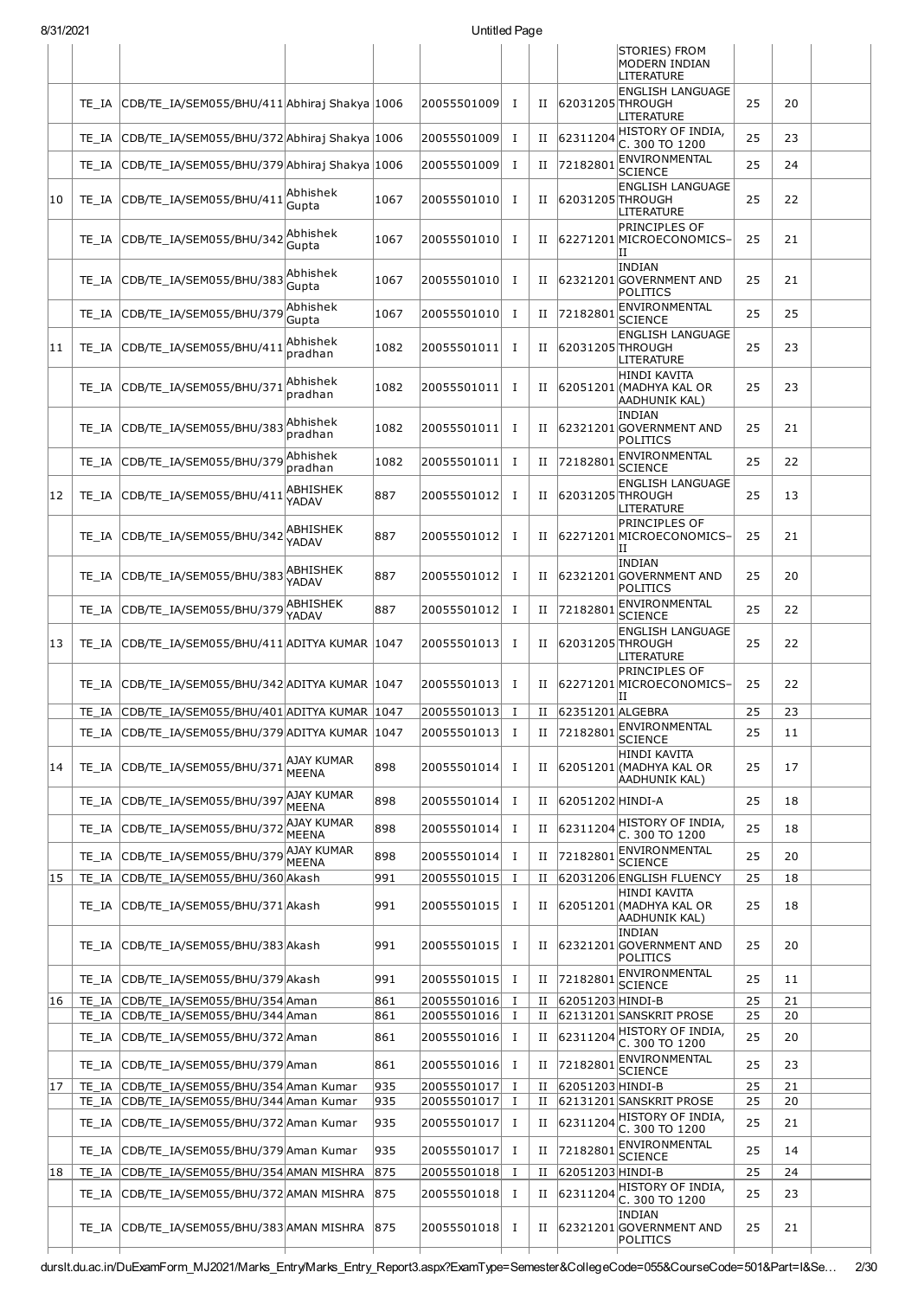| 8/31/2021 |                |                                                                              |                                          |            | Untitled Page              |                          |        |                              |                                                                                                                               |          |          |  |
|-----------|----------------|------------------------------------------------------------------------------|------------------------------------------|------------|----------------------------|--------------------------|--------|------------------------------|-------------------------------------------------------------------------------------------------------------------------------|----------|----------|--|
|           |                |                                                                              |                                          |            |                            |                          |        |                              | STORIES) FROM<br><b>MODERN INDIAN</b><br>LITERATURE                                                                           |          |          |  |
|           | TE IA          | CDB/TE_IA/SEM055/BHU/411 Abhiraj Shakya 1006                                 |                                          |            | 20055501009                | $\mathbf I$              | П      | 62031205 THROUGH             | <b>ENGLISH LANGUAGE</b><br>LITERATURE                                                                                         | 25       | 20       |  |
|           | TE IA          | CDB/TE_IA/SEM055/BHU/372 Abhiraj Shakya 1006                                 |                                          |            | 20055501009                | $\mathbf{I}$             | П      | 62311204                     | HISTORY OF INDIA.<br>C. 300 TO 1200                                                                                           | 25       | 23       |  |
|           | TE IA          | CDB/TE_IA/SEM055/BHU/379 Abhiraj Shakya 1006                                 |                                          |            | 20055501009                | $\mathbf{I}$             | П      | 72182801                     | ENVIRONMENTAL<br>SCIENCE                                                                                                      | 25       | 24       |  |
| 10        | TE IA          | CDB/TE_IA/SEM055/BHU/411 Abhishek                                            | Gupta                                    | 1067       | 20055501010                | I                        | н      | 62031205 THROUGH             | <b>ENGLISH LANGUAGE</b><br>LITERATURE                                                                                         | 25       | 22       |  |
|           | TE IA          | CDB/TE_IA/SEM055/BHU/342                                                     | Abhishek<br>Gupta                        | 1067       | 20055501010                | <b>I</b>                 | П      |                              | PRINCIPLES OF<br>62271201 MICROECONOMICS-<br>ΙI                                                                               | 25       | 21       |  |
|           | TE IA          | CDB/TE_IA/SEM055/BHU/383                                                     | Abhishek<br>Gupta                        | 1067       | 20055501010                | $\mathbf{I}$             | П      |                              | INDIAN<br>62321201 GOVERNMENT AND<br>POLITICS                                                                                 | 25       | 21       |  |
|           | TE IA          | CDB/TE_IA/SEM055/BHU/379                                                     | Abhishek<br>Gupta                        | 1067       | 20055501010                | $\mathbf{I}$             | П      | 72182801                     | ENVIRONMENTAL<br>SCIENCE                                                                                                      | 25       | 25       |  |
| 11        | TE IA          | CDB/TE_IA/SEM055/BHU/411                                                     | Abhishek<br>pradhan                      | 1082       | 20055501011                | Ι.                       | П      | 62031205 THROUGH             | <b>ENGLISH LANGUAGE</b><br>LITERATURE                                                                                         | 25       | 23       |  |
|           | TE IA          | CDB/TE_IA/SEM055/BHU/371                                                     | Abhishek<br>pradhan                      | 1082       | 20055501011                | Ι.                       | П      |                              | HINDI KAVITA<br>62051201 (MADHYA KAL OR<br>AADHUNIK KAL)                                                                      | 25       | 23       |  |
|           | TE IA          | CDB/TE IA/SEM055/BHU/383                                                     | Abhishek<br>pradhan                      | 1082       | 20055501011                | Ι.                       | П      |                              | INDIAN<br>62321201 GOVERNMENT AND<br>POLITICS                                                                                 | 25       | 21       |  |
|           | TE IA          | CDB/TE_IA/SEM055/BHU/379                                                     | Abhishek<br>pradhan                      | 1082       | 20055501011                | Ι.                       | н      | 72182801                     | ENVIRONMENTAL<br><b>SCIENCE</b>                                                                                               | 25       | 22       |  |
| 12        | TE IA          | CDB/TE_IA/SEM055/BHU/411                                                     | ABHISHEK<br>YADAV                        | 887        | 20055501012                | Ι                        | П      | 62031205 THROUGH             | <b>ENGLISH LANGUAGE</b><br>LITERATURE                                                                                         | 25       | 13       |  |
|           | TE IA          | CDB/TE_IA/SEM055/BHU/342                                                     | ABHISHEK<br>YADAV                        | 887        | 20055501012                | Ι.                       | П      |                              | <b>PRINCIPLES OF</b><br>62271201 MICROECONOMICS-<br>ΙI                                                                        | 25       | 21       |  |
|           | TE IA          | CDB/TE_IA/SEM055/BHU/383                                                     | ABHISHEK<br>YADAV                        | 887        | 20055501012                | Ι.                       | п      |                              | INDIAN<br>62321201 GOVERNMENT AND<br>POLITICS                                                                                 | 25       | 20       |  |
|           | TE IA          | CDB/TE_IA/SEM055/BHU/379                                                     | ABHISHEK<br>YADAV                        | 887        | 20055501012                | $\bf{I}$                 | П      | 72182801                     | ENVIRONMENTAL<br><b>SCIENCE</b>                                                                                               | 25       | 22       |  |
| 13        | TE IA          | CDB/TE_IA/SEM055/BHU/411 ADITYA KUMAR                                        |                                          | 1047       | 20055501013                | Ι.                       | П      | 62031205 THROUGH             | <b>ENGLISH LANGUAGE</b><br>LITERATURE                                                                                         | 25       | 22       |  |
|           | TE IA          | CDB/TE_IA/SEM055/BHU/342 ADITYA KUMAR   1047                                 |                                          |            | 20055501013                | Ι.                       | П      |                              | <b>PRINCIPLES OF</b><br>62271201 MICROECONOMICS-<br>IΙ                                                                        | 25       | 22       |  |
|           |                | TE_IA CDB/TE_IA/SEM055/BHU/401 ADITYA KUMAR 1047                             |                                          |            | 20055501013 I              |                          |        | II 62351201 ALGEBRA          | ENVIRONMENTAL                                                                                                                 | 25       | 23       |  |
|           |                | TE_IA CDB/TE_IA/SEM055/BHU/379 ADITYA KUMAR 1047                             |                                          |            | 20055501013 I              |                          | П      | 72182801                     | <b>SCIENCE</b><br><b>HINDI KAVITA</b>                                                                                         | 25       | 11       |  |
| 14        |                | TE_IA CDB/TE_IA/SEM055/BHU/371                                               | AJAY KUMAR<br><b>MEENA</b><br>AJAY KUMAR | 898        | 20055501014 I              |                          | П      |                              | 62051201 (MADHYA KAL OR<br>AADHUNIK KAL)                                                                                      | 25       | 17       |  |
|           | TE IA          | CDB/TE_IA/SEM055/BHU/397                                                     | MEENA                                    | 898        | 20055501014                | $\mathbf{I}$             | П      | 62051202 HINDI-A             |                                                                                                                               | 25       | 18       |  |
|           | TE IA          | CDB/TE_IA/SEM055/BHU/372                                                     | <b>AJAY KUMAR</b><br>MEENA               | 898        | 20055501014                | П.                       | П      |                              | 62311204 HISTORY OF INDIA,<br>C. 300 TO 1200                                                                                  | 25       | 18       |  |
|           | TE IA          | CDB/TE_IA/SEM055/BHU/379                                                     | <b>AJAY KUMAR</b><br><b>MEENA</b>        | 898        | 20055501014                | $\mathbf{I}$             | П      | 72182801                     | ENVIRONMENTAL<br><b>SCIENCE</b>                                                                                               | 25       | 20       |  |
| 15        | TE IA          | CDB/TE IA/SEM055/BHU/360 Akash                                               |                                          | 991        | 20055501015                | $\bf{I}$                 | п      |                              | 62031206 ENGLISH FLUENCY<br><b>HINDI KAVITA</b>                                                                               | 25       | 18       |  |
|           | TE IA          | CDB/TE_IA/SEM055/BHU/371 Akash                                               |                                          | 991        | 20055501015 I              |                          | П      |                              | 62051201 (MADHYA KAL OR<br>AADHUNIK KAL)<br>INDIAN                                                                            | 25       | 18       |  |
|           | TE IA          | CDB/TE_IA/SEM055/BHU/383 Akash                                               |                                          | 991        | 20055501015 I              |                          | Н      |                              | 62321201 GOVERNMENT AND<br>POLITICS<br>ENVIRONMENTAL                                                                          | 25       | 20       |  |
|           | TE IA          | CDB/TE_IA/SEM055/BHU/379 Akash                                               |                                          | 991        | 20055501015 I              |                          | п      | 72182801                     | <b>SCIENCE</b>                                                                                                                | 25       | 11       |  |
| 16        |                | TE_IA CDB/TE_IA/SEM055/BHU/354 Aman<br>TE IA CDB/TE IA/SEM055/BHU/344 Aman   |                                          | 861<br>861 | 20055501016<br>20055501016 | $\mathbf{I}$<br>$\bf{I}$ | П<br>П | 62051203 HINDI-B             | 62131201 SANSKRIT PROSE                                                                                                       | 25<br>25 | 21<br>20 |  |
|           |                | TE_IA CDB/TE_IA/SEM055/BHU/372 Aman                                          |                                          | 861        | 20055501016 I              |                          | П      |                              | $\left  \frac{\text{62311204}}{\text{F}} \right $ $\frac{\text{HISTORY OF INDIA}}{\text{FISTORY OF INDIA}}$<br>C. 300 TO 1200 | 25       | 20       |  |
|           | TE IA          | CDB/TE_IA/SEM055/BHU/379 Aman                                                |                                          | 861        | 20055501016                | Ι.                       | П      | 72182801                     | ENVIRONMENTAL<br><b>SCIENCE</b>                                                                                               | 25       | 23       |  |
| 17        | TE IA          | CDB/TE IA/SEM055/BHU/354 Aman Kumar                                          |                                          | 935        | 20055501017                | Ι.                       | П      | 62051203 HINDI-B             |                                                                                                                               | 25       | 21       |  |
|           | TE IA          | CDB/TE_IA/SEM055/BHU/344 Aman Kumar                                          |                                          | 935        | 20055501017                | $\bf{I}$                 | П      |                              | 62131201 SANSKRIT PROSE                                                                                                       | 25       | 20       |  |
|           | TE IA          | CDB/TE_IA/SEM055/BHU/372 Aman Kumar                                          |                                          | 935        | 20055501017                | I                        | п      |                              | $62311204$ HISTORY OF INDIA,<br>C. 300 TO 1200<br>ENVIRONMENTAL                                                               | 25       | 21       |  |
|           | TE IA          | CDB/TE_IA/SEM055/BHU/379 Aman Kumar                                          |                                          | 935        | 20055501017                | Ι.                       | П      | 72182801                     | <b>SCIENCE</b>                                                                                                                | 25       | 14       |  |
| 18        | TE IA<br>TE IA | CDB/TE_IA/SEM055/BHU/354 AMAN MISHRA<br>CDB/TE_IA/SEM055/BHU/372 AMAN MISHRA |                                          | 875<br>875 | 20055501018<br>20055501018 | $\bf{I}$<br>$\bf{I}$     | п<br>П | 62051203 HINDI-B<br>62311204 | HISTORY OF INDIA,                                                                                                             | 25<br>25 | 24<br>23 |  |
|           |                |                                                                              |                                          |            |                            |                          |        |                              | C. 300 TO 1200<br>INDIAN                                                                                                      |          |          |  |
|           | TE IA          | CDB/TE_IA/SEM055/BHU/383 AMAN MISHRA                                         |                                          | 875        | 20055501018 I              |                          |        |                              | II 62321201 GOVERNMENT AND<br>POLITICS                                                                                        | 25       | 21       |  |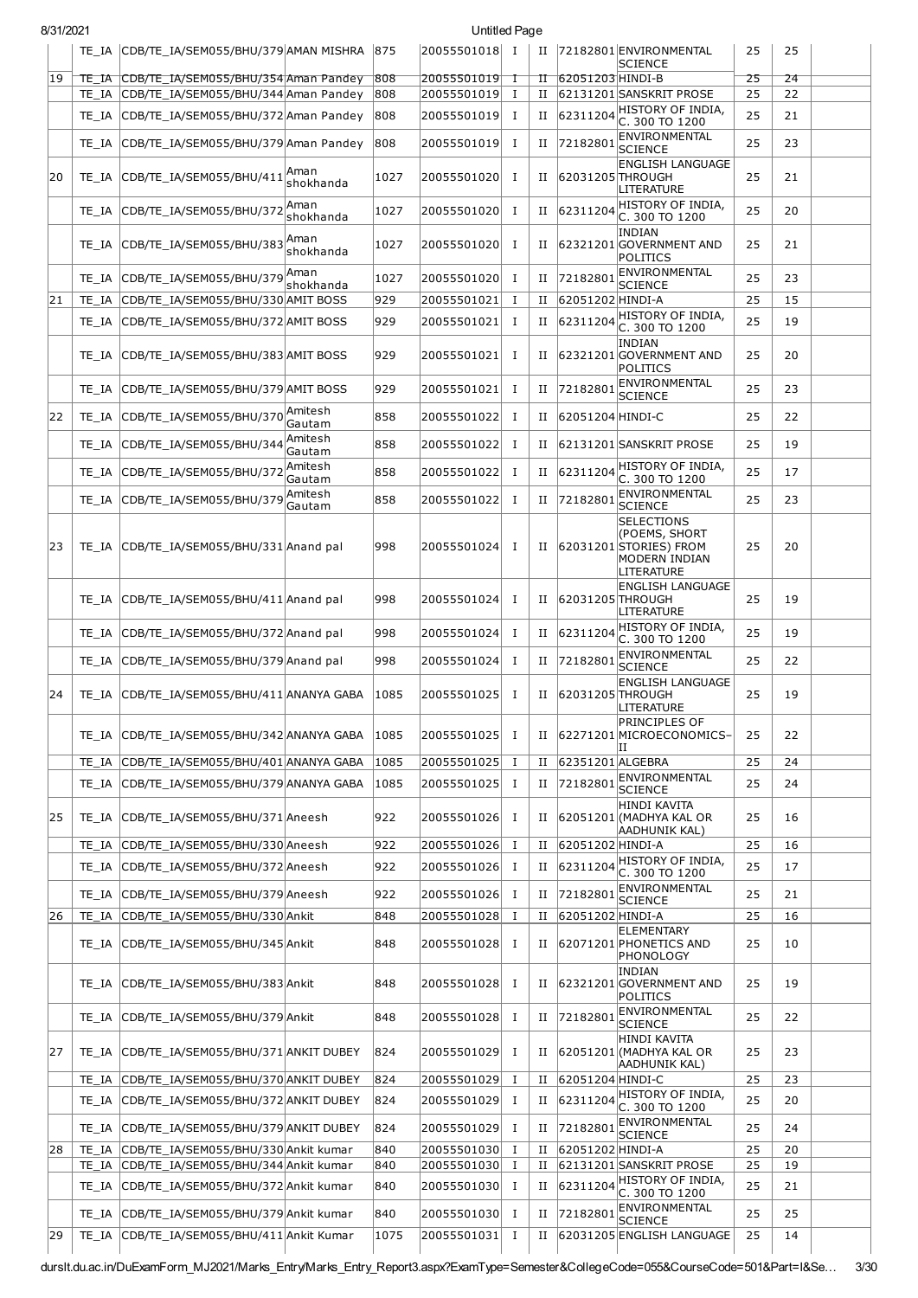| 8/31/2021 |       |                                                |                   |      | Untitled Page |              |   |                  |                                                                                      |    |    |  |
|-----------|-------|------------------------------------------------|-------------------|------|---------------|--------------|---|------------------|--------------------------------------------------------------------------------------|----|----|--|
|           |       | TE IA CDB/TE IA/SEM055/BHU/379 AMAN MISHRA 875 |                   |      | 20055501018 I |              | П |                  | 72182801 ENVIRONMENTAL<br><b>SCIENCE</b>                                             | 25 | 25 |  |
| 19        |       | TE_IA_CDB/TE_IA/SEM055/BHU/354 Aman Pandey     |                   | 1808 | 20055501019   | Τ            | п | 62051203 HINDI-B |                                                                                      | 25 | 24 |  |
|           | TE IA | CDB/TE_IA/SEM055/BHU/344 Aman Pandey           |                   | 808  | 20055501019   | $\bf{I}$     | П |                  | 62131201 SANSKRIT PROSE                                                              | 25 | 22 |  |
|           | TE IA | CDB/TE_IA/SEM055/BHU/372 Aman Pandey           |                   | 808  | 20055501019   | Ι.           | и | 62311204         | HISTORY OF INDIA,<br>C. 300 TO 1200                                                  | 25 | 21 |  |
|           | TE IA | CDB/TE_IA/SEM055/BHU/379 Aman Pandey           |                   | 808  | 20055501019   | Ι.           | Н | 72182801         | ENVIRONMENTAL<br><b>SCIENCE</b>                                                      | 25 | 23 |  |
| 20        | TE IA | CDB/TE IA/SEM055/BHU/411                       | Aman<br>shokhanda | 1027 | 20055501020   | Ι.           | П | 62031205 THROUGH | <b>ENGLISH LANGUAGE</b><br>LITERATURE                                                | 25 | 21 |  |
|           | TE IA | CDB/TE_IA/SEM055/BHU/372                       | Aman<br>shokhanda | 1027 | 20055501020   | Ι.           | П | 62311204         | HISTORY OF INDIA,<br>C. 300 TO 1200                                                  | 25 | 20 |  |
|           | TE IA | CDB/TE_IA/SEM055/BHU/383 Aman                  | shokhanda         | 1027 | 20055501020   | Ι.           | Н |                  | INDIAN<br>62321201 GOVERNMENT AND<br>POLITICS                                        | 25 | 21 |  |
|           | TE IA | CDB/TE_IA/SEM055/BHU/379                       | Aman<br>shokhanda | 1027 | 20055501020   | $\bf{I}$     | П | 72182801         | ENVIRONMENTAL<br><b>SCIENCE</b>                                                      | 25 | 23 |  |
| 21        | TE IA | CDB/TE_IA/SEM055/BHU/330 AMIT BOSS             |                   | 929  | 20055501021   | 1            | П | 62051202 HINDI-A |                                                                                      | 25 | 15 |  |
|           | TE IA | CDB/TE_IA/SEM055/BHU/372 AMIT BOSS             |                   | 929  | 20055501021   | Ι.           | и | 62311204         | HISTORY OF INDIA,<br>C. 300 TO 1200                                                  | 25 | 19 |  |
|           | TE IA | CDB/TE_IA/SEM055/BHU/383 AMIT BOSS             |                   | 929  | 20055501021   | 1            | Н |                  | <b>INDIAN</b><br>62321201 GOVERNMENT AND<br>POLITICS                                 | 25 | 20 |  |
|           | TE IA | CDB/TE_IA/SEM055/BHU/379 AMIT BOSS             |                   | 929  | 20055501021   | Ι.           | П | 72182801         | ENVIRONMENTAL<br><b>SCIENCE</b>                                                      | 25 | 23 |  |
| 22        | TE IA | CDB/TE IA/SEM055/BHU/370                       | Amitesh<br>Gautam | 858  | 20055501022   | $\bf{I}$     | П | 62051204 HINDI-C |                                                                                      | 25 | 22 |  |
|           | TE IA | CDB/TE IA/SEM055/BHU/344                       | Amitesh<br>Gautam | 858  | 20055501022   | Ι.           | П |                  | 62131201 SANSKRIT PROSE                                                              | 25 | 19 |  |
|           | TE IA | CDB/TE_IA/SEM055/BHU/372                       | Amitesh<br>Gautam | 858  | 20055501022   | Ι.           | П |                  | 62311204 HISTORY OF INDIA,<br>C. 300 TO 1200                                         | 25 | 17 |  |
|           | TE IA | CDB/TE_IA/SEM055/BHU/379                       | Amitesh<br>Gautam | 858  | 20055501022   | 1            | П | 72182801         | ENVIRONMENTAL<br><b>SCIENCE</b>                                                      | 25 | 23 |  |
| 23        | TE IA | CDB/TE_IA/SEM055/BHU/331 Anand pal             |                   | 998  | 20055501024   | п            | П |                  | SELECTIONS<br>(POEMS, SHORT<br>62031201 STORIES) FROM<br>MODERN INDIAN<br>LITERATURE | 25 | 20 |  |
|           | TE IA | CDB/TE_IA/SEM055/BHU/411 Anand pal             |                   | 998  | 20055501024   | Ι.           | П | 62031205 THROUGH | <b>ENGLISH LANGUAGE</b><br>LITERATURE                                                | 25 | 19 |  |
|           | TE IA | CDB/TE_IA/SEM055/BHU/372 Anand pal             |                   | 998  | 20055501024   | Ι.           | п | 62311204         | HISTORY OF INDIA,<br>C. 300 TO 1200                                                  | 25 | 19 |  |
|           | TE IA | CDB/TE_IA/SEM055/BHU/379 Anand pal             |                   | 998  | 20055501024   | Ι.           | п | 72182801         | ENVIRONMENTAL<br><b>SCIENCE</b>                                                      | 25 | 22 |  |
| 24        |       | TE IA CDB/TE IA/SEM055/BHU/411 ANANYA GABA     |                   | 1085 | 20055501025   | п.           | П | 62031205 THROUGH | <b>ENGLISH LANGUAGE</b><br>LITERATURE                                                | 25 | 19 |  |
|           | TE IA | CDB/TE_IA/SEM055/BHU/342 ANANYA GABA           |                   | 1085 | 20055501025   | Ι.           | П |                  | <b>PRINCIPLES OF</b><br>62271201 MICROECONOMICS-<br>н                                | 25 | 22 |  |
|           | TE IA | CDB/TE_IA/SEM055/BHU/401 ANANYA GABA           |                   | 1085 | 20055501025   | Ι.           | П | 62351201 ALGEBRA |                                                                                      | 25 | 24 |  |
|           | TE IA | CDB/TE IA/SEM055/BHU/379 ANANYA GABA           |                   | 1085 | 20055501025   | $\mathbf{I}$ | П | 72182801         | ENVIRONMENTAL<br><b>SCIENCE</b>                                                      | 25 | 24 |  |
| 25        |       | TE_IA CDB/TE_IA/SEM055/BHU/371 Aneesh          |                   | 922  | 20055501026   | Ι.           | п |                  | <b>HINDI KAVITA</b><br>62051201 (MADHYA KAL OR<br><b>AADHUNIK KAL)</b>               | 25 | 16 |  |
|           | TE IA | CDB/TE_IA/SEM055/BHU/330 Aneesh                |                   | 922  | 20055501026   | Ι.           | П | 62051202 HINDI-A |                                                                                      | 25 | 16 |  |
|           | TE IA | CDB/TE IA/SEM055/BHU/372 Aneesh                |                   | 922  | 20055501026   | Ι.           | П | 62311204         | HISTORY OF INDIA.<br>C. 300 TO 1200                                                  | 25 | 17 |  |
|           | TE IA | CDB/TE_IA/SEM055/BHU/379 Aneesh                |                   | 922  | 20055501026   | $\bf{I}$     | П | 72182801         | ENVIRONMENTAL<br><b>SCIENCE</b>                                                      | 25 | 21 |  |
| 26        | TE IA | CDB/TE_IA/SEM055/BHU/330 Ankit                 |                   | 848  | 20055501028   | Ι.           | П | 62051202 HINDI-A |                                                                                      | 25 | 16 |  |
|           |       | TE_IA CDB/TE_IA/SEM055/BHU/345 Ankit           |                   | 848  | 20055501028   | Ι.           | п |                  | <b>ELEMENTARY</b><br>62071201 PHONETICS AND<br>PHONOLOGY                             | 25 | 10 |  |
|           | TE IA | CDB/TE_IA/SEM055/BHU/383 Ankit                 |                   | 848  | 20055501028   | Ι            | П |                  | <b>INDIAN</b><br>62321201 GOVERNMENT AND<br>POLITICS                                 | 25 | 19 |  |
|           | TE IA | CDB/TE_IA/SEM055/BHU/379 Ankit                 |                   | 848  | 20055501028   | Ι.           | П | 72182801         | ENVIRONMENTAL<br>SCIENCE                                                             | 25 | 22 |  |
| 27        | TE IA | CDB/TE_IA/SEM055/BHU/371 ANKIT DUBEY           |                   | 824  | 20055501029   | Ι.           | П |                  | <b>HINDI KAVITA</b><br>62051201 (MADHYA KAL OR<br>AADHUNIK KAL)                      | 25 | 23 |  |
|           | TE IA | CDB/TE_IA/SEM055/BHU/370 ANKIT DUBEY           |                   | 824  | 20055501029   | 1            | П | 62051204 HINDI-C |                                                                                      | 25 | 23 |  |
|           | TE IA | CDB/TE_IA/SEM055/BHU/372 ANKIT DUBEY           |                   | 824  | 20055501029   | $\bf{I}$     | П | 62311204         | HISTORY OF INDIA,<br>C. 300 TO 1200                                                  | 25 | 20 |  |
|           | TE IA | CDB/TE_IA/SEM055/BHU/379 ANKIT DUBEY           |                   | 824  | 20055501029   | $\mathbf{I}$ | П | 72182801         | ENVIRONMENTAL<br><b>SCIENCE</b>                                                      | 25 | 24 |  |
| 28        | TE IA | CDB/TE IA/SEM055/BHU/330 Ankit kumar           |                   | 840  | 20055501030   | Ι.           | П | 62051202 HINDI-A |                                                                                      | 25 | 20 |  |
|           | TE IA | CDB/TE IA/SEM055/BHU/344 Ankit kumar           |                   | 840  | 20055501030   | $\bf{I}$     | П |                  | 62131201 SANSKRIT PROSE                                                              | 25 | 19 |  |
|           | TE IA | CDB/TE_IA/SEM055/BHU/372 Ankit kumar           |                   | 840  | 20055501030   | п.           | П |                  | $62311204$ HISTORY OF INDIA,<br>C. 300 TO 1200                                       | 25 | 21 |  |
|           | TE IA | CDB/TE_IA/SEM055/BHU/379 Ankit kumar           |                   | 840  | 20055501030   | Ι.           | п | 72182801         | ENVIRONMENTAL<br><b>SCIENCE</b>                                                      | 25 | 25 |  |
| 29        | TE_IA | CDB/TE_IA/SEM055/BHU/411 Ankit Kumar           |                   | 1075 | 20055501031   | Ι.           | П |                  | 62031205 ENGLISH LANGUAGE                                                            | 25 | 14 |  |

durslt.du.ac.in/DuExamForm\_MJ2021/Marks\_Entry/Marks\_Entry\_Report3.aspx?ExamType=Semester&CollegeCode=055&CourseCode=501&Part=I&Se… 3/30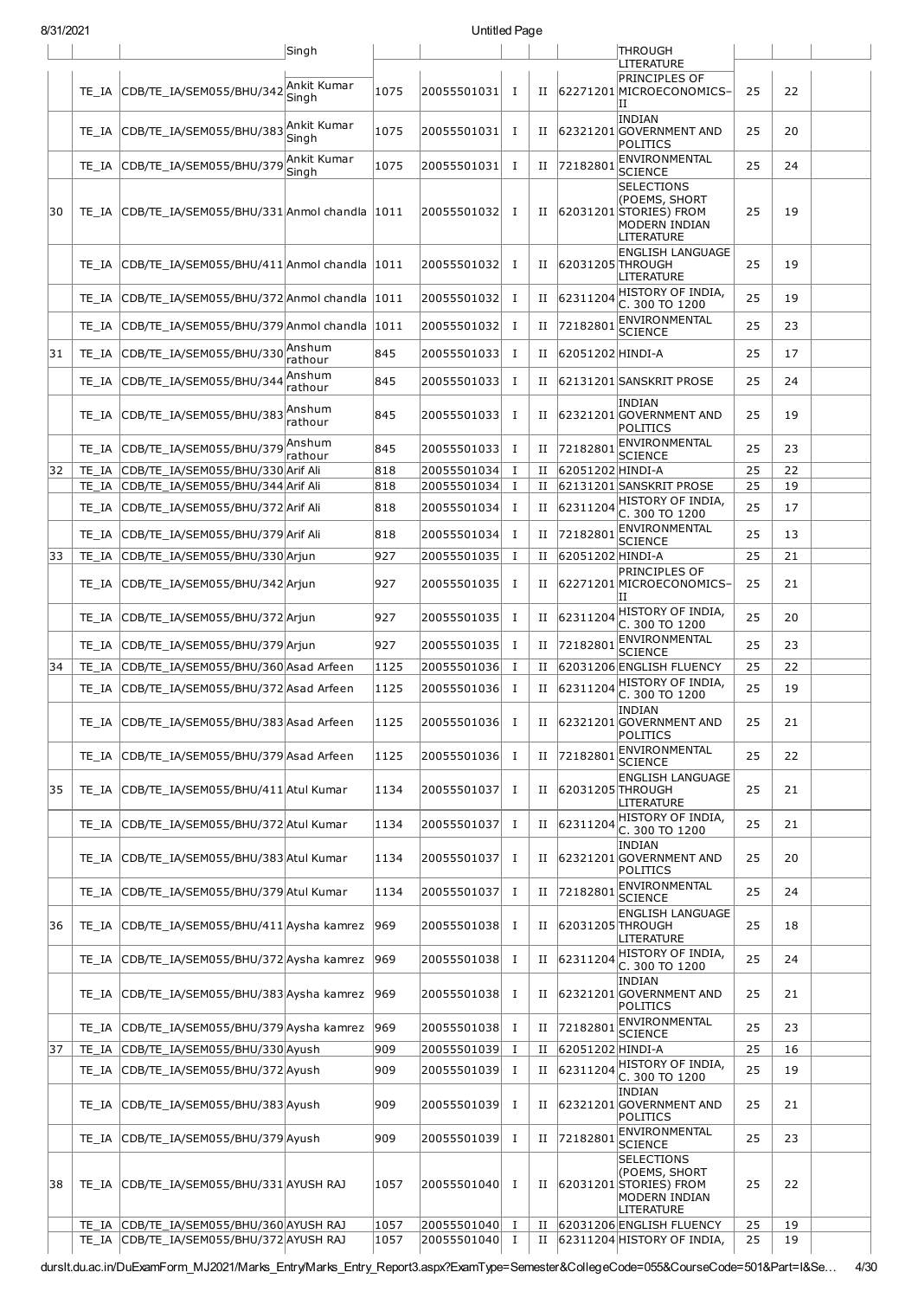| 8/31/2021 |       |                                                 |                      |      | Untitled Page |              |   |                  |                                                                                                    |    |    |  |
|-----------|-------|-------------------------------------------------|----------------------|------|---------------|--------------|---|------------------|----------------------------------------------------------------------------------------------------|----|----|--|
|           |       |                                                 | Singh                |      |               |              |   |                  | <b>THROUGH</b><br>LITERATURE                                                                       |    |    |  |
|           | TE IA | CDB/TE_IA/SEM055/BHU/342 Ankit Kumar            | Singh                | 1075 | 20055501031   | Ι            | П |                  | PRINCIPLES OF<br>62271201 MICROECONOMICS-<br>н                                                     | 25 | 22 |  |
|           | TE IA | CDB/TE_IA/SEM055/BHU/383                        | Ankit Kumar<br>Sinah | 1075 | 20055501031   | Ι            | П |                  | <b>INDIAN</b><br>62321201 GOVERNMENT AND<br>POLITICS                                               | 25 | 20 |  |
|           | TE IA | CDB/TE IA/SEM055/BHU/379                        | Ankit Kumar<br>Singh | 1075 | 20055501031   | Ι            | П | 72182801         | ENVIRONMENTAL<br><b>SCIENCE</b>                                                                    | 25 | 24 |  |
| 30        | TE IA | CDB/TE_IA/SEM055/BHU/331 Anmol chandla 1011     |                      |      | 20055501032   | <b>I</b>     | н |                  | <b>SELECTIONS</b><br>(POEMS, SHORT<br>62031201 STORIES) FROM<br><b>MODERN INDIAN</b><br>LITERATURE | 25 | 19 |  |
|           | TE IA | CDB/TE IA/SEM055/BHU/411 Anmol chandla 1011     |                      |      | 20055501032   | Ι            | П | 62031205 THROUGH | <b>ENGLISH LANGUAGE</b><br>LITERATURE                                                              | 25 | 19 |  |
|           | TE IA | CDB/TE_IA/SEM055/BHU/372 Anmol chandla 1011     |                      |      | 20055501032   | <b>I</b>     | П | 62311204         | HISTORY OF INDIA,<br>C. 300 TO 1200                                                                | 25 | 19 |  |
|           | TE IA | CDB/TE_IA/SEM055/BHU/379 Anmol chandla  1011    |                      |      | 20055501032   | I            | П | 72182801         | ENVIRONMENTAL<br><b>SCIENCE</b>                                                                    | 25 | 23 |  |
| 31        | TE IA | CDB/TE_IA/SEM055/BHU/330 Anshum                 | rathour              | 845  | 20055501033   | Ι            | П | 62051202 HINDI-A |                                                                                                    | 25 | 17 |  |
|           | TE IA | CDB/TE_IA/SEM055/BHU/344                        | Anshum<br>rathour    | 845  | 20055501033   | I            | н |                  | 62131201 SANSKRIT PROSE                                                                            | 25 | 24 |  |
|           | TE IA | CDB/TE_IA/SEM055/BHU/383 Anshum                 | rathour              | 845  | 20055501033   | Ι            | П |                  | <b>INDIAN</b><br>62321201 GOVERNMENT AND<br>POLITICS                                               | 25 | 19 |  |
|           | TE IA | CDB/TE_IA/SEM055/BHU/379 Anshum                 | rathour              | 845  | 20055501033   | Ι            | П | 72182801         | ENVIRONMENTAL<br><b>SCIENCE</b>                                                                    | 25 | 23 |  |
| 32        | TE IA | CDB/TE IA/SEM055/BHU/330 Arif Ali               |                      | 818  | 20055501034   | $\mathbf I$  | П | 62051202 HINDI-A |                                                                                                    | 25 | 22 |  |
|           | TE IA | CDB/TE IA/SEM055/BHU/344 Arif Ali               |                      | 818  | 20055501034   | <b>I</b>     | П |                  | 62131201 SANSKRIT PROSE                                                                            | 25 | 19 |  |
|           | TE IA | CDB/TE IA/SEM055/BHU/372 Arif Ali               |                      | 818  | 20055501034   | <b>I</b>     | п | 62311204         | HISTORY OF INDIA,<br>C. 300 TO 1200                                                                | 25 | 17 |  |
|           | TE IA | CDB/TE IA/SEM055/BHU/379 Arif Ali               |                      | 818  | 20055501034   | I            | П | 72182801         | ENVIRONMENTAL<br><b>SCIENCE</b>                                                                    | 25 | 13 |  |
| 33        | TE_IA | CDB/TE_IA/SEM055/BHU/330 Arjun                  |                      | 927  | 20055501035   | Ι.           | П | 62051202 HINDI-A | PRINCIPLES OF                                                                                      | 25 | 21 |  |
|           | TE IA | CDB/TE_IA/SEM055/BHU/342 Arjun                  |                      | 927  | 20055501035   | <b>I</b>     | П |                  | 62271201 MICROECONOMICS-<br>ΙI                                                                     | 25 | 21 |  |
|           | TE IA | CDB/TE IA/SEM055/BHU/372 Ariun                  |                      | 927  | 20055501035   | <b>I</b>     | П | 62311204         | HISTORY OF INDIA,<br>C. 300 TO 1200                                                                | 25 | 20 |  |
|           | TE IA | CDB/TE_IA/SEM055/BHU/379 Arjun                  |                      | 927  | 20055501035   | <b>I</b>     | П | 72182801         | ENVIRONMENTAL<br><b>SCIENCE</b>                                                                    | 25 | 23 |  |
| 34        | TE IA | CDB/TE IA/SEM055/BHU/360 Asad Arfeen            |                      | 1125 | 20055501036   | Ι            | П |                  | 62031206 ENGLISH FLUENCY                                                                           | 25 | 22 |  |
|           | TE IA | CDB/TE_IA/SEM055/BHU/372 Asad Arfeen            |                      | 1125 | 20055501036   | Ι            | П | 62311204         | HISTORY OF INDIA.<br>C. 300 TO 1200                                                                | 25 | 19 |  |
|           |       | TE IA CDB/TE IA/SEM055/BHU/383 Asad Arfeen      |                      | 1125 | 20055501036 I |              | П |                  | <b>INDIAN</b><br>62321201 GOVERNMENT AND<br>POLITICS                                               | 25 | 21 |  |
|           | TE IA | CDB/TE IA/SEM055/BHU/379 Asad Arfeen            |                      | 1125 | 20055501036   | I            | П | 72182801         | ENVIRONMENTAL<br><b>SCIENCE</b>                                                                    | 25 | 22 |  |
| 35        | TE IA | CDB/TE IA/SEM055/BHU/411 Atul Kumar             |                      | 1134 | 20055501037   | I            | П | 62031205 THROUGH | <b>ENGLISH LANGUAGE</b><br>LITERATURE                                                              | 25 | 21 |  |
|           | TE IA | CDB/TE_IA/SEM055/BHU/372 Atul Kumar             |                      | 1134 | 20055501037   | Ι            | П | 62311204         | HISTORY OF INDIA,<br>C. 300 TO 1200                                                                | 25 | 21 |  |
|           | TE IA | CDB/TE_IA/SEM055/BHU/383 Atul Kumar             |                      | 1134 | 20055501037   | $\mathbf{I}$ | П |                  | <b>INDIAN</b><br>62321201 GOVERNMENT AND<br>POLITICS                                               | 25 | 20 |  |
|           | TE IA | CDB/TE_IA/SEM055/BHU/379 Atul Kumar             |                      | 1134 | 20055501037   | I            | П | 72182801         | ENVIRONMENTAL<br><b>SCIENCE</b>                                                                    | 25 | 24 |  |
| 36        |       | TE_IA CDB/TE_IA/SEM055/BHU/411 Aysha kamrez 969 |                      |      | 20055501038 I |              | П | 62031205 THROUGH | <b>ENGLISH LANGUAGE</b><br>LITERATURE                                                              | 25 | 18 |  |
|           | TE IA | CDB/TE_IA/SEM055/BHU/372 Aysha kamrez           |                      | 969  | 20055501038   | I            | П | 62311204         | HISTORY OF INDIA,<br>C. 300 TO 1200                                                                | 25 | 24 |  |
|           | TE IA | CDB/TE_IA/SEM055/BHU/383 Aysha kamrez   969     |                      |      | 20055501038   | I            | П |                  | INDIAN<br>62321201 GOVERNMENT AND<br>POLITICS                                                      | 25 | 21 |  |
|           |       | TE_IA CDB/TE_IA/SEM055/BHU/379 Aysha kamrez 969 |                      |      | 20055501038 I |              | П | 72182801         | ENVIRONMENTAL<br><b>SCIENCE</b>                                                                    | 25 | 23 |  |
| 37        | TE IA | CDB/TE_IA/SEM055/BHU/330 Ayush                  |                      | 909  | 20055501039 I |              | П | 62051202 HINDI-A |                                                                                                    | 25 | 16 |  |
|           | TE_IA | CDB/TE_IA/SEM055/BHU/372 Ayush                  |                      | 909  | 20055501039   | $\mathbf{I}$ | П | 62311204         | HISTORY OF INDIA,<br>C. 300 TO 1200<br>INDIAN                                                      | 25 | 19 |  |
|           | TE IA | CDB/TE_IA/SEM055/BHU/383 Ayush                  |                      | 909  | 20055501039   | Ι            | П |                  | 62321201 GOVERNMENT AND<br>POLITICS<br>ENVIRONMENTAL                                               | 25 | 21 |  |
|           |       | TE_IA CDB/TE_IA/SEM055/BHU/379 Ayush            |                      | 909  | 20055501039   | I            | П | 72182801         | <b>SCIENCE</b>                                                                                     | 25 | 23 |  |
| 38        |       | TE_IA CDB/TE_IA/SEM055/BHU/331 AYUSH RAJ        |                      | 1057 | 20055501040 I |              | П |                  | SELECTIONS<br>(POEMS, SHORT<br>62031201 STORIES) FROM<br>MODERN INDIAN<br>LITERATURE               | 25 | 22 |  |
|           |       | TE_IA CDB/TE_IA/SEM055/BHU/360 AYUSH RAJ        |                      | 1057 | 20055501040 I |              | П |                  | 62031206 ENGLISH FLUENCY                                                                           | 25 | 19 |  |
|           | TE IA | CDB/TE_IA/SEM055/BHU/372 AYUSH RAJ              |                      | 1057 | 20055501040   | $\mathbf{I}$ | П |                  | 62311204 HISTORY OF INDIA,                                                                         | 25 | 19 |  |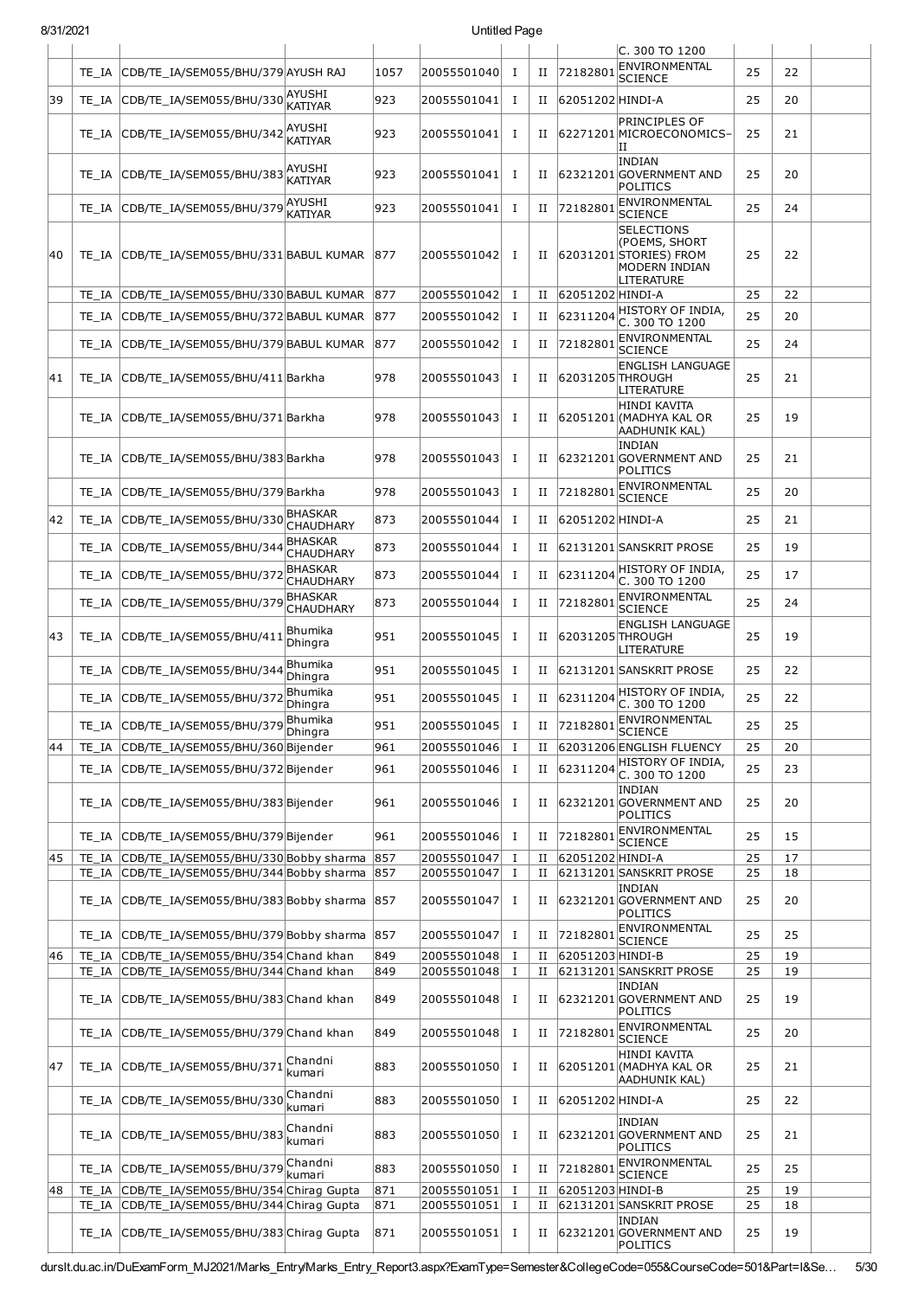| 8/31/2021 |       |                                                                                            |                             |            | Untitled Page              |              |             |                  |                                                                                                    |          |          |  |
|-----------|-------|--------------------------------------------------------------------------------------------|-----------------------------|------------|----------------------------|--------------|-------------|------------------|----------------------------------------------------------------------------------------------------|----------|----------|--|
|           |       |                                                                                            |                             |            |                            |              |             |                  | C. 300 TO 1200<br>ENVIRONMENTAL                                                                    |          |          |  |
|           |       | TE_IA  CDB/TE_IA/SEM055/BHU/379 AYUSH RAJ                                                  |                             | 1057       | 20055501040                | $\mathbf{I}$ | П           | 72182801         | <b>SCIENCE</b>                                                                                     | 25       | 22       |  |
| 39        |       | TE_IA CDB/TE_IA/SEM055/BHU/330 AYUSHI                                                      | <b>KATIYAR</b>              | 923        | 20055501041                | п            | П           | 62051202 HINDI-A |                                                                                                    | 25       | 20       |  |
|           |       | TE_IA CDB/TE_IA/SEM055/BHU/342                                                             | AYUSHI<br><b>KATIYAR</b>    | 923        | 20055501041                | п            | П           |                  | <b>PRINCIPLES OF</b><br>62271201 MICROECONOMICS-<br>IΙ                                             | 25       | 21       |  |
|           |       | TE_IA CDB/TE_IA/SEM055/BHU/383 AYUSHI                                                      | <b>KATIYAR</b>              | 923        | 20055501041                | п            | П           |                  | <b>INDIAN</b><br>62321201 GOVERNMENT AND<br>POLITICS                                               | 25       | 20       |  |
|           |       | TE_IA CDB/TE_IA/SEM055/BHU/379                                                             | AYUSHI<br><b>KATIYAR</b>    | 923        | 20055501041                | Ι            | П           | 7218280:         | ENVIRONMENTAL<br><b>SCIENCE</b>                                                                    | 25       | 24       |  |
| 140       |       | TE_IA CDB/TE_IA/SEM055/BHU/331 BABUL KUMAR                                                 |                             | 877        | 20055501042                | <b>I</b>     | П           |                  | <b>SELECTIONS</b><br>(POEMS, SHORT<br>62031201 STORIES) FROM<br><b>MODERN INDIAN</b><br>LITERATURE | 25       | 22       |  |
|           | TE IA | CDB/TE_IA/SEM055/BHU/330 BABUL KUMAR                                                       |                             | 877        | 20055501042                | $\mathbf I$  | П           | 62051202 HINDI-A |                                                                                                    | 25       | 22       |  |
|           | TE IA | CDB/TE IA/SEM055/BHU/372 BABUL KUMAR                                                       |                             | 877        | 20055501042                | I            | $_{\rm II}$ | 62311204         | HISTORY OF INDIA,<br>C. 300 TO 1200                                                                | 25       | 20       |  |
|           |       | TE IA CDB/TE IA/SEM055/BHU/379 BABUL KUMAR                                                 |                             | 877        | 20055501042                | Ι            | П           | 72182801         | ENVIRONMENTAL<br><b>SCIENCE</b>                                                                    | 25       | 24       |  |
| 41        |       | TE IA CDB/TE IA/SEM055/BHU/411 Barkha                                                      |                             | 978        | 20055501043                | $\mathbf I$  | П           | 62031205 THROUGH | <b>ENGLISH LANGUAGE</b><br>LITERATURE                                                              | 25       | 21       |  |
|           |       | TE_IA CDB/TE_IA/SEM055/BHU/371 Barkha                                                      |                             | 978        | 20055501043                | Ι            | П           |                  | <b>HINDI KAVITA</b><br> 62051201 (MADHYA KAL OR<br>AADHUNIK KAL)                                   | 25       | 19       |  |
|           |       | TE IA CDB/TE IA/SEM055/BHU/383 Barkha                                                      |                             | 978        | 20055501043                | <b>I</b>     | П           |                  | <b>INDIAN</b><br>62321201 GOVERNMENT AND<br>POLITICS                                               | 25       | 21       |  |
|           | TE IA | CDB/TE IA/SEM055/BHU/379 Barkha                                                            |                             | 978        | 20055501043                | Ι            | П           | 72182801         | ENVIRONMENTAL<br><b>SCIENCE</b>                                                                    | 25       | 20       |  |
| 42        | TE IA | CDB/TE_IA/SEM055/BHU/330BHASKAR                                                            | <b>CHAUDHARY</b>            | 873        | 20055501044                | Ι            | П           | 62051202 HINDI-A |                                                                                                    | 25       | 21       |  |
|           | TE IA | CDB/TE_IA/SEM055/BHU/344                                                                   | <b>BHASKAR</b><br>CHAUDHARY | 873        | 20055501044                | Ι            | П           |                  | 62131201 SANSKRIT PROSE                                                                            | 25       | 19       |  |
|           | TE IA | CDB/TE_IA/SEM055/BHU/372                                                                   | <b>BHASKAR</b><br>CHAUDHARY | 873        | 20055501044                | Ι            | П           | 62311204         | HISTORY OF INDIA,<br>C. 300 TO 1200                                                                | 25       | 17       |  |
|           | TE IA | CDB/TE_IA/SEM055/BHU/379                                                                   | <b>BHASKAR</b><br>CHAUDHARY | 873        | 20055501044                | Ι            | П           | 72182801         | ENVIRONMENTAL<br><b>SCIENCE</b>                                                                    | 25       | 24       |  |
| 43        | TE IA | CDB/TE_IA/SEM055/BHU/411                                                                   | Bhumika<br>Dhingra          | 951        | 20055501045                | п            | П           | 62031205 THROUGH | <b>ENGLISH LANGUAGE</b><br>LITERATURE                                                              | 25       | 19       |  |
|           | TE IA | CDB/TE_IA/SEM055/BHU/344                                                                   | Bhumika<br>Dhingra          | 951        | 20055501045                | $\mathbf I$  | П           |                  | 62131201 SANSKRIT PROSE                                                                            | 25       | 22       |  |
|           |       | TE_IA CDB/TE_IA/SEM055/BHU/372                                                             | Bhumika<br>Dhingra          | 951        | 20055501045                | $\mathbf{I}$ | П           | 62311204         | HISTORY OF INDIA,<br>C. 300 TO 1200                                                                | 25       | 22       |  |
|           |       | TE_IA CDB/TE_IA/SEM055/BHU/379 Bhumika                                                     | Dhingra                     | 951        | 20055501045                | I            | П           |                  | 72182801 ENVIRONMENTAL<br><b>SCIENCE</b>                                                           | 25       | 25       |  |
| 44        |       | TE_IA CDB/TE_IA/SEM055/BHU/360 Bijender                                                    |                             | 961        | 20055501046                | I            | П           |                  | 62031206 ENGLISH FLUENCY                                                                           | 25       | 20       |  |
|           |       | TE_IA CDB/TE_IA/SEM055/BHU/372Bijender                                                     |                             | 961        | 20055501046                | I            | $_{\rm II}$ | 62311204         | HISTORY OF INDIA,<br>C. 300 TO 1200                                                                | 25       | 23       |  |
|           |       | TE_IA CDB/TE_IA/SEM055/BHU/383 Bijender                                                    |                             | 961        | 20055501046                | $\mathbf{I}$ | П           |                  | <b>INDIAN</b><br>62321201 GOVERNMENT AND<br><b>POLITICS</b>                                        | 25       | 20       |  |
|           |       | TE IA CDB/TE IA/SEM055/BHU/379 Bijender                                                    |                             | 961        | 20055501046                | $\mathbf I$  | П           | 72182801         | ENVIRONMENTAL<br><b>SCIENCE</b>                                                                    | 25       | 15       |  |
| 45        |       | TE_IA CDB/TE_IA/SEM055/BHU/330 Bobby sharma                                                |                             | 857        | 20055501047                | Ι.           | П           | 62051202 HINDI-A |                                                                                                    | 25       | 17       |  |
|           |       | TE_IA CDB/TE_IA/SEM055/BHU/344 Bobby sharma<br>TE_IA CDB/TE_IA/SEM055/BHU/383 Bobby sharma |                             | 857<br>857 | 20055501047<br>20055501047 | 1<br>Ι       | П<br>П      |                  | 62131201 SANSKRIT PROSE<br><b>INDIAN</b><br>62321201 GOVERNMENT AND<br>POLITICS                    | 25<br>25 | 18<br>20 |  |
|           |       | TE_IA CDB/TE_IA/SEM055/BHU/379 Bobby sharma                                                |                             | 857        | 20055501047                | Ι            | П           | 72182801         | ENVIRONMENTAL<br><b>SCIENCE</b>                                                                    | 25       | 25       |  |
| 46        |       | TE_IA CDB/TE_IA/SEM055/BHU/354 Chand khan<br>TE_IA CDB/TE_IA/SEM055/BHU/344 Chand khan     |                             | 849<br>849 | 20055501048<br>20055501048 | Ι<br>Ι.      | П<br>П      | 62051203 HINDI-B | 62131201 SANSKRIT PROSE                                                                            | 25<br>25 | 19<br>19 |  |
|           |       | TE_IA CDB/TE_IA/SEM055/BHU/383 Chand khan                                                  |                             | 849        | 20055501048                | $\mathbf I$  | П           |                  | <b>INDIAN</b><br>62321201 GOVERNMENT AND<br>POLITICS                                               | 25       | 19       |  |
|           |       | TE_IA CDB/TE_IA/SEM055/BHU/379 Chand khan                                                  |                             | 849        | 20055501048                | $\mathbf{I}$ | П           | 72182801         | ENVIRONMENTAL<br><b>SCIENCE</b>                                                                    | 25       | 20       |  |
| 47        |       | TE_IA CDB/TE_IA/SEM055/BHU/371                                                             | Chandni<br>kumari           | 883        | 20055501050                | <b>I</b>     | П           |                  | HINDI KAVITA<br>62051201 (MADHYA KAL OR<br><b>AADHUNIK KAL)</b>                                    | 25       | 21       |  |
|           |       | TE_IA CDB/TE_IA/SEM055/BHU/330                                                             | Chandni<br>kumari           | 883        | 20055501050                | $\mathbf{I}$ | П           | 62051202 HINDI-A |                                                                                                    | 25       | 22       |  |
|           |       | TE_IA CDB/TE_IA/SEM055/BHU/383Chandni                                                      | kumari                      | 883        | 20055501050                | I            | П           |                  | <b>INDIAN</b><br>62321201 GOVERNMENT AND<br>POLITICS                                               | 25       | 21       |  |
|           |       | TE_IA CDB/TE_IA/SEM055/BHU/379                                                             | Chandni<br>kumari           | 883        | 20055501050                | <b>I</b>     | П           | 72182801         | ENVIRONMENTAL<br><b>SCIENCE</b>                                                                    | 25       | 25       |  |
| 48        |       | TE_IA CDB/TE_IA/SEM055/BHU/354 Chirag Gupta                                                |                             | 871        | 20055501051                | Ι.           | П           | 62051203 HINDI-B |                                                                                                    | 25       | 19       |  |
|           |       | TE_IA CDB/TE_IA/SEM055/BHU/344 Chirag Gupta                                                |                             | 871        | 20055501051                | <b>I</b>     | $_{\rm II}$ |                  | 62131201 SANSKRIT PROSE<br><b>INDIAN</b>                                                           | 25       | 18       |  |
|           |       | TE IA CDB/TE IA/SEM055/BHU/383 Chirag Gupta                                                |                             | 871        | 20055501051                | Ι            | П           |                  | 62321201 GOVERNMENT AND<br>POLITICS                                                                | 25       | 19       |  |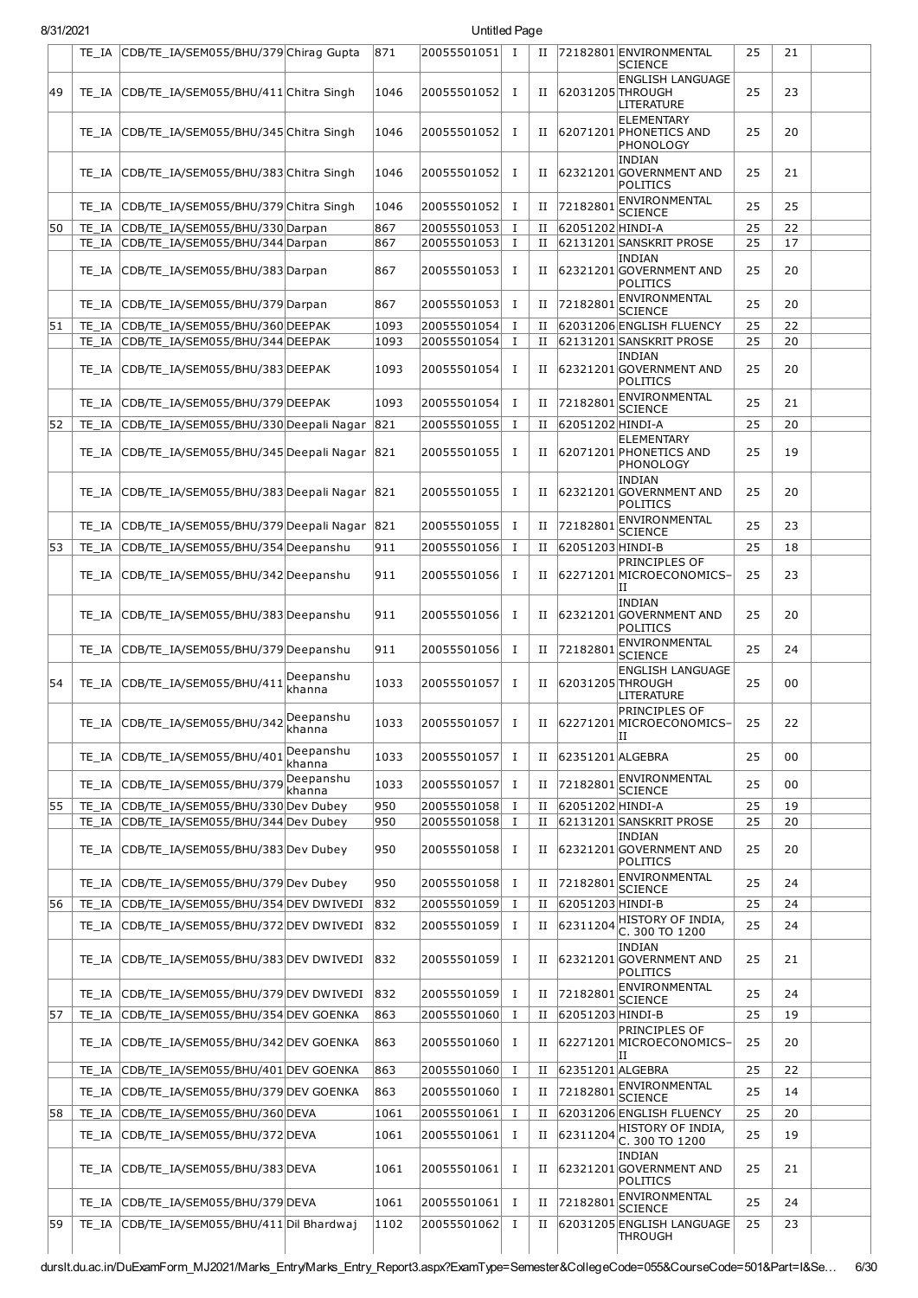| 8/31/2021 |       |                                                  |                     |      | Untitled Page |              |             |                  |                                                             |    |    |  |
|-----------|-------|--------------------------------------------------|---------------------|------|---------------|--------------|-------------|------------------|-------------------------------------------------------------|----|----|--|
|           |       | TE_IA CDB/TE_IA/SEM055/BHU/379 Chirag Gupta      |                     | 871  | 20055501051 I |              | П           |                  | 72182801 ENVIRONMENTAL<br><b>SCIENCE</b>                    | 25 | 21 |  |
| 49        | TE IA | CDB/TE_IA/SEM055/BHU/411 Chitra Singh            |                     | 1046 | 20055501052 I |              | П           | 62031205 THROUGH | <b>ENGLISH LANGUAGE</b><br>LITERATURE                       | 25 | 23 |  |
|           | TE IA | CDB/TE_IA/SEM055/BHU/345 Chitra Singh            |                     | 1046 | 20055501052   | I            | П           |                  | <b>ELEMENTARY</b><br>62071201 PHONETICS AND<br>PHONOLOGY    | 25 | 20 |  |
|           | TE IA | CDB/TE_IA/SEM055/BHU/383 Chitra Singh            |                     | 1046 | 20055501052   | Ι            | П           |                  | <b>INDIAN</b><br>62321201 GOVERNMENT AND<br>POLITICS        | 25 | 21 |  |
|           | TE IA | CDB/TE IA/SEM055/BHU/379 Chitra Singh            |                     | 1046 | 20055501052   | I            | П           | 72182801         | ENVIRONMENTAL<br><b>SCIENCE</b>                             | 25 | 25 |  |
| 50        | TE IA | CDB/TE IA/SEM055/BHU/330 Darpan                  |                     | 867  | 20055501053   | <b>I</b>     | П           | 62051202 HINDI-A |                                                             | 25 | 22 |  |
|           | TE IA | CDB/TE_IA/SEM055/BHU/344 Darpan                  |                     | 867  | 20055501053   | $\mathbf{I}$ | $_{\rm II}$ |                  | 62131201 SANSKRIT PROSE<br><b>INDIAN</b>                    | 25 | 17 |  |
|           | TE IA | CDB/TE_IA/SEM055/BHU/383 Darpan                  |                     | 867  | 20055501053   | <b>I</b>     | П           |                  | 62321201 GOVERNMENT AND<br>POLITICS                         | 25 | 20 |  |
|           | TE IA | CDB/TE_IA/SEM055/BHU/379 Darpan                  |                     | 867  | 20055501053   | <b>I</b>     | П           | 72182801         | ENVIRONMENTAL<br><b>SCIENCE</b>                             | 25 | 20 |  |
| 51        |       | TE_IA CDB/TE_IA/SEM055/BHU/360 DEEPAK            |                     | 1093 | 20055501054   | Ι            | П           |                  | 62031206 ENGLISH FLUENCY                                    | 25 | 22 |  |
|           | TE IA | CDB/TE IA/SEM055/BHU/344 DEEPAK                  |                     | 1093 | 20055501054   | $\mathbf{I}$ | $_{\rm II}$ |                  | 62131201 SANSKRIT PROSE<br><b>INDIAN</b>                    | 25 | 20 |  |
|           | TE IA | CDB/TE_IA/SEM055/BHU/383DEEPAK                   |                     | 1093 | 20055501054   | <b>I</b>     | П           |                  | 62321201 GOVERNMENT AND<br><b>POLITICS</b>                  | 25 | 20 |  |
|           | TE IA | CDB/TE IA/SEM055/BHU/379DEEPAK                   |                     | 1093 | 20055501054   | Ι            | П           | 72182801         | <b>ENVIRONMENTAL</b><br><b>SCIENCE</b>                      | 25 | 21 |  |
| 52        | TE IA | CDB/TE IA/SEM055/BHU/330 Deepali Nagar 821       |                     |      | 20055501055   | $\mathbf{I}$ | П           | 62051202 HINDI-A |                                                             | 25 | 20 |  |
|           | TE IA | CDB/TE_IA/SEM055/BHU/345 Deepali Nagar 821       |                     |      | 20055501055   | <b>I</b>     | П           |                  | <b>ELEMENTARY</b><br>62071201 PHONETICS AND<br>PHONOLOGY    | 25 | 19 |  |
|           |       | TE_IA CDB/TE_IA/SEM055/BHU/383 Deepali Nagar 821 |                     |      | 20055501055   | <b>I</b>     | П           |                  | <b>INDIAN</b><br>62321201 GOVERNMENT AND<br>POLITICS        | 25 | 20 |  |
|           | TE IA | CDB/TE_IA/SEM055/BHU/379 Deepali Nagar           |                     | 821  | 20055501055   | I            | П           | 72182801         | ENVIRONMENTAL<br><b>SCIENCE</b>                             | 25 | 23 |  |
| 53        | TE IA | CDB/TE_IA/SEM055/BHU/354 Deepanshu               |                     | 911  | 20055501056   | I            | П           | 62051203 HINDI-B |                                                             | 25 | 18 |  |
|           |       | TE_IA CDB/TE_IA/SEM055/BHU/342 Deepanshu         |                     | 911  | 20055501056   | <b>I</b>     | П           |                  | PRINCIPLES OF<br>62271201 MICROECONOMICS-<br>ΙI             | 25 | 23 |  |
|           | TE IA | CDB/TE_IA/SEM055/BHU/383 Deepanshu               |                     | 911  | 20055501056   | Ι            | П           |                  | <b>INDIAN</b><br>62321201 GOVERNMENT AND<br>POLITICS        | 25 | 20 |  |
|           | TE IA | CDB/TE_IA/SEM055/BHU/379 Deepanshu               |                     | 911  | 20055501056   | I            | П           | 72182801         | <b>ENVIRONMENTAL</b><br><b>SCIENCE</b>                      | 25 | 24 |  |
| 54        |       | TE_IA CDB/TE_IA/SEM055/BHU/411 Deepanshu         | khanna              | 1033 | 20055501057   | Ι            | П           | 62031205 THROUGH | <b>ENGLISH LANGUAGE</b><br>LITERATURE                       | 25 | 00 |  |
|           | TE IA | CDB/TE_IA/SEM055/BHU/342 Deepanshu               |                     | 1033 | 20055501057 I |              | П           |                  | PRINCIPLES OF<br>62271201 MICROECONOMICS-<br>ΙI             | 25 | 22 |  |
|           | TE IA | CDB/TE_IA/SEM055/BHU/401                         | Deepanshu<br>khanna | 1033 | 20055501057   | I            | П           | 62351201 ALGEBRA |                                                             | 25 | 00 |  |
|           | TE IA | CDB/TE_IA/SEM055/BHU/379                         | Deepanshu<br>khanna | 1033 | 20055501057   | I            | П           | 72182801         | ENVIRONMENTAL<br><b>SCIENCE</b>                             | 25 | 00 |  |
| 55        | TE IA | CDB/TE_IA/SEM055/BHU/330 Dev Dubey               |                     | 950  | 20055501058   | <b>I</b>     | П           | 62051202 HINDI-A |                                                             | 25 | 19 |  |
|           | TE IA | CDB/TE_IA/SEM055/BHU/344 Dev Dubey               |                     | 950  | 20055501058   | $\mathbf{I}$ | П           |                  | 62131201 SANSKRIT PROSE                                     | 25 | 20 |  |
|           | TE IA | CDB/TE_IA/SEM055/BHU/383 Dev Dubey               |                     | 950  | 20055501058   | $\mathbf{I}$ | П           |                  | <b>INDIAN</b><br>62321201 GOVERNMENT AND<br>POLITICS        | 25 | 20 |  |
|           | TE IA | CDB/TE_IA/SEM055/BHU/379 Dev Dubey               |                     | 950  | 20055501058   | Ι            | П           | 72182801         | ENVIRONMENTAL<br><b>SCIENCE</b>                             | 25 | 24 |  |
| 56        | TE IA | CDB/TE_IA/SEM055/BHU/354 DEV DWIVEDI             |                     | 832  | 20055501059   | Ι            | П           | 62051203 HINDI-B |                                                             | 25 | 24 |  |
|           | TE_IA | CDB/TE_IA/SEM055/BHU/372 DEV DWIVEDI             |                     | 832  | 20055501059   | <b>I</b>     | П           | 62311204         | HISTORY OF INDIA,<br>C. 300 TO 1200                         | 25 | 24 |  |
|           | TE IA | CDB/TE_IA/SEM055/BHU/383 DEV DWIVEDI             |                     | 832  | 20055501059   | <b>I</b>     | П           |                  | <b>INDIAN</b><br>62321201 GOVERNMENT AND<br><b>POLITICS</b> | 25 | 21 |  |
|           | TE IA | CDB/TE_IA/SEM055/BHU/379 DEV DWIVEDI             |                     | 832  | 20055501059   | I            | П           | 72182801         | ENVIRONMENTAL<br><b>SCIENCE</b>                             | 25 | 24 |  |
| 57        | TE IA | CDB/TE_IA/SEM055/BHU/354 DEV GOENKA              |                     | 863  | 20055501060   | I            | П           | 62051203 HINDI-B |                                                             | 25 | 19 |  |
|           | TE IA | CDB/TE_IA/SEM055/BHU/342 DEV GOENKA              |                     | 863  | 20055501060 I |              | П           |                  | PRINCIPLES OF<br>62271201 MICROECONOMICS-<br>IΙ             | 25 | 20 |  |
|           | TE IA | CDB/TE_IA/SEM055/BHU/401 DEV GOENKA              |                     | 863  | 20055501060   | $\mathbf I$  | П           | 62351201 ALGEBRA |                                                             | 25 | 22 |  |
|           | TE IA | CDB/TE_IA/SEM055/BHU/379 DEV GOENKA              |                     | 863  | 20055501060   | I            | П           | 72182801         | ENVIRONMENTAL<br><b>SCIENCE</b>                             | 25 | 14 |  |
| 58        | TE_IA | CDB/TE_IA/SEM055/BHU/360 DEVA                    |                     | 1061 | 20055501061   | п            | П           |                  | 62031206 ENGLISH FLUENCY                                    | 25 | 20 |  |
|           | TE IA | CDB/TE_IA/SEM055/BHU/372 DEVA                    |                     | 1061 | 20055501061   | <b>I</b>     | П           | 62311204         | HISTORY OF INDIA,<br>C. 300 TO 1200                         | 25 | 19 |  |
|           | TE IA | CDB/TE_IA/SEM055/BHU/383DEVA                     |                     | 1061 | 20055501061   | п            | П           |                  | <b>INDIAN</b><br>62321201 GOVERNMENT AND<br>POLITICS        | 25 | 21 |  |
|           | TE IA | CDB/TE_IA/SEM055/BHU/379 DEVA                    |                     | 1061 | 20055501061   | I            | П           | 72182801         | ENVIRONMENTAL<br><b>SCIENCE</b>                             | 25 | 24 |  |
| 59        | TE_IA | CDB/TE_IA/SEM055/BHU/411 Dil Bhardwaj            |                     | 1102 | 20055501062   | I            | П           |                  | 62031205 ENGLISH LANGUAGE<br>THROUGH                        | 25 | 23 |  |

durslt.du.ac.in/DuExamForm\_MJ2021/Marks\_Entry/Marks\_Entry\_Report3.aspx?ExamType=Semester&CollegeCode=055&CourseCode=501&Part=I&Se… 6/30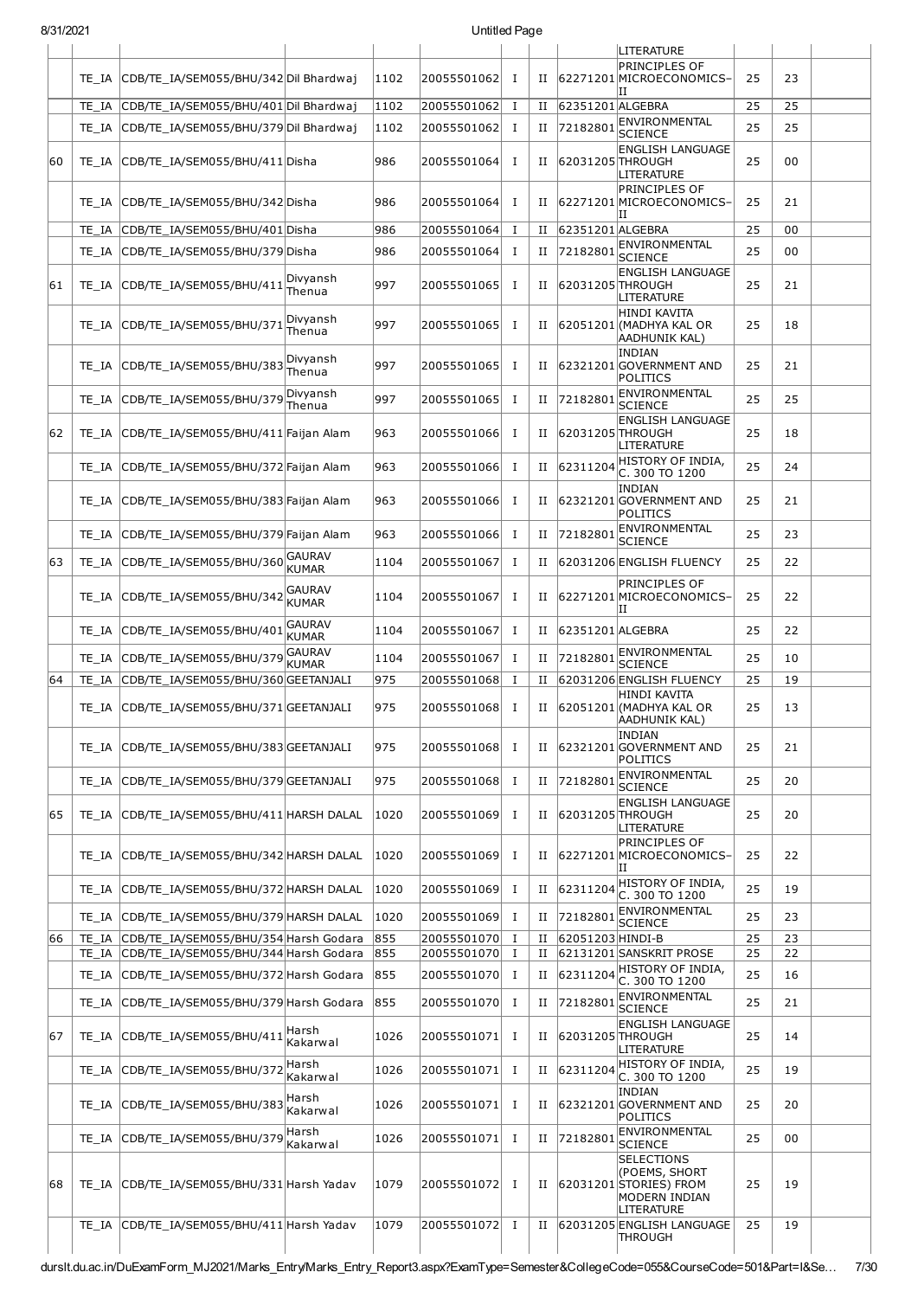| 8/31/2021 |  |
|-----------|--|
|-----------|--|

| 8/31/2021 |       |                                             |                               |      | Untitled Page |              |             |                  |                                                                 |    |    |  |
|-----------|-------|---------------------------------------------|-------------------------------|------|---------------|--------------|-------------|------------------|-----------------------------------------------------------------|----|----|--|
|           |       |                                             |                               |      |               |              |             |                  | LITERATURE                                                      |    |    |  |
|           |       | TE IA CDB/TE IA/SEM055/BHU/342 Dil Bhardwaj |                               | 1102 | 20055501062   | Ι.           | П           |                  | <b>PRINCIPLES OF</b><br>62271201 MICROECONOMICS-<br>IΙ          | 25 | 23 |  |
|           | TE IA | CDB/TE_IA/SEM055/BHU/401 Dil Bhardwaj       |                               | 1102 | 20055501062   | $\bf{I}$     | П           | 62351201 ALGEBRA |                                                                 | 25 | 25 |  |
|           |       | TE_IA CDB/TE_IA/SEM055/BHU/379 Dil Bhardwaj |                               | 1102 | 20055501062   | Ι.           | П           | 72182801         | ENVIRONMENTAL                                                   | 25 | 25 |  |
| 60        |       | TE_IA CDB/TE_IA/SEM055/BHU/411 Disha        |                               | 986  | 20055501064   | Ι.           | П           | 62031205 THROUGH | SCIENCE<br><b>ENGLISH LANGUAGE</b>                              | 25 | 00 |  |
|           | TE IA | CDB/TE_IA/SEM055/BHU/342 Disha              |                               | 986  | 20055501064   | Ι.           | П           |                  | LITERATURE<br><b>PRINCIPLES OF</b><br>62271201MICROECONOMICS-   | 25 | 21 |  |
|           | TE IA | CDB/TE IA/SEM055/BHU/401 Disha              |                               | 986  | 20055501064   | $\bf{I}$     | П           | 62351201 ALGEBRA | ΙI                                                              | 25 | 00 |  |
|           |       | TE_IA CDB/TE_IA/SEM055/BHU/379 Disha        |                               | 986  | 20055501064   | $\mathbf I$  | П           | 72182801         | ENVIRONMENTAL                                                   | 25 | 00 |  |
| 161       |       | TE_IA CDB/TE_IA/SEM055/BHU/411              | Divyansh                      | 997  | 20055501065   | $\mathbf I$  | П           | 62031205 THROUGH | <b>SCIENCE</b><br><b>ENGLISH LANGUAGE</b>                       | 25 | 21 |  |
|           |       | TE_IA CDB/TE_IA/SEM055/BHU/371              | Thenua<br>Divyansh            | 997  | 20055501065   | $\bf{I}$     | П           |                  | LITERATURE<br><b>HINDI KAVITA</b><br>62051201 (MADHYA KAL OR    | 25 | 18 |  |
|           |       | TE IA CDB/TE IA/SEM055/BHU/383              | Thenua<br>Divyansh            | 997  | 20055501065   | Ι.           | П           |                  | AADHUNIK KAL)<br><b>INDIAN</b><br>62321201 GOVERNMENT AND       | 25 | 21 |  |
|           |       |                                             | Thenua                        |      |               |              |             |                  | POLITICS                                                        |    |    |  |
|           | TE IA | CDB/TE_IA/SEM055/BHU/379                    | Divyansh<br>Thenua            | 997  | 20055501065   | $\mathbf I$  | П           | 72182801         | ENVIRONMENTAL<br><b>SCIENCE</b>                                 | 25 | 25 |  |
| 62        | TE IA | CDB/TE IA/SEM055/BHU/411 Faijan Alam        |                               | 963  | 20055501066   | $\bf{I}$     | П           | 62031205 THROUGH | <b>ENGLISH LANGUAGE</b><br><b>LITERATURE</b>                    | 25 | 18 |  |
|           |       | TE_IA CDB/TE_IA/SEM055/BHU/372 Faijan Alam  |                               | 963  | 20055501066   | $\bf{I}$     | П           | 62311204         | HISTORY OF INDIA,<br>C. 300 TO 1200                             | 25 | 24 |  |
|           |       | TE_IA CDB/TE_IA/SEM055/BHU/383 Faijan Alam  |                               | 963  | 20055501066   | $\mathbf I$  | $_{\rm II}$ |                  | <b>INDIAN</b><br>62321201 GOVERNMENT AND<br><b>POLITICS</b>     | 25 | 21 |  |
|           |       | TE_IA CDB/TE_IA/SEM055/BHU/379 Faijan Alam  |                               | 963  | 20055501066   | $\mathbf I$  | П           | 72182801         | ENVIRONMENTAL<br><b>SCIENCE</b>                                 | 25 | 23 |  |
| 63        |       | TE_IA CDB/TE_IA/SEM055/BHU/360              | <b>GAURAV</b><br><b>KUMAR</b> | 1104 | 20055501067   | <b>I</b>     | П           |                  | 62031206 ENGLISH FLUENCY                                        | 25 | 22 |  |
|           |       | TE_IA CDB/TE_IA/SEM055/BHU/342              | <b>GAURAV</b><br><b>KUMAR</b> | 1104 | 20055501067   | Ι.           | П           |                  | PRINCIPLES OF<br>62271201 MICROECONOMICS-<br>IΙ                 | 25 | 22 |  |
|           | TE IA | CDB/TE IA/SEM055/BHU/401                    | <b>GAURAV</b><br><b>KUMAR</b> | 1104 | 20055501067   | $\bf{I}$     | $_{\rm II}$ | 62351201 ALGEBRA |                                                                 | 25 | 22 |  |
|           | TE IA | CDB/TE_IA/SEM055/BHU/379                    | <b>GAURAV</b>                 | 1104 | 20055501067   | $\bf{I}$     | П           | 72182801         | ENVIRONMENTAL                                                   | 25 | 10 |  |
| 64        | TE IA | CDB/TE_IA/SEM055/BHU/360 GEETANJALI         | <b>KUMAR</b>                  | 975  | 20055501068   | $\bf{I}$     | П           |                  | <b>SCIENCE</b><br>62031206 ENGLISH FLUENCY                      | 25 | 19 |  |
|           |       | TE_IA CDB/TE_IA/SEM055/BHU/371GEETANJALI    |                               | 975  | 20055501068   | Ι.           | П           |                  | <b>HINDI KAVITA</b><br>62051201 (MADHYA KAL OR<br>AADHUNIK KAL) | 25 | 13 |  |
|           |       | TE IA CDB/TE IA/SEM055/BHU/383 GEETANJALI   |                               | 975  | 20055501068   | Ι.           | Н           |                  | <b>INDIAN</b><br>62321201 GOVERNMENT AND<br>POLITICS            | 25 | 21 |  |
|           |       | TE IA CDB/TE IA/SEM055/BHU/379 GEETANJALI   |                               | 975  | 20055501068   | Ι.           | П           | 72182801         | <b>ENVIRONMENTAL</b><br><b>SCIENCE</b>                          | 25 | 20 |  |
| 65        |       | TE_IA CDB/TE_IA/SEM055/BHU/411 HARSH DALAL  |                               | 1020 | 20055501069   | $\mathbf{I}$ | $_{\rm II}$ | 62031205 THROUGH | <b>ENGLISH LANGUAGE</b><br><b>LITERATURE</b>                    | 25 | 20 |  |
|           |       | TE IA CDB/TE IA/SEM055/BHU/342 HARSH DALAL  |                               | 1020 | 20055501069   | Ι.           | Н           |                  | <b>PRINCIPLES OF</b><br>62271201 MICROECONOMICS-                | 25 | 22 |  |
|           | TE IA | CDB/TE IA/SEM055/BHU/372 HARSH DALAL        |                               | 1020 | 20055501069   | $\bf{I}$     | $_{\rm II}$ | 62311204         | IΙ<br>HISTORY OF INDIA,<br>C. 300 TO 1200                       | 25 | 19 |  |
|           |       | TE_IA CDB/TE_IA/SEM055/BHU/379 HARSH DALAL  |                               | 1020 | 20055501069   | $\bf{I}$     | $_{\rm II}$ | 72182801         | ENVIRONMENTAL                                                   | 25 | 23 |  |
| 66        | TE IA | CDB/TE_IA/SEM055/BHU/354 Harsh Godara       |                               | 855  | 20055501070   | Ι.           | П           | 62051203 HINDI-B | SCIENCE                                                         | 25 | 23 |  |
|           |       | TE_IA CDB/TE_IA/SEM055/BHU/344 Harsh Godara |                               | 855  | 20055501070   | Ι.           | $_{\rm II}$ |                  | 62131201 SANSKRIT PROSE                                         | 25 | 22 |  |
|           |       | TE_IA CDB/TE_IA/SEM055/BHU/372 Harsh Godara |                               | 855  | 20055501070   | Ι.           | П           | 62311204         | HISTORY OF INDIA,<br>C. 300 TO 1200                             | 25 | 16 |  |
|           |       | TE_IA CDB/TE_IA/SEM055/BHU/379 Harsh Godara |                               | 855  | 20055501070   | Ι.           | П           | 72182801         | ENVIRONMENTAL<br>SCIENCE                                        | 25 | 21 |  |
| 67        |       | TE_IA CDB/TE_IA/SEM055/BHU/411              | Harsh<br>Kakarwal             | 1026 | 20055501071   | Ι.           | Н           | 62031205 THROUGH | <b>ENGLISH LANGUAGE</b><br>LITERATURE                           | 25 | 14 |  |
|           | TE IA | CDB/TE_IA/SEM055/BHU/372                    | Harsh<br>Kakarwal             | 1026 | 20055501071   | $\bf{I}$     | П           | 62311204         | HISTORY OF INDIA,<br>C. 300 TO 1200                             | 25 | 19 |  |
|           | TE IA | CDB/TE_IA/SEM055/BHU/383                    | Harsh<br>Kakarwal             | 1026 | 20055501071   | Ι.           | Н           |                  | <b>INDIAN</b><br>62321201 GOVERNMENT AND<br>POLITICS            | 25 | 20 |  |
|           | TE IA | CDB/TE_IA/SEM055/BHU/379                    | Harsh<br>Kakarwal             | 1026 | 20055501071   | Ι.           | П           | 72182801         | ENVIRONMENTAL<br><b>SCIENCE</b>                                 | 25 | 00 |  |
| 68        | TE IA | CDB/TE_IA/SEM055/BHU/331 Harsh Yadav        |                               | 1079 | 20055501072   | Ι            | Н           |                  | <b>SELECTIONS</b><br>(POEMS, SHORT<br>62031201 STORIES) FROM    | 25 | 19 |  |
|           |       | TE_IA CDB/TE_IA/SEM055/BHU/411 Harsh Yadav  |                               | 1079 | 20055501072   | Ι.           | П           |                  | MODERN INDIAN<br>LITERATURE<br>62031205 ENGLISH LANGUAGE        | 25 | 19 |  |
|           |       |                                             |                               |      |               |              |             |                  | THROUGH                                                         |    |    |  |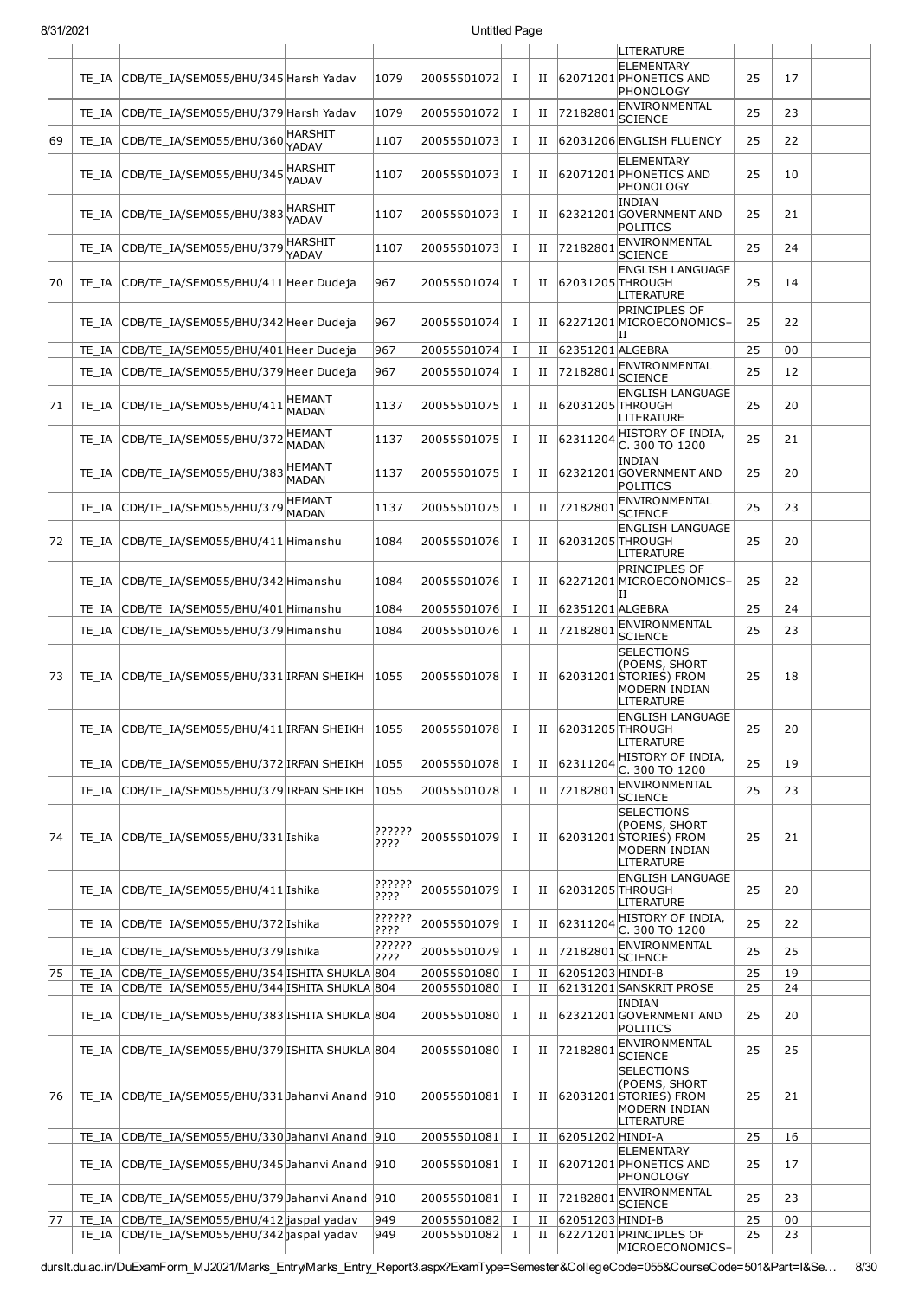| ו בטבוו טונ |       |                                                  |                               |                |             | onuucu ragc  |             |                  |                                                                                             |    |    |  |
|-------------|-------|--------------------------------------------------|-------------------------------|----------------|-------------|--------------|-------------|------------------|---------------------------------------------------------------------------------------------|----|----|--|
|             | TE IA | CDB/TE IA/SEM055/BHU/345 Harsh Yadav             |                               | 1079           | 20055501072 | Ι.           | П           |                  | LITERATURE<br>ELEMENTARY<br>62071201 PHONETICS AND<br>PHONOLOGY                             | 25 | 17 |  |
|             | TE IA | CDB/TE IA/SEM055/BHU/379 Harsh Yadav             |                               | 1079           | 20055501072 | Ι.           | П           | 72182801         | ENVIRONMENTAL<br><b>SCIENCE</b>                                                             | 25 | 23 |  |
| 69          | TE IA | CDB/TE IA/SEM055/BHU/360                         | <b>HARSHIT</b><br>YADAV       | 1107           | 20055501073 | Ι.           | П           |                  | 62031206 ENGLISH FLUENCY                                                                    | 25 | 22 |  |
|             | TE IA | CDB/TE_IA/SEM055/BHU/345                         | <b>HARSHIT</b><br>YADAV       | 1107           | 20055501073 | $\bf{I}$     | П           |                  | ELEMENTARY<br>62071201 PHONETICS AND<br>PHONOLOGY                                           | 25 | 10 |  |
|             | TE IA | CDB/TE_IA/SEM055/BHU/383                         | <b>HARSHIT</b><br>YADAV       | 1107           | 20055501073 | Ι.           | п           |                  | INDIAN<br>62321201 GOVERNMENT AND<br>POLITICS                                               | 25 | 21 |  |
|             | TE IA | CDB/TE IA/SEM055/BHU/379                         | HARSHIT<br>YADAV              | 1107           | 20055501073 | $\bf{I}$     | П           | 72182801         | ENVIRONMENTAL<br><b>SCIENCE</b>                                                             | 25 | 24 |  |
| 70          |       | TE_IA CDB/TE_IA/SEM055/BHU/411 Heer Dudeja       |                               | 967            | 20055501074 | Ι.           | П           | 62031205 THROUGH | <b>ENGLISH LANGUAGE</b><br>LITERATURE                                                       | 25 | 14 |  |
|             |       | TE_IA CDB/TE_IA/SEM055/BHU/342 Heer Dudeja       |                               | 967            | 20055501074 | $\bf{I}$     | п           |                  | PRINCIPLES OF<br>62271201 MICROECONOMICS-<br>ΙIJ                                            | 25 | 22 |  |
|             | TE IA | CDB/TE_IA/SEM055/BHU/401 Heer Dudeja             |                               | 967            | 20055501074 | Ι.           | П           | 62351201 ALGEBRA |                                                                                             | 25 | 00 |  |
|             | TE IA | CDB/TE_IA/SEM055/BHU/379 Heer Dudeja             |                               | 967            | 20055501074 | Ι.           | п           | 72182801         | ENVIRONMENTAL<br>SCIENCE                                                                    | 25 | 12 |  |
| 71          | TE IA | CDB/TE IA/SEM055/BHU/411                         | <b>HEMANT</b><br><b>MADAN</b> | 1137           | 20055501075 | $\bf{I}$     | П           | 62031205 THROUGH | <b>ENGLISH LANGUAGE</b><br>LITERATURE                                                       | 25 | 20 |  |
|             | TE IA | CDB/TE_IA/SEM055/BHU/372                         | <b>HEMANT</b><br><b>MADAN</b> | 1137           | 20055501075 | $\bf{I}$     | П           | 62311204         | HISTORY OF INDIA,<br>C. 300 TO 1200                                                         | 25 | 21 |  |
|             | TE IA | CDB/TE_IA/SEM055/BHU/383                         | <b>HEMANT</b><br><b>MADAN</b> | 1137           | 20055501075 | Ι.           | П           |                  | INDIAN<br>62321201 GOVERNMENT AND<br>POLITICS                                               | 25 | 20 |  |
|             | TE IA | CDB/TE_IA/SEM055/BHU/379                         | <b>HEMANT</b><br><b>MADAN</b> | 1137           | 20055501075 | Ι.           | П           | 72182801         | ENVIRONMENTAL<br>SCIENCE                                                                    | 25 | 23 |  |
| 72          |       | TE_IA CDB/TE_IA/SEM055/BHU/411 Himanshu          |                               | 1084           | 20055501076 | Ι.           | П           | 62031205 THROUGH | <b>ENGLISH LANGUAGE</b><br>LITERATURE                                                       | 25 | 20 |  |
|             |       | TE_IA CDB/TE_IA/SEM055/BHU/342 Himanshu          |                               | 1084           | 20055501076 | $\bf{I}$     | П           |                  | <b>PRINCIPLES OF</b><br>62271201 MICROECONOMICS-<br>ΙIJ                                     | 25 | 22 |  |
|             | TE IA | CDB/TE_IA/SEM055/BHU/401 Himanshu                |                               | 1084           | 20055501076 | Ι.           | П           | 62351201 ALGEBRA |                                                                                             | 25 | 24 |  |
|             | TE IA | CDB/TE_IA/SEM055/BHU/379 Himanshu                |                               | 1084           | 20055501076 | $\bf{I}$     | П           | 72182801         | ENVIRONMENTAL<br>SCIENCE                                                                    | 25 | 23 |  |
| 73          | TE IA | CDB/TE_IA/SEM055/BHU/331 IRFAN SHEIKH            |                               | 1055           | 20055501078 | Ι.           | п           |                  | <b>SELECTIONS</b><br>(POEMS, SHORT<br>62031201 STORIES) FROM<br>MODERN INDIAN<br>LITERATURE | 25 | 18 |  |
|             |       | TE_IA CDB/TE_IA/SEM055/BHU/411 IRFAN SHEIKH 1055 |                               |                | 20055501078 | $\mathbf{I}$ | Н           | 62031205 THROUGH | <b>ENGLISH LANGUAGE</b><br>LITERATURE                                                       | 25 | 20 |  |
|             | TE IA | CDB/TE IA/SEM055/BHU/372 IRFAN SHEIKH            |                               | 1055           | 20055501078 | $\mathbf{I}$ | П           | 62311204         | HISTORY OF INDIA,<br>C. 300 TO 1200                                                         | 25 | 19 |  |
|             | TE IA | CDB/TE_IA/SEM055/BHU/379 IRFAN SHEIKH            |                               | 1055           | 20055501078 | $\bf{I}$     | П           | 72182801         | ENVIRONMENTAL<br><b>SCIENCE</b>                                                             | 25 | 23 |  |
| 74          | TE IA | CDB/TE_IA/SEM055/BHU/331 Ishika                  |                               | ??????<br>???? | 20055501079 | Ι.           | П           |                  | <b>SELECTIONS</b><br>(POEMS, SHORT<br>62031201 STORIES) FROM<br>MODERN INDIAN<br>LITERATURE | 25 | 21 |  |
|             | TE IA | CDB/TE_IA/SEM055/BHU/411 Ishika                  |                               | ??????<br>???? | 20055501079 | $\bf{I}$     | П           | 62031205 THROUGH | <b>ENGLISH LANGUAGE</b><br>LITERATURE                                                       | 25 | 20 |  |
|             | TE IA | CDB/TE_IA/SEM055/BHU/372 Ishika                  |                               | ??????<br>???? | 20055501079 | Ι.           | П           | 62311204         | HISTORY OF INDIA,<br>C. 300 TO 1200                                                         | 25 | 22 |  |
|             | TE IA | CDB/TE_IA/SEM055/BHU/379 Ishika                  |                               | ??????<br>???? | 20055501079 | $\bf{I}$     | П           |                  | 72182801 ENVIRONMENTAL<br>SCIENCE                                                           | 25 | 25 |  |
| 75          | TE IA | CDB/TE_IA/SEM055/BHU/354 ISHITA SHUKLA 804       |                               |                | 20055501080 | Ι.           | П           | 62051203 HINDI-B |                                                                                             | 25 | 19 |  |
|             |       | TE IA CDB/TE IA/SEM055/BHU/344 ISHITA SHUKLA 804 |                               |                | 20055501080 | Ι.           | $_{\rm II}$ |                  | 62131201 SANSKRIT PROSE                                                                     | 25 | 24 |  |
|             |       | TE_IA CDB/TE_IA/SEM055/BHU/383 ISHITA SHUKLA 804 |                               |                | 20055501080 | $\bf{I}$     | П           |                  | INDIAN<br>62321201 GOVERNMENT AND<br>POLITICS                                               | 25 | 20 |  |
|             | TE IA | CDB/TE_IA/SEM055/BHU/379 ISHITA SHUKLA 804       |                               |                | 20055501080 | Ι.           | П           | 72182801         | ENVIRONMENTAL<br>SCIENCE                                                                    | 25 | 25 |  |
| 76          | TE IA | CDB/TE_IA/SEM055/BHU/331 Jahanvi Anand 910       |                               |                | 20055501081 | п.           | П           |                  | <b>SELECTIONS</b><br>(POEMS, SHORT<br>62031201 STORIES) FROM<br>MODERN INDIAN<br>LITERATURE | 25 | 21 |  |
|             | TE IA | CDB/TE_IA/SEM055/BHU/330 Jahanvi Anand 910       |                               |                | 20055501081 | $\bf{I}$     | П           | 62051202 HINDI-A |                                                                                             | 25 | 16 |  |
|             | TE IA | CDB/TE_IA/SEM055/BHU/345 Jahanvi Anand 910       |                               |                | 20055501081 | $\mathbf{I}$ | П           |                  | <b>ELEMENTARY</b><br>62071201 PHONETICS AND<br>PHONOLOGY                                    | 25 | 17 |  |
|             | TE IA | CDB/TE IA/SEM055/BHU/379 Jahanvi Anand 910       |                               |                | 20055501081 | Ι.           | П           | 72182801         | ENVIRONMENTAL<br>SCIENCE                                                                    | 25 | 23 |  |
| 77          | TE IA | CDB/TE_IA/SEM055/BHU/412 jaspal yadav            |                               | 949            | 20055501082 | 1            | П           | 62051203 HINDI-B |                                                                                             | 25 | 00 |  |
|             |       | TE_IA CDB/TE_IA/SEM055/BHU/342 jaspal yadav      |                               | 949            | 20055501082 | $\bf{I}$     | П           |                  | 62271201 PRINCIPLES OF<br>MICROECONOMICS-                                                   | 25 | 23 |  |

durslt.du.ac.in/DuExamForm\_MJ2021/Marks\_Entry/Marks\_Entry\_Report3.aspx?ExamType=Semester&CollegeCode=055&CourseCode=501&Part=I&Se… 8/30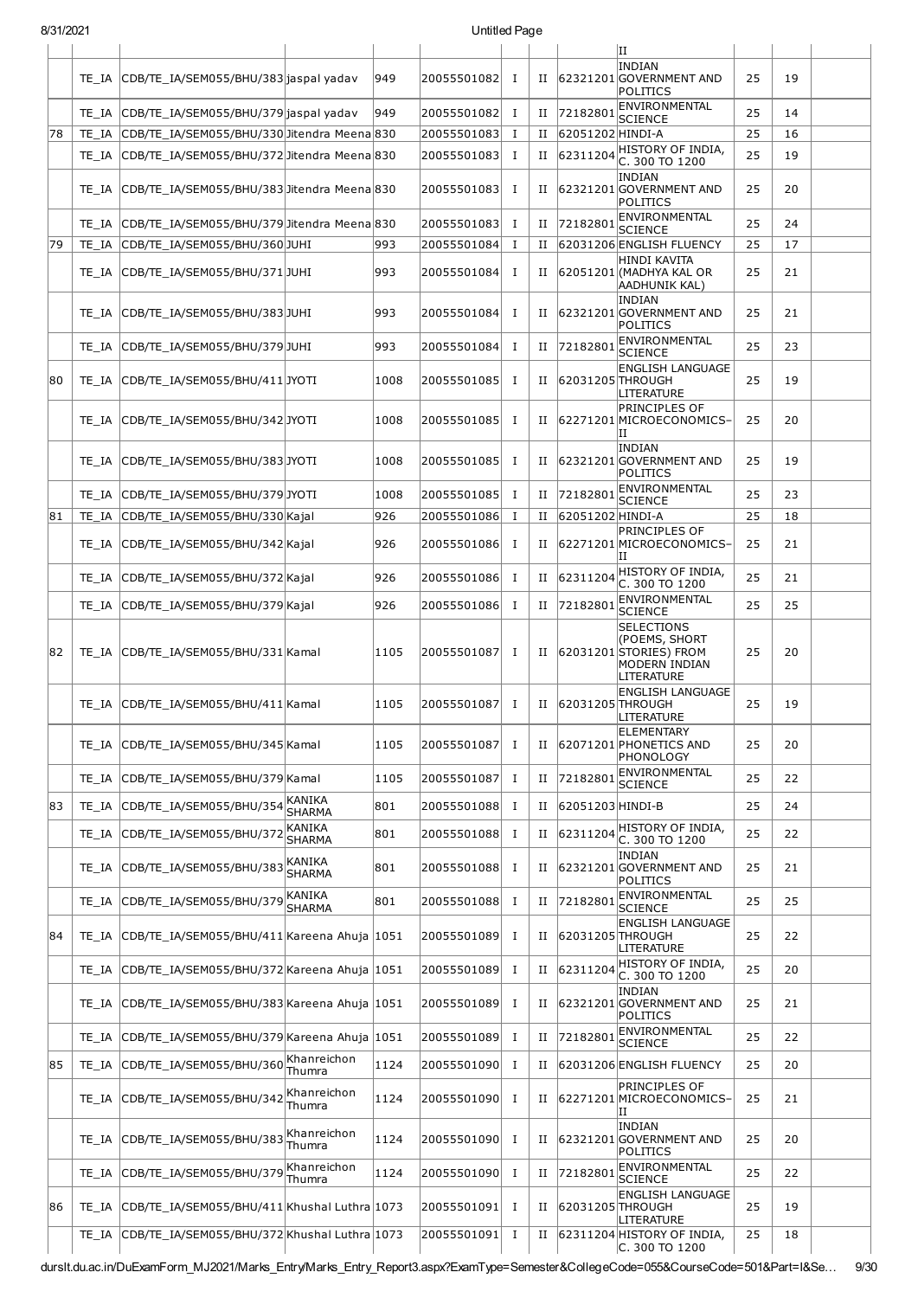| UIJ 17202 I |       |                                                     |                                 |      |             | onuucu rayc  |             |                  |                                                                                                       |    |    |  |
|-------------|-------|-----------------------------------------------------|---------------------------------|------|-------------|--------------|-------------|------------------|-------------------------------------------------------------------------------------------------------|----|----|--|
|             |       | TE_IA CDB/TE_IA/SEM055/BHU/383 jaspal yadav         |                                 | 949  | 20055501082 | Ι.           |             |                  | ΙI<br><b>INDIAN</b><br>II 62321201 GOVERNMENT AND<br>POLITICS                                         | 25 | 19 |  |
|             |       | TE IA CDB/TE IA/SEM055/BHU/379 jaspal yadav         |                                 | 949  | 20055501082 | п.           | П           | 72182801         | ENVIRONMENTAL<br><b>SCIENCE</b>                                                                       | 25 | 14 |  |
| 78          |       | TE IA CDB/TE IA/SEM055/BHU/330 Jitendra Meena 830   |                                 |      | 20055501083 | <b>I</b>     | П           | 62051202 HINDI-A |                                                                                                       | 25 | 16 |  |
|             |       | TE_IA CDB/TE_IA/SEM055/BHU/372 Jitendra Meena 830   |                                 |      | 20055501083 | Ι.           | $_{\rm II}$ | 62311204         | HISTORY OF INDIA,<br>C. 300 TO 1200                                                                   | 25 | 19 |  |
|             |       | TE IA CDB/TE IA/SEM055/BHU/383 Jitendra Meena 830   |                                 |      | 20055501083 | п.           |             |                  | <b>INDIAN</b><br>II 62321201 GOVERNMENT AND<br><b>POLITICS</b>                                        | 25 | 20 |  |
|             |       | TE_IA CDB/TE_IA/SEM055/BHU/379 Jitendra Meena 830   |                                 |      | 20055501083 | <b>I</b>     | $_{\rm II}$ | 72182801         | <b>ENVIRONMENTAL</b><br><b>SCIENCE</b>                                                                | 25 | 24 |  |
| 79          |       | TE IA CDB/TE IA/SEM055/BHU/360JUHI                  |                                 | 993  | 20055501084 | Ι.           | П           |                  | 62031206 ENGLISH FLUENCY                                                                              | 25 | 17 |  |
|             |       | TE_IA CDB/TE_IA/SEM055/BHU/371JUHI                  |                                 | 993  | 20055501084 | <b>I</b>     |             |                  | <b>HINDI KAVITA</b><br>II 62051201 (MADHYA KAL OR<br><b>AADHUNIK KAL)</b>                             | 25 | 21 |  |
|             |       | TE_IA CDB/TE_IA/SEM055/BHU/383JUHI                  |                                 | 993  | 20055501084 | п.           |             |                  | <b>INDIAN</b><br>II 62321201 GOVERNMENT AND<br>POLITICS                                               | 25 | 21 |  |
|             |       | TE_IA CDB/TE_IA/SEM055/BHU/379JUHI                  |                                 | 993  | 20055501084 | Ι.           | П           | 72182801         | ENVIRONMENTAL<br><b>SCIENCE</b>                                                                       | 25 | 23 |  |
| 80          |       | TE IA CDB/TE IA/SEM055/BHU/411 JYOTI                |                                 | 1008 | 20055501085 | <b>I</b>     | $_{\rm II}$ | 62031205 THROUGH | <b>ENGLISH LANGUAGE</b><br>LITERATURE                                                                 | 25 | 19 |  |
|             |       | TE_IA CDB/TE_IA/SEM055/BHU/342JYOTI                 |                                 | 1008 | 20055501085 | <b>I</b>     |             |                  | <b>PRINCIPLES OF</b><br>II 62271201 MICROECONOMICS-<br>ΙI                                             | 25 | 20 |  |
|             |       | TE_IA CDB/TE_IA/SEM055/BHU/383JYOTI                 |                                 | 1008 | 20055501085 | Ι.           |             |                  | <b>INDIAN</b><br>II 62321201 GOVERNMENT AND<br>POLITICS                                               | 25 | 19 |  |
|             |       | TE_IA CDB/TE_IA/SEM055/BHU/379JYOTI                 |                                 | 1008 | 20055501085 | п.           | П           | 72182801         | ENVIRONMENTAL<br><b>SCIENCE</b>                                                                       | 25 | 23 |  |
| 81          |       | TE_IA CDB/TE_IA/SEM055/BHU/330 Kajal                |                                 | 926  | 20055501086 | Ι.           | $_{\rm II}$ | 62051202 HINDI-A |                                                                                                       | 25 | 18 |  |
|             |       | TE_IA CDB/TE_IA/SEM055/BHU/342 Kajal                |                                 | 926  | 20055501086 | $\mathbf I$  |             |                  | PRINCIPLES OF<br>II 62271201 MICROECONOMICS-<br>IΙ                                                    | 25 | 21 |  |
|             |       | TE_IA CDB/TE_IA/SEM055/BHU/372 Kajal                |                                 | 926  | 20055501086 | п.           | II          | 62311204         | HISTORY OF INDIA,<br>C. 300 TO 1200                                                                   | 25 | 21 |  |
|             |       | TE_IA CDB/TE_IA/SEM055/BHU/379 Kajal                |                                 | 926  | 20055501086 | Ι.           | П           | 72182801         | ENVIRONMENTAL<br><b>SCIENCE</b>                                                                       | 25 | 25 |  |
| 82          |       | TE_IA CDB/TE_IA/SEM055/BHU/331 Kamal                |                                 | 1105 | 20055501087 | Ι.           |             |                  | <b>SELECTIONS</b><br>(POEMS, SHORT<br>II 62031201 STORIES) FROM<br>MODERN INDIAN<br><b>LITERATURE</b> | 25 | 20 |  |
|             |       | TE IA CDB/TE IA/SEM055/BHU/411 Kamal                |                                 | 1105 | 20055501087 | $\mathbf{I}$ | II          | 62031205 THROUGH | <b>ENGLISH LANGUAGE</b><br>LITERATURE                                                                 | 25 | 19 |  |
|             |       | TE_IA CDB/TE_IA/SEM055/BHU/345 Kamal                |                                 | 1105 | 20055501087 | п            | П           |                  | <b>ELEMENTARY</b><br>62071201 PHONETICS AND<br>PHONOLOGY                                              | 25 | 20 |  |
|             |       | TE_IA CDB/TE_IA/SEM055/BHU/379 Kamal                |                                 | 1105 | 20055501087 | п.           | П           | 72182801         | ENVIRONMENTAL<br><b>SCIENCE</b>                                                                       | 25 | 22 |  |
| 83          |       | TE_IA CDB/TE_IA/SEM055/BHU/354                      | KANIKA<br><b>SHARMA</b>         | 801  | 20055501088 | п.           | П           | 62051203 HINDI-B |                                                                                                       | 25 | 24 |  |
|             |       | TE IA CDB/TE IA/SEM055/BHU/37                       | KANIKA<br><b>SHARMA</b>         | 801  | 20055501088 | Ι.           | П           | 62311204         | HISTORY OF INDIA,<br>C. 300 TO 1200                                                                   | 25 | 22 |  |
|             |       | TE_IA CDB/TE_IA/SEM055/BHU/383                      | KANIKA<br><b>SHARMA</b>         | 801  | 20055501088 | $\mathbf I$  | $_{\rm II}$ |                  | <b>INDIAN</b><br>62321201 GOVERNMENT AND<br>POLITICS                                                  | 25 | 21 |  |
|             |       | TE IA CDB/TE IA/SEM055/BHU/379                      | KANIKA<br><b>SHARMA</b>         | 801  | 20055501088 | <b>I</b>     | П           | 72182801         | ENVIRONMENTAL<br><b>SCIENCE</b>                                                                       | 25 | 25 |  |
| 84          |       | TE IA CDB/TE IA/SEM055/BHU/411 Kareena Ahuja 1051   |                                 |      | 20055501089 | п.           | II          | 62031205 THROUGH | <b>ENGLISH LANGUAGE</b><br>LITERATURE                                                                 | 25 | 22 |  |
|             |       | TE_IA  CDB/TE_IA/SEM055/BHU/372 Kareena Ahuja  1051 |                                 |      | 20055501089 | $\bf{I}$     | П           | 62311204         | HISTORY OF INDIA,<br>C. 300 TO 1200                                                                   | 25 | 20 |  |
|             | TE IA | CDB/TE_IA/SEM055/BHU/383 Kareena Ahuja   1051       |                                 |      | 20055501089 | <b>I</b>     | Н           |                  | <b>INDIAN</b><br>62321201 GOVERNMENT AND<br>POLITICS                                                  | 25 | 21 |  |
|             |       | TE_IA CDB/TE_IA/SEM055/BHU/379 Kareena Ahuja 1051   |                                 |      | 20055501089 | Ι.           | П           | 72182801         | ENVIRONMENTAL<br><b>SCIENCE</b>                                                                       | 25 | 22 |  |
| 85          |       | TE_IA CDB/TE_IA/SEM055/BHU/360                      | Khanreichon                     | 1124 | 20055501090 | Ι.           | П           |                  | 62031206 ENGLISH FLUENCY                                                                              | 25 | 20 |  |
|             |       | TE_IA CDB/TE_IA/SEM055/BHU/342                      | Thumra<br>Khanreichon<br>Thumra | 1124 | 20055501090 | <b>I</b>     | $_{\rm II}$ |                  | PRINCIPLES OF<br>62271201 MICROECONOMICS-<br>н                                                        | 25 | 21 |  |
|             |       | TE_IA CDB/TE_IA/SEM055/BHU/383                      | Khanreichon<br>Thumra           | 1124 | 20055501090 | Ι.           | $_{\rm II}$ |                  | <b>INDIAN</b><br>62321201 GOVERNMENT AND<br>POLITICS                                                  | 25 | 20 |  |
|             |       | TE_IA CDB/TE_IA/SEM055/BHU/379                      | Khanreichon<br>Thumra           | 1124 | 20055501090 | Ι.           | П           | 72182801         | ENVIRONMENTAL<br><b>SCIENCE</b>                                                                       | 25 | 22 |  |
| 86          |       | TE IA CDB/TE IA/SEM055/BHU/411 Khushal Luthra 1073  |                                 |      | 20055501091 | <b>I</b>     | П           | 62031205 THROUGH | <b>ENGLISH LANGUAGE</b><br>LITERATURE                                                                 | 25 | 19 |  |
|             | TE IA | CDB/TE_IA/SEM055/BHU/372 Khushal Luthra 1073        |                                 |      | 20055501091 | п.           | П           |                  | 62311204 HISTORY OF INDIA,<br>C. 300 TO 1200                                                          | 25 | 18 |  |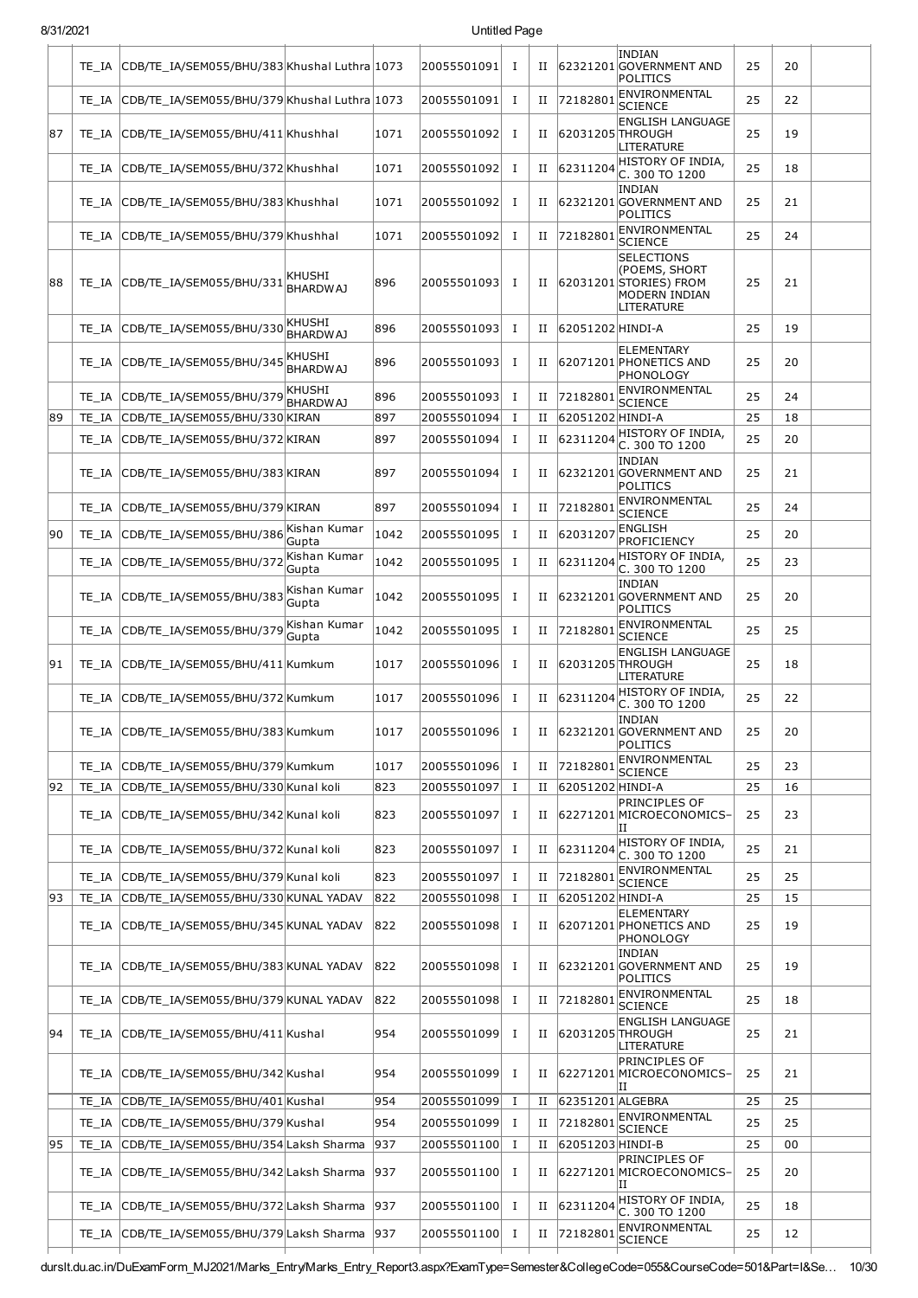### 8/31/2021 Untitled Page

|    |       | TE_IA CDB/TE_IA/SEM055/BHU/383 Khushal Luthra 1073 |                           |      | 20055501091 | <b>I</b>     | П |                     | INDIAN<br>62321201 GOVERNMENT AND<br>POLITICS                                                             | 25 | 20 |  |
|----|-------|----------------------------------------------------|---------------------------|------|-------------|--------------|---|---------------------|-----------------------------------------------------------------------------------------------------------|----|----|--|
|    |       | TE_IA CDB/TE_IA/SEM055/BHU/379 Khushal Luthra 1073 |                           |      | 20055501091 | $\bf{I}$     | П | 72182801            | ENVIRONMENTAL<br><b>SCIENCE</b>                                                                           | 25 | 22 |  |
| 87 |       | TE IA CDB/TE IA/SEM055/BHU/411 Khushhal            |                           | 1071 | 20055501092 | Ι.           | П | 62031205 THROUGH    | <b>ENGLISH LANGUAGE</b><br><b>LITERATURE</b>                                                              | 25 | 19 |  |
|    |       | TE_IA CDB/TE_IA/SEM055/BHU/372 Khushhal            |                           | 1071 | 20055501092 | Ι            | П | 62311204            | HISTORY OF INDIA,<br>C. 300 TO 1200                                                                       | 25 | 18 |  |
|    |       | TE IA CDB/TE IA/SEM055/BHU/383 Khushhal            |                           | 1071 | 20055501092 | <b>I</b>     | П |                     | <b>INDIAN</b><br>62321201 GOVERNMENT AND<br>POLITICS                                                      | 25 | 21 |  |
|    | TE IA | CDB/TE IA/SEM055/BHU/379 Khushhal                  |                           | 1071 | 20055501092 | Ι.           | П | 72182801            | <b>ENVIRONMENTAL</b><br><b>SCIENCE</b>                                                                    | 25 | 24 |  |
| 88 |       | TE_IA CDB/TE_IA/SEM055/BHU/331                     | KHUSHI<br>BHARDWAJ        | 896  | 20055501093 | <b>I</b>     | П |                     | <b>SELECTIONS</b><br>(POEMS, SHORT<br>62031201 STORIES) FROM<br><b>MODERN INDIAN</b><br><b>LITERATURE</b> | 25 | 21 |  |
|    |       | TE_IA CDB/TE_IA/SEM055/BHU/330                     | KHUSHI<br><b>BHARDWAJ</b> | 896  | 20055501093 | Ι.           | П | 62051202 HINDI-A    |                                                                                                           | 25 | 19 |  |
|    |       | TE_IA CDB/TE_IA/SEM055/BHU/345                     | KHUSHI<br><b>BHARDWAJ</b> | 896  | 20055501093 | Ι.           | П |                     | <b>ELEMENTARY</b><br>62071201 PHONETICS AND<br>PHONOLOGY                                                  | 25 | 20 |  |
|    |       | TE IA CDB/TE IA/SEM055/BHU/379                     | KHUSHI<br><b>BHARDWAJ</b> | 896  | 20055501093 | $\bf{I}$     | П | 72182801            | ENVIRONMENTAL<br><b>SCIENCE</b>                                                                           | 25 | 24 |  |
| 89 |       | TE_IA CDB/TE_IA/SEM055/BHU/330 KIRAN               |                           | 897  | 20055501094 | Ι.           | Н | 62051202 HINDI-A    |                                                                                                           | 25 | 18 |  |
|    |       | TE_IA CDB/TE_IA/SEM055/BHU/372 KIRAN               |                           | 897  | 20055501094 | $\bf{I}$     | П | 62311204            | HISTORY OF INDIA.<br>C. 300 TO 1200                                                                       | 25 | 20 |  |
|    |       | TE_IA CDB/TE_IA/SEM055/BHU/383 KIRAN               |                           | 897  | 20055501094 | Ι.           | П |                     | INDIAN<br>62321201 GOVERNMENT AND<br>POLITICS                                                             | 25 | 21 |  |
|    |       | TE_IA CDB/TE_IA/SEM055/BHU/379 KIRAN               |                           | 897  | 20055501094 | $\bf{I}$     | П | 72182801            | ENVIRONMENTAL<br><b>SCIENCE</b>                                                                           | 25 | 24 |  |
| 90 |       | TE_IA CDB/TE_IA/SEM055/BHU/386                     | Kishan Kumar<br>Gupta     | 1042 | 20055501095 | $\bf{I}$     | П | 62031207            | ENGLISH<br>PROFICIENCY                                                                                    | 25 | 20 |  |
|    |       | TE_IA CDB/TE_IA/SEM055/BHU/372                     | Kishan Kumar<br>Gupta     | 1042 | 20055501095 | $\bf{I}$     | П | 62311204            | HISTORY OF INDIA,<br>C. 300 TO 1200                                                                       | 25 | 23 |  |
|    |       | TE_IA CDB/TE_IA/SEM055/BHU/383                     | Kishan Kumar<br>Gupta     | 1042 | 20055501095 | п.           | П |                     | <b>INDIAN</b><br>62321201 GOVERNMENT AND<br>POLITICS                                                      | 25 | 20 |  |
|    |       | TE_IA CDB/TE_IA/SEM055/BHU/379                     | Kishan Kumar<br>Gupta     | 1042 | 20055501095 | Ι.           | П | 72182801            | ENVIRONMENTAL<br><b>SCIENCE</b>                                                                           | 25 | 25 |  |
| 91 |       | TE IA CDB/TE IA/SEM055/BHU/411 Kumkum              |                           | 1017 | 20055501096 | $\mathbf I$  | П | 62031205 THROUGH    | <b>ENGLISH LANGUAGE</b><br>LITERATURE                                                                     | 25 | 18 |  |
|    | TE IA | CDB/TE IA/SEM055/BHU/372 Kumkum                    |                           | 1017 | 20055501096 | Ι.           | П | 62311204            | HISTORY OF INDIA,<br>C. 300 TO 1200                                                                       | 25 | 22 |  |
|    |       | TE_IA  CDB/TE_IA/SEM055/BHU/383 Kumkum             |                           | 1017 | 20055501096 | I            | П |                     | INDIAN<br>62321201 GOVERNMENT AND<br>POLITICS                                                             | 25 | 20 |  |
|    |       | TE_IA CDB/TE_IA/SEM055/BHU/379 Kumkum              |                           | 1017 | 20055501096 | $\mathbf I$  |   | II 72182801         | ENVIRONMENTAL<br><b>SCIENCE</b>                                                                           | 25 | 23 |  |
| 92 |       | TE_IA CDB/TE_IA/SEM055/BHU/330 Kunal koli          |                           | 823  | 20055501097 | Ι.           | П | 62051202 HINDI-A    |                                                                                                           | 25 | 16 |  |
|    |       | TE_IA CDB/TE_IA/SEM055/BHU/342 Kunal koli          |                           | 823  | 20055501097 | I            | П |                     | <b>PRINCIPLES OF</b><br>62271201 MICROECONOMICS-<br>ΙI                                                    | 25 | 23 |  |
|    |       | TE_IA CDB/TE_IA/SEM055/BHU/372 Kunal koli          |                           | 823  | 20055501097 | I            |   | II 62311204         | HISTORY OF INDIA,<br>C. 300 TO 1200                                                                       | 25 | 21 |  |
|    |       | TE IA CDB/TE IA/SEM055/BHU/379 Kunal koli          |                           | 823  | 20055501097 | $\mathbf{I}$ | П | 72182801            | ENVIRONMENTAL<br><b>SCIENCE</b>                                                                           | 25 | 25 |  |
| 93 |       | TE_IA CDB/TE_IA/SEM055/BHU/330 KUNAL YADAV         |                           | 822  | 20055501098 | Ι.           | П | 62051202 HINDI-A    |                                                                                                           | 25 | 15 |  |
|    |       | TE_IA CDB/TE_IA/SEM055/BHU/345 KUNAL YADAV         |                           | 822  | 20055501098 | Ι.           | П |                     | <b>ELEMENTARY</b><br>62071201 PHONETICS AND<br>PHONOLOGY                                                  | 25 | 19 |  |
|    |       | TE_IA CDB/TE_IA/SEM055/BHU/383 KUNAL YADAV         |                           | 822  | 20055501098 | Ι.           | П |                     | <b>INDIAN</b><br>62321201 GOVERNMENT AND<br>POLITICS                                                      | 25 | 19 |  |
|    |       | TE_IA CDB/TE_IA/SEM055/BHU/379 KUNAL YADAV         |                           | 822  | 20055501098 | п.           | П | 72182801            | ENVIRONMENTAL<br><b>SCIENCE</b>                                                                           | 25 | 18 |  |
| 94 |       | TE_IA CDB/TE_IA/SEM055/BHU/411 Kushal              |                           | 954  | 20055501099 | I            |   | II 62031205 THROUGH | <b>ENGLISH LANGUAGE</b><br>LITERATURE                                                                     | 25 | 21 |  |
|    |       | TE_IA CDB/TE_IA/SEM055/BHU/342 Kushal              |                           | 954  | 20055501099 | Ι.           | П |                     | <b>PRINCIPLES OF</b><br>62271201 MICROECONOMICS-<br>IΙ                                                    | 25 | 21 |  |
|    |       | TE_IA CDB/TE_IA/SEM055/BHU/401 Kushal              |                           | 954  | 20055501099 | п.           | П | 62351201 ALGEBRA    |                                                                                                           | 25 | 25 |  |
|    |       | TE_IA CDB/TE_IA/SEM055/BHU/379 Kushal              |                           | 954  | 20055501099 | Ι.           | П | 72182801            | ENVIRONMENTAL<br><b>SCIENCE</b>                                                                           | 25 | 25 |  |
| 95 |       | TE_IA CDB/TE_IA/SEM055/BHU/354 Laksh Sharma        |                           | 937  | 20055501100 | Ι.           | П | 62051203 HINDI-B    |                                                                                                           | 25 | 00 |  |
|    |       | TE_IA CDB/TE_IA/SEM055/BHU/342 Laksh Sharma        |                           | 937  | 20055501100 | Ι            | П |                     | PRINCIPLES OF<br>62271201 MICROECONOMICS-<br>ΙI                                                           | 25 | 20 |  |
|    |       | TE_IA CDB/TE_IA/SEM055/BHU/372 Laksh Sharma        |                           | 937  | 20055501100 | $\mathbf{I}$ |   | II 62311204         | HISTORY OF INDIA,<br>C. 300 TO 1200                                                                       | 25 | 18 |  |
|    |       | TE_IA CDB/TE_IA/SEM055/BHU/379 Laksh Sharma        |                           | 937  | 20055501100 | I            | П | 72182801            | <b>ENVIRONMENTAL</b><br><b>SCIENCE</b>                                                                    | 25 | 12 |  |
|    |       |                                                    |                           |      |             |              |   |                     |                                                                                                           |    |    |  |

durslt.du.ac.in/DuExamForm\_MJ2021/Marks\_Entry/Marks\_Entry\_Report3.aspx?ExamType=Semester&CollegeCode=055&CourseCode=501&Part=I&Se… 10/30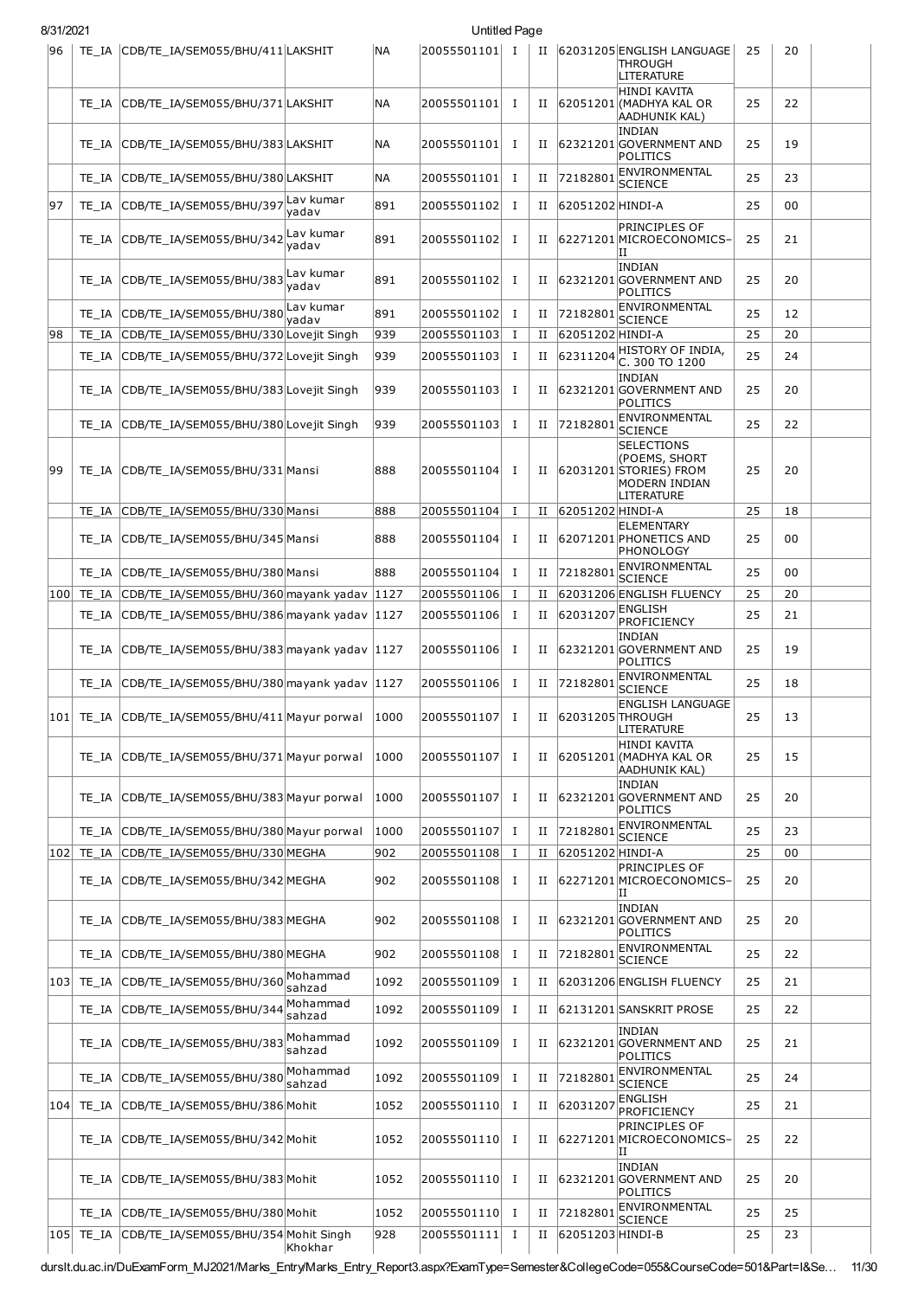| 8/31/2021 |       |                                                       |                    |           | Untitled Page |              |             |                  |                                                                                                    |    |    |  |
|-----------|-------|-------------------------------------------------------|--------------------|-----------|---------------|--------------|-------------|------------------|----------------------------------------------------------------------------------------------------|----|----|--|
| 96        |       | TE_IA CDB/TE_IA/SEM055/BHU/411 LAKSHIT                |                    | <b>NA</b> | 20055501101 I |              | $_{\rm II}$ |                  | 62031205 ENGLISH LANGUAGE<br>THROUGH<br>LITERATURE                                                 | 25 | 20 |  |
|           | TE IA | CDB/TE IA/SEM055/BHU/371 LAKSHIT                      |                    | <b>NA</b> | 20055501101   | $\bf{I}$     | Н           |                  | HINDI KAVITA<br>62051201 (MADHYA KAL OR<br><b>AADHUNIK KAL)</b>                                    | 25 | 22 |  |
|           | TE IA | CDB/TE_IA/SEM055/BHU/383 LAKSHIT                      |                    | ΝA        | 20055501101   | Ι.           | П           |                  | <b>INDIAN</b><br>62321201 GOVERNMENT AND<br>POLITICS                                               | 25 | 19 |  |
|           | TE IA | CDB/TE_IA/SEM055/BHU/380 LAKSHIT                      |                    | <b>NA</b> | 20055501101   | $\bf{I}$     | П           | 72182801         | ENVIRONMENTAL<br><b>SCIENCE</b>                                                                    | 25 | 23 |  |
| 97        | TE IA | CDB/TE_IA/SEM055/BHU/397                              | Lav kumar<br>yadav | 891       | 20055501102   | $\mathbf I$  | и           | 62051202 HINDI-A |                                                                                                    | 25 | 00 |  |
|           | TE IA | CDB/TE_IA/SEM055/BHU/342                              | Lav kumar<br>yadav | 891       | 20055501102   | п            | П           |                  | <b>PRINCIPLES OF</b><br>62271201MICROECONOMICS-<br>ΙI                                              | 25 | 21 |  |
|           |       | TE_IA CDB/TE_IA/SEM055/BHU/383                        | Lav kumar<br>yadav | 891       | 20055501102   | Ι.           | П           |                  | INDIAN<br>62321201 GOVERNMENT AND<br>POLITICS                                                      | 25 | 20 |  |
|           | TE IA | CDB/TE_IA/SEM055/BHU/380Lav kumar                     | yadav              | 891       | 20055501102   | <b>I</b>     | П           | 72182801         | ENVIRONMENTAL<br><b>SCIENCE</b>                                                                    | 25 | 12 |  |
| 98        | TE IA | CDB/TE IA/SEM055/BHU/330 Lovejit Singh                |                    | 939       | 20055501103   | Ι.           | П           | 62051202 HINDI-A |                                                                                                    | 25 | 20 |  |
|           | TE IA | CDB/TE_IA/SEM055/BHU/372 Lovejit Singh                |                    | 939       | 20055501103   | $\bf{I}$     | П           | 62311204         | HISTORY OF INDIA,<br>C. 300 TO 1200                                                                | 25 | 24 |  |
|           |       | TE_IA CDB/TE_IA/SEM055/BHU/383 Lovejit Singh          |                    | 939       | 20055501103   | $\mathbf I$  | П           |                  | <b>INDIAN</b><br>62321201 GOVERNMENT AND<br>POLITICS                                               | 25 | 20 |  |
|           | TE IA | CDB/TE IA/SEM055/BHU/380 Lovejit Singh                |                    | 939       | 20055501103   | $\bf{I}$     | П           | 72182801         | ENVIRONMENTAL<br><b>SCIENCE</b>                                                                    | 25 | 22 |  |
| 99        | TE IA | CDB/TE_IA/SEM055/BHU/331 Mansi                        |                    | 888       | 20055501104   | I            | П           |                  | <b>SELECTIONS</b><br>(POEMS, SHORT<br>62031201 STORIES) FROM<br>MODERN INDIAN<br><b>LITERATURE</b> | 25 | 20 |  |
|           |       | TE_IA CDB/TE_IA/SEM055/BHU/330 Mansi                  |                    | 888       | 20055501104   | Ι.           | П           | 62051202 HINDI-A |                                                                                                    | 25 | 18 |  |
|           |       | TE_IA CDB/TE_IA/SEM055/BHU/345 Mansi                  |                    | 888       | 20055501104   | п            | и           |                  | <b>ELEMENTARY</b><br>62071201 PHONETICS AND<br>PHONOLOGY                                           | 25 | 00 |  |
|           | TE IA | CDB/TE_IA/SEM055/BHU/380 Mansi                        |                    | 888       | 20055501104   | Ι.           | П           | 72182801         | ENVIRONMENTAL<br><b>SCIENCE</b>                                                                    | 25 | 00 |  |
| 100       |       | TE_IA CDB/TE_IA/SEM055/BHU/360 mayank yadav 1127      |                    |           | 20055501106   | Ι.           | и           |                  | 62031206 ENGLISH FLUENCY                                                                           | 25 | 20 |  |
|           | TE IA | CDB/TE_IA/SEM055/BHU/386 mayank yadav   1127          |                    |           | 20055501106   | $\mathbf I$  | П           | 62031207         | <b>ENGLISH</b><br>PROFICIENCY                                                                      | 25 | 21 |  |
|           | TE IA | CDB/TE_IA/SEM055/BHU/383 mayank yadav  1127           |                    |           | 20055501106   | Ι.           | П           |                  | <b>INDIAN</b><br>62321201 GOVERNMENT AND<br>POLITICS                                               | 25 | 19 |  |
|           | TE IA | CDB/TE_IA/SEM055/BHU/380 mayank yadav 1127            |                    |           | 20055501106   | $\bf{I}$     | П           | 72182801         | ENVIRONMENTAL<br><b>SCIENCE</b>                                                                    | 25 | 18 |  |
|           |       | 101   TE_IA   CDB/TE_IA/SEM055/BHU/411   Mayur porwal |                    | 1000      | 20055501107   | Ι.           | П           | 62031205 THROUGH | <b>ENGLISH LANGUAGE</b><br>LITERATURE                                                              | 25 | 13 |  |
|           | TE IA | CDB/TE_IA/SEM055/BHU/371 Mayur porwal                 |                    | 1000      | 20055501107   | Ι            | П           |                  | HINDI KAVITA<br>62051201 (MADHYA KAL OR<br>AADHUNIK KAL)                                           | 25 | 15 |  |
|           |       | TE_IA CDB/TE_IA/SEM055/BHU/383 Mayur porwal           |                    | 1000      | 20055501107   | Ι            | П           |                  | INDIAN<br>62321201 GOVERNMENT AND<br>POLITICS                                                      | 25 | 20 |  |
|           | TE IA | CDB/TE_IA/SEM055/BHU/380 Mayur porwal                 |                    | 1000      | 20055501107   | $\bf{I}$     | П           | 72182801         | ENVIRONMENTAL<br><b>SCIENCE</b>                                                                    | 25 | 23 |  |
| 102       | TE IA | CDB/TE_IA/SEM055/BHU/330 MEGHA                        |                    | 902       | 20055501108   | $\bf{I}$     | П           | 62051202 HINDI-A |                                                                                                    | 25 | 00 |  |
|           | TE IA | CDB/TE IA/SEM055/BHU/342 MEGHA                        |                    | 902       | 20055501108 I |              | П           |                  | <b>PRINCIPLES OF</b><br>62271201 MICROECONOMICS-<br>ΙI                                             | 25 | 20 |  |
|           | TE IA | CDB/TE_IA/SEM055/BHU/383 MEGHA                        |                    | 902       | 20055501108   | Ι            | П           |                  | INDIAN<br>62321201 GOVERNMENT AND<br>POLITICS                                                      | 25 | 20 |  |
|           | TE IA | CDB/TE_IA/SEM055/BHU/380 MEGHA                        |                    | 902       | 20055501108   | $\mathbf{I}$ | П           | 72182801         | ENVIRONMENTAL<br><b>SCIENCE</b>                                                                    | 25 | 22 |  |
| 103       | TE IA | CDB/TE_IA/SEM055/BHU/360 Mohammad                     | sahzad             | 1092      | 20055501109   | Ι            | П           |                  | 62031206 ENGLISH FLUENCY                                                                           | 25 | 21 |  |
|           | TE IA | CDB/TE_IA/SEM055/BHU/344                              | Mohammad<br>sahzad | 1092      | 20055501109   | $\mathbf{I}$ | П           |                  | 62131201 SANSKRIT PROSE                                                                            | 25 | 22 |  |
|           | TE IA | CDB/TE_IA/SEM055/BHU/383                              | Mohammad<br>sahzad | 1092      | 20055501109   | Ι            | П           |                  | <b>INDIAN</b><br>62321201 GOVERNMENT AND<br>POLITICS                                               | 25 | 21 |  |
|           | TE IA | CDB/TE_IA/SEM055/BHU/380Mohammad                      | sahzad             | 1092      | 20055501109   | $\bf{I}$     | П           | 72182801         | ENVIRONMENTAL<br><b>SCIENCE</b>                                                                    | 25 | 24 |  |
| 104       | TE_IA | CDB/TE_IA/SEM055/BHU/386 Mohit                        |                    | 1052      | 20055501110   | $\bf{I}$     | П           | 62031207         | <b>ENGLISH</b><br>PROFICIENCY                                                                      | 25 | 21 |  |
|           | TE IA | CDB/TE_IA/SEM055/BHU/342 Mohit                        |                    | 1052      | 20055501110   | Ι.           | П           |                  | <b>PRINCIPLES OF</b><br>62271201 MICROECONOMICS-<br>IΙ                                             | 25 | 22 |  |
|           | TE IA | CDB/TE_IA/SEM055/BHU/383Mohit                         |                    | 1052      | 20055501110   | п            | П           |                  | INDIAN<br>62321201 GOVERNMENT AND<br>POLITICS                                                      | 25 | 20 |  |
|           |       | TE IA CDB/TE IA/SEM055/BHU/380 Mohit                  |                    | 1052      | 20055501110 I |              | П           | 72182801         | ENVIRONMENTAL                                                                                      | 25 | 25 |  |
| 105       | TE_IA | CDB/TE_IA/SEM055/BHU/354 Mohit Singh                  | Khokhar            | 928       | 20055501111   | $\bf{I}$     | П           | 62051203 HINDI-B | <b>SCIENCE</b>                                                                                     | 25 | 23 |  |

durslt.du.ac.in/DuExamForm\_MJ2021/Marks\_Entry/Marks\_Entry\_Report3.aspx?ExamType=Semester&CollegeCode=055&CourseCode=501&Part=I&Se… 11/30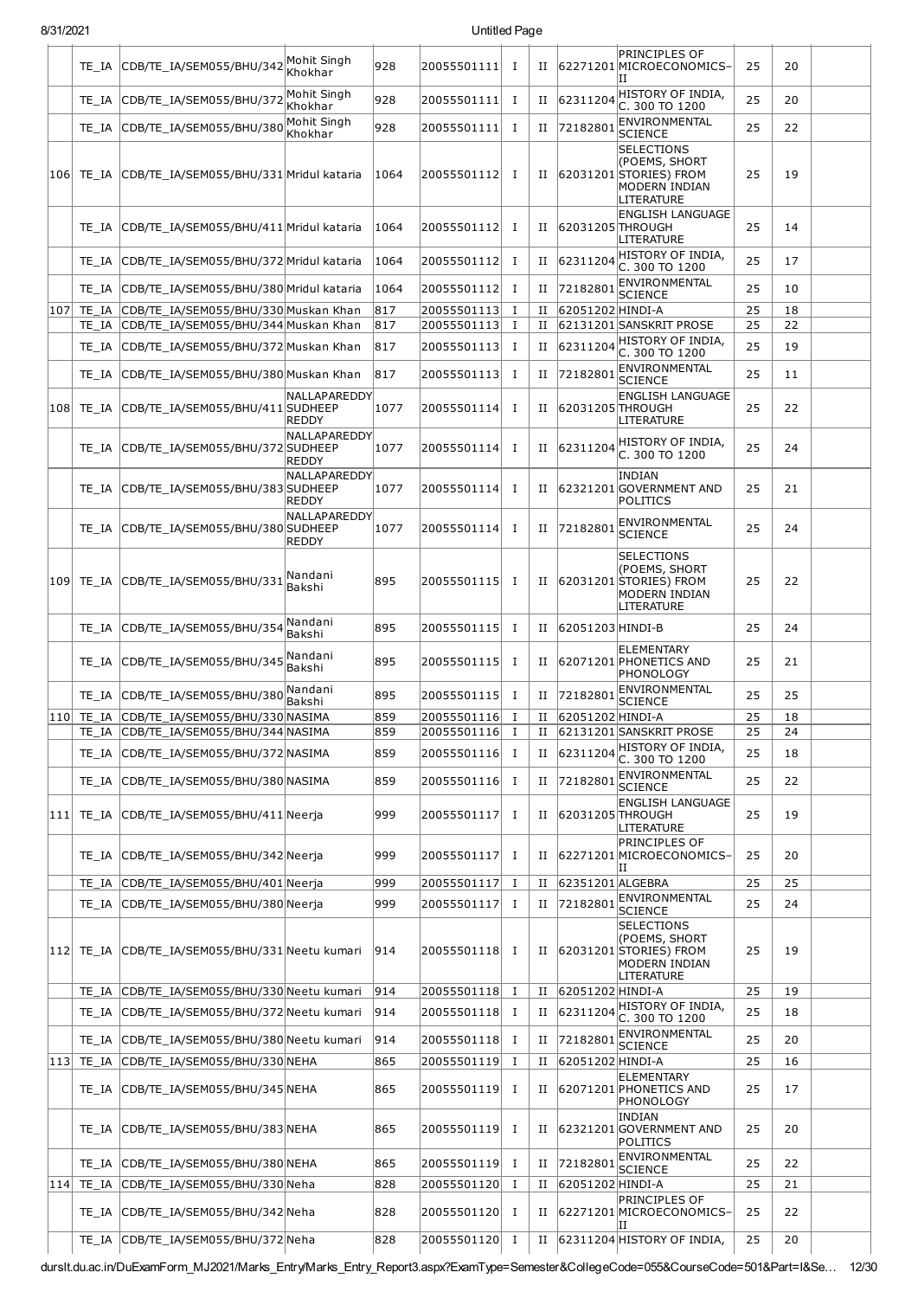| 8/31/2021 |       |                                                                                    | Untitled Page                |            |                                |              |        |                              |                                                                                                 |          |          |  |
|-----------|-------|------------------------------------------------------------------------------------|------------------------------|------------|--------------------------------|--------------|--------|------------------------------|-------------------------------------------------------------------------------------------------|----------|----------|--|
|           |       | TE_IA CDB/TE_IA/SEM055/BHU/342                                                     | Mohit Singh<br>Khokhar       | 928        | 20055501111                    | Ι.           | П      |                              | <b>PRINCIPLES OF</b><br>62271201 MICROECONOMICS-<br>ΙH                                          | 25       | 20       |  |
|           | TE IA | CDB/TE IA/SEM055/BHU/372                                                           | Mohit Singh<br>Khokhar       | 928        | 20055501111                    | Ι.           | П      | 62311204                     | HISTORY OF INDIA,<br>C. 300 TO 1200                                                             | 25       | 20       |  |
|           | TE IA | CDB/TE_IA/SEM055/BHU/380                                                           | Mohit Singh<br>Khokhar       | 928        | 20055501111                    | Ι.           | П      | 72182801                     | <b>ENVIRONMENTAL</b><br><b>SCIENCE</b>                                                          | 25       | 22       |  |
| 106       | TE IA | CDB/TE_IA/SEM055/BHU/331 Mridul kataria                                            |                              | 1064       | 20055501112                    | Ι.           | П      |                              | <b>SELECTIONS</b><br>(POEMS, SHORT<br>62031201STORIES) FROM<br>MODERN INDIAN<br>LITERATURE      | 25       | 19       |  |
|           | TE IA | CDB/TE IA/SEM055/BHU/411 Mridul kataria                                            |                              | 1064       | 20055501112                    | I            | П      | 62031205 THROUGH             | <b>ENGLISH LANGUAGE</b><br>LITERATURE                                                           | 25       | 14       |  |
|           | TE IA | CDB/TE IA/SEM055/BHU/372 Mridul kataria                                            |                              | 1064       | 20055501112                    | Ι.           | П      | 62311204                     | HISTORY OF INDIA,<br>C. 300 TO 1200                                                             | 25       | 17       |  |
|           | TE IA | CDB/TE IA/SEM055/BHU/380 Mridul kataria                                            |                              | 1064       | 20055501112                    | I            | П      | 7218280:                     | ENVIRONMENTAL<br><b>SCIENCE</b>                                                                 | 25       | 10       |  |
| 107       | TE IA | CDB/TE_IA/SEM055/BHU/330 Muskan Khan                                               |                              | 817        | 20055501113                    | 1            | П      | 62051202 HINDI-A             |                                                                                                 | 25       | 18       |  |
|           | TE IA | CDB/TE IA/SEM055/BHU/344 Muskan Khan                                               |                              | 817        | 20055501113                    | $\mathbf I$  | П      |                              | 62131201 SANSKRIT PROSE<br>HISTORY OF INDIA,                                                    | 25       | 22       |  |
|           | TE IA | CDB/TE_IA/SEM055/BHU/372 Muskan Khan                                               |                              | 817        | 20055501113                    | I            | П      | 62311204                     | C. 300 TO 1200<br>ENVIRONMENTAL                                                                 | 25       | 19       |  |
|           | TE IA | CDB/TE_IA/SEM055/BHU/380 Muskan Khan                                               | NALLAPAREDDY                 | 817        | 20055501113                    | 1            | П      | 72182801                     | SCIENCE<br><b>ENGLISH LANGUAGE</b>                                                              | 25       | 11       |  |
| 108       |       | TE IA CDB/TE_IA/SEM055/BHU/411 SUDHEEP                                             | <b>REDDY</b>                 | 1077       | 20055501114                    | Ι.           | П      | 62031205 THROUGH             | LITERATURE                                                                                      | 25       | 22       |  |
|           | TE IA | CDB/TE_IA/SEM055/BHU/372 SUDHEEP                                                   | NALLAPAREDDY<br><b>REDDY</b> | 1077       | 20055501114                    | 1            | П      |                              | $ 62311204 $ HISTORY OF INDIA,<br>C. 300 TO 1200                                                | 25       | 24       |  |
|           | TE IA | CDB/TE_IA/SEM055/BHU/383 SUDHEEP                                                   | NALLAPAREDDY<br><b>REDDY</b> | 1077       | 20055501114                    | Ι.           | П      |                              | <b>INDIAN</b><br>62321201 GOVERNMENT AND<br>POLITICS                                            | 25       | 21       |  |
|           | TE IA | CDB/TE_IA/SEM055/BHU/380 SUDHEEP                                                   | NALLAPAREDDY<br><b>REDDY</b> | 1077       | 20055501114                    | $\bf{I}$     | П      | 72182801                     | ENVIRONMENTAL<br><b>SCIENCE</b>                                                                 | 25       | 24       |  |
| 109       | TE IA | CDB/TE_IA/SEM055/BHU/331                                                           | Nandani<br>Bakshi            | 895        | 20055501115                    | I            | П      |                              | <b>SELECTIONS</b><br>(POEMS, SHORT<br>62031201 STORIES) FROM<br>MODERN INDIAN<br>LITERATURE     | 25       | 22       |  |
|           | TE IA | CDB/TE_IA/SEM055/BHU/354                                                           | Nandani<br>Bakshi            | 895        | 20055501115                    | Ι.           | П      | 62051203 HINDI-B             |                                                                                                 | 25       | 24       |  |
|           | TE IA | CDB/TE IA/SEM055/BHU/345                                                           | Nandani<br>Bakshi            | 895        | 20055501115                    | Ι.           | П      |                              | ELEMENTARY<br>62071201 PHONETICS AND<br>PHONOLOGY                                               | 25       | 21       |  |
|           |       | TE IA CDB/TE IA/SEM055/BHU/380                                                     | Nandani<br>Bakshi            | 895        | 20055501115                    | I            | П      | 72182801                     | ENVIRONMENTAL<br><b>SCIENCE</b>                                                                 | 25       | 25       |  |
|           |       | 110 TE IA CDB/TE IA/SEM055/BHU/330 NASIMA<br>TE IA CDB/TE IA/SEM055/BHU/344 NASIMA |                              | 859        | 20055501116 I<br>20055501116 I |              | и      | 62051202 HINDI-A             | 62131201 SANSKRIT PROSE                                                                         | 25       | 18       |  |
|           |       | TE_IA CDB/TE_IA/SEM055/BHU/372 NASIMA                                              |                              | 859<br>859 | 20055501116 I                  |              | П<br>П |                              | $ 62311204 $ HISTORY OF INDIA,                                                                  | 25<br>25 | 24<br>18 |  |
|           |       | TE IA CDB/TE IA/SEM055/BHU/380 NASIMA                                              |                              | 859        | 20055501116                    | <b>I</b>     | П      | 72182801                     | C. 300 TO 1200<br><b>ENVIRONMENTAL</b>                                                          | 25       | 22       |  |
|           |       | 111 TE_IA CDB/TE_IA/SEM055/BHU/411 Neerja                                          |                              | 999        | 20055501117 I                  |              | П      | 62031205 THROUGH             | SCIENCE<br><b>ENGLISH LANGUAGE</b>                                                              | 25       | 19       |  |
|           |       | TE_IA CDB/TE_IA/SEM055/BHU/342 Neerja                                              |                              | 999        | 20055501117 I                  |              | П      |                              | LITERATURE<br><b>PRINCIPLES OF</b><br>62271201 MICROECONOMICS-                                  | 25       | 20       |  |
|           |       |                                                                                    |                              |            |                                |              |        |                              | IΙ                                                                                              |          |          |  |
|           | TE IA | CDB/TE_IA/SEM055/BHU/401 Neerja<br>CDB/TE IA/SEM055/BHU/380 Neerja                 |                              | 999<br>999 | 20055501117<br>20055501117     | Ι.           | П      | 62351201 ALGEBRA<br>72182801 | ENVIRONMENTAL                                                                                   | 25<br>25 | 25<br>24 |  |
|           | TE IA | 112 TE_IA CDB/TE_IA/SEM055/BHU/331 Neetu kumari                                    |                              | 914        | 20055501118 I                  | $\mathbf{I}$ | П<br>П |                              | <b>SCIENCE</b><br><b>SELECTIONS</b><br>(POEMS, SHORT<br>62031201 STORIES) FROM<br>MODERN INDIAN | 25       | 19       |  |
|           |       | TE_IA CDB/TE_IA/SEM055/BHU/330 Neetu kumari                                        |                              | 914        | 20055501118 I                  |              | П      | 62051202 HINDI-A             | LITERATURE                                                                                      | 25       | 19       |  |
|           | TE IA | CDB/TE_IA/SEM055/BHU/372 Neetu kumari                                              |                              | 914        | 20055501118 I                  |              | П      | 62311204                     | HISTORY OF INDIA,<br>C. 300 TO 1200                                                             | 25       | 18       |  |
|           | TE IA | CDB/TE_IA/SEM055/BHU/380 Neetu kumari                                              |                              | 914        | 20055501118                    | <b>I</b>     | П      | 72182801                     | ENVIRONMENTAL<br><b>SCIENCE</b>                                                                 | 25       | 20       |  |
| 113       | TE IA | CDB/TE_IA/SEM055/BHU/330 NEHA                                                      |                              | 865        | 20055501119 I                  |              | П      | 62051202 HINDI-A             |                                                                                                 | 25       | 16       |  |
|           | TE IA | CDB/TE_IA/SEM055/BHU/345 NEHA                                                      |                              | 865        | 20055501119 I                  |              | П      |                              | <b>ELEMENTARY</b><br>62071201 PHONETICS AND<br>PHONOLOGY                                        | 25       | 17       |  |
|           |       | TE_IA CDB/TE_IA/SEM055/BHU/383NEHA                                                 |                              | 865        | 20055501119 I                  |              | П      |                              | INDIAN<br>62321201 GOVERNMENT AND<br>POLITICS                                                   | 25       | 20       |  |
|           | TE IA | CDB/TE_IA/SEM055/BHU/380 NEHA                                                      |                              | 865        | 20055501119 I                  |              | П      | 72182801                     | ENVIRONMENTAL<br><b>SCIENCE</b>                                                                 | 25       | 22       |  |
| 114       | TE IA | CDB/TE_IA/SEM055/BHU/330 Neha                                                      |                              | 828        | 20055501120 I                  |              | П      | 62051202 HINDI-A             |                                                                                                 | 25       | 21       |  |
|           |       | TE_IA CDB/TE_IA/SEM055/BHU/342 Neha                                                |                              | 828        | 20055501120 I                  |              |        |                              | PRINCIPLES OF<br>II 62271201 MICROECONOMICS-<br>ΙI                                              | 25       | 22       |  |
|           |       | TE_IA CDB/TE_IA/SEM055/BHU/372Neha                                                 |                              | 828        | 20055501120 I                  |              |        |                              | II 62311204 HISTORY OF INDIA,                                                                   | 25       | 20       |  |

durslt.du.ac.in/DuExamForm\_MJ2021/Marks\_Entry/Marks\_Entry\_Report3.aspx?ExamType=Semester&CollegeCode=055&CourseCode=501&Part=I&Se… 12/30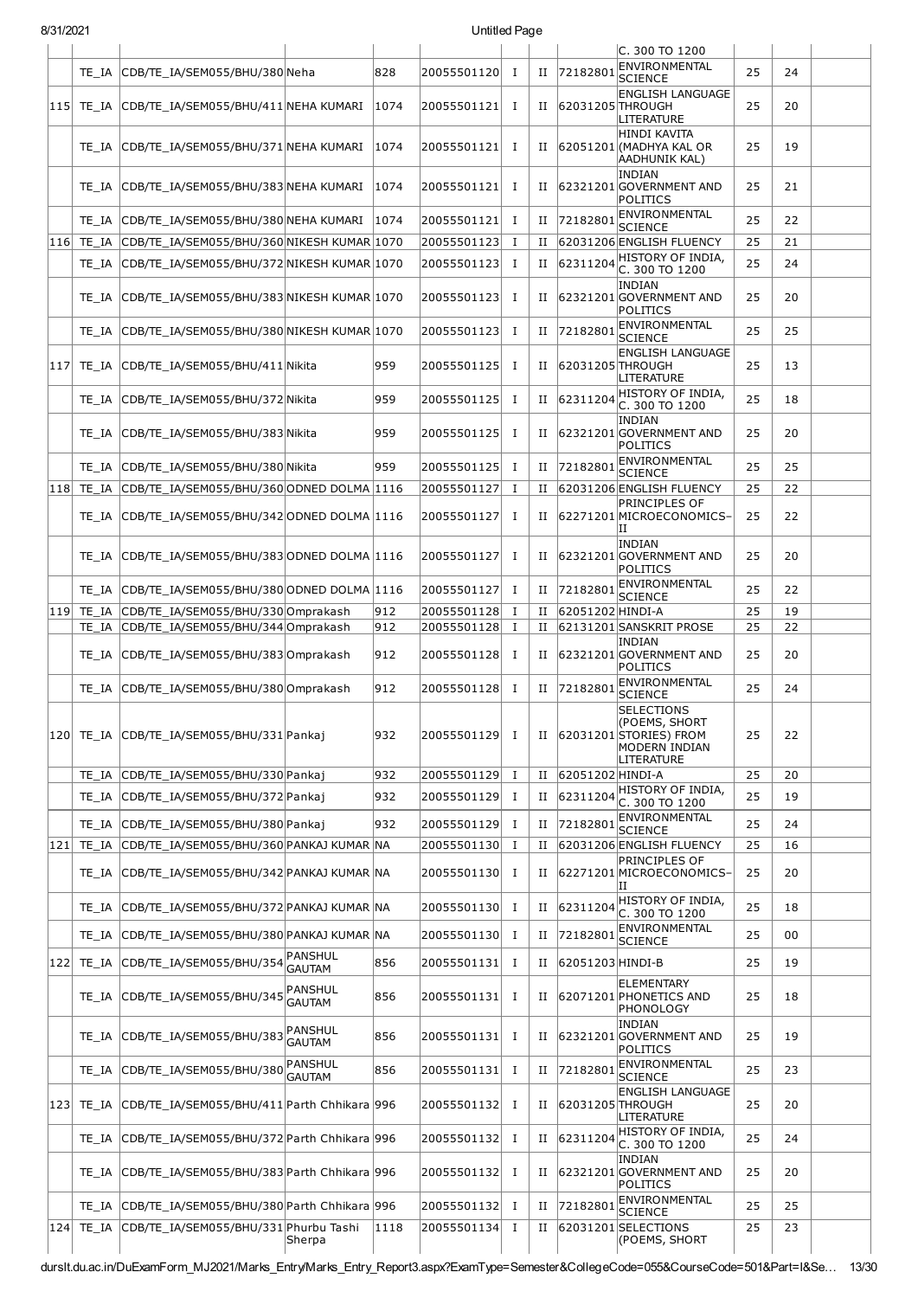|     |               |                                                |                          |      |             |              |             |                  | C. 300 TO 1200                                                                              |    |    |  |
|-----|---------------|------------------------------------------------|--------------------------|------|-------------|--------------|-------------|------------------|---------------------------------------------------------------------------------------------|----|----|--|
|     | TE IA         | CDB/TE IA/SEM055/BHU/380 Neha                  |                          | 828  | 20055501120 | $\bf{I}$     | П           | 72182801         | ENVIRONMENTAL<br><b>SCIENCE</b>                                                             | 25 | 24 |  |
|     | $115$ TE IA   | CDB/TE IA/SEM055/BHU/411 NEHA KUMARI           |                          | 1074 | 20055501121 | п.           | $_{\rm II}$ | 62031205 THROUGH | <b>ENGLISH LANGUAGE</b><br>LITERATURE                                                       | 25 | 20 |  |
|     | TE IA         | CDB/TE IA/SEM055/BHU/371 NEHA KUMARI           |                          | 1074 | 20055501121 | Ι.           | П           |                  | <b>HINDI KAVITA</b><br>62051201 (MADHYA KAL OR<br>AADHUNIK KAL)                             | 25 | 19 |  |
|     | TE IA         | CDB/TE IA/SEM055/BHU/383 NEHA KUMARI           |                          | 1074 | 20055501121 | п.           | П           |                  | <b>INDIAN</b><br>62321201 GOVERNMENT AND<br>POLITICS                                        | 25 | 21 |  |
|     | TE IA         | CDB/TE_IA/SEM055/BHU/380 NEHA KUMARI           |                          | 1074 | 20055501121 | Ι.           | П           | 72182801         | <b>ENVIRONMENTAL</b><br><b>SCIENCE</b>                                                      | 25 | 22 |  |
|     | 116 TE IA     | CDB/TE IA/SEM055/BHU/360 NIKESH KUMAR 1070     |                          |      | 20055501123 | $\bf{I}$     | П           |                  | 62031206 ENGLISH FLUENCY                                                                    | 25 | 21 |  |
|     | TE IA         | CDB/TE_IA/SEM055/BHU/372 NIKESH KUMAR 1070     |                          |      | 20055501123 | Ι.           | П           | 62311204         | HISTORY OF INDIA,<br>C. 300 TO 1200                                                         | 25 | 24 |  |
|     | TE IA         | $ CDB/TE\_IA/SEM055/BHU/383 NIKESH KUMAR 1070$ |                          |      | 20055501123 | Ι.           | П           |                  | <b>INDIAN</b><br>62321201 GOVERNMENT AND<br><b>POLITICS</b>                                 | 25 | 20 |  |
|     | TE IA         | CDB/TE IA/SEM055/BHU/380 NIKESH KUMAR 1070     |                          |      | 20055501123 | $\bf{I}$     | П           | 72182801         | ENVIRONMENTAL<br>SCIENCE                                                                    | 25 | 25 |  |
| 117 | TE IA         | CDB/TE IA/SEM055/BHU/411 Nikita                |                          | 959  | 20055501125 | Ι.           | П           | 62031205 THROUGH | <b>ENGLISH LANGUAGE</b><br>LITERATURE                                                       | 25 | 13 |  |
|     | TE IA         | CDB/TE IA/SEM055/BHU/372 Nikita                |                          | 959  | 20055501125 | Ι.           | П           | 62311204         | HISTORY OF INDIA,                                                                           | 25 | 18 |  |
|     | TE IA         | CDB/TE IA/SEM055/BHU/383 Nikita                |                          | 959  | 20055501125 | Ι.           | П           |                  | C. 300 TO 1200<br>INDIAN<br>62321201 GOVERNMENT AND<br><b>POLITICS</b>                      | 25 | 20 |  |
|     | TE IA         | CDB/TE_IA/SEM055/BHU/380 Nikita                |                          | 959  | 20055501125 | $\bf{I}$     | П           | 72182801         | ENVIRONMENTAL                                                                               | 25 | 25 |  |
| 118 | TE IA         | CDB/TE_IA/SEM055/BHU/360 ODNED DOLMA 1116      |                          |      | 20055501127 | 1            | П           |                  | <b>SCIENCE</b><br>62031206 ENGLISH FLUENCY                                                  | 25 | 22 |  |
|     | TE IA         | CDB/TE_IA/SEM055/BHU/342 ODNED DOLMA 1116      |                          |      | 20055501127 | Ι.           | П           |                  | PRINCIPLES OF<br>62271201 MICROECONOMICS-<br>н                                              | 25 | 22 |  |
|     | TE IA         | CDB/TE IA/SEM055/BHU/383 ODNED DOLMA 1116      |                          |      | 20055501127 | п.           | П           |                  | <b>INDIAN</b><br>62321201 GOVERNMENT AND<br><b>POLITICS</b>                                 | 25 | 20 |  |
|     | TE IA         | CDB/TE IA/SEM055/BHU/380 ODNED DOLMA 1116      |                          |      | 20055501127 | $\bf{I}$     | П           | 72182801         | ENVIRONMENTAL<br><b>SCIENCE</b>                                                             | 25 | 22 |  |
| 119 | TE IA         | CDB/TE_IA/SEM055/BHU/330 Omprakash             |                          | 912  | 20055501128 | $\bf{I}$     | П           | 62051202 HINDI-A |                                                                                             | 25 | 19 |  |
|     | TE IA         | CDB/TE IA/SEM055/BHU/344 Omprakash             |                          | 912  | 20055501128 | Ι.           | II          |                  | 62131201 SANSKRIT PROSE                                                                     | 25 | 22 |  |
|     | TE IA         | CDB/TE_IA/SEM055/BHU/383 Omprakash             |                          | 912  | 20055501128 | п.           | П           |                  | <b>INDIAN</b><br>62321201 GOVERNMENT AND<br><b>POLITICS</b>                                 | 25 | 20 |  |
|     | TE IA         | CDB/TE_IA/SEM055/BHU/380 Omprakash             |                          | 912  | 20055501128 | $\bf{I}$     | П           | 72182801         | ENVIRONMENTAL<br><b>SCIENCE</b>                                                             | 25 | 24 |  |
|     |               | 120 TE IA CDB/TE IA/SEM055/BHU/331 Pankaj      |                          | 932  | 20055501129 | $\bf{I}$     | П           |                  | <b>SELECTIONS</b><br>(POEMS, SHORT<br>62031201 STORIES) FROM<br>MODERN INDIAN<br>LITERATURE | 25 | 22 |  |
|     | TE IA         | CDB/TE_IA/SEM055/BHU/330 Pankaj                |                          | 932  | 20055501129 | I            | П           | 62051202 HINDI-A |                                                                                             | 25 | 20 |  |
|     | TE IA         | CDB/TE_IA/SEM055/BHU/372 Pankaj                |                          | 932  | 20055501129 | Ι.           | П           | 62311204         | HISTORY OF INDIA,<br>C. 300 TO 1200                                                         | 25 | 19 |  |
|     | TE IA         | CDB/TE_IA/SEM055/BHU/380 Pankaj                |                          | 932  | 20055501129 | п.           | П           | 72182801         | ENVIRONMENTAL<br><b>SCIENCE</b>                                                             | 25 | 24 |  |
| 121 | TE_IA         | CDB/TE_IA/SEM055/BHU/360 PANKAJ KUMAR NA       |                          |      | 20055501130 | $\mathbf{I}$ | П           |                  | 62031206 ENGLISH FLUENCY                                                                    | 25 | 16 |  |
|     | TE IA         | CDB/TE_IA/SEM055/BHU/342 PANKAJ KUMAR NA       |                          |      | 20055501130 | Ι.           | П           |                  | PRINCIPLES OF<br>62271201 MICROECONOMICS-<br>ΠI                                             | 25 | 20 |  |
|     | TE IA         | CDB/TE_IA/SEM055/BHU/372 PANKAJ KUMAR NA       |                          |      | 20055501130 | $\mathbf{I}$ | $_{\rm II}$ | 62311204         | HISTORY OF INDIA,<br>C. 300 TO 1200                                                         | 25 | 18 |  |
|     | TE IA         | CDB/TE_IA/SEM055/BHU/380 PANKAJ KUMAR NA       |                          |      | 20055501130 | Ι.           | П           | 72182801         | ENVIRONMENTAL<br><b>SCIENCE</b>                                                             | 25 | 00 |  |
|     | $122$ TE_IA   | CDB/TE_IA/SEM055/BHU/354                       | PANSHUL<br><b>GAUTAM</b> | 856  | 20055501131 | п.           | $_{\rm II}$ | 62051203 HINDI-B |                                                                                             | 25 | 19 |  |
|     | TE IA         | CDB/TE_IA/SEM055/BHU/345                       | PANSHUL<br><b>GAUTAM</b> | 856  | 20055501131 | п.           | П           |                  | <b>ELEMENTARY</b><br>62071201 PHONETICS AND<br>PHONOLOGY                                    | 25 | 18 |  |
|     | TE IA         | CDB/TE_IA/SEM055/BHU/383                       | PANSHUL<br><b>GAUTAM</b> | 856  | 20055501131 | Ι.           | П           |                  | <b>INDIAN</b><br>62321201 GOVERNMENT AND<br>POLITICS                                        | 25 | 19 |  |
|     | TE IA         | CDB/TE_IA/SEM055/BHU/380                       | PANSHUL<br><b>GAUTAM</b> | 856  | 20055501131 | п.           | П           | 72182801         | ENVIRONMENTAL<br>SCIENCE                                                                    | 25 | 23 |  |
|     | $ 123 $ TE_IA | CDB/TE_IA/SEM055/BHU/411 Parth Chhikara 996    |                          |      | 20055501132 | I            | П           | 62031205 THROUGH | <b>ENGLISH LANGUAGE</b><br>LITERATURE                                                       | 25 | 20 |  |
|     | TE IA         | CDB/TE_IA/SEM055/BHU/372 Parth Chhikara 996    |                          |      | 20055501132 | п.           | П           | 62311204         | HISTORY OF INDIA,<br>C. 300 TO 1200                                                         | 25 | 24 |  |
|     | TE IA         | CDB/TE_IA/SEM055/BHU/383 Parth Chhikara 996    |                          |      | 20055501132 | Ι.           | П           |                  | <b>INDIAN</b><br>62321201 GOVERNMENT AND<br>POLITICS                                        | 25 | 20 |  |
|     | TE IA         | CDB/TE_IA/SEM055/BHU/380 Parth Chhikara 996    |                          |      | 20055501132 | Ι.           | $_{\rm II}$ | 72182801         | ENVIRONMENTAL<br><b>SCIENCE</b>                                                             | 25 | 25 |  |
| 124 | TE_IA         | CDB/TE IA/SEM055/BHU/331 Phurbu Tashi          | Sherpa                   | 1118 | 20055501134 | Ι.           | П           |                  | 62031201 SELECTIONS<br>(POEMS, SHORT                                                        | 25 | 23 |  |
|     |               |                                                |                          |      |             |              |             |                  |                                                                                             |    |    |  |

durslt.du.ac.in/DuExamForm\_MJ2021/Marks\_Entry/Marks\_Entry\_Report3.aspx?ExamType=Semester&CollegeCode=055&CourseCode=501&Part=I&Se… 13/30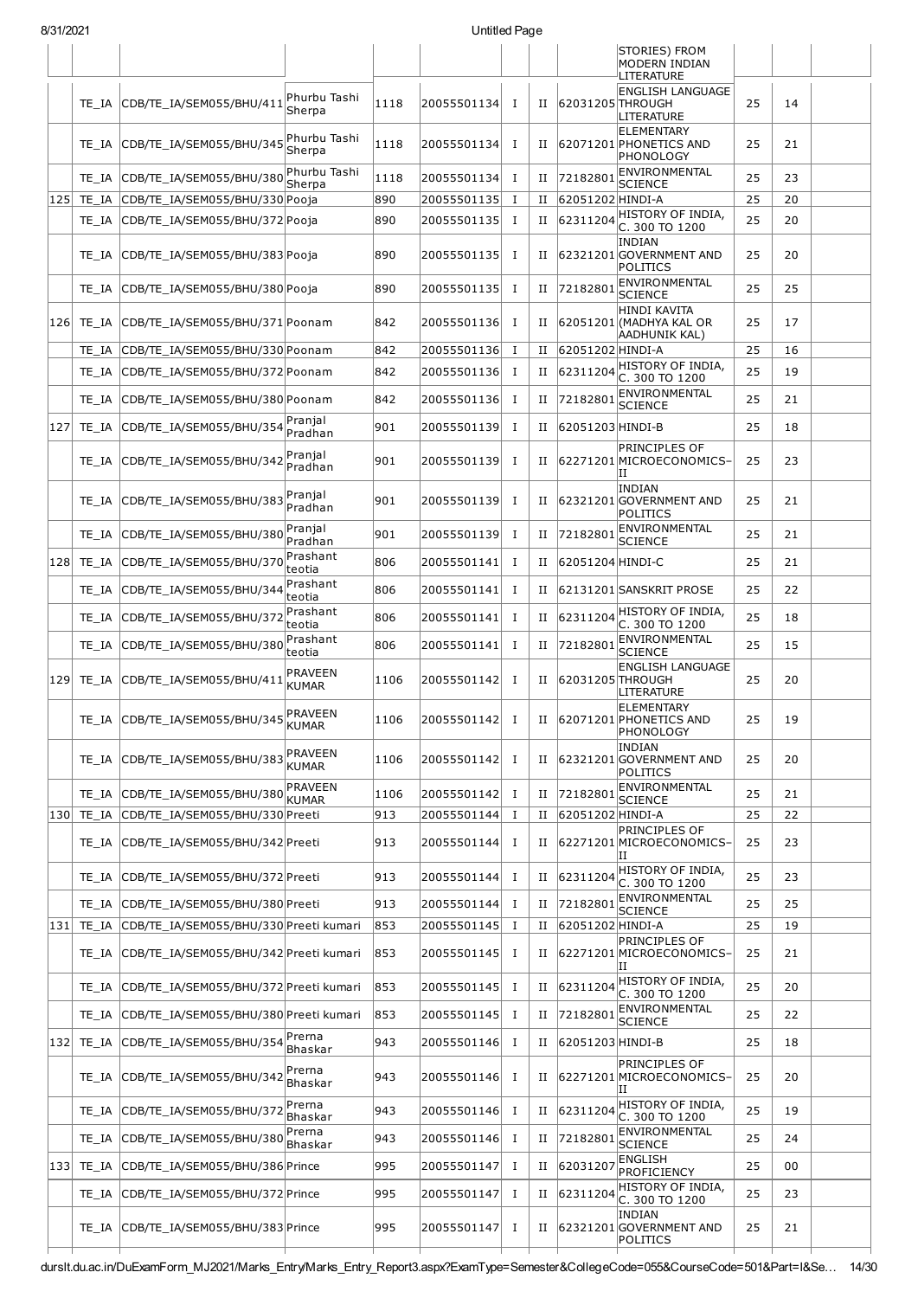|     |            |                                        |                                |      |             |              |             |                  | STORIES) FROM<br>MODERN INDIAN                           |    |    |  |
|-----|------------|----------------------------------------|--------------------------------|------|-------------|--------------|-------------|------------------|----------------------------------------------------------|----|----|--|
|     |            |                                        |                                |      |             |              |             |                  | LITERATURE                                               |    |    |  |
|     | TE IA      | CDB/TE_IA/SEM055/BHU/411               | Phurbu Tashi<br>Sherpa         | 1118 | 20055501134 | I            | П           | 62031205 THROUGH | <b>ENGLISH LANGUAGE</b><br>LITERATURE                    | 25 | 14 |  |
|     | TE IA      | CDB/TE_IA/SEM055/BHU/345               | Phurbu Tashi<br>Sherpa         | 1118 | 20055501134 | <b>I</b>     | П           |                  | ELEMENTARY<br>62071201 PHONETICS AND<br><b>PHONOLOGY</b> | 25 | 21 |  |
|     | TE IA      | CDB/TE_IA/SEM055/BHU/380               | Phurbu Tashi<br>Sherpa         | 1118 | 20055501134 | I            | П           | 72182801         | ENVIRONMENTAL<br>SCIENCE                                 | 25 | 23 |  |
| 125 | TE_IA      | CDB/TE IA/SEM055/BHU/330 Pooja         |                                | 890  | 20055501135 | I            | $_{\rm II}$ | 62051202 HINDI-A |                                                          | 25 | 20 |  |
|     | TE IA      | CDB/TE_IA/SEM055/BHU/372 Pooja         |                                | 890  | 20055501135 | I            | П           | 62311204         | HISTORY OF INDIA,<br>C. 300 TO 1200                      | 25 | 20 |  |
|     | TE IA      | CDB/TE_IA/SEM055/BHU/383 Pooja         |                                | 890  | 20055501135 | I            | $_{\rm II}$ |                  | INDIAN<br>62321201 GOVERNMENT AND<br>POLITICS            | 25 | 20 |  |
|     | TE IA      | CDB/TE_IA/SEM055/BHU/380 Pooja         |                                | 890  | 20055501135 | I            | П           | 72182801         | ENVIRONMENTAL<br>SCIENCE                                 | 25 | 25 |  |
| 126 | TE IA      | CDB/TE IA/SEM055/BHU/371 Poonam        |                                | 842  | 20055501136 | I            | П           |                  | HINDI KAVITA<br>62051201 (MADHYA KAL OR<br>AADHUNIK KAL) | 25 | 17 |  |
|     | TE IA      | CDB/TE IA/SEM055/BHU/330 Poonam        |                                | 842  | 20055501136 | $\mathbf{I}$ | П           | 62051202 HINDI-A |                                                          | 25 | 16 |  |
|     | TE IA      | CDB/TE IA/SEM055/BHU/372 Poonam        |                                | 842  | 20055501136 | $\mathbf{I}$ | П           | 62311204         | HISTORY OF INDIA,<br>C. 300 TO 1200                      | 25 | 19 |  |
|     | TE IA      | CDB/TE_IA/SEM055/BHU/380 Poonam        |                                | 842  | 20055501136 | I            | П           | 72182801         | ENVIRONMENTAL<br>SCIENCE                                 | 25 | 21 |  |
| 127 | TE IA      | CDB/TE_IA/SEM055/BHU/354               | Pranjal<br>Pradhan             | 901  | 20055501139 | <b>I</b>     | П           | 62051203 HINDI-B |                                                          | 25 | 18 |  |
|     | TE IA      | CDB/TE_IA/SEM055/BHU/342               | Pranjal<br>Pradhan             | 901  | 20055501139 | I            | П           |                  | PRINCIPLES OF<br>62271201 MICROECONOMICS-<br>ΙIJ         | 25 | 23 |  |
|     | TE IA      | CDB/TE_IA/SEM055/BHU/383               | Pranjal<br>Pradhan             | 901  | 20055501139 | <b>I</b>     | П           |                  | INDIAN<br>62321201 GOVERNMENT AND<br>POLITICS            | 25 | 21 |  |
|     | TE IA      | CDB/TE_IA/SEM055/BHU/380               | Pranjal<br>Pradhan             | 901  | 20055501139 | I            | П           | 72182801         | ENVIRONMENTAL<br><b>SCIENCE</b>                          | 25 | 21 |  |
| 128 | TE IA      | CDB/TE_IA/SEM055/BHU/370               | Prashant<br>teotia             | 806  | 20055501141 | <b>I</b>     | П           | 62051204 HINDI-C |                                                          | 25 | 21 |  |
|     | TE IA      | CDB/TE_IA/SEM055/BHU/344               | Prashant<br>teotia             | 806  | 20055501141 | <b>I</b>     | П           |                  | 62131201 SANSKRIT PROSE                                  | 25 | 22 |  |
|     | TE IA      | CDB/TE_IA/SEM055/BHU/37                | Prashant<br>teotia             | 806  | 20055501141 | <b>I</b>     | П           | 62311204         | HISTORY OF INDIA,<br>C. 300 TO 1200                      | 25 | 18 |  |
|     | TE IA      | CDB/TE_IA/SEM055/BHU/380               | Prashant<br>teotia             | 806  | 20055501141 | <b>I</b>     | П           | 7218280          | ENVIRONMENTAL<br><b>SCIENCE</b>                          | 25 | 15 |  |
|     | 129 TE_IA  | CDB/TE_IA/SEM055/BHU/411               | PRAVEEN<br><b>KUMAR</b>        | 1106 | 20055501142 | Ι            | П           | 62031205 THROUGH | <b>ENGLISH LANGUAGE</b><br>LITERATURE                    | 25 | 20 |  |
|     |            | TE_IA CDB/TE_IA/SEM055/BHU/345         | PRAVEEN<br>KUMAR               | 1106 | 20055501142 | I            | П           |                  | ELEMENTARY<br>62071201 PHONETICS AND<br> PHONOLOGY       | 25 | 19 |  |
|     | TE IA      | CDB/TE IA/SEM055/BHU/383               | <b>PRAVEEN</b><br><b>KUMAR</b> | 1106 | 20055501142 | I            | П           |                  | INDIAN<br>62321201 GOVERNMENT AND<br>POLITICS            | 25 | 20 |  |
|     | TE IA      | CDB/TE_IA/SEM055/BHU/380               | <b>PRAVEEN</b><br>KUMAR        | 1106 | 20055501142 | $\mathbf{I}$ | П           | 7218280          | ENVIRONMENTAL<br><b>SCIENCE</b>                          | 25 | 21 |  |
| 130 | TE IA      | CDB/TE_IA/SEM055/BHU/330 Preeti        |                                | 913  | 20055501144 | $\mathbf{I}$ | П           | 62051202 HINDI-A |                                                          | 25 | 22 |  |
|     | TE IA      | CDB/TE_IA/SEM055/BHU/342 Preeti        |                                | 913  | 20055501144 | I            | $_{\rm II}$ |                  | <b>PRINCIPLES OF</b><br>62271201 MICROECONOMICS-<br>ΙH   | 25 | 23 |  |
|     | TE IA      | CDB/TE_IA/SEM055/BHU/372 Preeti        |                                | 913  | 20055501144 | <b>I</b>     | $_{\rm II}$ | 62311204         | HISTORY OF INDIA,<br>C. 300 TO 1200                      | 25 | 23 |  |
|     | TE IA      | CDB/TE_IA/SEM055/BHU/380 Preeti        |                                | 913  | 20055501144 | <b>I</b>     | П           | 7218280          | ENVIRONMENTAL<br><b>SCIENCE</b>                          | 25 | 25 |  |
| 131 | TE IA      | CDB/TE_IA/SEM055/BHU/330 Preeti kumari |                                | 853  | 20055501145 | $\mathbf{I}$ | П           | 62051202 HINDI-A |                                                          | 25 | 19 |  |
|     | TE IA      | CDB/TE IA/SEM055/BHU/342 Preeti kumari |                                | 853  | 20055501145 | I            | $_{\rm II}$ |                  | PRINCIPLES OF<br>62271201 MICROECONOMICS-<br>ΙH          | 25 | 21 |  |
|     | TE IA      | CDB/TE_IA/SEM055/BHU/372 Preeti kumari |                                | 853  | 20055501145 | I            | П           | 62311204         | HISTORY OF INDIA,<br>C. 300 TO 1200                      | 25 | 20 |  |
|     | TE IA      | CDB/TE_IA/SEM055/BHU/380 Preeti kumari |                                | 853  | 20055501145 | I            | П           | 7218280          | ENVIRONMENTAL<br><b>SCIENCE</b>                          | 25 | 22 |  |
| 132 | TE_IA      | CDB/TE_IA/SEM055/BHU/354               | Prerna<br>Bhaskar              | 943  | 20055501146 | I            | П           | 62051203 HINDI-B |                                                          | 25 | 18 |  |
|     | TE IA      | CDB/TE_IA/SEM055/BHU/342               | Prerna<br>Bhaskar              | 943  | 20055501146 | I            | П           |                  | <b>PRINCIPLES OF</b><br>62271201 MICROECONOMICS-<br>ΙI   | 25 | 20 |  |
|     | TE IA      | CDB/TE_IA/SEM055/BHU/372               | Prerna<br>Bhaskar              | 943  | 20055501146 | I            | П           | 62311204         | HISTORY OF INDIA,<br>C. 300 TO 1200                      | 25 | 19 |  |
|     | TE IA      | CDB/TE IA/SEM055/BHU/380               | Prerna<br>Bhaskar              | 943  | 20055501146 | $\mathbf{I}$ | П           | 72182801         | ENVIRONMENTAL<br><b>SCIENCE</b>                          | 25 | 24 |  |
|     | 133  TE IA | CDB/TE IA/SEM055/BHU/386 Prince        |                                | 995  | 20055501147 | I            | П           | 62031207         | ENGLISH<br>PROFICIENCY                                   | 25 | 00 |  |
|     | TE IA      | CDB/TE_IA/SEM055/BHU/372 Prince        |                                | 995  | 20055501147 | <b>I</b>     | П           | 62311204         | HISTORY OF INDIA,<br>C. 300 TO 1200                      | 25 | 23 |  |
|     | TE IA      | CDB/TE IA/SEM055/BHU/383 Prince        |                                | 995  | 20055501147 | $\mathbf{I}$ | П           |                  | INDIAN<br>62321201 GOVERNMENT AND<br>POLITICS            | 25 | 21 |  |

8/31/2021 Untitled Page

durslt.du.ac.in/DuExamForm\_MJ2021/Marks\_Entry/Marks\_Entry\_Report3.aspx?ExamType=Semester&CollegeCode=055&CourseCode=501&Part=I&Se… 14/30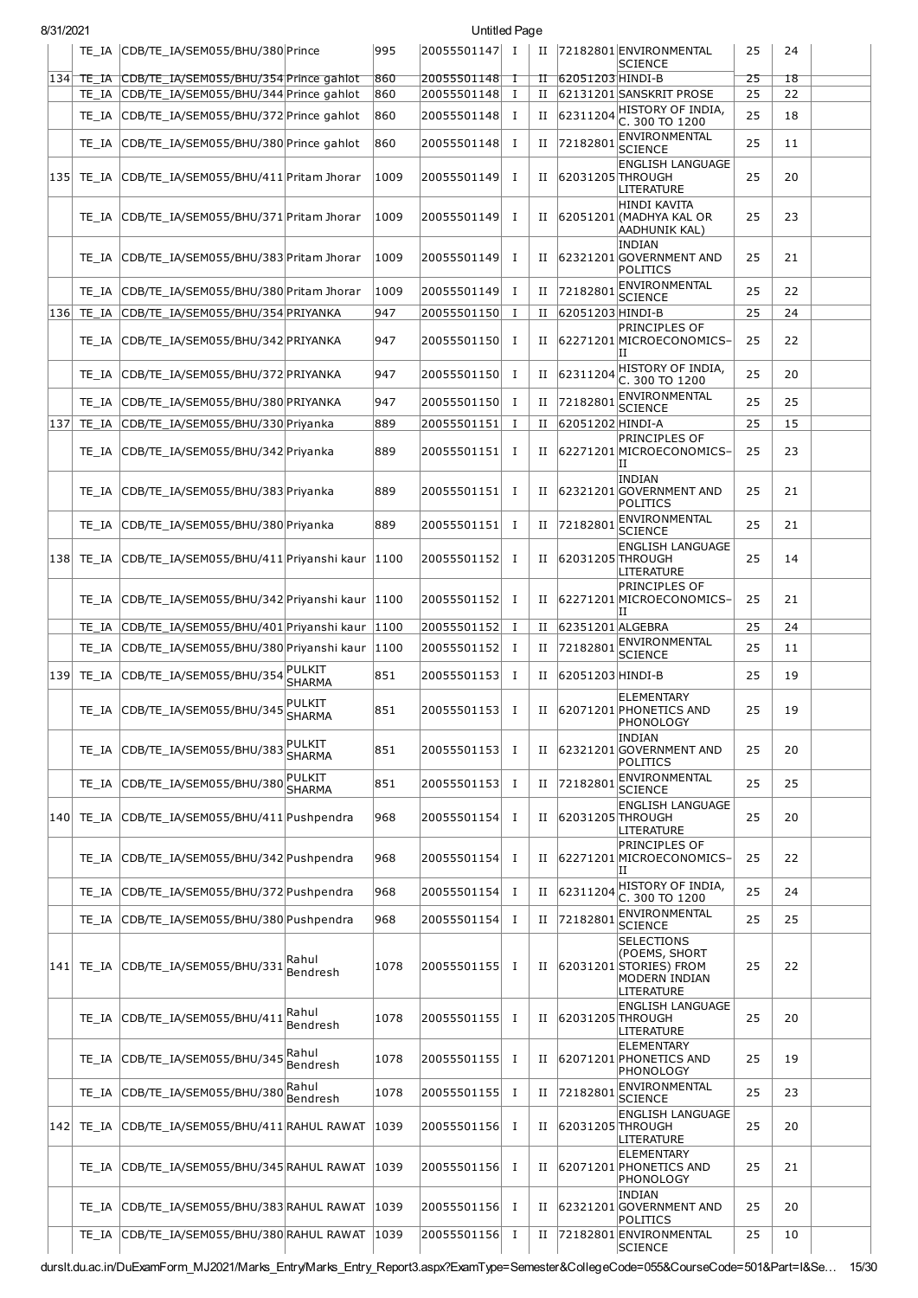| 8/31/2021 |                                                        |                         |      | Untitled Page |              |   |                  |                                                                                                    |    |    |  |
|-----------|--------------------------------------------------------|-------------------------|------|---------------|--------------|---|------------------|----------------------------------------------------------------------------------------------------|----|----|--|
|           | TE_IA CDB/TE_IA/SEM055/BHU/380 Prince                  |                         | 995  | 20055501147 I |              | П |                  | 72182801 ENVIRONMENTAL<br><b>SCIENCE</b>                                                           | 25 | 24 |  |
|           | 134 TE_IA CDB/TE_IA/SEM055/BHU/354 Prince gahlot       |                         | 860  | 20055501148   | ℸ            | π | 62051203 HINDI-B |                                                                                                    | 25 | 18 |  |
|           | TE_IA CDB/TE_IA/SEM055/BHU/344 Prince gahlot           |                         | 860  | 20055501148   | $\mathbf{I}$ | П |                  | 62131201 SANSKRIT PROSE                                                                            | 25 | 22 |  |
|           | TE_IA CDB/TE_IA/SEM055/BHU/372 Prince gahlot           |                         | 860  | 20055501148   | I            | П | 62311204         | HISTORY OF INDIA,<br>C. 300 TO 1200                                                                | 25 | 18 |  |
|           | TE_IA CDB/TE_IA/SEM055/BHU/380 Prince gahlot           |                         | 860  | 20055501148   | $\bf{I}$     | П | 72182801         | ENVIRONMENTAL<br>SCIENCE                                                                           | 25 | 11 |  |
|           | [135] TE_IA CDB/TE_IA/SEM055/BHU/411 Pritam Jhorar     |                         | 1009 | 20055501149   | 1            | П | 62031205 THROUGH | <b>ENGLISH LANGUAGE</b><br>LITERATURE                                                              | 25 | 20 |  |
|           | TE_IA CDB/TE_IA/SEM055/BHU/371 Pritam Jhorar           |                         | 1009 | 20055501149   | Ι.           | П |                  | <b>HINDI KAVITA</b><br>62051201 (MADHYA KAL OR<br>AADHUNIK KAL)                                    | 25 | 23 |  |
|           | TE_IA CDB/TE_IA/SEM055/BHU/383 Pritam Jhorar           |                         | 1009 | 20055501149   | <b>I</b>     | П |                  | <b>INDIAN</b><br>62321201 GOVERNMENT AND<br>POLITICS                                               | 25 | 21 |  |
|           | TE_IA CDB/TE_IA/SEM055/BHU/380 Pritam Jhorar           |                         | 1009 | 20055501149   | Ι.           | П | 72182801         | ENVIRONMENTAL<br><b>SCIENCE</b>                                                                    | 25 | 22 |  |
| 136       | TE_IA CDB/TE_IA/SEM055/BHU/354 PRIYANKA                |                         | 947  | 20055501150   | Ι.           | П | 62051203 HINDI-B |                                                                                                    | 25 | 24 |  |
|           | TE_IA CDB/TE_IA/SEM055/BHU/342 PRIYANKA                |                         | 947  | 20055501150   | I            | П |                  | PRINCIPLES OF<br>62271201 MICROECONOMICS-<br>IΗ                                                    | 25 | 22 |  |
|           | TE_IA CDB/TE_IA/SEM055/BHU/372 PRIYANKA                |                         | 947  | 20055501150   | Ι            | П | 62311204         | HISTORY OF INDIA,<br>C. 300 TO 1200                                                                | 25 | 20 |  |
|           | TE_IA CDB/TE_IA/SEM055/BHU/380 PRIYANKA                |                         | 947  | 20055501150   | I            | П | 72182801         | ENVIRONMENTAL<br><b>SCIENCE</b>                                                                    | 25 | 25 |  |
| 137       | TE_IA CDB/TE_IA/SEM055/BHU/330 Priyanka                |                         | 889  | 20055501151   | $\bf{I}$     | П | 62051202 HINDI-A |                                                                                                    | 25 | 15 |  |
|           | TE_IA CDB/TE_IA/SEM055/BHU/342 Priyanka                |                         | 889  | 20055501151   | Ι.           | П |                  | PRINCIPLES OF<br>62271201 MICROECONOMICS-<br>IΙ                                                    | 25 | 23 |  |
|           | TE_IA CDB/TE_IA/SEM055/BHU/383 Priyanka                |                         | 889  | 20055501151   | Ι.           | П |                  | INDIAN<br>62321201 GOVERNMENT AND<br>POLITICS                                                      | 25 | 21 |  |
|           | TE_IA CDB/TE_IA/SEM055/BHU/380 Priyanka                |                         | 889  | 20055501151   | I            | П | 72182801         | ENVIRONMENTAL<br><b>SCIENCE</b>                                                                    | 25 | 21 |  |
|           | 138 TE_IA CDB/TE_IA/SEM055/BHU/411 Priyanshi kaur 1100 |                         |      | 20055501152   | Ι.           | П | 62031205 THROUGH | <b>ENGLISH LANGUAGE</b><br>LITERATURE                                                              | 25 | 14 |  |
|           | TE_IA CDB/TE_IA/SEM055/BHU/342 Priyanshi kaur 1100     |                         |      | 20055501152   | Ι.           | П |                  | PRINCIPLES OF<br>62271201 MICROECONOMICS-<br>ΙI                                                    | 25 | 21 |  |
|           | TE_IA CDB/TE_IA/SEM055/BHU/401 Priyanshi kaur 1100     |                         |      | 20055501152   | Ι.           | П | 62351201 ALGEBRA |                                                                                                    | 25 | 24 |  |
|           | TE_IA CDB/TE_IA/SEM055/BHU/380 Priyanshi kaur 1100     |                         |      | 20055501152   | $\mathbf{I}$ | П | 72182801         | ENVIRONMENTAL<br><b>SCIENCE</b>                                                                    | 25 | 11 |  |
| 139       | TE_IA CDB/TE_IA/SEM055/BHU/354 PULKIT                  | <b>SHARMA</b>           | 851  | 20055501153   | <b>I</b>     | П | 62051203 HINDI-B |                                                                                                    | 25 | 19 |  |
|           | TE_IA CDB/TE_IA/SEM055/BHU/345 SHARMA                  |                         | 851  | 20055501153   | I            |   |                  | ELEMENTARY<br>II 62071201 PHONETICS AND<br>PHONOLOGY                                               | 25 | 19 |  |
|           | TE_IA CDB/TE_IA/SEM055/BHU/383                         | PULKIT<br><b>SHARMA</b> | 851  | 20055501153   | Ι            | П |                  | <b>INDIAN</b><br>62321201 GOVERNMENT AND<br><b>POLITICS</b>                                        | 25 | 20 |  |
|           | TE IA CDB/TE IA/SEM055/BHU/380                         | PULKIT<br><b>SHARMA</b> | 851  | 20055501153 I |              | П | 72182801         | ENVIRONMENTAL<br><b>SCIENCE</b>                                                                    | 25 | 25 |  |
|           | 140 TE IA CDB/TE IA/SEM055/BHU/411 Pushpendra          |                         | 968  | 20055501154   | Ι.           | П |                  | <b>ENGLISH LANGUAGE</b><br>62031205 THROUGH<br>LITERATURE                                          | 25 | 20 |  |
|           | TE_IA CDB/TE_IA/SEM055/BHU/342 Pushpendra              |                         | 968  | 20055501154   | I            | П |                  | PRINCIPLES OF<br>62271201 MICROECONOMICS-<br>ΙI                                                    | 25 | 22 |  |
|           | TE IA CDB/TE IA/SEM055/BHU/372 Pushpendra              |                         | 968  | 20055501154   | п.           | П | 62311204         | HISTORY OF INDIA,<br>C. 300 TO 1200                                                                | 25 | 24 |  |
|           | TE_IA CDB/TE_IA/SEM055/BHU/380 Pushpendra              |                         | 968  | 20055501154   | Ι.           | П | 7218280          | ENVIRONMENTAL<br><b>SCIENCE</b>                                                                    | 25 | 25 |  |
|           | 141 TE_IA CDB/TE_IA/SEM055/BHU/331                     | Rahul<br>Bendresh       | 1078 | 20055501155   | Ι.           | П |                  | <b>SELECTIONS</b><br>(POEMS, SHORT<br>62031201 STORIES) FROM<br><b>MODERN INDIAN</b><br>LITERATURE | 25 | 22 |  |
|           | TE_IA CDB/TE_IA/SEM055/BHU/411                         | Rahul<br>Bendresh       | 1078 | 20055501155   | Ι.           | П | 62031205 THROUGH | <b>ENGLISH LANGUAGE</b><br>LITERATURE                                                              | 25 | 20 |  |
|           | TE_IA CDB/TE_IA/SEM055/BHU/345                         | Rahul<br>Bendresh       | 1078 | 20055501155   | $\bf{I}$     | н |                  | <b>ELEMENTARY</b><br>62071201 PHONETICS AND<br>PHONOLOGY                                           | 25 | 19 |  |
|           | TE_IA CDB/TE_IA/SEM055/BHU/380                         | Rahul<br>Bendresh       | 1078 | 20055501155   | Ι.           | П | 72182801         | ENVIRONMENTAL<br><b>SCIENCE</b>                                                                    | 25 | 23 |  |
|           | 142 TE_IA CDB/TE_IA/SEM055/BHU/411 RAHUL RAWAT         |                         | 1039 | 20055501156   | Ι.           | П | 62031205 THROUGH | <b>ENGLISH LANGUAGE</b><br>LITERATURE                                                              | 25 | 20 |  |
|           | TE_IA CDB/TE_IA/SEM055/BHU/345 RAHUL RAWAT             |                         | 1039 | 20055501156   | I            | П |                  | <b>ELEMENTARY</b><br>62071201 PHONETICS AND<br>PHONOLOGY                                           | 25 | 21 |  |
|           | TE_IA CDB/TE_IA/SEM055/BHU/383 RAHUL RAWAT             |                         | 1039 | 20055501156   | $\mathbf{I}$ | П |                  | <b>INDIAN</b><br>62321201 GOVERNMENT AND<br>POLITICS                                               | 25 | 20 |  |
|           | TE_IA CDB/TE_IA/SEM055/BHU/380 RAHUL RAWAT             |                         | 1039 | 20055501156   | Ι.           | П |                  | 72182801 ENVIRONMENTAL<br>SCIENCE                                                                  | 25 | 10 |  |

durslt.du.ac.in/DuExamForm\_MJ2021/Marks\_Entry/Marks\_Entry\_Report3.aspx?ExamType=Semester&CollegeCode=055&CourseCode=501&Part=I&Se… 15/30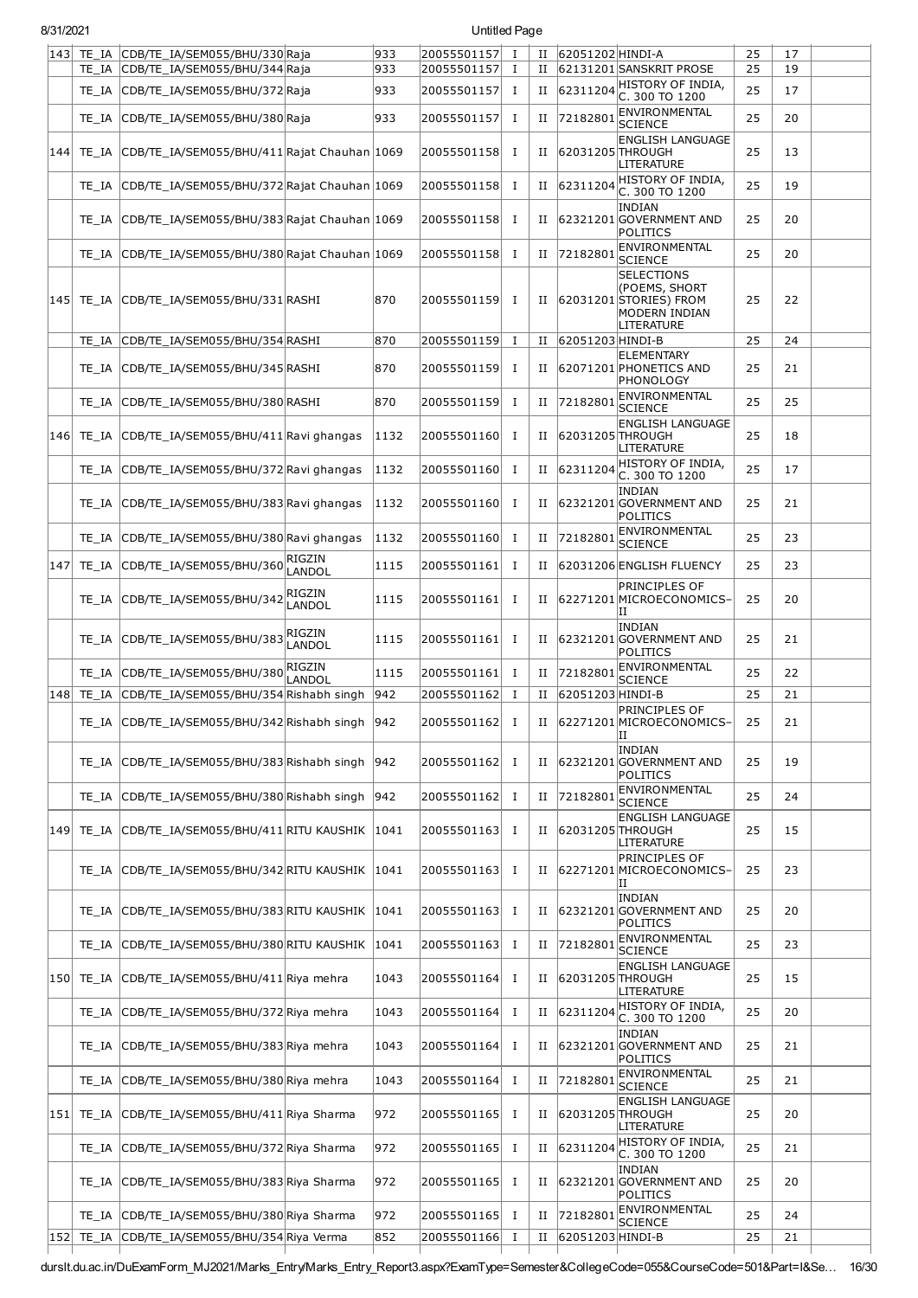|     |            | 143 TE_IA CDB/TE_IA/SEM055/BHU/330 Raja               |                         | 933           | 20055501157       | $\mathbf{I}$ | П           | 62051202 HINDI-A |                                                                                                    | 25 | 17 |  |
|-----|------------|-------------------------------------------------------|-------------------------|---------------|-------------------|--------------|-------------|------------------|----------------------------------------------------------------------------------------------------|----|----|--|
|     |            | TE_IA CDB/TE_IA/SEM055/BHU/344 Raja                   |                         | 933           | 20055501157       | $\mathbf{I}$ | П           |                  | 62131201 SANSKRIT PROSE                                                                            | 25 | 19 |  |
|     |            | TE_IA CDB/TE_IA/SEM055/BHU/372 Raja                   |                         | 933           | 20055501157       | Ι            | П           | 62311204         | HISTORY OF INDIA,<br>C. 300 TO 1200                                                                | 25 | 17 |  |
|     | TE IA      | CDB/TE_IA/SEM055/BHU/380 Raja                         |                         | 933           | 20055501157       | I            | П           | 72182801         | ENVIRONMENTAL<br><b>SCIENCE</b>                                                                    | 25 | 20 |  |
|     |            | 144 TE_IA CDB/TE_IA/SEM055/BHU/411 Rajat Chauhan 1069 |                         |               | 20055501158       | Ι.           | п           | 62031205 THROUGH | <b>ENGLISH LANGUAGE</b><br>LITERATURE                                                              | 25 | 13 |  |
|     | TE IA      | CDB/TE_IA/SEM055/BHU/372 Rajat Chauhan 1069           |                         |               | 20055501158       | Ι            | П           | 62311204         | HISTORY OF INDIA,<br>C. 300 TO 1200                                                                | 25 | 19 |  |
|     | TE IA      | CDB/TE_IA/SEM055/BHU/383 Rajat Chauhan 1069           |                         |               | 20055501158       | Ι            | П           |                  | <b>INDIAN</b><br>62321201 GOVERNMENT AND<br>POLITICS                                               | 25 | 20 |  |
|     | TE IA      | CDB/TE_IA/SEM055/BHU/380 Rajat Chauhan 1069           |                         |               | 20055501158       | Ι            | П           | 7218280          | ENVIRONMENTAL<br><b>SCIENCE</b>                                                                    | 25 | 20 |  |
|     | 145  TE IA | CDB/TE_IA/SEM055/BHU/331 RASHI                        |                         | 870           | 20055501159       | I            | п           |                  | <b>SELECTIONS</b><br>(POEMS, SHORT<br>62031201 STORIES) FROM<br><b>MODERN INDIAN</b><br>LITERATURE | 25 | 22 |  |
|     | TE IA      | CDB/TE_IA/SEM055/BHU/354 RASHI                        |                         | 870           | 20055501159       | Ι            | П           | 62051203 HINDI-B |                                                                                                    | 25 | 24 |  |
|     | TE IA      | CDB/TE_IA/SEM055/BHU/345 RASHI                        |                         | 870           | 20055501159       | Ι            | П           |                  | <b>ELEMENTARY</b><br>62071201 PHONETICS AND<br>PHONOLOGY                                           | 25 | 21 |  |
|     | TE IA      | CDB/TE IA/SEM055/BHU/380 RASHI                        |                         | 870           | 20055501159       | Ι.           | П           | 72182801         | ENVIRONMENTAL<br><b>SCIENCE</b>                                                                    | 25 | 25 |  |
|     | 146 TE IA  | CDB/TE_IA/SEM055/BHU/411 Ravi ghangas                 |                         | 1132          | 20055501160       | <b>I</b>     | П           | 62031205 THROUGH | <b>ENGLISH LANGUAGE</b><br>LITERATURE                                                              | 25 | 18 |  |
|     | TE IA      | CDB/TE_IA/SEM055/BHU/372 Ravi ghangas                 |                         | 1132          | 20055501160       | I            | П           | 62311204         | HISTORY OF INDIA,<br>C. 300 TO 1200                                                                | 25 | 17 |  |
|     | TE IA      | CDB/TE_IA/SEM055/BHU/383 Ravi ghangas                 |                         | 1132          | 20055501160       | I            | П           |                  | <b>INDIAN</b><br>62321201 GOVERNMENT AND<br>POLITICS                                               | 25 | 21 |  |
|     | TE IA      | CDB/TE_IA/SEM055/BHU/380 Ravi ghangas                 |                         | 1132          | 20055501160       | Ι            | П           | 72182801         | ENVIRONMENTAL<br><b>SCIENCE</b>                                                                    | 25 | 23 |  |
| 147 | TE_IA      | CDB/TE_IA/SEM055/BHU/360 RIGZIN                       | LANDOL                  | 1115          | 20055501161       | Ι            | $_{\rm II}$ |                  | 62031206 ENGLISH FLUENCY                                                                           | 25 | 23 |  |
|     | TE IA      | CDB/TE_IA/SEM055/BHU/342                              | <b>RIGZIN</b><br>LANDOL | 1115          | 20055501161       | Ι.           | П           |                  | PRINCIPLES OF<br>62271201 MICROECONOMICS-<br>ΠI                                                    | 25 | 20 |  |
|     |            | TE_IA CDB/TE_IA/SEM055/BHU/383 RIGZIN                 | LANDOL                  | 1115          | 20055501161       | <b>I</b>     | $_{\rm II}$ |                  | <b>INDIAN</b><br>62321201 GOVERNMENT AND<br>POLITICS                                               | 25 | 21 |  |
|     |            | TE_IA CDB/TE_IA/SEM055/BHU/380                        | RIGZIN<br>LANDOL        | 1115          | 20055501161       | Ι            | П           | 72182801         | ENVIRONMENTAL<br><b>SCIENCE</b>                                                                    | 25 | 22 |  |
|     |            | 148 TE_IA CDB/TE_IA/SEM055/BHU/354 Rishabh singh      |                         | 942           | 20055501162       | I            | $_{\rm II}$ | 62051203 HINDI-B |                                                                                                    | 25 | 21 |  |
|     |            | TE_IA CDB/TE_IA/SEM055/BHU/342 Rishabh singh 942      |                         |               | $ 20055501162 $ I |              |             |                  | <b>PRINCIPLES OF</b><br>II 62271201 MICROECONOMICS-<br>ΙI                                          | 25 | 21 |  |
|     |            | TE_IA CDB/TE_IA/SEM055/BHU/383 Rishabh singh          |                         | $ 942\rangle$ | 20055501162       | I            | П           |                  | <b>INDIAN</b><br>62321201 GOVERNMENT AND<br>POLITICS                                               | 25 | 19 |  |
|     | TE IA      | CDB/TE_IA/SEM055/BHU/380 Rishabh singh                |                         | 942           | 20055501162       | I            | П           | 7218280          | ENVIRONMENTAL<br><b>SCIENCE</b>                                                                    | 25 | 24 |  |
|     | 149 TE IA  | CDB/TE IA/SEM055/BHU/411 RITU KAUSHIK 1041            |                         |               | 20055501163       | I            | П           | 62031205 THROUGH | <b>ENGLISH LANGUAGE</b><br>LITERATURE                                                              | 25 | 15 |  |
|     |            | TE IA CDB/TE IA/SEM055/BHU/342 RITU KAUSHIK           |                         | 1041          | 20055501163       | I            | П           |                  | PRINCIPLES OF<br>62271201 MICROECONOMICS-<br>IΙ                                                    | 25 | 23 |  |
|     | TE IA      | CDB/TE_IA/SEM055/BHU/383 RITU KAUSHIK                 |                         | 1041          | 20055501163       | Ι            | П           |                  | <b>INDIAN</b><br>62321201 GOVERNMENT AND<br>POLITICS                                               | 25 | 20 |  |
|     | TE IA      | CDB/TE_IA/SEM055/BHU/380 RITU KAUSHIK                 |                         | 1041          | 20055501163       | I            | П           | 72182801         | ENVIRONMENTAL<br><b>SCIENCE</b>                                                                    | 25 | 23 |  |
|     | 150 TE IA  | CDB/TE_IA/SEM055/BHU/411 Riya mehra                   |                         | 1043          | 20055501164       | I            | П           | 62031205 THROUGH | <b>ENGLISH LANGUAGE</b><br>LITERATURE                                                              | 25 | 15 |  |
|     |            | TE_IA CDB/TE_IA/SEM055/BHU/372 Riya mehra             |                         | 1043          | 20055501164       | Ι            | П           | 62311204         | HISTORY OF INDIA,<br>C. 300 TO 1200                                                                | 25 | 20 |  |
|     |            | TE_IA CDB/TE_IA/SEM055/BHU/383 Riya mehra             |                         | 1043          | 20055501164       | Ι            | П           |                  | <b>INDIAN</b><br>62321201 GOVERNMENT AND<br><b>POLITICS</b>                                        | 25 | 21 |  |
|     |            | TE_IA CDB/TE_IA/SEM055/BHU/380 Riya mehra             |                         | 1043          | 20055501164       | Ι            | П           | 72182801         | ENVIRONMENTAL<br><b>SCIENCE</b>                                                                    | 25 | 21 |  |
|     |            | 151 TE_IA CDB/TE_IA/SEM055/BHU/411 Riya Sharma        |                         | 972           | 20055501165       | Ι            | П           | 62031205 THROUGH | <b>ENGLISH LANGUAGE</b><br>LITERATURE                                                              | 25 | 20 |  |
|     | TE IA      | CDB/TE_IA/SEM055/BHU/372 Riya Sharma                  |                         | 972           | 20055501165       | <b>I</b>     | П           | 62311204         | HISTORY OF INDIA,<br>C. 300 TO 1200                                                                | 25 | 21 |  |
|     | TE IA      | CDB/TE_IA/SEM055/BHU/383 Riya Sharma                  |                         | 972           | 20055501165       | I            | П           |                  | <b>INDIAN</b><br>62321201 GOVERNMENT AND<br>POLITICS                                               | 25 | 20 |  |
|     |            | TE_IA CDB/TE_IA/SEM055/BHU/380 Riya Sharma            |                         | 972           | 20055501165       | I            | П           | 72182801         | ENVIRONMENTAL<br><b>SCIENCE</b>                                                                    | 25 | 24 |  |
| 152 | TE_IA      | CDB/TE_IA/SEM055/BHU/354 Riya Verma                   |                         | 852           | 20055501166       | $\bf{I}$     | П           | 62051203 HINDI-B |                                                                                                    | 25 | 21 |  |

durslt.du.ac.in/DuExamForm\_MJ2021/Marks\_Entry/Marks\_Entry\_Report3.aspx?ExamType=Semester&CollegeCode=055&CourseCode=501&Part=I&Se… 16/30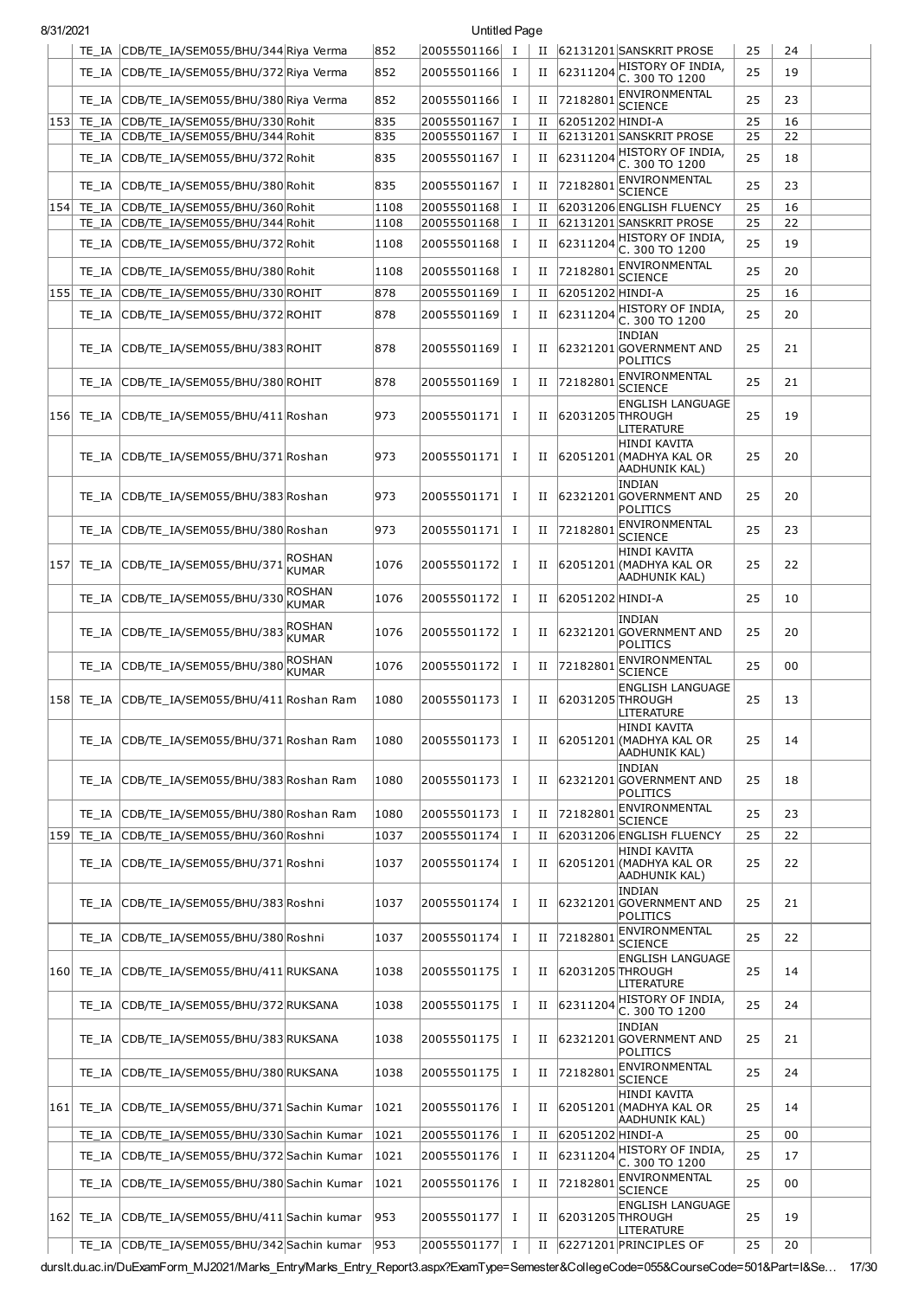| 8/31/2021 |       |                                                                              |                               |              | Untitled Page                  |                |             |                  |                                                                        |          |          |  |
|-----------|-------|------------------------------------------------------------------------------|-------------------------------|--------------|--------------------------------|----------------|-------------|------------------|------------------------------------------------------------------------|----------|----------|--|
|           |       | TE_IA CDB/TE_IA/SEM055/BHU/344 Riya Verma                                    |                               | 852          | 20055501166 I                  |                | П           |                  | 62131201 SANSKRIT PROSE                                                | 25       | 24       |  |
|           | TE IA | CDB/TE IA/SEM055/BHU/372 Riva Verma                                          |                               | 852          | 20055501166                    | I              | П           | 62311204         | HISTORY OF INDIA,<br>C. 300 TO 1200                                    | 25       | 19       |  |
|           | TE IA | CDB/TE IA/SEM055/BHU/380 Riya Verma                                          |                               | 852          | 20055501166                    | п.             | П           | 72182801         | ENVIRONMENTAL                                                          | 25       | 23       |  |
| 153       |       | TE_IA CDB/TE_IA/SEM055/BHU/330 Rohit                                         |                               | 835          | 20055501167                    | Ι.             | П           | 62051202 HINDI-A | <b>SCIENCE</b>                                                         | 25       | 16       |  |
|           |       | TE IA CDB/TE IA/SEM055/BHU/344 Rohit                                         |                               | 835          | 20055501167                    | Ι.             | П           |                  | 62131201 SANSKRIT PROSE                                                | 25       | 22       |  |
|           | TE IA | CDB/TE_IA/SEM055/BHU/372 Rohit                                               |                               | 835          | 20055501167                    | Ι.             | П           |                  | $ 62311204 $ HISTORY OF INDIA,<br>C. 300 TO 1200                       | 25       | 18       |  |
|           | TE IA |                                                                              |                               | 835          | 20055501167                    | T              | П           | 72182801         | ENVIRONMENTAL                                                          | 25       | 23       |  |
|           |       | CDB/TE_IA/SEM055/BHU/380 Rohit                                               |                               |              |                                |                |             |                  | <b>SCIENCE</b>                                                         |          |          |  |
| 154       |       | TE IA CDB/TE IA/SEM055/BHU/360 Rohit<br>TE IA CDB/TE IA/SEM055/BHU/344 Rohit |                               | 1108<br>1108 | 20055501168<br>20055501168     | п.<br>$\bf{I}$ | П<br>П      |                  | 62031206 ENGLISH FLUENCY<br>62131201 SANSKRIT PROSE                    | 25<br>25 | 16<br>22 |  |
|           | TE IA | CDB/TE_IA/SEM055/BHU/372 Rohit                                               |                               | 1108         | 20055501168                    | Ι              | П           |                  | $62311204$ HISTORY OF INDIA,                                           | 25       | 19       |  |
|           |       |                                                                              |                               |              |                                |                |             |                  | C. 300 TO 1200<br>ENVIRONMENTAL                                        |          |          |  |
|           | TE IA | CDB/TE IA/SEM055/BHU/380 Rohit                                               |                               | 1108         | 20055501168                    | Ι.             | П           | 72182801         | <b>SCIENCE</b>                                                         | 25       | 20       |  |
| 155       | TE IA | CDB/TE_IA/SEM055/BHU/330 ROHIT                                               |                               | 878          | 20055501169                    | $\bf{I}$       | П           | 62051202 HINDI-A | HISTORY OF INDIA,                                                      | 25       | 16       |  |
|           | TE IA | CDB/TE_IA/SEM055/BHU/372 ROHIT                                               |                               | 878          | 20055501169                    | T              | П           | 62311204         | C. 300 TO 1200                                                         | 25       | 20       |  |
|           | TE IA | CDB/TE IA/SEM055/BHU/383 ROHIT                                               |                               | 878          | 20055501169                    | Ι.             | П           |                  | <b>INDIAN</b><br>62321201 GOVERNMENT AND<br>POLITICS                   | 25       | 21       |  |
|           | TE IA | CDB/TE_IA/SEM055/BHU/380 ROHIT                                               |                               | 878          | 20055501169                    | п.             | П           | 72182801         | ENVIRONMENTAL<br><b>SCIENCE</b>                                        | 25       | 21       |  |
|           |       | 156 TE IA CDB/TE IA/SEM055/BHU/411 Roshan                                    |                               | 973          | 20055501171                    | Ι.             | П           | 62031205 THROUGH | <b>ENGLISH LANGUAGE</b><br>LITERATURE                                  | 25       | 19       |  |
|           |       | TE_IA CDB/TE_IA/SEM055/BHU/371 Roshan                                        |                               | 973          | 20055501171                    | Ι              | $_{\rm II}$ |                  | <b>HINDI KAVITA</b><br>62051201 (MADHYA KAL OR<br>AADHUNIK KAL)        | 25       | 20       |  |
|           | TE IA | CDB/TE_IA/SEM055/BHU/383 Roshan                                              |                               | 973          | 20055501171                    | T              | П           |                  | <b>INDIAN</b><br>62321201 GOVERNMENT AND<br>POLITICS                   | 25       | 20       |  |
|           | TE IA | CDB/TE_IA/SEM055/BHU/380 Roshan                                              |                               | 973          | 20055501171                    | Ι.             | П           | 72182801         | ENVIRONMENTAL<br>SCIENCE                                               | 25       | 23       |  |
| 157       |       | TE_IA CDB/TE_IA/SEM055/BHU/371                                               | <b>ROSHAN</b><br><b>KUMAR</b> | 1076         | 20055501172                    | T              | П           |                  | <b>HINDI KAVITA</b><br>62051201 (MADHYA KAL OR<br><b>AADHUNIK KAL)</b> | 25       | 22       |  |
|           | TE IA | CDB/TE_IA/SEM055/BHU/330                                                     | ROSHAN<br><b>KUMAR</b>        | 1076         | 20055501172                    | Ι.             | П           | 62051202 HINDI-A |                                                                        | 25       | 10       |  |
|           | TE IA | CDB/TE_IA/SEM055/BHU/383                                                     | <b>ROSHAN</b><br><b>KUMAR</b> | 1076         | 20055501172                    | п              | Н           |                  | <b>INDIAN</b><br>62321201 GOVERNMENT AND<br>POLITICS                   | 25       | 20       |  |
|           | TE IA | CDB/TE_IA/SEM055/BHU/380                                                     | <b>ROSHAN</b><br><b>KUMAR</b> | 1076         | 20055501172                    | $\bf{I}$       | П           | 72182801         | ENVIRONMENTAL<br><b>SCIENCE</b>                                        | 25       | 00       |  |
|           |       | 158 TE IA CDB/TE IA/SEM055/BHU/411 Roshan Ram                                |                               | 1080         | 20055501173                    | $\mathbf{I}$   | П           | 62031205THROUGH  | <b>ENGLISH LANGUAGE</b><br><b>LITERATURE</b>                           | 25       | 13       |  |
|           | TE IA | CDB/TE_IA/SEM055/BHU/371 Roshan Ram                                          |                               | 1080         | 20055501173 I                  |                | $_{\rm II}$ |                  | HINDI KAVITA<br>62051201 (MADHYA KAL OR<br>AADHUNIK KAL)               | 25       | 14       |  |
|           | TE IA | CDB/TE_IA/SEM055/BHU/383 Roshan Ram                                          |                               | 1080         | 20055501173 I                  |                | П           |                  | <b>INDIAN</b><br>62321201 GOVERNMENT AND<br>POLITICS                   | 25       | 18       |  |
|           | TE IA | CDB/TE_IA/SEM055/BHU/380 Roshan Ram                                          |                               | 1080         | 20055501173                    | I              | П           | 72182801         | ENVIRONMENTAL<br><b>SCIENCE</b>                                        | 25       | 23       |  |
| 159       | TE IA | CDB/TE_IA/SEM055/BHU/360 Roshni                                              |                               | 1037         | 20055501174                    | I              | П           |                  | 62031206 ENGLISH FLUENCY                                               | 25       | 22       |  |
|           |       | TE_IA CDB/TE_IA/SEM055/BHU/371 Roshni                                        |                               | 1037         | 20055501174 I                  |                | $_{\rm II}$ |                  | HINDI KAVITA<br>62051201 (MADHYA KAL OR                                | 25       | 22       |  |
|           |       |                                                                              |                               |              |                                |                |             |                  | <b>AADHUNIK KAL)</b>                                                   |          |          |  |
|           | TE IA | CDB/TE_IA/SEM055/BHU/383 Roshni                                              |                               | 1037         | 20055501174                    | п.             | П           |                  | <b>INDIAN</b><br>62321201GOVERNMENT AND<br>POLITICS                    | 25       | 21       |  |
|           | TE IA | CDB/TE_IA/SEM055/BHU/380 Roshni                                              |                               | 1037         | 20055501174                    | Ι              | П           | 72182801         | ENVIRONMENTAL<br><b>SCIENCE</b>                                        | 25       | 22       |  |
|           |       | 160 TE_IA CDB/TE_IA/SEM055/BHU/411 RUKSANA                                   |                               | 1038         | 20055501175                    | Ι.             | П           | 62031205 THROUGH | <b>ENGLISH LANGUAGE</b><br>LITERATURE                                  | 25       | 14       |  |
|           |       | TE_IA CDB/TE_IA/SEM055/BHU/372 RUKSANA                                       |                               | 1038         | 20055501175 I                  |                | П           | 62311204         | HISTORY OF INDIA,<br>C. 300 TO 1200                                    | 25       | 24       |  |
|           | TE IA | CDB/TE_IA/SEM055/BHU/383 RUKSANA                                             |                               | 1038         | 20055501175 I                  |                | П           |                  | INDIAN<br>62321201 GOVERNMENT AND<br>POLITICS                          | 25       | 21       |  |
|           | TE IA | CDB/TE_IA/SEM055/BHU/380 RUKSANA                                             |                               | 1038         | 20055501175                    | $\bf{I}$       | П           | 72182801         | ENVIRONMENTAL<br><b>SCIENCE</b>                                        | 25       | 24       |  |
| 161       | TE IA | CDB/TE_IA/SEM055/BHU/371 Sachin Kumar                                        |                               | 1021         | 20055501176                    | Ι.             | П           |                  | <b>HINDI KAVITA</b><br>62051201 (MADHYA KAL OR<br>AADHUNIK KAL)        | 25       | 14       |  |
|           | TE IA | CDB/TE_IA/SEM055/BHU/330 Sachin Kumar                                        |                               | 1021         | 20055501176 I                  |                | П           | 62051202 HINDI-A |                                                                        | 25       | 00       |  |
|           | TE IA | CDB/TE_IA/SEM055/BHU/372 Sachin Kumar                                        |                               | 1021         | 20055501176                    | $\bf{I}$       | П           |                  | $ 62311204 $ HISTORY OF INDIA,                                         | 25       | 17       |  |
|           | TE IA | CDB/TE_IA/SEM055/BHU/380 Sachin Kumar                                        |                               | 1021         | 20055501176                    | $\bf{I}$       | П           | 72182801         | C. 300 TO 1200<br>ENVIRONMENTAL                                        | 25       | 00       |  |
|           |       |                                                                              |                               |              |                                |                |             |                  | SCIENCE<br><b>ENGLISH LANGUAGE</b>                                     |          |          |  |
| 162       |       | TE_IA CDB/TE_IA/SEM055/BHU/411 Sachin kumar                                  |                               | 953<br> 953  | 20055501177 I<br>20055501177 I |                | П           | 62031205 THROUGH | LITERATURE<br>II 62271201 PRINCIPLES OF                                | 25<br>25 | 19       |  |
|           |       | TE_IA CDB/TE_IA/SEM055/BHU/342 Sachin kumar                                  |                               |              |                                |                |             |                  |                                                                        |          | 20       |  |

durslt.du.ac.in/DuExamForm\_MJ2021/Marks\_Entry/Marks\_Entry\_Report3.aspx?ExamType=Semester&CollegeCode=055&CourseCode=501&Part=I&Se… 17/30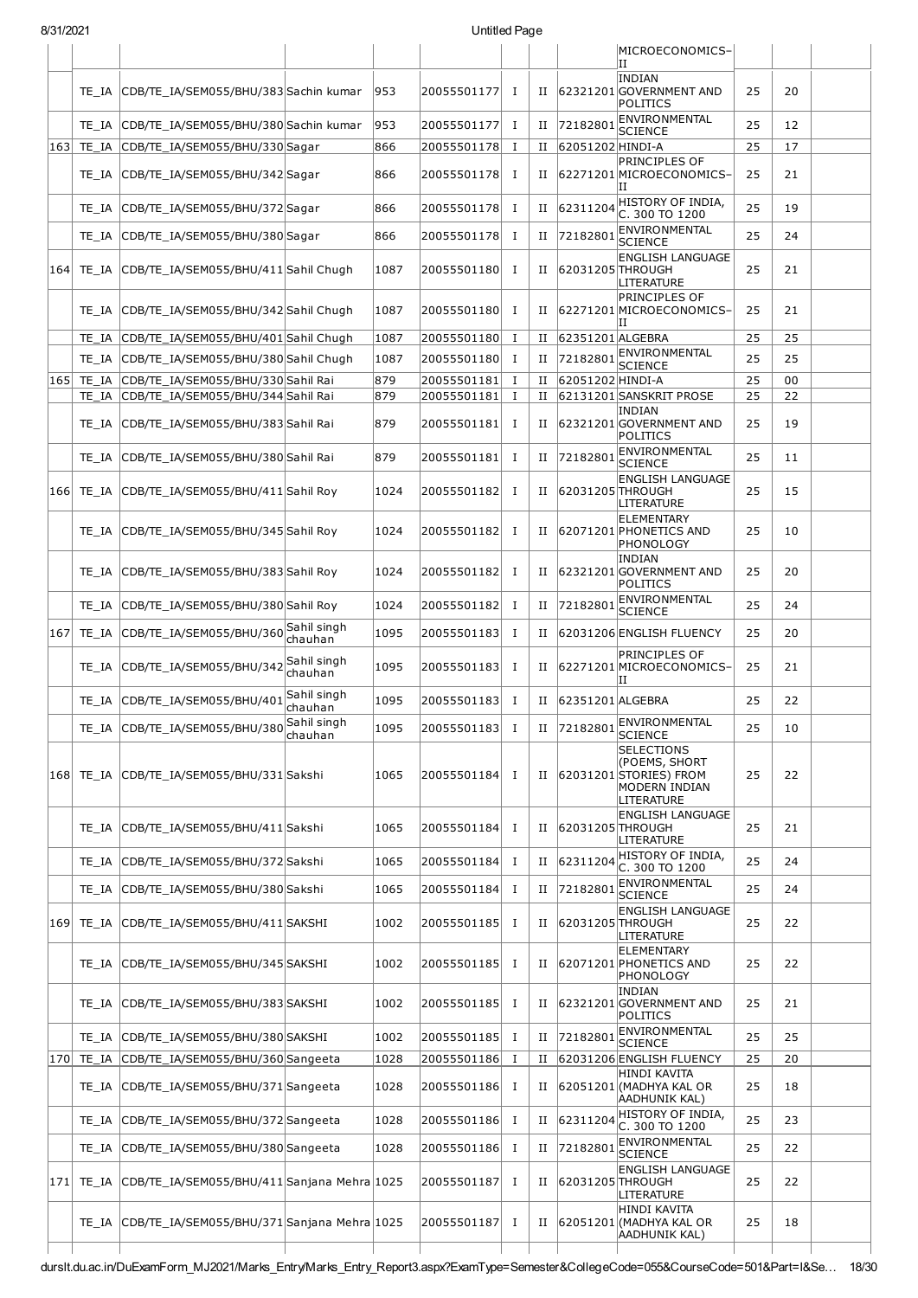|     |                                                       |                        |      |               |              |             |                     | MICROECONOMICS-                                                                                    |    |    |  |
|-----|-------------------------------------------------------|------------------------|------|---------------|--------------|-------------|---------------------|----------------------------------------------------------------------------------------------------|----|----|--|
|     |                                                       |                        |      |               |              |             |                     | ΠT<br><b>INDIAN</b>                                                                                |    |    |  |
|     | TE_IA CDB/TE_IA/SEM055/BHU/383 Sachin kumar           |                        | 953  | 20055501177   | п.           | $_{\rm II}$ |                     | 62321201 GOVERNMENT AND<br>POLITICS                                                                | 25 | 20 |  |
|     | TE_IA CDB/TE_IA/SEM055/BHU/380 Sachin kumar           |                        | 953  | 20055501177   | $\mathbf{I}$ |             | II 72182801         | ENVIRONMENTAL<br><b>SCIENCE</b>                                                                    | 25 | 12 |  |
| 163 | TE IA CDB/TE IA/SEM055/BHU/330 Sagar                  |                        | 866  | 20055501178   | Ι.           | П           | 62051202 HINDI-A    |                                                                                                    | 25 | 17 |  |
|     | TE_IA CDB/TE_IA/SEM055/BHU/342 Sagar                  |                        | 866  | 20055501178   | I            | П           |                     | PRINCIPLES OF<br>62271201 MICROECONOMICS-<br>н                                                     | 25 | 21 |  |
|     | TE_IA CDB/TE_IA/SEM055/BHU/372 Sagar                  |                        | 866  | 20055501178   | Ι.           | $_{\rm II}$ | 62311204            | HISTORY OF INDIA,<br>C. 300 TO 1200                                                                | 25 | 19 |  |
|     | TE_IA CDB/TE_IA/SEM055/BHU/380 Sagar                  |                        | 866  | 20055501178   | $\mathbf I$  | $_{\rm II}$ | 72182801            | ENVIRONMENTAL<br><b>SCIENCE</b>                                                                    | 25 | 24 |  |
| 164 | TE_IA CDB/TE_IA/SEM055/BHU/411 Sahil Chugh            |                        | 1087 | 20055501180   | Ι.           | $_{\rm II}$ | 62031205 THROUGH    | <b>ENGLISH LANGUAGE</b><br>LITERATURE                                                              | 25 | 21 |  |
|     | TE_IA CDB/TE_IA/SEM055/BHU/342 Sahil Chugh            |                        | 1087 | 20055501180   | I            |             |                     | PRINCIPLES OF<br>II 62271201 MICROECONOMICS-<br>IΙ                                                 | 25 | 21 |  |
|     | TE_IA CDB/TE_IA/SEM055/BHU/401 Sahil Chugh            |                        | 1087 | 20055501180   | $\mathbf{I}$ |             | II 62351201 ALGEBRA |                                                                                                    | 25 | 25 |  |
|     | TE_IA CDB/TE_IA/SEM055/BHU/380 Sahil Chugh            |                        | 1087 | 20055501180   | Ι.           | П           | 72182801            | ENVIRONMENTAL<br><b>SCIENCE</b>                                                                    | 25 | 25 |  |
| 165 | TE IA CDB/TE IA/SEM055/BHU/330 Sahil Rai              |                        | 879  | 20055501181   | $\bf{I}$     | П           | 62051202 HINDI-A    |                                                                                                    | 25 | 00 |  |
|     | TE_IA CDB/TE_IA/SEM055/BHU/344 Sahil Rai              |                        | 879  | 20055501181   | п.           | П           |                     | 62131201 SANSKRIT PROSE<br><b>INDIAN</b>                                                           | 25 | 22 |  |
|     | TE IA CDB/TE IA/SEM055/BHU/383 Sahil Rai              |                        | 879  | 20055501181   | Ι            | $_{\rm II}$ |                     | 62321201 GOVERNMENT AND<br>POLITICS                                                                | 25 | 19 |  |
|     | TE_IA CDB/TE_IA/SEM055/BHU/380 Sahil Rai              |                        | 879  | 20055501181   | $\bf{I}$     | П           | 72182801            | ENVIRONMENTAL<br><b>SCIENCE</b>                                                                    | 25 | 11 |  |
|     | 166 TE_IA CDB/TE_IA/SEM055/BHU/411 Sahil Roy          |                        | 1024 | 20055501182   | п.           | $_{\rm II}$ | 62031205 THROUGH    | <b>ENGLISH LANGUAGE</b><br>LITERATURE                                                              | 25 | 15 |  |
|     | TE_IA CDB/TE_IA/SEM055/BHU/345 Sahil Roy              |                        | 1024 | 20055501182   | Ι            | $_{\rm II}$ |                     | <b>ELEMENTARY</b><br>62071201 PHONETICS AND<br>PHONOLOGY                                           | 25 | 10 |  |
|     | TE_IA CDB/TE_IA/SEM055/BHU/383 Sahil Roy              |                        | 1024 | 20055501182   | Ι            | П           |                     | <b>INDIAN</b><br>62321201 GOVERNMENT AND<br>POLITICS                                               | 25 | 20 |  |
|     | TE_IA CDB/TE_IA/SEM055/BHU/380 Sahil Roy              |                        | 1024 | 20055501182   | $\bf{I}$     | $_{\rm II}$ | 72182801            | ENVIRONMENTAL<br><b>SCIENCE</b>                                                                    | 25 | 24 |  |
| 167 | TE_IA CDB/TE_IA/SEM055/BHU/360 Sahil singh            | chauhan                | 1095 | 20055501183   | $\bf{I}$     | $_{\rm II}$ |                     | 62031206 ENGLISH FLUENCY                                                                           | 25 | 20 |  |
|     | TE IA CDB/TE IA/SEM055/BHU/342                        | Sahil singh<br>chauhan | 1095 | 20055501183   | $\bf{I}$     | Н           |                     | <b>PRINCIPLES OF</b><br>62271201 MICROECONOMICS-<br>ΙI                                             | 25 | 21 |  |
|     | TE IA CDB/TE IA/SEM055/BHU/401                        | Sahil singh<br>chauhan | 1095 | 20055501183   | п            | П           | 62351201 ALGEBRA    |                                                                                                    | 25 | 22 |  |
|     | TE_IA CDB/TE_IA/SEM055/BHU/380 chauhan                | Sahil singh            | 1095 | 20055501183   | <b>I</b>     | П           | 72182801            | ENVIRONMENTAL<br><b>SCIENCE</b>                                                                    | 25 | 10 |  |
|     | 168 TE_IA CDB/TE_IA/SEM055/BHU/331 Sakshi             |                        | 1065 | 20055501184   | $\mathbf{I}$ | Н.          |                     | <b>SELECTIONS</b><br>(POEMS, SHORT<br>62031201 STORIES) FROM<br><b>MODERN INDIAN</b><br>LITERATURE | 25 | 22 |  |
|     | TE_IA CDB/TE_IA/SEM055/BHU/411 Sakshi                 |                        | 1065 | 20055501184   | Ι.           |             | II 62031205 THROUGH | <b>ENGLISH LANGUAGE</b><br>LITERATURE                                                              | 25 | 21 |  |
|     | TE IA CDB/TE IA/SEM055/BHU/372 Sakshi                 |                        | 1065 | 20055501184   | п.           | П           | 62311204            | HISTORY OF INDIA,<br>C. 300 TO 1200                                                                | 25 | 24 |  |
|     | TE_IA CDB/TE_IA/SEM055/BHU/380 Sakshi                 |                        | 1065 | 20055501184   | п.           | $_{\rm II}$ | 72182801            | <b>ENVIRONMENTAL</b><br><b>SCIENCE</b>                                                             | 25 | 24 |  |
| 169 | TE_IA CDB/TE_IA/SEM055/BHU/411 SAKSHI                 |                        | 1002 | 20055501185   | Ι.           | II          | 62031205 THROUGH    | <b>ENGLISH LANGUAGE</b><br>LITERATURE                                                              | 25 | 22 |  |
|     | TE_IA CDB/TE_IA/SEM055/BHU/345 SAKSHI                 |                        | 1002 | 20055501185   | I            | $_{\rm II}$ |                     | <b>ELEMENTARY</b><br>62071201 PHONETICS AND<br>PHONOLOGY                                           | 25 | 22 |  |
|     | TE_IA CDB/TE_IA/SEM055/BHU/383 SAKSHI                 |                        | 1002 | 20055501185   | $\mathbf I$  |             |                     | INDIAN<br>II 62321201 GOVERNMENT AND<br>POLITICS                                                   | 25 | 21 |  |
|     | TE IA CDB/TE IA/SEM055/BHU/380 SAKSHI                 |                        | 1002 | 20055501185   | I            | II          | 72182801            | ENVIRONMENTAL<br><b>SCIENCE</b>                                                                    | 25 | 25 |  |
|     | 170 TE_IA CDB/TE_IA/SEM055/BHU/360 Sangeeta           |                        | 1028 | 20055501186   | Ι.           | $_{\rm II}$ |                     | 62031206 ENGLISH FLUENCY                                                                           | 25 | 20 |  |
|     | TE_IA CDB/TE_IA/SEM055/BHU/371 Sangeeta               |                        | 1028 | 20055501186 I |              | $_{\rm II}$ |                     | HINDI KAVITA<br>62051201 (MADHYA KAL OR<br>AADHUNIK KAL)                                           | 25 | 18 |  |
|     | TE_IA CDB/TE_IA/SEM055/BHU/372 Sangeeta               |                        | 1028 | 20055501186   | Ι            | $_{\rm II}$ | 62311204            | HISTORY OF INDIA,<br>C. 300 TO 1200                                                                | 25 | 23 |  |
|     | TE_IA CDB/TE_IA/SEM055/BHU/380 Sangeeta               |                        | 1028 | 20055501186   | <b>I</b>     | $_{\rm II}$ | 72182801            | ENVIRONMENTAL<br><b>SCIENCE</b>                                                                    | 25 | 22 |  |
|     | 171 TE_IA CDB/TE_IA/SEM055/BHU/411 Sanjana Mehra 1025 |                        |      | 20055501187   | Ι.           | II          | 62031205 THROUGH    | <b>ENGLISH LANGUAGE</b><br>LITERATURE                                                              | 25 | 22 |  |
|     | TE_IA CDB/TE_IA/SEM055/BHU/371 Sanjana Mehra 1025     |                        |      | 20055501187   | Ι            | $_{\rm II}$ |                     | HINDI KAVITA<br>62051201 (MADHYA KAL OR<br>AADHUNIK KAL)                                           | 25 | 18 |  |
|     |                                                       |                        |      |               |              |             |                     |                                                                                                    |    |    |  |

durslt.du.ac.in/DuExamForm\_MJ2021/Marks\_Entry/Marks\_Entry\_Report3.aspx?ExamType=Semester&CollegeCode=055&CourseCode=501&Part=I&Se… 18/30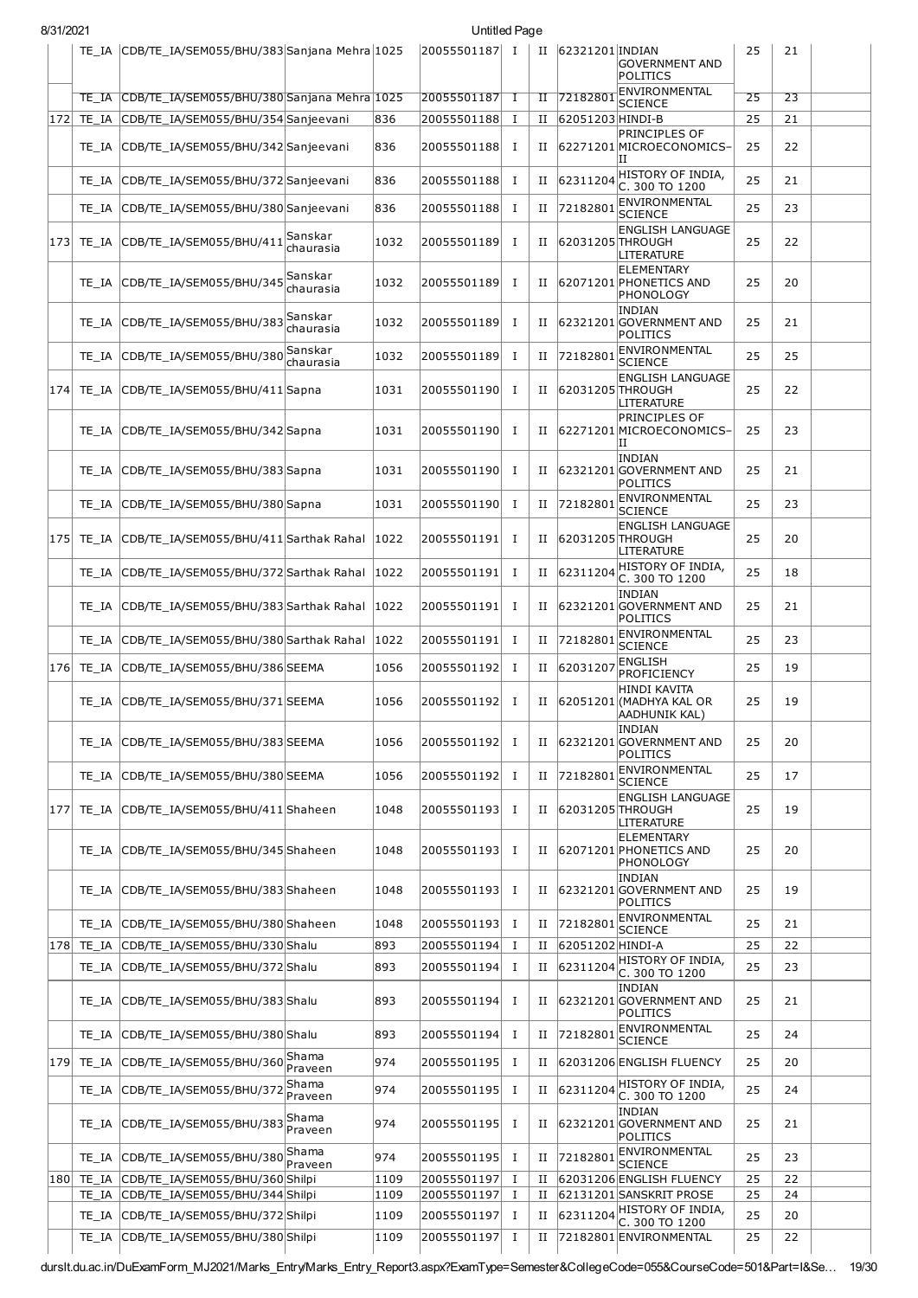| 8/31/2021 |                |                                                                    |                      |              | Untitled Page              |                |                  |                  |                                                           |          |          |  |
|-----------|----------------|--------------------------------------------------------------------|----------------------|--------------|----------------------------|----------------|------------------|------------------|-----------------------------------------------------------|----------|----------|--|
|           |                | TE_IA CDB/TE_IA/SEM055/BHU/383 Sanjana Mehra 1025                  |                      |              | 20055501187 I              |                | П                | 62321201 INDIAN  | <b>GOVERNMENT AND</b><br>POLITICS                         | 25       | 21       |  |
|           | TE IA          | CDB/TE_IA/SEM055/BHU/380 Sanjana Mehra 1025                        |                      |              | 20055501187                | Τ              | п                | 72182801         | ENVIRONMENTAL<br><b>SCIENCE</b>                           | 25       | 23       |  |
| 172       | TE IA          | CDB/TE_IA/SEM055/BHU/354 Sanjeevani                                |                      | 836          | 20055501188                | $\mathbf I$    | П                | 62051203 HINDI-B |                                                           | 25       | 21       |  |
|           | TE IA          | CDB/TE_IA/SEM055/BHU/342 Sanjeevani                                |                      | 836          | 20055501188                | Ι.             | п                |                  | <b>PRINCIPLES OF</b><br>62271201 MICROECONOMICS-<br>ΙI    | 25       | 22       |  |
|           | TE IA          | CDB/TE_IA/SEM055/BHU/372 Sanjeevani                                |                      | 836          | 20055501188                | Ι.             | п                | 62311204         | HISTORY OF INDIA,<br>C. 300 TO 1200                       | 25       | 21       |  |
|           | TE IA          | CDB/TE_IA/SEM055/BHU/380 Sanjeevani                                |                      | 836          | 20055501188                | Ι.             | п                | 72182801         | ENVIRONMENTAL<br>SCIENCE                                  | 25       | 23       |  |
| 173       |                | TE IA CDB/TE IA/SEM055/BHU/411                                     | Sanskar<br>chaurasia | 1032         | 20055501189                | Ι.             | П                | 62031205 THROUGH | <b>ENGLISH LANGUAGE</b><br><b>LITERATURE</b>              | 25       | 22       |  |
|           |                | TE_IA CDB/TE_IA/SEM055/BHU/345                                     | Sanskar<br>chaurasia | 1032         | 20055501189                | Ι.             | п                |                  | ELEMENTARY<br>62071201 PHONETICS AND<br>PHONOLOGY         | 25       | 20       |  |
|           | TE IA          | CDB/TE_IA/SEM055/BHU/383                                           | Sanskar<br>chaurasia | 1032         | 20055501189                | п.             | п                |                  | INDIAN<br>62321201 GOVERNMENT AND<br><b>POLITICS</b>      | 25       | 21       |  |
|           | TE IA          | CDB/TE_IA/SEM055/BHU/380                                           | Sanskar<br>chaurasia | 1032         | 20055501189                | Ι.             | и                | 72182801         | ENVIRONMENTAL<br><b>SCIENCE</b>                           | 25       | 25       |  |
| 174       |                | TE_IA CDB/TE_IA/SEM055/BHU/411 Sapna                               |                      | 1031         | 20055501190                | п.             | П                | 62031205 THROUGH | <b>ENGLISH LANGUAGE</b><br>LITERATURE                     | 25       | 22       |  |
|           | TE IA          | CDB/TE_IA/SEM055/BHU/342 Sapna                                     |                      | 1031         | 20055501190                | Ι.             | и                |                  | <b>PRINCIPLES OF</b><br>62271201MICROECONOMICS-<br>IΙ     | 25       | 23       |  |
|           | TE IA          | CDB/TE_IA/SEM055/BHU/383 Sapna                                     |                      | 1031         | 20055501190                | п.             | П                |                  | INDIAN<br>62321201 GOVERNMENT AND<br>POLITICS             | 25       | 21       |  |
|           | TE IA          | CDB/TE_IA/SEM055/BHU/380 Sapna                                     |                      | 1031         | 20055501190                | Ι.             | п                | 72182801         | ENVIRONMENTAL<br>SCIENCE                                  | 25       | 23       |  |
| 175       | TE IA          | CDB/TE_IA/SEM055/BHU/411 Sarthak Rahal   1022                      |                      |              | 20055501191                | Ι.             | п                |                  | <b>ENGLISH LANGUAGE</b><br>62031205 THROUGH<br>LITERATURE | 25       | 20       |  |
|           | TE IA          | CDB/TE_IA/SEM055/BHU/372 Sarthak Rahal   1022                      |                      |              | 20055501191                | Ι.             | П                | 62311204         | HISTORY OF INDIA,<br>C. 300 TO 1200                       | 25       | 18       |  |
|           | TE IA          | CDB/TE_IA/SEM055/BHU/383 Sarthak Rahal                             |                      | 1022         | 20055501191                | Ι.             | П                |                  | INDIAN<br>62321201 GOVERNMENT AND<br>POLITICS             | 25       | 21       |  |
|           | TE IA          | CDB/TE_IA/SEM055/BHU/380 Sarthak Rahal   1022                      |                      |              | 20055501191                | Ι.             | п                | 72182801         | ENVIRONMENTAL<br><b>SCIENCE</b>                           | 25       | 23       |  |
| 176       | TE IA          | CDB/TE_IA/SEM055/BHU/386 SEEMA                                     |                      | 1056         | 20055501192                | Ι.             | п                | 62031207         | <b>ENGLISH</b><br>PROFICIENCY                             | 25       | 19       |  |
|           |                | TE_IA  CDB/TE_IA/SEM055/BHU/371 SEEMA                              |                      | 1056         | 20055501192                | Ι.             | П                |                  | HINDI KAVITA<br>62051201 (MADHYA KAL OR<br> AADHUNIK KAL) | 25       | 19       |  |
|           | TE IA          | CDB/TE_IA/SEM055/BHU/383 SEEMA                                     |                      | 1056         | 20055501192                | I              | П                |                  | INDIAN<br>62321201 GOVERNMENT AND<br><b>POLITICS</b>      | 25       | 20       |  |
|           | TE_IA          | CDB/TE_IA/SEM055/BHU/380 SEEMA                                     |                      | 1056         | 20055501192                | Ι.             | П                | 72182801         | <b>ENVIRONMENTAL</b><br>SCIENCE                           | 25       | 17       |  |
| 177       | TE IA          | CDB/TE_IA/SEM055/BHU/411 Shaheen                                   |                      | 1048         | 20055501193                | Ι.             | п                | 62031205 THROUGH | <b>ENGLISH LANGUAGE</b><br>LITERATURE                     | 25       | 19       |  |
|           | TE IA          | CDB/TE_IA/SEM055/BHU/345 Shaheen                                   |                      | 1048         | 20055501193                | Ι.             | П                |                  | <b>ELEMENTARY</b><br>62071201 PHONETICS AND<br>PHONOLOGY  | 25       | 20       |  |
|           | TE IA          | CDB/TE IA/SEM055/BHU/383 Shaheen                                   |                      | 1048         | 20055501193                | п.             | п                |                  | INDIAN<br>62321201 GOVERNMENT AND<br><b>POLITICS</b>      | 25       | 19       |  |
|           | TE IA          | CDB/TE_IA/SEM055/BHU/380 Shaheen                                   |                      | 1048         | 20055501193                | Ι.             | П                | 72182801         | ENVIRONMENTAL<br><b>SCIENCE</b>                           | 25       | 21       |  |
| 178       | TE IA          | CDB/TE_IA/SEM055/BHU/330 Shalu                                     |                      | 893          | 20055501194                | Ι.             | п                | 62051202 HINDI-A |                                                           | 25       | 22       |  |
|           | TE IA          | CDB/TE_IA/SEM055/BHU/372Shalu                                      |                      | 893          | 20055501194                | Ι.             | п                | 62311204         | HISTORY OF INDIA,<br>C. 300 TO 1200                       | 25       | 23       |  |
|           | TE IA          | CDB/TE_IA/SEM055/BHU/383Shalu                                      |                      | 893          | 20055501194                | п.             | П                |                  | INDIAN<br>62321201 GOVERNMENT AND<br><b>POLITICS</b>      | 25       | 21       |  |
|           | TE IA          | CDB/TE_IA/SEM055/BHU/380 Shalu                                     |                      | 893          | 20055501194                | Ι.             | П                | 72182801         | ENVIRONMENTAL<br><b>SCIENCE</b>                           | 25       | 24       |  |
| 179       | TE IA          | CDB/TE_IA/SEM055/BHU/360                                           | Shama<br>Praveen     | 974          | 20055501195                | $\bf{I}$       | П                |                  | 62031206 ENGLISH FLUENCY                                  | 25       | 20       |  |
|           | TE IA          | CDB/TE_IA/SEM055/BHU/372                                           | Shama<br>Praveen     | 974          | 20055501195                | $\bf{I}$       | П                | 62311204         | HISTORY OF INDIA,<br>C. 300 TO 1200                       | 25       | 24       |  |
|           | TE IA          | CDB/TE_IA/SEM055/BHU/383                                           | Shama<br>Praveen     | 974          | 20055501195                | Ι.             | п                |                  | INDIAN<br>62321201 GOVERNMENT AND<br>POLITICS             | 25       | 21       |  |
|           | TE IA          | CDB/TE_IA/SEM055/BHU/380 Praveen                                   | Shama                | 974          | 20055501195                | Ι.             | и                | 72182801         | ENVIRONMENTAL<br><b>SCIENCE</b>                           | 25       | 23       |  |
| 180       | TE IA          | CDB/TE_IA/SEM055/BHU/360 Shilpi                                    |                      | 1109         | 20055501197                | Ι.             | и                |                  | 62031206 ENGLISH FLUENCY                                  | 25       | 22       |  |
|           | TE IA<br>TE_IA | CDB/TE_IA/SEM055/BHU/344 Shilpi<br>CDB/TE IA/SEM055/BHU/372 Shilpi |                      | 1109<br>1109 | 20055501197<br>20055501197 | Ι.<br>$\bf{I}$ | П<br>$_{\rm II}$ | 62311204         | 62131201 SANSKRIT PROSE<br>HISTORY OF INDIA,              | 25<br>25 | 24<br>20 |  |
|           | TE_IA          | CDB/TE_IA/SEM055/BHU/380Shilpi                                     |                      | 1109         | 20055501197                | $\mathbf I$    | п                |                  | C. 300 TO 1200<br>72182801 ENVIRONMENTAL                  | 25       | 22       |  |

durslt.du.ac.in/DuExamForm\_MJ2021/Marks\_Entry/Marks\_Entry\_Report3.aspx?ExamType=Semester&CollegeCode=055&CourseCode=501&Part=I&Se… 19/30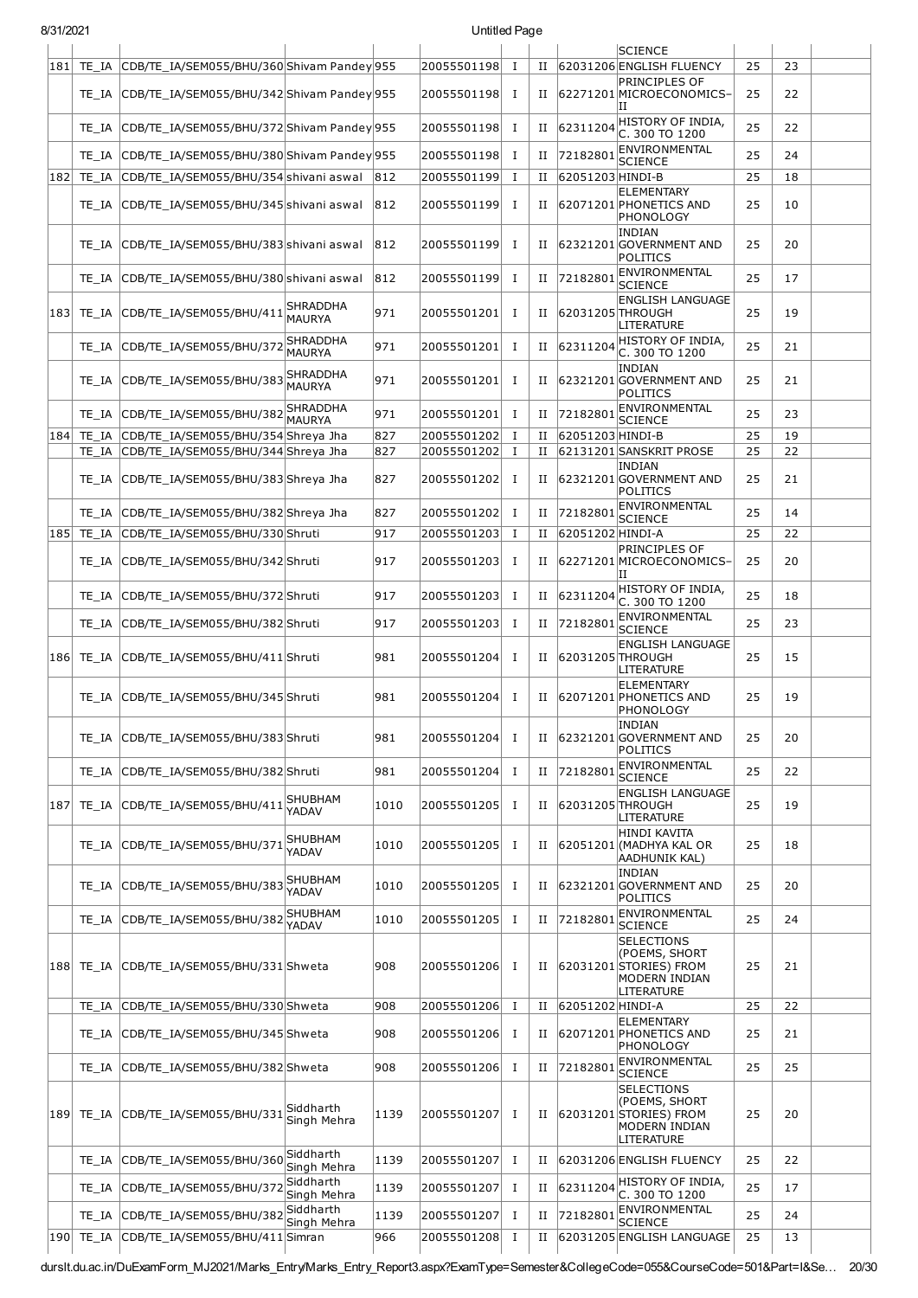| 8/31/2021 |       |                                                                                                      |                                  |      | Untitled Page              |              |        |                  |                                                                                      |          |          |  |
|-----------|-------|------------------------------------------------------------------------------------------------------|----------------------------------|------|----------------------------|--------------|--------|------------------|--------------------------------------------------------------------------------------|----------|----------|--|
|           |       |                                                                                                      |                                  |      |                            |              |        |                  | <b>SCIENCE</b>                                                                       |          |          |  |
| 181       |       | TE IA CDB/TE IA/SEM055/BHU/360 Shivam Pandey 955<br>TE_IA CDB/TE_IA/SEM055/BHU/342 Shivam Pandey 955 |                                  |      | 20055501198<br>20055501198 | Т.<br>I      | П<br>П |                  | 62031206 ENGLISH FLUENCY<br>PRINCIPLES OF<br>62271201 MICROECONOMICS-                | 25<br>25 | 23<br>22 |  |
|           |       | TE_IA CDB/TE_IA/SEM055/BHU/372 Shivam Pandey 955                                                     |                                  |      | 20055501198                | I            | П      | 62311204         | IΙ<br>HISTORY OF INDIA,                                                              | 25       | 22       |  |
|           |       | TE_IA CDB/TE_IA/SEM055/BHU/380 Shivam Pandey 955                                                     |                                  |      | 20055501198                | I            | П      | 72182801         | C. 300 TO 1200<br>ENVIRONMENTAL<br><b>SCIENCE</b>                                    | 25       | 24       |  |
| 182       |       | TE_IA CDB/TE_IA/SEM055/BHU/354 shivani aswal                                                         |                                  | 812  | 20055501199                | Ι.           | П      | 62051203 HINDI-B |                                                                                      | 25       | 18       |  |
|           |       | TE_IA CDB/TE_IA/SEM055/BHU/345 shivani aswal                                                         |                                  | 812  | 20055501199                | I            | П      |                  | <b>ELEMENTARY</b><br>62071201 PHONETICS AND<br>PHONOLOGY                             | 25       | 10       |  |
|           |       | TE IA CDB/TE IA/SEM055/BHU/383 shivani aswal                                                         |                                  | 812  | 20055501199                | <b>I</b>     | П      |                  | <b>INDIAN</b><br>62321201 GOVERNMENT AND<br>POLITICS                                 | 25       | 20       |  |
|           |       | TE_IA CDB/TE_IA/SEM055/BHU/380 shivani aswal                                                         |                                  | 812  | 20055501199                | $\mathbf I$  | П      | 72182801         | ENVIRONMENTAL<br><b>SCIENCE</b>                                                      | 25       | 17       |  |
|           |       | 183 TE_IA CDB/TE_IA/SEM055/BHU/411                                                                   | SHRADDHA<br><b>MAURYA</b>        | 971  | 20055501201                | I            | П      | 62031205 THROUGH | <b>ENGLISH LANGUAGE</b><br>LITERATURE                                                | 25       | 19       |  |
|           |       | TE IA CDB/TE IA/SEM055/BHU/372                                                                       | <b>SHRADDHA</b><br><b>MAURYA</b> | 971  | 20055501201                | T            | П      | 62311204         | HISTORY OF INDIA,<br>C. 300 TO 1200                                                  | 25       | 21       |  |
|           |       | TE_IA CDB/TE_IA/SEM055/BHU/383SHRADDHA                                                               |                                  | 971  | 20055501201                | $\bf{I}$     | П      |                  | <b>INDIAN</b><br>62321201 GOVERNMENT AND<br><b>POLITICS</b>                          | 25       | 21       |  |
|           |       | TE_IA CDB/TE_IA/SEM055/BHU/382 SHRADDHA                                                              |                                  | 971  | 20055501201                | I            | П      | 72182801         | ENVIRONMENTAL<br><b>SCIENCE</b>                                                      | 25       | 23       |  |
| 184       |       | TE_IA CDB/TE_IA/SEM055/BHU/354 Shreya Jha                                                            |                                  | 827  | 20055501202                | $\mathbf I$  | П      | 62051203 HINDI-B |                                                                                      | 25       | 19       |  |
|           |       | TE_IA CDB/TE_IA/SEM055/BHU/344 Shreya Jha                                                            |                                  | 827  | 20055501202                | $\mathbf{I}$ | П      |                  | 62131201 SANSKRIT PROSE                                                              | 25       | 22       |  |
|           |       | TE_IA CDB/TE_IA/SEM055/BHU/383 Shreya Jha                                                            |                                  | 827  | 20055501202                | I            | П      |                  | <b>INDIAN</b><br>62321201 GOVERNMENT AND<br>POLITICS                                 | 25       | 21       |  |
|           |       | TE_IA CDB/TE_IA/SEM055/BHU/382 Shreya Jha                                                            |                                  | 827  | 20055501202                | I            | П      | 7218280:         | ENVIRONMENTAL<br><b>SCIENCE</b>                                                      | 25       | 14       |  |
| 185       |       | TE_IA CDB/TE_IA/SEM055/BHU/330 Shruti                                                                |                                  | 917  | 20055501203                | Ι            | П      | 62051202 HINDI-A |                                                                                      | 25       | 22       |  |
|           |       | TE_IA CDB/TE_IA/SEM055/BHU/342 Shruti                                                                |                                  | 917  | 20055501203                | Ι            | П      |                  | PRINCIPLES OF<br>62271201 MICROECONOMICS-<br>ΙI                                      | 25       | 20       |  |
|           |       | TE_IA CDB/TE_IA/SEM055/BHU/372Shruti                                                                 |                                  | 917  | 20055501203                | I            | П      | 62311204         | HISTORY OF INDIA,<br>C. 300 TO 1200                                                  | 25       | 18       |  |
|           |       | TE_IA CDB/TE_IA/SEM055/BHU/382Shruti                                                                 |                                  | 917  | 20055501203                | I            | П      | 7218280          | ENVIRONMENTAL<br><b>SCIENCE</b>                                                      | 25       | 23       |  |
|           |       | 186 TE_IA CDB/TE_IA/SEM055/BHU/411 Shruti                                                            |                                  | 981  | 20055501204                | <b>I</b>     | П      |                  | <b>ENGLISH LANGUAGE</b><br>62031205 THROUGH<br>LITERATURE                            | 25       | 15       |  |
|           |       | TE_IA CDB/TE_IA/SEM055/BHU/345 Shruti                                                                |                                  | 981  | 20055501204                | I            | П      |                  | <b>ELEMENTARY</b><br>62071201 PHONETICS AND<br>PHONOLOGY                             | 25       | 19       |  |
|           |       | TE_IA CDB/TE_IA/SEM055/BHU/383 Shruti                                                                |                                  | 981  | 20055501204                | I            | П      |                  | <b>INDIAN</b><br>62321201 GOVERNMENT AND<br>POLITICS                                 | 25       | 20       |  |
|           | TE IA | CDB/TE_IA/SEM055/BHU/382 Shruti                                                                      |                                  | 981  | 20055501204                | $\mathbf{I}$ | П      | 7218280          | ENVIRONMENTAL<br><b>SCIENCE</b>                                                      | 25       | 22       |  |
|           |       | 187 TE_IA CDB/TE_IA/SEM055/BHU/411                                                                   | SHUBHAM<br>YADAV                 | 1010 | 20055501205                | $\bf{I}$     | П      |                  | <b>ENGLISH LANGUAGE</b><br>62031205 THROUGH<br>LITERATURE                            | 25       | 19       |  |
|           |       | TE_IA CDB/TE_IA/SEM055/BHU/371                                                                       | SHUBHAM<br>YADAV                 | 1010 | 20055501205                | I            | П      |                  | <b>HINDI KAVITA</b><br>62051201 (MADHYA KAL OR<br>AADHUNIK KAL)                      | 25       | 18       |  |
|           |       | TE IA CDB/TE IA/SEM055/BHU/383                                                                       | SHUBHAM<br>YADAV                 | 1010 | 20055501205                | I            | П      |                  | <b>INDIAN</b><br>62321201 GOVERNMENT AND<br>POLITICS                                 | 25       | 20       |  |
|           |       | TE_IA CDB/TE_IA/SEM055/BHU/382                                                                       | SHUBHAM<br>YADAV                 | 1010 | 20055501205                | Ι.           | П      | 7218280          | ENVIRONMENTAL<br><b>SCIENCE</b>                                                      | 25       | 24       |  |
|           |       | 188 TE_IA CDB/TE_IA/SEM055/BHU/331 Shweta                                                            |                                  | 908  | 20055501206                | I            | П      |                  | SELECTIONS<br>(POEMS, SHORT<br>62031201 STORIES) FROM<br>MODERN INDIAN<br>LITERATURE | 25       | 21       |  |
|           |       | TE_IA CDB/TE_IA/SEM055/BHU/330 Shweta                                                                |                                  | 908  | 20055501206                | Ι.           | П      | 62051202 HINDI-A |                                                                                      | 25       | 22       |  |
|           |       | TE_IA CDB/TE_IA/SEM055/BHU/345 Shweta                                                                |                                  | 908  | 20055501206                | <b>I</b>     | П      |                  | ELEMENTARY<br>62071201 PHONETICS AND<br>PHONOLOGY                                    | 25       | 21       |  |
|           |       | TE_IA CDB/TE_IA/SEM055/BHU/382Shweta                                                                 |                                  | 908  | 20055501206                | Ι.           | П      | 7218280          | ENVIRONMENTAL<br><b>SCIENCE</b>                                                      | 25       | 25       |  |
| 189       |       | TE_IA CDB/TE_IA/SEM055/BHU/331                                                                       | Siddharth<br>Singh Mehra         | 1139 | 20055501207                | <b>I</b>     | П      |                  | SELECTIONS<br>(POEMS, SHORT<br>62031201 STORIES) FROM<br>MODERN INDIAN<br>LITERATURE | 25       | 20       |  |
|           |       | TE_IA CDB/TE_IA/SEM055/BHU/360                                                                       | Siddharth<br>Singh Mehra         | 1139 | 20055501207                | $\bf{I}$     | П      |                  | 62031206 ENGLISH FLUENCY                                                             | 25       | 22       |  |
|           |       | TE_IA CDB/TE_IA/SEM055/BHU/37                                                                        | Siddharth<br>Singh Mehra         | 1139 | 20055501207                | $\bf{I}$     | П      | 62311204         | HISTORY OF INDIA,<br>C. 300 TO 1200                                                  | 25       | 17       |  |
|           |       | TE_IA CDB/TE_IA/SEM055/BHU/382                                                                       | Siddharth<br>Singh Mehra         | 1139 | 20055501207                | $\mathbf{I}$ | П      | 72182801         | ENVIRONMENTAL<br><b>SCIENCE</b>                                                      | 25       | 24       |  |
| 190       | TE_IA | CDB/TE_IA/SEM055/BHU/411 Simran                                                                      |                                  | 966  | 20055501208                | 1            | П      |                  | 62031205 ENGLISH LANGUAGE                                                            | 25       | 13       |  |

durslt.du.ac.in/DuExamForm\_MJ2021/Marks\_Entry/Marks\_Entry\_Report3.aspx?ExamType=Semester&CollegeCode=055&CourseCode=501&Part=I&Se… 20/30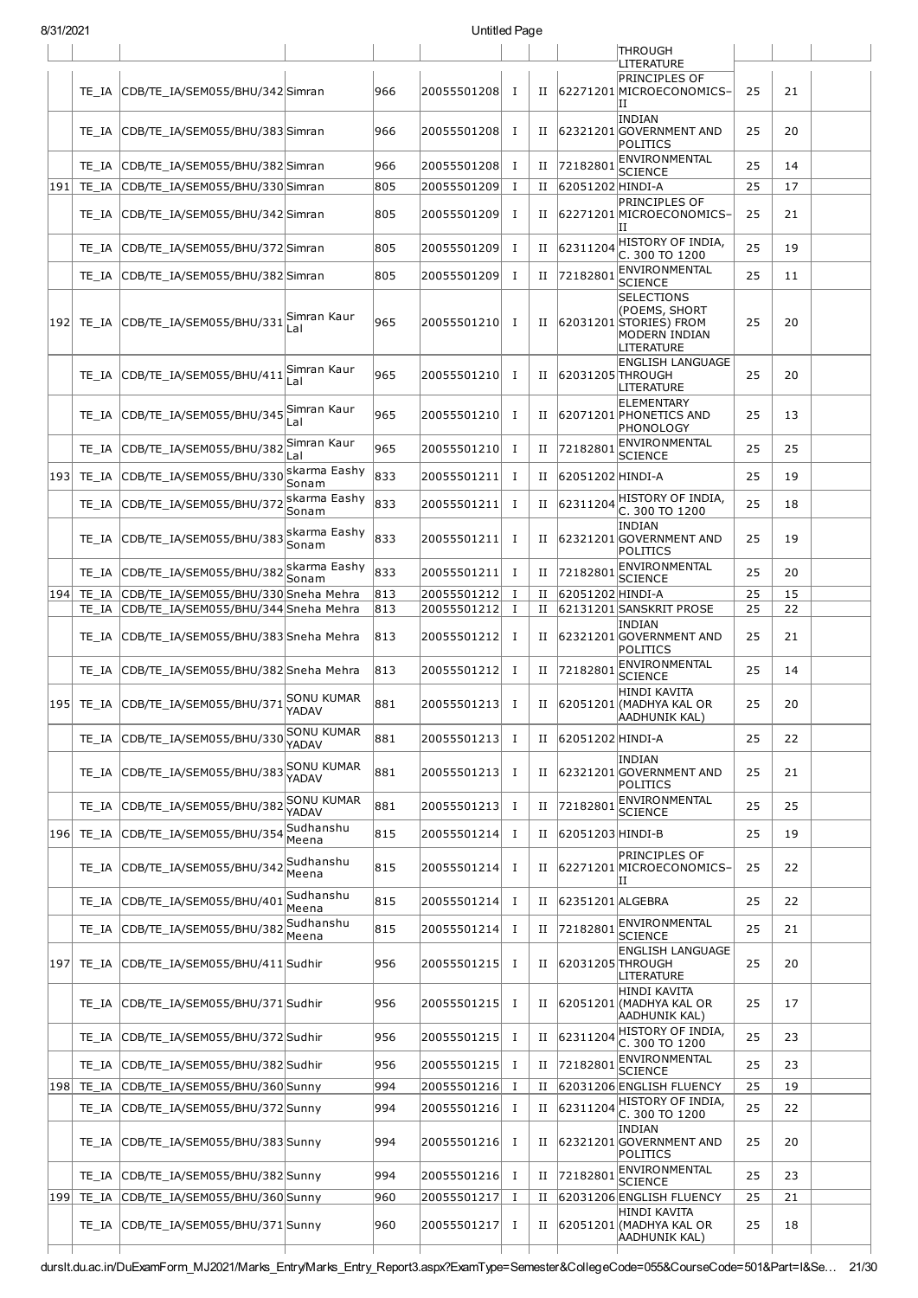| 8/31/2021 |       |                                                |                            |     | Untitled Page |          |             |                  |                                                                                             |    |    |  |
|-----------|-------|------------------------------------------------|----------------------------|-----|---------------|----------|-------------|------------------|---------------------------------------------------------------------------------------------|----|----|--|
|           |       |                                                |                            |     |               |          |             |                  | <b>THROUGH</b><br>LITERATURE                                                                |    |    |  |
|           | TE IA | CDB/TE_IA/SEM055/BHU/342 Simran                |                            | 966 | 20055501208   | <b>I</b> | П           |                  | <b>PRINCIPLES OF</b><br>62271201 MICROECONOMICS-<br>IΙ                                      | 25 | 21 |  |
|           |       | TE_IA  CDB/TE_IA/SEM055/BHU/383 Simran         |                            | 966 | 20055501208   | Ι        | П           |                  | <b>INDIAN</b><br>62321201 GOVERNMENT AND<br>POLITICS                                        | 25 | 20 |  |
|           |       | TE_IA  CDB/TE_IA/SEM055/BHU/382 Simran         |                            | 966 | 20055501208   | Ι.       | П           | 72182801         | ENVIRONMENTAL<br><b>SCIENCE</b>                                                             | 25 | 14 |  |
| 191       |       | TE_IA CDB/TE_IA/SEM055/BHU/330 Simran          |                            | 805 | 20055501209   | Ι.       | $_{\rm II}$ | 62051202 HINDI-A |                                                                                             | 25 | 17 |  |
|           |       | TE_IA  CDB/TE_IA/SEM055/BHU/342 Simran         |                            | 805 | 20055501209   | $\bf{I}$ | П           |                  | PRINCIPLES OF<br>62271201 MICROECONOMICS-<br>ΙI                                             | 25 | 21 |  |
|           | TE IA | CDB/TE IA/SEM055/BHU/372 Simran                |                            | 805 | 20055501209   | <b>I</b> | П           | 62311204         | HISTORY OF INDIA.<br>C. 300 TO 1200                                                         | 25 | 19 |  |
|           | TE IA | CDB/TE_IA/SEM055/BHU/382 Simran                |                            | 805 | 20055501209   | Ι        | П           | 72182801         | ENVIRONMENTAL<br><b>SCIENCE</b>                                                             | 25 | 11 |  |
|           |       | 192 TE_IA CDB/TE_IA/SEM055/BHU/331 Simran Kaur | Lal                        | 965 | 20055501210   | Ι.       | П           |                  | <b>SELECTIONS</b><br>(POEMS, SHORT<br>62031201 STORIES) FROM<br>MODERN INDIAN<br>LITERATURE | 25 | 20 |  |
|           |       | TE IA CDB/TE IA/SEM055/BHU/411                 | Simran Kaur<br>Lal         | 965 | 20055501210   | Ι        | П           | 62031205 THROUGH | <b>ENGLISH LANGUAGE</b><br>LITERATURE                                                       | 25 | 20 |  |
|           |       | TE_IA CDB/TE_IA/SEM055/BHU/345                 | Simran Kaur<br>Lal         | 965 | 20055501210   | Ι.       | Н           |                  | ELEMENTARY<br>62071201 PHONETICS AND<br>PHONOLOGY                                           | 25 | 13 |  |
|           |       | TE IA CDB/TE IA/SEM055/BHU/382                 | Simran Kaur<br>Lal         | 965 | 20055501210   | $\bf{I}$ | П           | 72182801         | ENVIRONMENTAL<br><b>SCIENCE</b>                                                             | 25 | 25 |  |
|           |       | 193  TE_IA  CDB/TE_IA/SEM055/BHU/330           | skarma Eashy<br>Sonam      | 833 | 20055501211   | Ι.       | н           | 62051202 HINDI-A |                                                                                             | 25 | 19 |  |
|           | TE IA | CDB/TE_IA/SEM055/BHU/372                       | skarma Eashy<br>Sonam      | 833 | 20055501211   | Ι.       | П           | 62311204         | HISTORY OF INDIA,<br>C. 300 TO 1200                                                         | 25 | 18 |  |
|           |       | TE_IA CDB/TE_IA/SEM055/BHU/383                 | skarma Eashy<br>Sonam      | 833 | 20055501211   | <b>I</b> | $_{\rm II}$ |                  | <b>INDIAN</b><br>62321201 GOVERNMENT AND<br>POLITICS                                        | 25 | 19 |  |
|           |       | TE_IA CDB/TE_IA/SEM055/BHU/382                 | skarma Eashy<br>Sonam      | 833 | 20055501211   | Ι.       | П           | 72182801         | ENVIRONMENTAL<br><b>SCIENCE</b>                                                             | 25 | 20 |  |
| 194       |       | TE_IA CDB/TE_IA/SEM055/BHU/330 Sneha Mehra     |                            | 813 | 20055501212   | Ι.       | П           | 62051202 HINDI-A |                                                                                             | 25 | 15 |  |
|           |       | TE_IA  CDB/TE_IA/SEM055/BHU/344 Sneha Mehra    |                            | 813 | 20055501212   | Ι.       | П           |                  | 62131201 SANSKRIT PROSE                                                                     | 25 | 22 |  |
|           | TE IA | CDB/TE IA/SEM055/BHU/383 Sneha Mehra           |                            | 813 | 20055501212   | <b>I</b> | Н           |                  | <b>INDIAN</b><br>62321201 GOVERNMENT AND<br>POLITICS                                        | 25 | 21 |  |
|           | TE IA | CDB/TE_IA/SEM055/BHU/382 Sneha Mehra           |                            | 813 | 20055501212   | Ι.       | П           | 72182801         | ENVIRONMENTAL<br><b>SCIENCE</b>                                                             | 25 | 14 |  |
|           |       | 195 TE_IA CDB/TE_IA/SEM055/BHU/371 SONU KUMAR  | YADAV                      | 881 | 20055501213   | Ι        | $_{\rm II}$ |                  | HINDI KAVITA<br>62051201 (MADHYA KAL OR<br>AADHUNIK KAL)                                    | 25 | 20 |  |
|           |       | TE_IA CDB/TE_IA/SEM055/BHU/330                 | <b>SONU KUMAR</b><br>YADAV | 881 | 20055501213   | Ι        | П           | 62051202 HINDI-A |                                                                                             | 25 | 22 |  |
|           |       | TE IA CDB/TE IA/SEM055/BHU/383                 | SONU KUMAR<br>YADAV        | 881 | 20055501213   | Ι        | П           |                  | <b>INDIAN</b><br>62321201 GOVERNMENT AND<br>POLITICS                                        | 25 | 21 |  |
|           |       | TE_IA CDB/TE_IA/SEM055/BHU/382                 | SONU KUMAR<br>YADAV        | 881 | 20055501213   | I        | $_{\rm II}$ | 72182801         | ENVIRONMENTAL<br><b>SCIENCE</b>                                                             | 25 | 25 |  |
| 196       |       | TE IA CDB/TE IA/SEM055/BHU/354                 | Sudhanshu<br>Meena         | 815 | 20055501214   | Ι        | П           | 62051203 HINDI-B |                                                                                             | 25 | 19 |  |
|           |       | TE IA CDB/TE IA/SEM055/BHU/342                 | Sudhanshu<br>Meena         | 815 | 20055501214   | Ι        | П           |                  | PRINCIPLES OF<br>62271201 MICROECONOMICS-<br>н                                              | 25 | 22 |  |
|           |       | TE_IA CDB/TE_IA/SEM055/BHU/401                 | Sudhanshu<br>Meena         | 815 | 20055501214   | Ι        | П           | 62351201 ALGEBRA |                                                                                             | 25 | 22 |  |
|           |       | TE_IA CDB/TE_IA/SEM055/BHU/382                 | Sudhanshu<br>Meena         | 815 | 20055501214   | Ι        | П           | 72182801         | ENVIRONMENTAL<br><b>SCIENCE</b>                                                             | 25 | 21 |  |
| 197       |       | TE_IA CDB/TE_IA/SEM055/BHU/411 Sudhir          |                            | 956 | 20055501215   | I        | Н           | 62031205 THROUGH | <b>ENGLISH LANGUAGE</b><br>LITERATURE                                                       | 25 | 20 |  |
|           |       | TE_IA CDB/TE_IA/SEM055/BHU/371 Sudhir          |                            | 956 | 20055501215   | $\bf{I}$ | П           |                  | <b>HINDI KAVITA</b><br>62051201 (MADHYA KAL OR<br>AADHUNIK KAL)                             | 25 | 17 |  |
|           |       | TE_IA CDB/TE_IA/SEM055/BHU/372 Sudhir          |                            | 956 | 20055501215   | I        | $_{\rm II}$ | 62311204         | HISTORY OF INDIA,<br>C. 300 TO 1200                                                         | 25 | 23 |  |
|           |       | TE_IA CDB/TE_IA/SEM055/BHU/382 Sudhir          |                            | 956 | 20055501215   | <b>I</b> | $_{\rm II}$ | 72182801         | ENVIRONMENTAL<br><b>SCIENCE</b>                                                             | 25 | 23 |  |
|           |       | 198 TE_IA CDB/TE_IA/SEM055/BHU/360 Sunny       |                            | 994 | 20055501216   | I        | $_{\rm II}$ |                  | 62031206 ENGLISH FLUENCY                                                                    | 25 | 19 |  |
|           |       | TE_IA CDB/TE_IA/SEM055/BHU/372 Sunny           |                            | 994 | 20055501216   | $\bf{I}$ | П           | 62311204         | HISTORY OF INDIA,<br>C. 300 TO 1200                                                         | 25 | 22 |  |
|           |       | TE_IA CDB/TE_IA/SEM055/BHU/383 Sunny           |                            | 994 | 20055501216   | $\bf{I}$ | н           |                  | <b>INDIAN</b><br>62321201 GOVERNMENT AND<br>POLITICS                                        | 25 | 20 |  |
|           |       | TE_IA CDB/TE_IA/SEM055/BHU/382 Sunny           |                            | 994 | 20055501216   | I        | $_{\rm II}$ | 72182801         | ENVIRONMENTAL<br><b>SCIENCE</b>                                                             | 25 | 23 |  |
|           |       | 199 TE_IA CDB/TE_IA/SEM055/BHU/360 Sunny       |                            | 960 | 20055501217   | $\bf{I}$ | П           |                  | 62031206 ENGLISH FLUENCY                                                                    | 25 | 21 |  |
|           |       | TE_IA CDB/TE_IA/SEM055/BHU/371 Sunny           |                            | 960 | 20055501217   | $\bf{I}$ | П           |                  | HINDI KAVITA<br>62051201 (MADHYA KAL OR<br>AADHUNIK KAL)                                    | 25 | 18 |  |

durslt.du.ac.in/DuExamForm\_MJ2021/Marks\_Entry/Marks\_Entry\_Report3.aspx?ExamType=Semester&CollegeCode=055&CourseCode=501&Part=I&Se… 21/30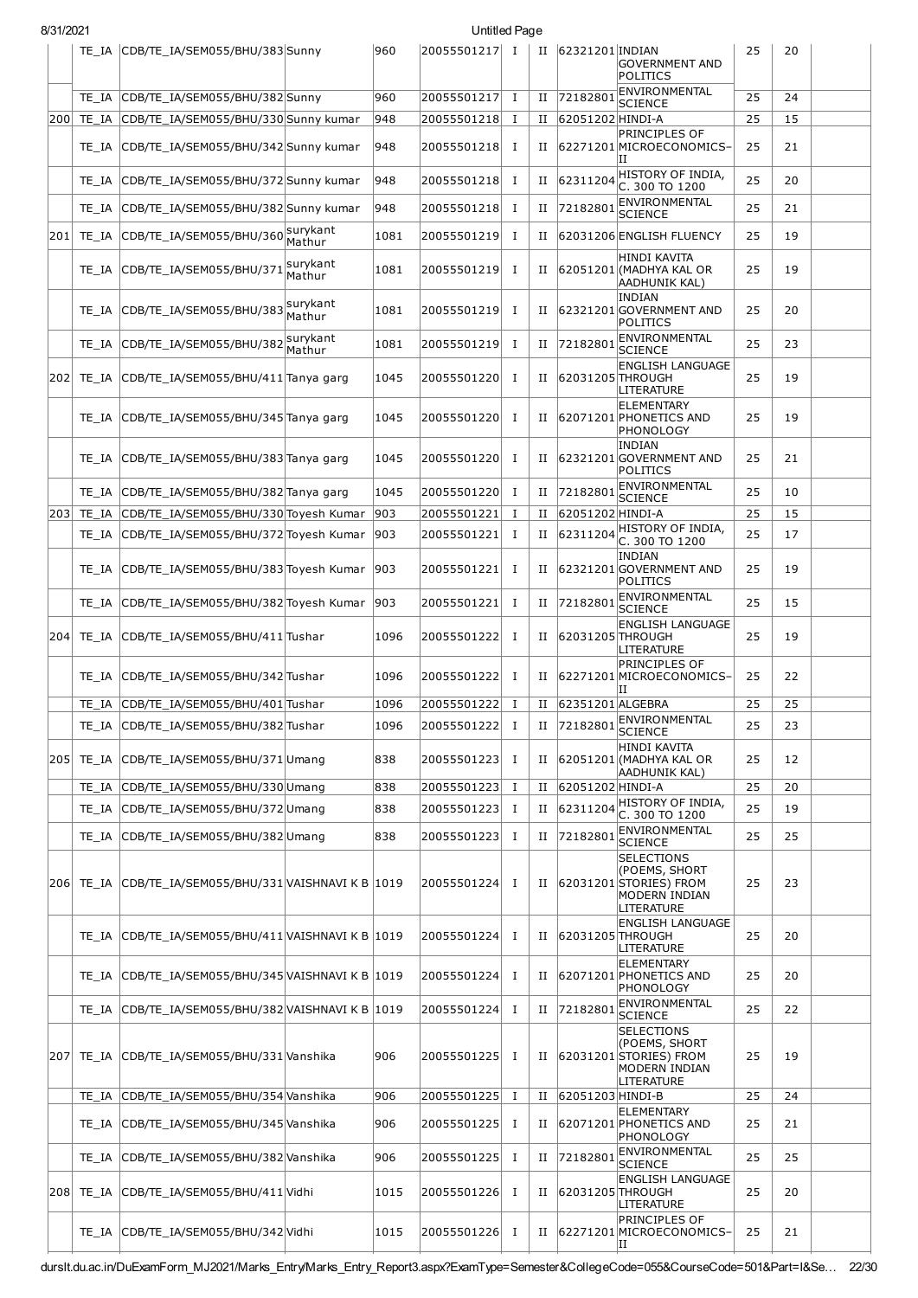| 8/31/2021 |                                                       |        |      | Untitled Page |              |             |                  |                                                                                             |    |    |  |
|-----------|-------------------------------------------------------|--------|------|---------------|--------------|-------------|------------------|---------------------------------------------------------------------------------------------|----|----|--|
|           | TE_IA CDB/TE_IA/SEM055/BHU/383 Sunny                  |        | 960  | 20055501217 I |              | П           | 62321201 INDIAN  | <b>GOVERNMENT AND</b><br>POLITICS                                                           | 25 | 20 |  |
|           | TE_IA CDB/TE_IA/SEM055/BHU/382 Sunny                  |        | 960  | 20055501217   | $\bf{I}$     | П           | 72182801         | ENVIRONMENTAL                                                                               | 25 | 24 |  |
| 200       | TE_IA CDB/TE_IA/SEM055/BHU/330 Sunny kumar            |        | 948  | 20055501218   | Ι.           | П           | 62051202 HINDI-A | <b>SCIENCE</b>                                                                              | 25 | 15 |  |
|           | TE_IA CDB/TE_IA/SEM055/BHU/342 Sunny kumar            |        | 948  | 20055501218 I |              | П           |                  | PRINCIPLES OF<br>62271201 MICROECONOMICS-<br>ΙI                                             | 25 | 21 |  |
|           | TE_IA CDB/TE_IA/SEM055/BHU/372 Sunny kumar            |        | 948  | 20055501218   | T            | П           | 62311204         | HISTORY OF INDIA,<br>C. 300 TO 1200                                                         | 25 | 20 |  |
|           | TE_IA CDB/TE_IA/SEM055/BHU/382 Sunny kumar            |        | 948  | 20055501218   | Ι.           | П           | 7218280          | ENVIRONMENTAL<br><b>SCIENCE</b>                                                             | 25 | 21 |  |
| 201       | TE_IA CDB/TE_IA/SEM055/BHU/360 Mathur                 |        | 1081 | 20055501219   | Ι.           | П           |                  | 62031206 ENGLISH FLUENCY                                                                    | 25 | 19 |  |
|           | TE_IA CDB/TE_IA/SEM055/BHU/371\Surykant               |        | 1081 | 20055501219   | Ι.           | $_{\rm II}$ |                  | HINDI KAVITA<br>62051201 (MADHYA KAL OR<br> AADHUNIK KAL)                                   | 25 | 19 |  |
|           | TE_IA CDB/TE_IA/SEM055/BHU/383 surykant               | Mathur | 1081 | 20055501219   | Ι.           | П           |                  | <b>INDIAN</b><br>62321201 GOVERNMENT AND<br>POLITICS                                        | 25 | 20 |  |
|           | TE_IA CDB/TE_IA/SEM055/BHU/382 surykant               | Mathur | 1081 | 20055501219   | Ι.           | $_{\rm II}$ | 72182801         | ENVIRONMENTAL<br><b>SCIENCE</b>                                                             | 25 | 23 |  |
|           | 202 TE_IA CDB/TE_IA/SEM055/BHU/411 Tanya garg         |        | 1045 | 20055501220   | Ι.           | П           | 62031205 THROUGH | <b>ENGLISH LANGUAGE</b><br>LITERATURE                                                       | 25 | 19 |  |
|           | TE IA CDB/TE IA/SEM055/BHU/345 Tanya garg             |        | 1045 | 20055501220   | I            | П           |                  | <b>ELEMENTARY</b><br>62071201 PHONETICS AND<br>PHONOLOGY                                    | 25 | 19 |  |
|           | TE IA CDB/TE IA/SEM055/BHU/383 Tanya garg             |        | 1045 | 20055501220   | <b>I</b>     | П           |                  | <b>INDIAN</b><br>62321201 GOVERNMENT AND<br>POLITICS                                        | 25 | 21 |  |
|           | TE_IA CDB/TE_IA/SEM055/BHU/382 Tanya garg             |        | 1045 | 20055501220   | Ι.           | $_{\rm II}$ | 72182801         | ENVIRONMENTAL<br><b>SCIENCE</b>                                                             | 25 | 10 |  |
|           | 203 TE_IA CDB/TE_IA/SEM055/BHU/330 Toyesh Kumar       |        | 903  | 20055501221   | $\mathbf{I}$ | П           | 62051202 HINDI-A |                                                                                             | 25 | 15 |  |
|           | TE_IA CDB/TE_IA/SEM055/BHU/372 Toyesh Kumar           |        | 903  | 20055501221   | I            | П           |                  | $ 62311204 $ HISTORY OF INDIA,                                                              | 25 | 17 |  |
|           | TE_IA CDB/TE_IA/SEM055/BHU/383 Toyesh Kumar           |        | 903  | 20055501221   | Ι.           | П           |                  | C. 300 TO 1200<br><b>INDIAN</b><br>62321201 GOVERNMENT AND                                  | 25 | 19 |  |
|           | TE_IA CDB/TE_IA/SEM055/BHU/382 Toyesh Kumar           |        | 903  | 20055501221   | 1            | $_{\rm II}$ | 72182801         | POLITICS<br>ENVIRONMENTAL                                                                   | 25 | 15 |  |
| 204       | TE_IA CDB/TE_IA/SEM055/BHU/411 Tushar                 |        | 1096 | 20055501222   | Ι.           | П           | 62031205 THROUGH | <b>SCIENCE</b><br><b>ENGLISH LANGUAGE</b>                                                   | 25 | 19 |  |
|           | TE_IA CDB/TE_IA/SEM055/BHU/342 Tushar                 |        | 1096 | 20055501222   | <b>I</b>     | П           |                  | LITERATURE<br><b>PRINCIPLES OF</b><br>62271201MICROECONOMICS-                               | 25 | 22 |  |
|           |                                                       |        |      |               |              |             | 62351201 ALGEBRA | ΙI                                                                                          |    |    |  |
|           | TE_IA CDB/TE_IA/SEM055/BHU/401 Tushar                 |        | 1096 | 20055501222   | Ι.           | $_{\rm II}$ |                  | 72182801 ENVIRONMENTAL                                                                      | 25 | 25 |  |
|           | TE_IA CDB/TE_IA/SEM055/BHU/382 Tushar                 |        | 1096 | 20055501222 I |              | П           |                  | <b>SCIENCE</b>                                                                              | 25 | 23 |  |
|           | 205 TE_IA CDB/TE_IA/SEM055/BHU/371Umang               |        | 838  | 20055501223 I |              | П           |                  | <b>HINDI KAVITA</b><br>62051201 (MADHYA KAL OR<br>AADHUNIK KAL)                             | 25 | 12 |  |
|           | TE_IA CDB/TE_IA/SEM055/BHU/330Umang                   |        | 838  | 20055501223 I |              | П           | 62051202 HINDI-A |                                                                                             | 25 | 20 |  |
|           | TE_IA CDB/TE_IA/SEM055/BHU/372Umang                   |        | 838  | 20055501223 I |              | П           |                  | $ 62311204 $ HISTORY OF INDIA,<br>C. 300 TO 1200                                            | 25 | 19 |  |
|           | TE_IA CDB/TE_IA/SEM055/BHU/382Umang                   |        | 838  | 20055501223   | I            | П           | 7218280          | <b>ENVIRONMENTAL</b><br><b>SCIENCE</b>                                                      | 25 | 25 |  |
|           | 206 TE_IA CDB/TE_IA/SEM055/BHU/331 VAISHNAVI K B 1019 |        |      | 20055501224 I |              | П           |                  | <b>SELECTIONS</b><br>(POEMS, SHORT<br>62031201 STORIES) FROM<br>MODERN INDIAN<br>LITERATURE | 25 | 23 |  |
|           | TE_IA CDB/TE_IA/SEM055/BHU/411 VAISHNAVI K B 1019     |        |      | 20055501224   | <b>I</b>     | П           |                  | <b>ENGLISH LANGUAGE</b><br>62031205 THROUGH<br>LITERATURE                                   | 25 | 20 |  |
|           | TE_IA CDB/TE_IA/SEM055/BHU/345 VAISHNAVI K B 1019     |        |      | 20055501224 I |              | П           |                  | <b>ELEMENTARY</b><br>62071201 PHONETICS AND<br>PHONOLOGY                                    | 25 | 20 |  |
|           | TE_IA CDB/TE_IA/SEM055/BHU/382 VAISHNAVI K B 1019     |        |      | 20055501224   | $\bf{I}$     | $_{\rm II}$ | 72182801         | ENVIRONMENTAL<br><b>SCIENCE</b>                                                             | 25 | 22 |  |
| 207       | TE_IA CDB/TE_IA/SEM055/BHU/331 Vanshika               |        | 906  | 20055501225 I |              | П           |                  | <b>SELECTIONS</b><br>(POEMS, SHORT<br>62031201 STORIES) FROM<br>MODERN INDIAN<br>LITERATURE | 25 | 19 |  |
|           | TE_IA CDB/TE_IA/SEM055/BHU/354 Vanshika               |        | 906  | 20055501225 I |              | П           | 62051203 HINDI-B |                                                                                             | 25 | 24 |  |
|           | TE_IA CDB/TE_IA/SEM055/BHU/345 Vanshika               |        | 906  | 20055501225 I |              | П           |                  | <b>ELEMENTARY</b><br>62071201 PHONETICS AND<br>PHONOLOGY                                    | 25 | 21 |  |
|           | TE_IA CDB/TE_IA/SEM055/BHU/382 Vanshika               |        | 906  | 20055501225   | $\mathbf{I}$ | П           | 72182801         | ENVIRONMENTAL<br><b>SCIENCE</b>                                                             | 25 | 25 |  |
|           | 208 TE_IA CDB/TE_IA/SEM055/BHU/411 Vidhi              |        | 1015 | 20055501226 I |              | П           | 62031205 THROUGH | <b>ENGLISH LANGUAGE</b><br>LITERATURE                                                       | 25 | 20 |  |
|           | TE_IA CDB/TE_IA/SEM055/BHU/342 Vidhi                  |        | 1015 | 20055501226   | Ι.           | П           |                  | <b>PRINCIPLES OF</b><br>62271201 MICROECONOMICS-<br>ΙI                                      | 25 | 21 |  |

durslt.du.ac.in/DuExamForm\_MJ2021/Marks\_Entry/Marks\_Entry\_Report3.aspx?ExamType=Semester&CollegeCode=055&CourseCode=501&Part=I&Se… 22/30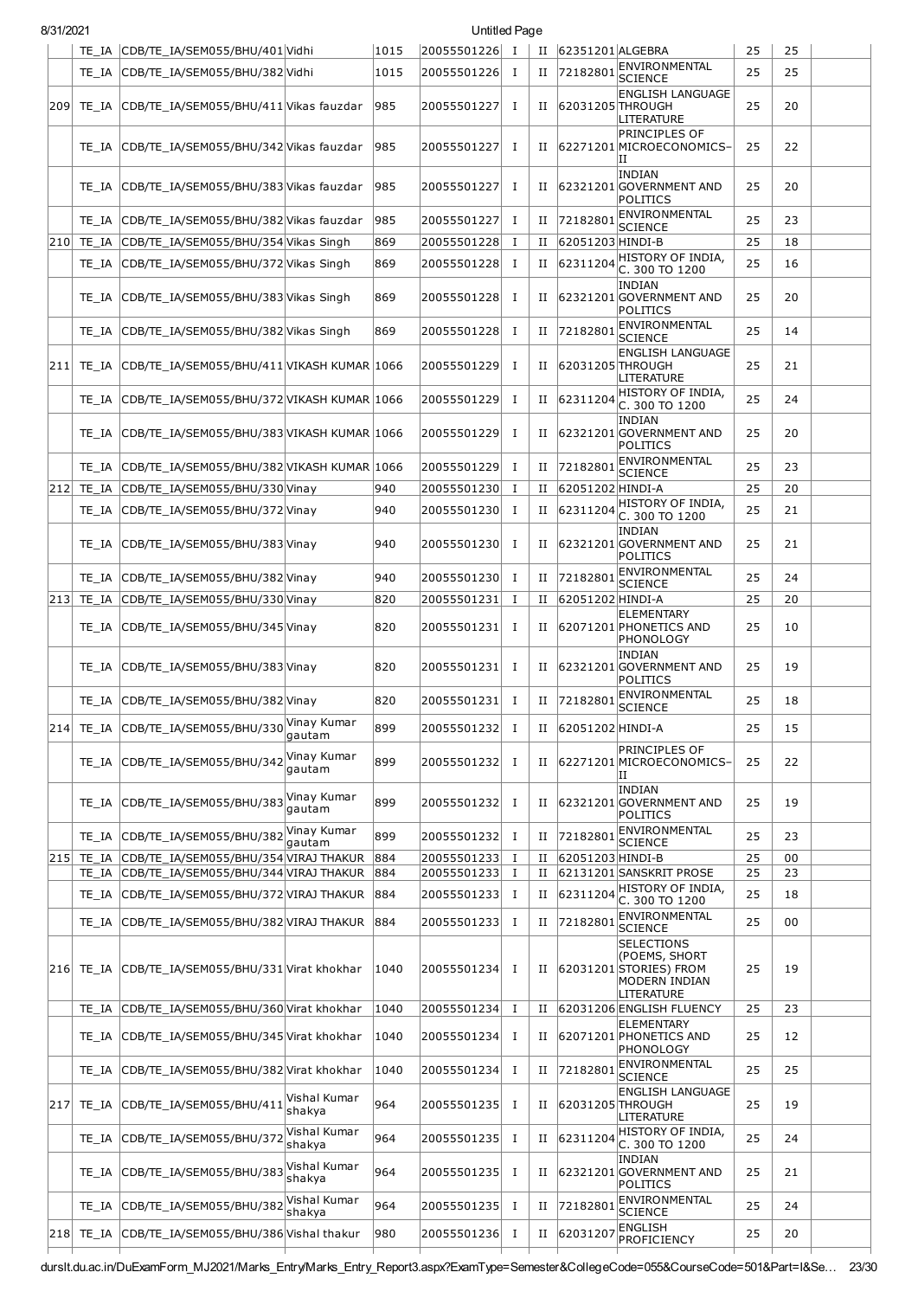|     |       | TE IA CDB/TE IA/SEM055/BHU/401 Vidhi                 |                        | 1015 | 20055501226 I |              |             | II 62351201 ALGEBRA     |                                                                                    | 25 | 25 |  |
|-----|-------|------------------------------------------------------|------------------------|------|---------------|--------------|-------------|-------------------------|------------------------------------------------------------------------------------|----|----|--|
|     |       | TE_IA CDB/TE_IA/SEM055/BHU/382 Vidhi                 |                        | 1015 | 20055501226   | Ι            | П           | 72182801                | ENVIRONMENTAL<br><b>SCIENCE</b>                                                    | 25 | 25 |  |
|     |       | 209 TE_IA CDB/TE_IA/SEM055/BHU/411 Vikas fauzdar     |                        | 985  | 20055501227   | $\mathbf{I}$ |             | II 62031205 THROUGH     | <b>ENGLISH LANGUAGE</b><br>LITERATURE                                              | 25 | 20 |  |
|     |       | TE_IA CDB/TE_IA/SEM055/BHU/342 Vikas fauzdar         |                        | 985  | 20055501227   | $\bf{I}$     | $_{\rm II}$ |                         | PRINCIPLES OF<br>62271201 MICROECONOMICS-<br>н                                     | 25 | 22 |  |
|     |       | TE_IA CDB/TE_IA/SEM055/BHU/383 Vikas fauzdar         |                        | 985  | 20055501227   | Ι            | $_{\rm II}$ |                         | INDIAN<br>62321201 GOVERNMENT AND<br><b>POLITICS</b>                               | 25 | 20 |  |
|     |       | TE_IA CDB/TE_IA/SEM055/BHU/382 Vikas fauzdar         |                        | 985  | 20055501227   | $\mathbf{I}$ | $_{\rm II}$ | 72182801                | ENVIRONMENTAL<br>SCIENCE                                                           | 25 | 23 |  |
|     |       | 210 TE_IA CDB/TE_IA/SEM055/BHU/354 Vikas Singh       |                        | 869  | 20055501228   | Ι            | П           | 62051203 HINDI-B        |                                                                                    | 25 | 18 |  |
|     |       | TE_IA CDB/TE_IA/SEM055/BHU/372 Vikas Singh           |                        | 869  | 20055501228   | I            | $_{\rm II}$ | 62311204                | HISTORY OF INDIA,<br>C. 300 TO 1200                                                | 25 | 16 |  |
|     |       | TE_IA CDB/TE_IA/SEM055/BHU/383 Vikas Singh           |                        | 869  | 20055501228   | <b>I</b>     | $_{\rm II}$ |                         | <b>INDIAN</b><br>62321201 GOVERNMENT AND<br>POLITICS                               | 25 | 20 |  |
|     |       | TE_IA CDB/TE_IA/SEM055/BHU/382 Vikas Singh           |                        | 869  | 20055501228   | Ι.           | П           | 72182801                | ENVIRONMENTAL<br><b>SCIENCE</b>                                                    | 25 | 14 |  |
|     |       | 211 TE_IA CDB/TE_IA/SEM055/BHU/411 VIKASH KUMAR 1066 |                        |      | 20055501229   | I            | $_{\rm II}$ | 62031205 THROUGH        | <b>ENGLISH LANGUAGE</b><br>LITERATURE                                              | 25 | 21 |  |
|     |       | TE_IA CDB/TE_IA/SEM055/BHU/372 VIKASH KUMAR 1066     |                        |      | 20055501229   | I            | $_{\rm II}$ | 62311204                | HISTORY OF INDIA.<br>C. 300 TO 1200                                                | 25 | 24 |  |
|     |       | TE IA CDB/TE IA/SEM055/BHU/383 VIKASH KUMAR 1066     |                        |      | 20055501229   | I            | Н           |                         | <b>INDIAN</b><br>62321201 GOVERNMENT AND<br>POLITICS                               | 25 | 20 |  |
|     |       | TE_IA CDB/TE_IA/SEM055/BHU/382 VIKASH KUMAR 1066     |                        |      | 20055501229   | $\mathbf{I}$ | $_{\rm II}$ | 72182801                | ENVIRONMENTAL                                                                      | 25 | 23 |  |
|     |       | 212 TE_IA CDB/TE_IA/SEM055/BHU/330 Vinay             |                        | 940  | 20055501230   | I            | $_{\rm II}$ | 62051202 HINDI-A        | <b>SCIENCE</b>                                                                     | 25 | 20 |  |
|     |       | TE_IA CDB/TE_IA/SEM055/BHU/372 Vinay                 |                        | 940  | 20055501230   | Ι            | $_{\rm II}$ | 62311204                | HISTORY OF INDIA,                                                                  | 25 | 21 |  |
|     |       | TE_IA CDB/TE_IA/SEM055/BHU/383 Vinay                 |                        | 940  | 20055501230   | I            | $_{\rm II}$ |                         | C. 300 TO 1200<br>INDIAN<br>62321201 GOVERNMENT AND<br>POLITICS                    | 25 | 21 |  |
|     |       | TE_IA CDB/TE_IA/SEM055/BHU/382 Vinay                 |                        | 940  | 20055501230   | Ι            | $_{\rm II}$ | 72182801                | ENVIRONMENTAL                                                                      | 25 | 24 |  |
|     |       | 213 TE_IA CDB/TE_IA/SEM055/BHU/330 Vinay             |                        | 820  | 20055501231   | $\mathbf{I}$ | П           | 62051202 HINDI-A        | <b>SCIENCE</b>                                                                     | 25 | 20 |  |
|     |       | TE_IA CDB/TE_IA/SEM055/BHU/345 Vinay                 |                        | 820  | 20055501231   | Ι            | П           |                         | <b>ELEMENTARY</b><br>62071201 PHONETICS AND<br>PHONOLOGY                           | 25 | 10 |  |
|     |       | TE_IA CDB/TE_IA/SEM055/BHU/383 Vinay                 |                        | 820  | 20055501231   | <b>I</b>     | П           |                         | <b>INDIAN</b><br>62321201 GOVERNMENT AND<br>POLITICS                               | 25 | 19 |  |
|     |       | TE IA CDB/TE IA/SEM055/BHU/382 Vinay                 |                        | 820  | 20055501231   | Ι.           | $_{\rm II}$ | 72182801                | ENVIRONMENTAL<br><b>SCIENCE</b>                                                    | 25 | 18 |  |
|     |       | 214 TE_IA CDB/TE_IA/SEM055/BHU/330 \may Kumar        | gautam                 | 899  | 20055501232 I |              |             | II $ 62051202 $ HINDI-A |                                                                                    | 25 | 15 |  |
|     |       | TE IA CDB/TE IA/SEM055/BHU/342                       | Vinay Kumar<br>qautam  | 899  | 20055501232   | Ι            | $_{\rm II}$ |                         | PRINCIPLES OF<br>62271201 MICROECONOMICS-<br>н                                     | 25 | 22 |  |
|     |       | TE_IA CDB/TE_IA/SEM055/BHU/383                       | Vinay Kumar<br>qautam  | 899  | 20055501232   | Ι.           | Н           |                         | <b>INDIAN</b><br>62321201 GOVERNMENT AND<br>POLITICS                               | 25 | 19 |  |
|     |       | TE_IA CDB/TE_IA/SEM055/BHU/382                       | Vinay Kumar<br>qautam  | 899  | 20055501232   | Ι            | П           | 72182801                | ENVIRONMENTAL<br><b>SCIENCE</b>                                                    | 25 | 23 |  |
| 215 | TE IA | CDB/TE_IA/SEM055/BHU/354 VIRAJ THAKUR                |                        | 884  | 20055501233   | $\bf{I}$     | П           | 62051203 HINDI-B        |                                                                                    | 25 | 00 |  |
|     |       | TE IA CDB/TE IA/SEM055/BHU/344 VIRAJ THAKUR          |                        | 884  | 20055501233   | <b>I</b>     | П           |                         | 62131201 SANSKRIT PROSE                                                            | 25 | 23 |  |
|     | TE IA | CDB/TE IA/SEM055/BHU/372 VIRAJ THAKUR                |                        | 884  | 20055501233   | $\bf{I}$     | П           | 62311204                | HISTORY OF INDIA,<br>C. 300 TO 1200                                                | 25 | 18 |  |
|     | TE IA | CDB/TE IA/SEM055/BHU/382 VIRAJ THAKUR                |                        | 884  | 20055501233   | <b>I</b>     | П           | 72182801                | <b>ENVIRONMENTAL</b><br>SCIENCE                                                    | 25 | 00 |  |
|     |       | 216 TE_IA CDB/TE_IA/SEM055/BHU/331 Virat khokhar     |                        | 1040 | 20055501234   | $\bf{I}$     | П           | 62031201                | <b>SELECTIONS</b><br>(POEMS, SHORT<br>STORIES) FROM<br>MODERN INDIAN<br>LITERATURE | 25 | 19 |  |
|     | TE IA | CDB/TE_IA/SEM055/BHU/360 Virat khokhar               |                        | 1040 | 20055501234   | Ι.           | П           |                         | 62031206 ENGLISH FLUENCY                                                           | 25 | 23 |  |
|     |       | TE_IA CDB/TE_IA/SEM055/BHU/345 Virat khokhar         |                        | 1040 | 20055501234   | Ι.           | H           |                         | ELEMENTARY<br>62071201 PHONETICS AND<br>PHONOLOGY                                  | 25 | 12 |  |
|     | TE IA | CDB/TE_IA/SEM055/BHU/382 Virat khokhar               |                        | 1040 | 20055501234   | Ι.           | П           | 72182801                | ENVIRONMENTAL<br><b>SCIENCE</b>                                                    | 25 | 25 |  |
| 217 |       | TE_IA CDB/TE_IA/SEM055/BHU/411                       | Vishal Kumar<br>shakya | 964  | 20055501235   | $\bf{I}$     | н           | 62031205 THROUGH        | <b>ENGLISH LANGUAGE</b><br>LITERATURE                                              | 25 | 19 |  |
|     | TE IA | CDB/TE_IA/SEM055/BHU/372                             | Vishal Kumar<br>shakya | 964  | 20055501235   | <b>I</b>     | П           | 62311204                | HISTORY OF INDIA,<br>C. 300 TO 1200                                                | 25 | 24 |  |
|     |       | TE_IA CDB/TE_IA/SEM055/BHU/383                       | Vishal Kumar<br>shakya | 964  | 20055501235   | Ι            | н           |                         | <b>INDIAN</b><br>62321201 GOVERNMENT AND<br>POLITICS                               | 25 | 21 |  |
|     |       | TE_IA CDB/TE_IA/SEM055/BHU/382                       | Vishal Kumar<br>shakya | 964  | 20055501235   | Ι            | $_{\rm II}$ | 72182801                | ENVIRONMENTAL<br><b>SCIENCE</b>                                                    | 25 | 24 |  |
|     |       | 218 TE IA CDB/TE IA/SEM055/BHU/386 Vishal thakur     |                        | 980  | 20055501236   | Ι            | II          | 62031207                | ENGLISH                                                                            | 25 | 20 |  |
|     |       |                                                      |                        |      |               |              |             |                         | PROFICIENCY                                                                        |    |    |  |

8/31/2021 Untitled Page

durslt.du.ac.in/DuExamForm\_MJ2021/Marks\_Entry/Marks\_Entry\_Report3.aspx?ExamType=Semester&CollegeCode=055&CourseCode=501&Part=I&Se… 23/30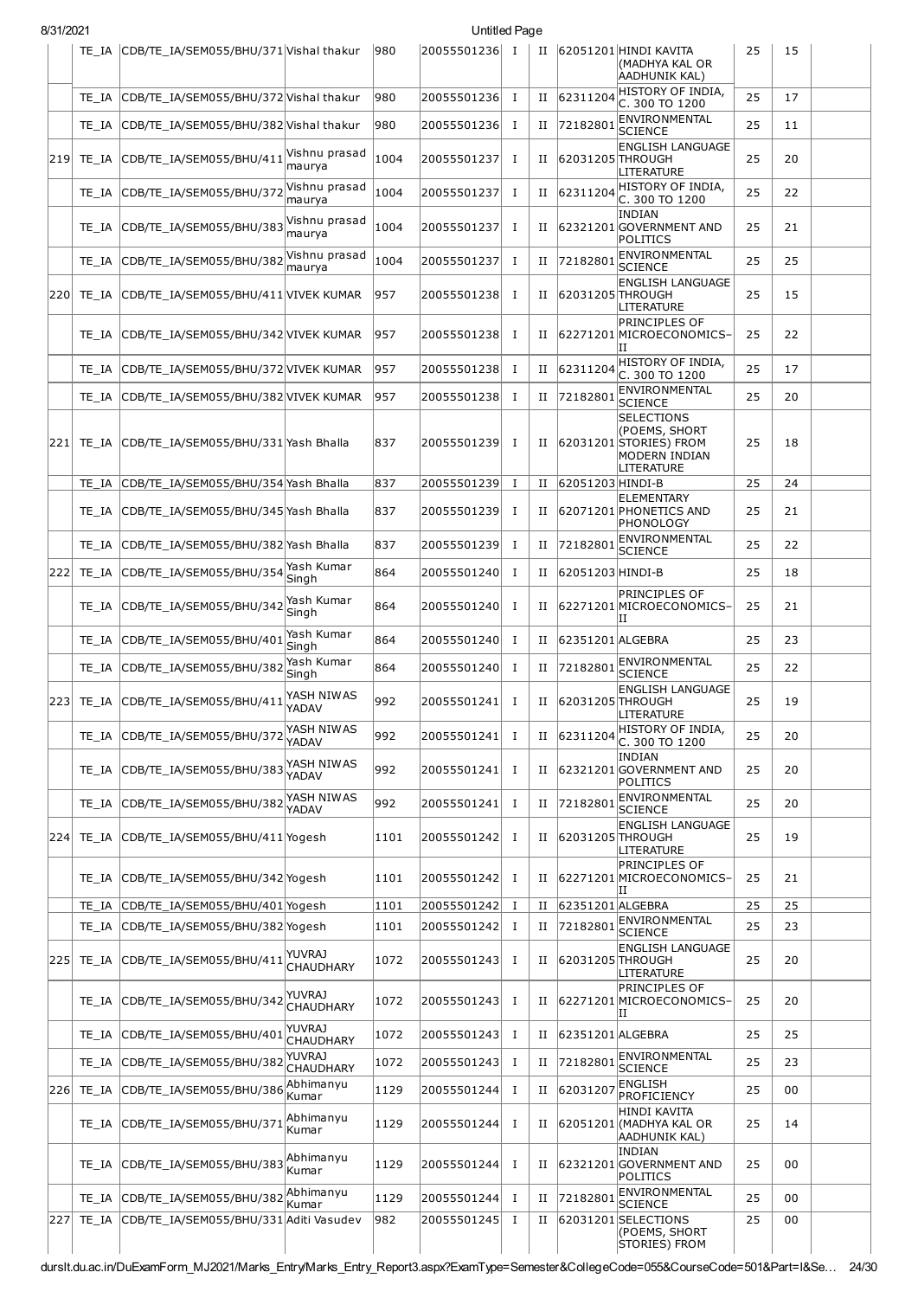| 8/31/2021 |
|-----------|
|-----------|

|     |       | TE_IA CDB/TE_IA/SEM055/BHU/371 Vishal thakur |                                   | 980  | 20055501236 | I           | П           |                  | 62051201 HINDI KAVITA<br>(MADHYA KAL OR<br><b>AADHUNIK KAL)</b>                                   | 25 | 15 |  |
|-----|-------|----------------------------------------------|-----------------------------------|------|-------------|-------------|-------------|------------------|---------------------------------------------------------------------------------------------------|----|----|--|
|     | TE IA | CDB/TE_IA/SEM055/BHU/372 Vishal thakur       |                                   | 980  | 20055501236 | $\mathbf I$ | П           | 62311204         | HISTORY OF INDIA.<br>C. 300 TO 1200                                                               | 25 | 17 |  |
|     |       | TE IA CDB/TE IA/SEM055/BHU/382 Vishal thakur |                                   | 980  | 20055501236 | Ι.          | П           | 72182801         | ENVIRONMENTAL<br><b>SCIENCE</b>                                                                   | 25 | 11 |  |
|     |       | 219 TE_IA CDB/TE_IA/SEM055/BHU/411           | Vishnu prasad<br>maurya           | 1004 | 20055501237 | $\mathbf I$ | П           | 62031205 THROUGH | <b>ENGLISH LANGUAGE</b><br><b>LITERATURE</b>                                                      | 25 | 20 |  |
|     |       | TE_IA CDB/TE_IA/SEM055/BHU/372               | Vishnu prasad<br>maurya           | 1004 | 20055501237 | п.          | П           | 62311204         | HISTORY OF INDIA,<br>C. 300 TO 1200                                                               | 25 | 22 |  |
|     |       | TE_IA CDB/TE_IA/SEM055/BHU/383               | Vishnu prasad<br>maurya           | 1004 | 20055501237 | Ι.          | П           |                  | <b>INDIAN</b><br>62321201 GOVERNMENT AND<br>POLITICS                                              | 25 | 21 |  |
|     |       | TE IA CDB/TE IA/SEM055/BHU/382               | Vishnu prasad<br>maurya           | 1004 | 20055501237 | $\bf{I}$    | П           | 72182801         | ENVIRONMENTAL<br><b>SCIENCE</b>                                                                   | 25 | 25 |  |
| 220 |       | TE_IA CDB/TE_IA/SEM055/BHU/411 VIVEK KUMAR   |                                   | 957  | 20055501238 | Ι.          | П           | 62031205 THROUGH | <b>ENGLISH LANGUAGE</b><br>LITERATURE                                                             | 25 | 15 |  |
|     |       | TE IA CDB/TE_IA/SEM055/BHU/342 VIVEK KUMAR   |                                   | 957  | 20055501238 | Ι.          | П           |                  | <b>PRINCIPLES OF</b><br>62271201 MICROECONOMICS-<br>ΠI                                            | 25 | 22 |  |
|     |       | TE IA CDB/TE IA/SEM055/BHU/372 VIVEK KUMAR   |                                   | 957  | 20055501238 | Ι.          | П           | 62311204         | HISTORY OF INDIA.<br>C. 300 TO 1200                                                               | 25 | 17 |  |
|     |       | TE IA CDB/TE IA/SEM055/BHU/382 VIVEK KUMAR   |                                   | 957  | 20055501238 | Ι.          | П           | 72182801         | ENVIRONMENTAL<br><b>SCIENCE</b>                                                                   | 25 | 20 |  |
| 221 |       | TE_IA CDB/TE_IA/SEM055/BHU/331 Yash Bhalla   |                                   | 837  | 20055501239 | Ι.          | П           |                  | <b>SELECTIONS</b><br>(POEMS, SHORT<br>62031201 STORIES FROM<br><b>MODERN INDIAN</b><br>LITERATURE | 25 | 18 |  |
|     |       | TE_IA CDB/TE_IA/SEM055/BHU/354 Yash Bhalla   |                                   | 837  | 20055501239 | Ι.          | $_{\rm II}$ | 62051203 HINDI-B | <b>ELEMENTARY</b>                                                                                 | 25 | 24 |  |
|     |       | TE_IA CDB/TE_IA/SEM055/BHU/345 Yash Bhalla   |                                   | 837  | 20055501239 | $\mathbf I$ | П           |                  | 62071201 PHONETICS AND<br>PHONOLOGY                                                               | 25 | 21 |  |
|     |       | TE_IA CDB/TE_IA/SEM055/BHU/382 Yash Bhalla   |                                   | 837  | 20055501239 | Ι.          | П           | 72182801         | ENVIRONMENTAL<br><b>SCIENCE</b>                                                                   | 25 | 22 |  |
| 222 |       | TE IA CDB/TE IA/SEM055/BHU/354               | Yash Kumar<br>Singh               | 864  | 20055501240 | Ι.          | П           | 62051203 HINDI-B |                                                                                                   | 25 | 18 |  |
|     |       | TE_IA CDB/TE_IA/SEM055/BHU/342               | Yash Kumar<br>Sinah               | 864  | 20055501240 | Ι.          | П           |                  | PRINCIPLES OF<br>62271201 MICROECONOMICS-<br>IΙ                                                   | 25 | 21 |  |
|     |       | TE_IA CDB/TE_IA/SEM055/BHU/401               | Yash Kumar<br>Singh               | 864  | 20055501240 | $\mathbf I$ | $_{\rm II}$ | 62351201 ALGEBRA |                                                                                                   | 25 | 23 |  |
|     |       | TE IA CDB/TE IA/SEM055/BHU/382               | Yash Kumar<br>Singh               | 864  | 20055501240 | Ι.          | П           | 72182801         | ENVIRONMENTAL<br><b>SCIENCE</b>                                                                   | 25 | 22 |  |
| 223 |       | TE_IA CDB/TE_IA/SEM055/BHU/411               | YASH NIWAS<br>YADAV               | 992  | 20055501241 | Ι.          | П           | 62031205 THROUGH | <b>ENGLISH LANGUAGE</b><br><b>LITERATURE</b>                                                      | 25 | 19 |  |
|     |       | TE IA CDB/TE IA/SEM055/BHU/372               | YASH NIWAS<br>YADAV               | 992  | 20055501241 | п.          | П           |                  | $62311204$ HISTORY OF INDIA,<br>C. 300 TO 1200                                                    | 25 | 20 |  |
|     |       | TE_IA CDB/TE_IA/SEM055/BHU/383               | YASH NIWAS<br><b>YADAV</b>        | 992  | 20055501241 | Ι.          | П           |                  | <b>INDIAN</b><br>62321201 GOVERNMENT AND<br>POLITICS                                              | 25 | 20 |  |
|     |       | TE_IA CDB/TE_IA/SEM055/BHU/382               | YASH NIWAS<br>YADAV               | 992  | 20055501241 | Ι.          | П           | 72182801         | <b>ENVIRONMENTAL</b><br><b>SCIENCE</b>                                                            | 25 | 20 |  |
|     |       | 224 TE_IA CDB/TE_IA/SEM055/BHU/411 Yogesh    |                                   | 1101 | 20055501242 | Ι.          | П           | 62031205 THROUGH | <b>ENGLISH LANGUAGE</b><br>LITERATURE                                                             | 25 | 19 |  |
|     |       | TE_IA CDB/TE_IA/SEM055/BHU/342 Yogesh        |                                   | 1101 | 20055501242 | Ι.          | П           |                  | PRINCIPLES OF<br>62271201 MICROECONOMICS-<br>н                                                    | 25 | 21 |  |
|     |       | TE_IA CDB/TE_IA/SEM055/BHU/401 Yogesh        |                                   | 1101 | 20055501242 | п.          | П           | 62351201 ALGEBRA | ENVIRONMENTAL                                                                                     | 25 | 25 |  |
|     |       | TE_IA CDB/TE_IA/SEM055/BHU/382 Yogesh        |                                   | 1101 | 20055501242 | Ι.          | П           | 72182801         | <b>SCIENCE</b>                                                                                    | 25 | 23 |  |
| 225 |       | TE_IA CDB/TE_IA/SEM055/BHU/411               | YUVRAJ<br><b>CHAUDHARY</b>        | 1072 | 20055501243 | Ι.          | П           | 62031205 THROUGH | <b>ENGLISH LANGUAGE</b><br>LITERATURE                                                             | 25 | 20 |  |
|     |       | TE_IA CDB/TE_IA/SEM055/BHU/342               | YUVRAJ<br><b>CHAUDHARY</b>        | 1072 | 20055501243 | $\mathbf I$ | П           |                  | <b>PRINCIPLES OF</b><br>62271201 MICROECONOMICS-<br>IΙ                                            | 25 | 20 |  |
|     |       | TE_IA CDB/TE_IA/SEM055/BHU/401               | <b>YUVRAJ</b><br><b>CHAUDHARY</b> | 1072 | 20055501243 | Ι.          | П           | 62351201 ALGEBRA |                                                                                                   | 25 | 25 |  |
|     |       | TE_IA CDB/TE_IA/SEM055/BHU/382               | <b>YUVRAJ</b><br><b>CHAUDHARY</b> | 1072 | 20055501243 | Ι.          | П           | 72182801         | ENVIRONMENTAL<br><b>SCIENCE</b>                                                                   | 25 | 23 |  |
| 226 |       | TE_IA CDB/TE_IA/SEM055/BHU/386               | Abhimanyu<br>Kumar                | 1129 | 20055501244 | Ι           | П           | 62031207         | <b>ENGLISH</b><br>PROFICIENCY                                                                     | 25 | 00 |  |
|     |       | TE_IA CDB/TE_IA/SEM055/BHU/371               | Abhimanyu<br>Kumar                | 1129 | 20055501244 | Ι.          | П           |                  | <b>HINDI KAVITA</b><br>62051201 (MADHYA KAL OR<br>AADHUNIK KAL)                                   | 25 | 14 |  |
|     |       | TE_IA CDB/TE_IA/SEM055/BHU/383               | Abhimanyu<br>Kumar                | 1129 | 20055501244 | Ι.          | П           |                  | <b>INDIAN</b><br>62321201 GOVERNMENT AND<br>POLITICS                                              | 25 | 00 |  |
|     |       | TE_IA CDB/TE_IA/SEM055/BHU/382               | Abhimanyu<br>Kumar                | 1129 | 20055501244 | Ι.          | П           | 72182801         | ENVIRONMENTAL<br><b>SCIENCE</b>                                                                   | 25 | 00 |  |
| 227 |       | TE_IA CDB/TE_IA/SEM055/BHU/331 Aditi Vasudev |                                   | 982  | 20055501245 | Ι.          | П           |                  | 62031201 SELECTIONS<br>(POEMS, SHORT<br>STORIES) FROM                                             | 25 | 00 |  |

durslt.du.ac.in/DuExamForm\_MJ2021/Marks\_Entry/Marks\_Entry\_Report3.aspx?ExamType=Semester&CollegeCode=055&CourseCode=501&Part=I&Se… 24/30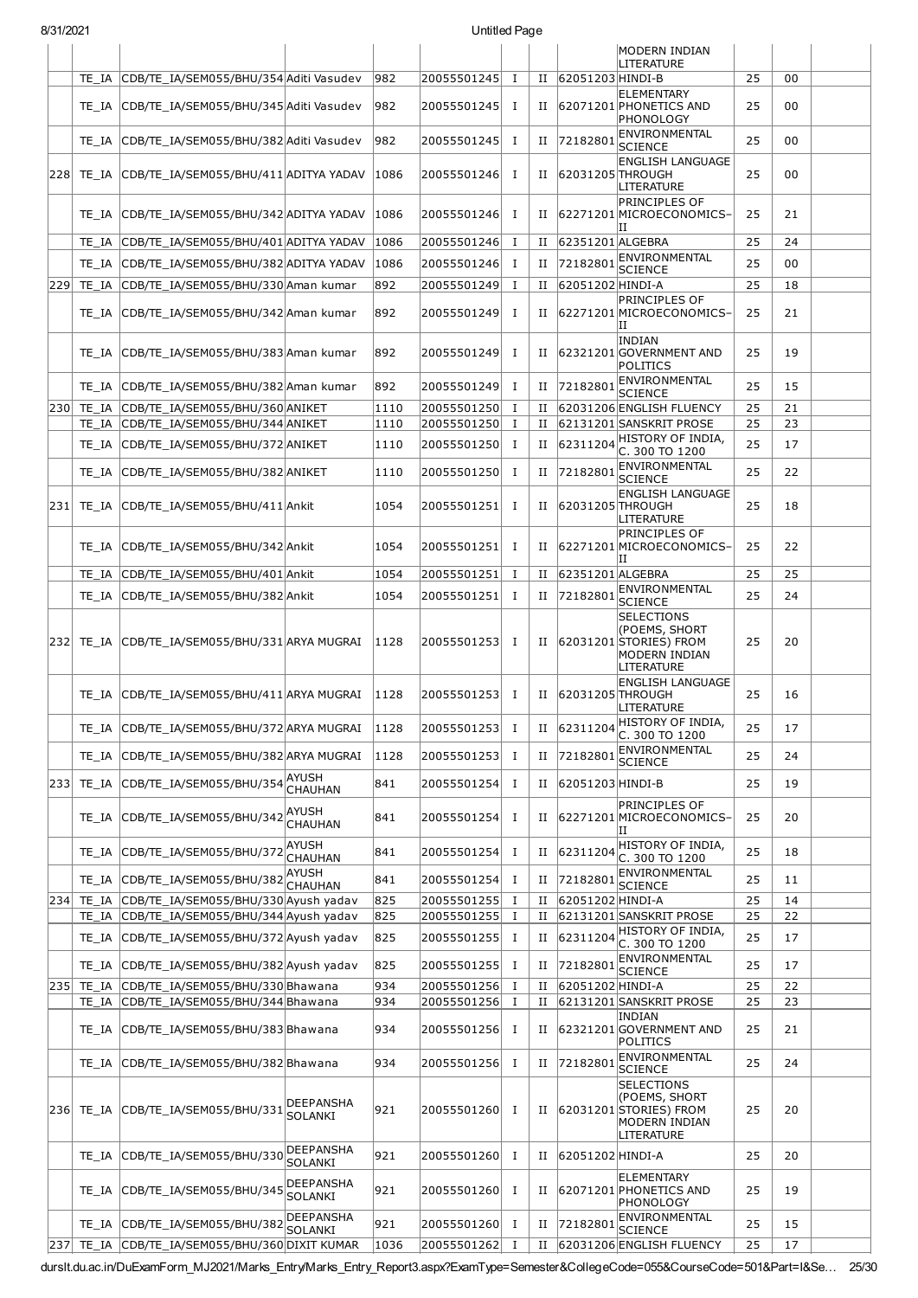|     |       |                                                |                                    |      |                   |              |             |                  | MODERN INDIAN<br>LITERATURE                                                                    |    |    |  |
|-----|-------|------------------------------------------------|------------------------------------|------|-------------------|--------------|-------------|------------------|------------------------------------------------------------------------------------------------|----|----|--|
|     | TE IA | CDB/TE_IA/SEM055/BHU/354 Aditi Vasudev         |                                    | 982  | 20055501245       | $\bf{I}$     | П           | 62051203 HINDI-B |                                                                                                | 25 | 00 |  |
|     |       | TE_IA CDB/TE_IA/SEM055/BHU/345 Aditi Vasudev   |                                    | 982  | 20055501245       | <b>I</b>     | $_{\rm II}$ |                  | <b>ELEMENTARY</b><br>62071201 PHONETICS AND<br>PHONOLOGY                                       | 25 | 00 |  |
|     | TE IA | CDB/TE IA/SEM055/BHU/382 Aditi Vasudev         |                                    | 982  | 20055501245       | Ι.           | П           | 72182801         | ENVIRONMENTAL<br><b>SCIENCE</b>                                                                | 25 | 00 |  |
| 228 |       | TE IA CDB/TE IA/SEM055/BHU/411 ADITYA YADAV    |                                    | 1086 | 20055501246       | 1            | П           |                  | <b>ENGLISH LANGUAGE</b><br>62031205 THROUGH<br>LITERATURE                                      | 25 | 00 |  |
|     | TE IA | CDB/TE_IA/SEM055/BHU/342 ADITYA YADAV          |                                    | 1086 | 20055501246       | I            | н           |                  | <b>PRINCIPLES OF</b><br>62271201 MICROECONOMICS-<br>IΙ                                         | 25 | 21 |  |
|     | TE IA | CDB/TE IA/SEM055/BHU/401 ADITYA YADAV          |                                    | 1086 | 20055501246       | I            | П           | 62351201 ALGEBRA |                                                                                                | 25 | 24 |  |
|     |       | TE_IA CDB/TE_IA/SEM055/BHU/382 ADITYA YADAV    |                                    | 1086 | 20055501246       | <b>I</b>     | П           | 72182801         | ENVIRONMENTAL<br><b>SCIENCE</b>                                                                | 25 | 00 |  |
| 229 | TE IA | CDB/TE IA/SEM055/BHU/330 Aman kumar            |                                    | 892  | 20055501249       | I            | П           | 62051202 HINDI-A |                                                                                                | 25 | 18 |  |
|     | TE IA | CDB/TE_IA/SEM055/BHU/342 Aman kumar            |                                    | 892  | 20055501249       | Ι.           | П           |                  | <b>PRINCIPLES OF</b><br>62271201 MICROECONOMICS-<br>IΙ                                         | 25 | 21 |  |
|     |       | TE IA CDB/TE IA/SEM055/BHU/383 Aman kumar      |                                    | 892  | 20055501249       | Ι.           | П           |                  | <b>INDIAN</b><br>62321201 GOVERNMENT AND<br>POLITICS                                           | 25 | 19 |  |
|     | TE IA | CDB/TE IA/SEM055/BHU/382 Aman kumar            |                                    | 892  | 20055501249       | 1            | П           | 72182801         | ENVIRONMENTAL<br><b>SCIENCE</b>                                                                | 25 | 15 |  |
| 230 | TE IA | CDB/TE IA/SEM055/BHU/360 ANIKET                |                                    | 1110 | 20055501250       | Ι.           | П           |                  | 62031206 ENGLISH FLUENCY                                                                       | 25 | 21 |  |
|     | TE IA | CDB/TE_IA/SEM055/BHU/344 ANIKET                |                                    | 1110 | 20055501250       | Ι.           | П           |                  | 62131201 SANSKRIT PROSE                                                                        | 25 | 23 |  |
|     | TE IA | CDB/TE_IA/SEM055/BHU/372 ANIKET                |                                    | 1110 | 20055501250       | Ι.           | П           | 62311204         | HISTORY OF INDIA,<br>C. 300 TO 1200                                                            | 25 | 17 |  |
|     | TE IA | CDB/TE IA/SEM055/BHU/382 ANIKET                |                                    | 1110 | 20055501250       | 1            | П           | 72182801         | <b>ENVIRONMENTAL</b><br><b>SCIENCE</b>                                                         | 25 | 22 |  |
| 231 |       | TE_IA CDB/TE_IA/SEM055/BHU/411 Ankit           |                                    | 1054 | 20055501251       | 1            | П           |                  | <b>ENGLISH LANGUAGE</b><br>62031205 THROUGH<br>LITERATURE                                      | 25 | 18 |  |
|     | TE IA | CDB/TE IA/SEM055/BHU/342 Ankit                 |                                    | 1054 | 20055501251       | Ι.           | П           |                  | <b>PRINCIPLES OF</b><br>62271201 MICROECONOMICS-<br>ΠI                                         | 25 | 22 |  |
|     | TE IA | CDB/TE_IA/SEM055/BHU/401 Ankit                 |                                    | 1054 | 20055501251       | I            | П           | 62351201 ALGEBRA |                                                                                                | 25 | 25 |  |
|     | TE IA | CDB/TE_IA/SEM055/BHU/382 Ankit                 |                                    | 1054 | 20055501251       | $\mathbf I$  | П           | 72182801         | ENVIRONMENTAL<br><b>SCIENCE</b>                                                                | 25 | 24 |  |
|     |       | 232 TE_IA CDB/TE_IA/SEM055/BHU/331 ARYA MUGRAI |                                    | 1128 | 20055501253       | I            |             |                  | <b>SELECTIONS</b><br>(POEMS, SHORT<br>II 62031201 STORIES) FROM<br>MODERN INDIAN<br>LITERATURE | 25 | 20 |  |
|     | TE IA | CDB/TE_IA/SEM055/BHU/411 ARYA MUGRAI           |                                    | 1128 | 20055501253       | Ι.           | П           |                  | <b>ENGLISH LANGUAGE</b><br>62031205 THROUGH<br>LITERATURE                                      | 25 | 16 |  |
|     |       | TE_IA CDB/TE_IA/SEM055/BHU/372 ARYA MUGRAI     |                                    | 1128 | $ 20055501253 $ I |              |             |                  | II $ 62311204 $ HISTORY OF INDIA,<br>C. 300 TO 1200                                            | 25 | 17 |  |
|     | TE IA | CDB/TE_IA/SEM055/BHU/382 ARYA MUGRAI           |                                    | 1128 | 20055501253       | 1            | П           | 72182801         | ENVIRONMENTAL<br><b>SCIENCE</b>                                                                | 25 | 24 |  |
| 233 | TE IA | CDB/TE_IA/SEM055/BHU/354                       | <b>AYUSH</b><br><b>CHAUHAN</b>     | 841  | 20055501254       | Ι.           | П           | 62051203 HINDI-B |                                                                                                | 25 | 19 |  |
|     |       | TE IA CDB/TE IA/SEM055/BHU/342                 | <b>AYUSH</b><br><b>CHAUHAN</b>     | 841  | 20055501254       | <b>I</b>     | П           |                  | PRINCIPLES OF<br>62271201 MICROECONOMICS-<br>П                                                 | 25 | 20 |  |
|     | TE IA | CDB/TE IA/SEM055/BHU/372                       | AYUSH<br><b>CHAUHAN</b>            | 841  | 20055501254       | I            | П           | 6231120          | HISTORY OF INDIA,<br>C. 300 TO 1200                                                            | 25 | 18 |  |
|     | TE IA | CDB/TE IA/SEM055/BHU/382                       | <b>AYUSH</b><br><b>CHAUHAN</b>     | 841  | 20055501254       | Ι            | П           | 72182801         | ENVIRONMENTAL<br><b>SCIENCE</b>                                                                | 25 | 11 |  |
| 234 | TE IA | CDB/TE_IA/SEM055/BHU/330 Ayush yadav           |                                    | 825  | 20055501255       | $\bf{I}$     | П           | 62051202 HINDI-A |                                                                                                | 25 | 14 |  |
|     | TE IA | CDB/TE_IA/SEM055/BHU/344 Ayush yadav           |                                    | 825  | 20055501255       | Ι.           | П           |                  | 62131201 SANSKRIT PROSE                                                                        | 25 | 22 |  |
|     | TE IA | CDB/TE_IA/SEM055/BHU/372 Ayush yadav           |                                    | 825  | 20055501255       | $\bf{I}$     | П           | 62311204         | HISTORY OF INDIA,<br>C. 300 TO 1200                                                            | 25 | 17 |  |
|     | TE IA | CDB/TE_IA/SEM055/BHU/382 Ayush yadav           |                                    | 825  | 20055501255       | I            | н           | 72182801         | ENVIRONMENTAL<br><b>SCIENCE</b>                                                                | 25 | 17 |  |
| 235 | TE_IA | CDB/TE_IA/SEM055/BHU/330 Bhawana               |                                    | 934  | 20055501256       | I            | П           | 62051202 HINDI-A |                                                                                                | 25 | 22 |  |
|     | TE IA | CDB/TE IA/SEM055/BHU/344 Bhawana               |                                    | 934  | 20055501256       | $\mathbf{I}$ | П           |                  | 62131201 SANSKRIT PROSE<br><b>INDIAN</b>                                                       | 25 | 23 |  |
|     | TE IA | CDB/TE_IA/SEM055/BHU/383 Bhawana               |                                    | 934  | 20055501256       | <b>I</b>     | П           |                  | 62321201 GOVERNMENT AND<br>POLITICS<br>ENVIRONMENTAL                                           | 25 | 21 |  |
|     | TE IA | CDB/TE_IA/SEM055/BHU/382 Bhawana               |                                    | 934  | 20055501256       | 1            | П           | 72182801         | <b>SCIENCE</b>                                                                                 | 25 | 24 |  |
| 236 | TE IA | CDB/TE_IA/SEM055/BHU/331                       | DEEPANSHA<br><b>SOLANKI</b>        | 921  | 20055501260       | Ι.           | П           |                  | <b>SELECTIONS</b><br>(POEMS, SHORT<br>62031201 STORIES) FROM<br>MODERN INDIAN<br>LITERATURE    | 25 | 20 |  |
|     | TE IA | CDB/TE_IA/SEM055/BHU/330                       | DEEPANSHA<br><b>SOLANKI</b>        | 921  | 20055501260       | Ι.           | П           | 62051202 HINDI-A |                                                                                                | 25 | 20 |  |
|     | TE IA | CDB/TE_IA/SEM055/BHU/345                       | <b>DEEPANSHA</b><br><b>SOLANKI</b> | 921  | 20055501260       | Ι.           | П           |                  | <b>ELEMENTARY</b><br>62071201 PHONETICS AND<br>PHONOLOGY                                       | 25 | 19 |  |
|     |       | TE_IA CDB/TE_IA/SEM055/BHU/382                 | DEEPANSHA<br><b>SOLANKI</b>        | 921  | 20055501260       | I            | П           | 72182801         | ENVIRONMENTAL<br><b>SCIENCE</b>                                                                | 25 | 15 |  |
|     |       | 237 TE_IA CDB/TE_IA/SEM055/BHU/360 DIXIT KUMAR |                                    | 1036 | 20055501262       | $\mathbf{I}$ | П           |                  | 62031206 ENGLISH FLUENCY                                                                       | 25 | 17 |  |

8/31/2021 Untitled Page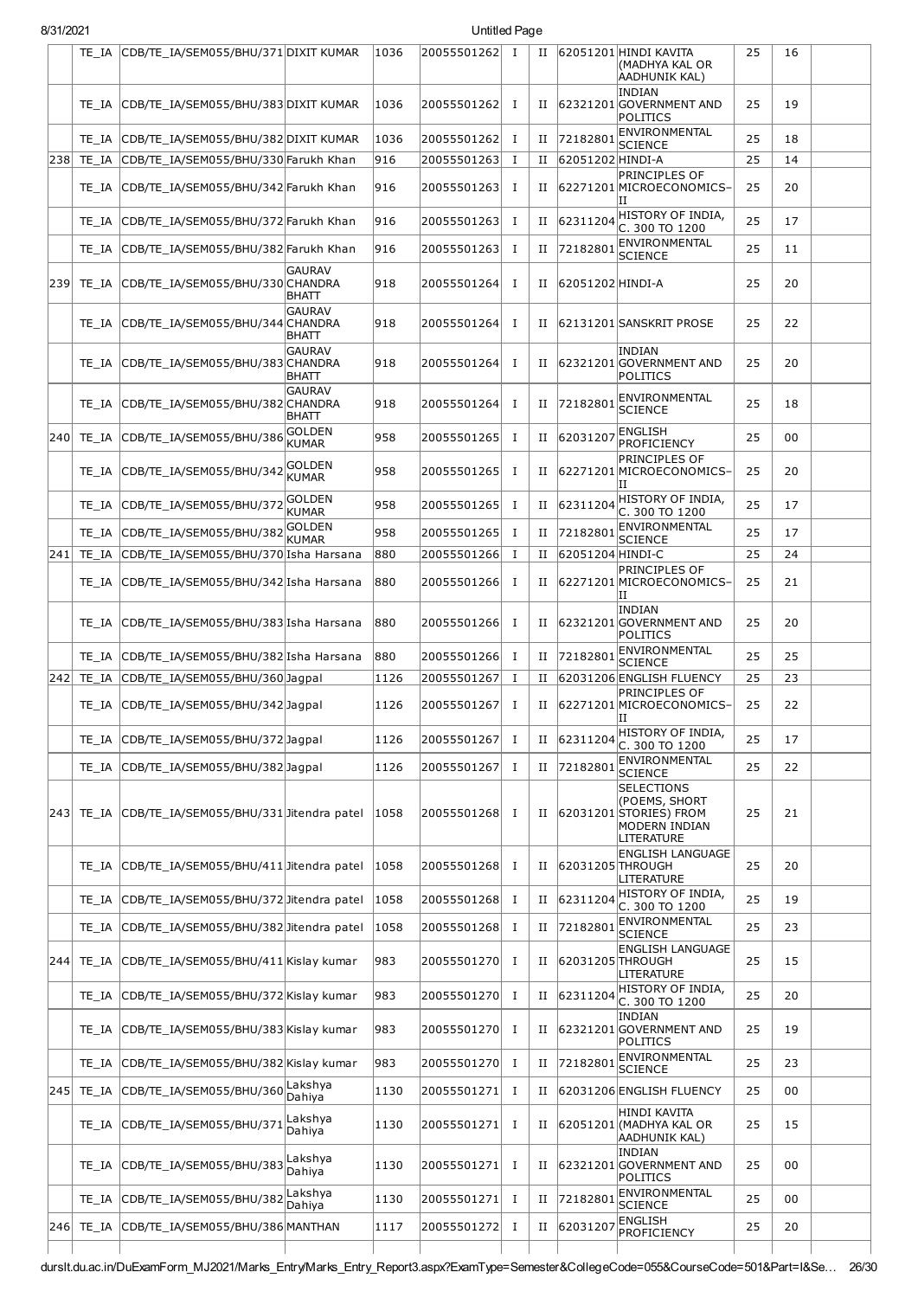| 8/31/2021 |            |                                             |                               |      | Untitled Page |          |             |                  |                                                                                             |    |    |  |
|-----------|------------|---------------------------------------------|-------------------------------|------|---------------|----------|-------------|------------------|---------------------------------------------------------------------------------------------|----|----|--|
|           | TE IA      | CDB/TE_IA/SEM055/BHU/371 DIXIT KUMAR        |                               | 1036 | 20055501262   | I        | $_{\rm II}$ |                  | 62051201 HINDI KAVITA<br>(MADHYA KAL OR<br>AADHUNIK KAL)                                    | 25 | 16 |  |
|           | TE IA      | CDB/TE_IA/SEM055/BHU/383 DIXIT KUMAR        |                               | 1036 | 20055501262   | <b>I</b> | П           |                  | <b>INDIAN</b><br>62321201 GOVERNMENT AND<br>POLITICS                                        | 25 | 19 |  |
|           | TE IA      | CDB/TE_IA/SEM055/BHU/382 DIXIT KUMAR        |                               | 1036 | 20055501262   | <b>I</b> | П           | 72182801         | ENVIRONMENTAL<br><b>SCIENCE</b>                                                             | 25 | 18 |  |
| 238       | TE IA      | CDB/TE_IA/SEM055/BHU/330 Farukh Khan        |                               | 916  | 20055501263   | Ι        | П           | 62051202 HINDI-A |                                                                                             | 25 | 14 |  |
|           | TE IA      | CDB/TE_IA/SEM055/BHU/342 Farukh Khan        |                               | 916  | 20055501263   | <b>I</b> | $_{\rm II}$ |                  | <b>PRINCIPLES OF</b><br>62271201 MICROECONOMICS-<br>ΙI                                      | 25 | 20 |  |
|           | TE IA      | CDB/TE_IA/SEM055/BHU/372 Farukh Khan        |                               | 916  | 20055501263   | <b>I</b> | П           | 62311204         | HISTORY OF INDIA,<br>C. 300 TO 1200                                                         | 25 | 17 |  |
|           | TE IA      | CDB/TE_IA/SEM055/BHU/382 Farukh Khan        |                               | 916  | 20055501263   | <b>I</b> | П           | 7218280          | ENVIRONMENTAL<br><b>SCIENCE</b>                                                             | 25 | 11 |  |
| 239       |            | TE_IA CDB/TE_IA/SEM055/BHU/330 CHANDRA      | <b>GAURAV</b><br>BHATT        | 918  | 20055501264   | п        | $_{\rm II}$ | 62051202 HINDI-A |                                                                                             | 25 | 20 |  |
|           | TE IA      | CDB/TE_IA/SEM055/BHU/344 CHANDRA            | <b>GAURAV</b><br>BHATT        | 918  | 20055501264   | I        | Н           |                  | 62131201 SANSKRIT PROSE                                                                     | 25 | 22 |  |
|           |            | TE_IA CDB/TE_IA/SEM055/BHU/383CHANDRA       | <b>GAURAV</b><br><b>BHATT</b> | 918  | 20055501264   | <b>I</b> | П           |                  | <b>INDIAN</b><br>62321201 GOVERNMENT AND<br>POLITICS                                        | 25 | 20 |  |
|           |            | TE_IA CDB/TE_IA/SEM055/BHU/382CHANDRA       | <b>GAURAV</b><br>BHATT        | 918  | 20055501264   | <b>I</b> | П           |                  | 72182801ENVIRONMENTAL<br><b>SCIENCE</b>                                                     | 25 | 18 |  |
| 240       |            | TE IA CDB/TE IA/SEM055/BHU/386              | GOLDEN<br><b>KUMAR</b>        | 958  | 20055501265   | <b>I</b> | П           | 62031207         | ENGLISH<br>PROFICIENCY                                                                      | 25 | 00 |  |
|           |            | TE_IA CDB/TE_IA/SEM055/BHU/342              | GOLDEN<br>KUMAR               | 958  | 20055501265   | I        | П           |                  | <b>PRINCIPLES OF</b><br>62271201 MICROECONOMICS-<br>ΙH                                      | 25 | 20 |  |
|           | TE IA      | CDB/TE_IA/SEM055/BHU/372                    | GOLDEN<br><b>KUMAR</b>        | 958  | 20055501265   | Ι        | $_{\rm II}$ | 62311204         | HISTORY OF INDIA,<br>C. 300 TO 1200                                                         | 25 | 17 |  |
|           | TE IA      | CDB/TE_IA/SEM055/BHU/382                    | <b>GOLDEN</b><br><b>KUMAR</b> | 958  | 20055501265   | I        | $_{\rm II}$ | 72182801         | ENVIRONMENTAL<br><b>SCIENCE</b>                                                             | 25 | 17 |  |
| 241       | TE IA      | CDB/TE_IA/SEM055/BHU/370 Isha Harsana       |                               | 880  | 20055501266   | $\bf{I}$ | П           | 62051204 HINDI-C |                                                                                             | 25 | 24 |  |
|           | TE IA      | CDB/TE_IA/SEM055/BHU/342 Isha Harsana       |                               | 880  | 20055501266   | I        | н           |                  | <b>PRINCIPLES OF</b><br>62271201 MICROECONOMICS-<br>IΙ                                      | 25 | 21 |  |
|           |            | TE_IA CDB/TE_IA/SEM055/BHU/383 Isha Harsana |                               | 880  | 20055501266   | <b>I</b> | П           |                  | <b>INDIAN</b><br>62321201 GOVERNMENT AND<br>POLITICS                                        | 25 | 20 |  |
|           | TE_IA      | CDB/TE_IA/SEM055/BHU/382 Isha Harsana       |                               | 880  | 20055501266   | I        | П           | 72182801         | ENVIRONMENTAL<br><b>SCIENCE</b>                                                             | 25 | 25 |  |
| 242       | TE IA      | CDB/TE_IA/SEM055/BHU/360 Jagpal             |                               | 1126 | 20055501267   | 1        | П           |                  | 62031206 ENGLISH FLUENCY                                                                    | 25 | 23 |  |
|           |            | TE IA CDB/TE IA/SEM055/BHU/342Jaqpal        |                               | 1126 | 20055501267   | <b>I</b> |             |                  | <b>PRINCIPLES OF</b><br>II 62271201 MICROECONOMICS-<br>ΙI                                   | 25 | 22 |  |
|           | TE IA      | CDB/TE_IA/SEM055/BHU/372Jagpal              |                               | 1126 | 20055501267   | Ι.       | П           | 62311204         | HISTORY OF INDIA,<br>C. 300 TO 1200                                                         | 25 | 17 |  |
|           | TE IA      | CDB/TE IA/SEM055/BHU/382 Jagpal             |                               | 1126 | 20055501267   | $\bf{I}$ | П           | 7218280          | ENVIRONMENTAL<br><b>SCIENCE</b>                                                             | 25 | 22 |  |
|           | 243  TE IA | CDB/TE_IA/SEM055/BHU/331 Jitendra patel     |                               | 1058 | 20055501268   | I        | П           |                  | <b>SELECTIONS</b><br>(POEMS, SHORT<br>62031201 STORIES) FROM<br>MODERN INDIAN<br>LITERATURE | 25 | 21 |  |
|           | TE IA      | CDB/TE IA/SEM055/BHU/411 Jitendra patel     |                               | 1058 | 20055501268   | Ι        | П           | 62031205 THROUGH | <b>ENGLISH LANGUAGE</b><br>LITERATURE                                                       | 25 | 20 |  |
|           | TE IA      | CDB/TE_IA/SEM055/BHU/372 Jitendra patel     |                               | 1058 | 20055501268   | <b>I</b> | П           | 62311204         | HISTORY OF INDIA,<br>C. 300 TO 1200                                                         | 25 | 19 |  |
|           | TE IA      | CDB/TE_IA/SEM055/BHU/382 Jitendra patel     |                               | 1058 | 20055501268   | I        | П           | 72182801         | ENVIRONMENTAL<br><b>SCIENCE</b>                                                             | 25 | 23 |  |
| 244       | TE IA      | CDB/TE_IA/SEM055/BHU/411 Kislay kumar       |                               | 983  | 20055501270   | I        | П           | 62031205 THROUGH | <b>ENGLISH LANGUAGE</b><br>LITERATURE                                                       | 25 | 15 |  |
|           | TE IA      | CDB/TE_IA/SEM055/BHU/372 Kislay kumar       |                               | 983  | 20055501270   | <b>I</b> | $_{\rm II}$ | 62311204         | HISTORY OF INDIA,<br>C. 300 TO 1200                                                         | 25 | 20 |  |
|           | TE IA      | CDB/TE_IA/SEM055/BHU/383 Kislay kumar       |                               | 983  | 20055501270   | <b>I</b> | П           |                  | <b>INDIAN</b><br>62321201 GOVERNMENT AND<br>POLITICS                                        | 25 | 19 |  |
|           | TE IA      | CDB/TE_IA/SEM055/BHU/382 Kislay kumar       |                               | 983  | 20055501270   | Ι        | П           | 72182801         | ENVIRONMENTAL<br><b>SCIENCE</b>                                                             | 25 | 23 |  |
| 245       | TE IA      | CDB/TE_IA/SEM055/BHU/360                    | Lakshya<br>Dahiya             | 1130 | 20055501271   | <b>I</b> | П           |                  | 62031206 ENGLISH FLUENCY                                                                    | 25 | 00 |  |
|           | TE IA      | CDB/TE_IA/SEM055/BHU/371                    | Lakshya<br>Dahiva             | 1130 | 20055501271   | Ι        | П           |                  | <b>HINDI KAVITA</b><br>62051201 (MADHYA KAL OR<br> AADHUNIK KAL)                            | 25 | 15 |  |
|           | TE IA      | CDB/TE_IA/SEM055/BHU/383                    | Lakshya<br>Dahiya             | 1130 | 20055501271   | Ι        | П           |                  | <b>INDIAN</b><br>62321201 GOVERNMENT AND<br>POLITICS                                        | 25 | 00 |  |
|           | TE IA      | CDB/TE_IA/SEM055/BHU/382                    | Lakshya<br>Dahiya             | 1130 | 20055501271   | <b>I</b> | П           | 72182801         | ENVIRONMENTAL<br><b>SCIENCE</b>                                                             | 25 | 00 |  |
| 246       | TE IA      | CDB/TE_IA/SEM055/BHU/386 MANTHAN            |                               | 1117 | 20055501272   | Ι        | П           | 62031207         | ENGLISH<br>PROFICIENCY                                                                      | 25 | 20 |  |
|           |            |                                             |                               |      |               |          |             |                  |                                                                                             |    |    |  |

durslt.du.ac.in/DuExamForm\_MJ2021/Marks\_Entry/Marks\_Entry\_Report3.aspx?ExamType=Semester&CollegeCode=055&CourseCode=501&Part=I&Se… 26/30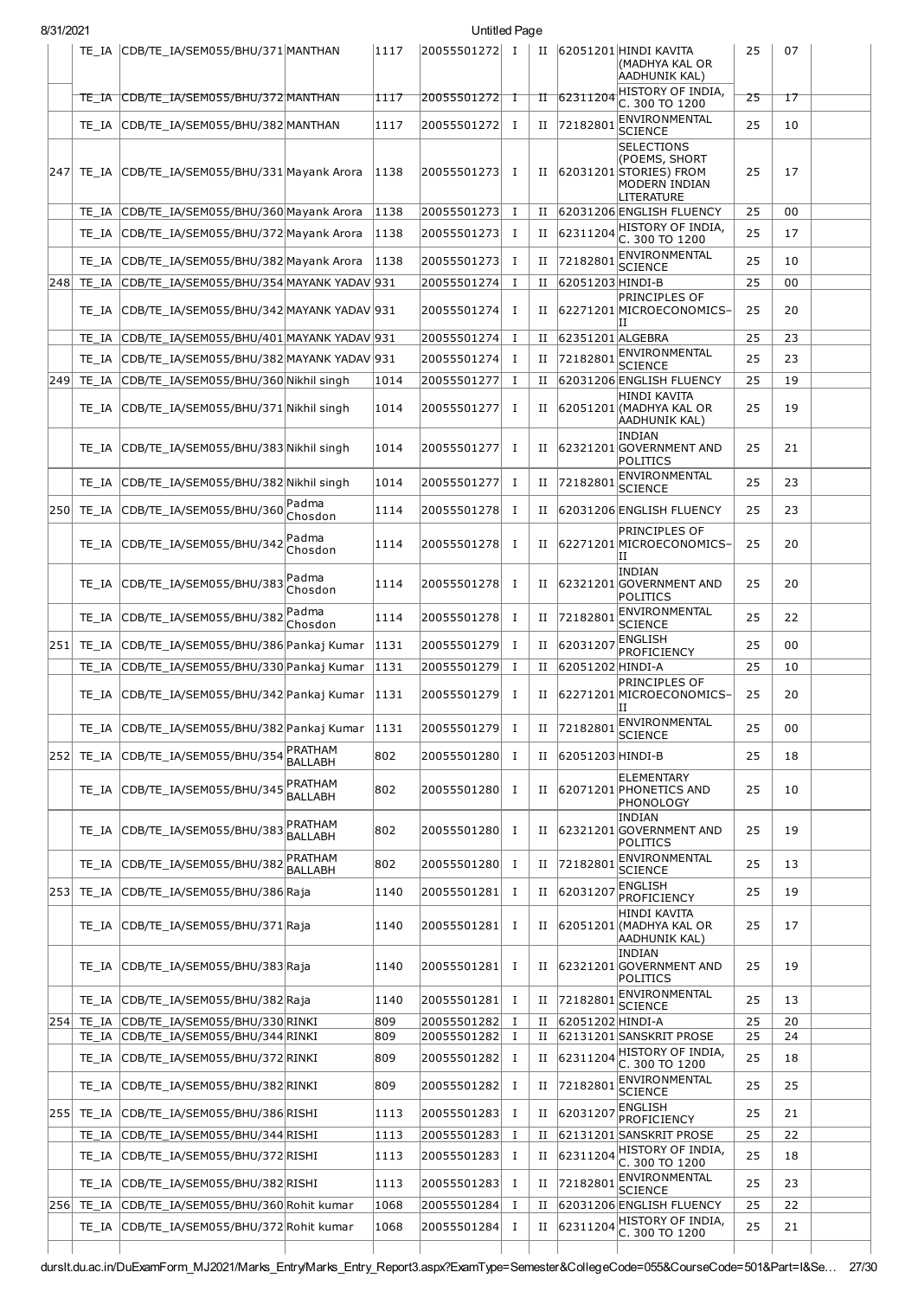|     |       | TE IA CDB/TE IA/SEM055/BHU/371 MANTHAN                                             |                             | 1117         | 20055501272 I              |               | П      |                  | 62051201 HINDI KAVITA<br>(MADHYA KAL OR<br>AADHUNIK KAL)                                    | 25       | 07       |  |
|-----|-------|------------------------------------------------------------------------------------|-----------------------------|--------------|----------------------------|---------------|--------|------------------|---------------------------------------------------------------------------------------------|----------|----------|--|
|     |       |                                                                                    |                             | 1117         | 20055501272 1              |               |        | 62311204         | HISTORY OF INDIA,                                                                           | 25       | 17       |  |
|     |       | TE_IA CDB/TE_IA/SEM055/BHU/372 MANTHAN                                             |                             |              |                            |               | Ħ      |                  | C. 300 TO 1200<br>ENVIRONMENTAL                                                             |          |          |  |
|     | TE IA | CDB/TE_IA/SEM055/BHU/382 MANTHAN                                                   |                             | 1117         | 20055501272                | $\mathbf I$   | п      | 72182801         | <b>SCIENCE</b>                                                                              | 25       | 10       |  |
| 247 |       | TE_IA CDB/TE_IA/SEM055/BHU/331 Mayank Arora                                        |                             | 1138         | 20055501273                | п             | п      |                  | <b>SELECTIONS</b><br>(POEMS, SHORT<br>62031201 STORIES) FROM<br>MODERN INDIAN<br>LITERATURE | 25       | 17       |  |
|     | TE IA | CDB/TE IA/SEM055/BHU/360 Mayank Arora                                              |                             | 1138         | 20055501273                | $\bf{I}$      | П      |                  | 62031206 ENGLISH FLUENCY                                                                    | 25       | 00       |  |
|     | TE IA | CDB/TE_IA/SEM055/BHU/372 Mayank Arora                                              |                             | 1138         | 20055501273                | - I           | п      | 62311204         | HISTORY OF INDIA,<br>C. 300 TO 1200                                                         | 25       | 17       |  |
|     | TE IA | CDB/TE_IA/SEM055/BHU/382 Mayank Arora                                              |                             | 1138         | 20055501273                | - I           | п      | 72182801         | ENVIRONMENTAL                                                                               | 25       | 10       |  |
| 248 | TE IA | CDB/TE_IA/SEM055/BHU/354 MAYANK YADAV 931                                          |                             |              | 20055501274                | 1             | и      | 62051203 HINDI-B | <b>SCIENCE</b>                                                                              | 25       | 00       |  |
|     |       | TE_IA CDB/TE_IA/SEM055/BHU/342 MAYANK YADAV 931                                    |                             |              | 20055501274                | Ι.            | П      |                  | PRINCIPLES OF<br>62271201 MICROECONOMICS-                                                   | 25       | 20       |  |
|     | TE IA | CDB/TE_IA/SEM055/BHU/401 MAYANK YADAV 931                                          |                             |              | 20055501274                | I             | П      | 62351201 ALGEBRA | П                                                                                           | 25       | 23       |  |
|     | TE IA | CDB/TE_IA/SEM055/BHU/382 MAYANK YADAV 931                                          |                             |              | 20055501274                | п             | и      | 72182801         | ENVIRONMENTAL                                                                               | 25       | 23       |  |
| 249 | TE IA | CDB/TE_IA/SEM055/BHU/360 Nikhil singh                                              |                             | 1014         | 20055501277                | Ι             | и      |                  | <b>SCIENCE</b><br>62031206 ENGLISH FLUENCY                                                  | 25       | 19       |  |
|     |       | TE_IA CDB/TE_IA/SEM055/BHU/371 Nikhil singh                                        |                             | 1014         | 20055501277                | Ι.            | п      |                  | HINDI KAVITA<br>62051201 (MADHYA KAL OR                                                     | 25       | 19       |  |
|     |       | TE_IA CDB/TE_IA/SEM055/BHU/383 Nikhil singh                                        |                             | 1014         | 20055501277                | Ι.            | п      |                  | AADHUNIK KAL)<br><b>INDIAN</b><br>62321201 GOVERNMENT AND                                   | 25       | 21       |  |
|     |       | TE_IA CDB/TE_IA/SEM055/BHU/382 Nikhil singh                                        |                             | 1014         | 20055501277                | Ι.            | п      | 72182801         | POLITICS<br>ENVIRONMENTAL<br><b>SCIENCE</b>                                                 | 25       | 23       |  |
| 250 |       | TE_IA CDB/TE_IA/SEM055/BHU/360                                                     | Padma                       | 1114         | 20055501278                | - I           | п      |                  | 62031206 ENGLISH FLUENCY                                                                    | 25       | 23       |  |
|     |       | TE_IA CDB/TE_IA/SEM055/BHU/342                                                     | Chosdon<br>Padma<br>Chosdon | 1114         | 20055501278                | Ι.            | п      |                  | PRINCIPLES OF<br>62271201 MICROECONOMICS-                                                   | 25       | 20       |  |
|     |       | TE_IA CDB/TE_IA/SEM055/BHU/383                                                     | Padma<br>Chosdon            | 1114         | 20055501278                | - I           | П      |                  | н<br><b>INDIAN</b><br>62321201 GOVERNMENT AND                                               | 25       | 20       |  |
|     | TE IA | CDB/TE_IA/SEM055/BHU/382                                                           | Padma<br>Chosdon            | 1114         | 20055501278                | <b>I</b>      | н      | 72182801         | <b>POLITICS</b><br>ENVIRONMENTAL<br><b>SCIENCE</b>                                          | 25       | 22       |  |
| 251 | TE IA | CDB/TE IA/SEM055/BHU/386 Pankaj Kumar                                              |                             | 1131         | 20055501279                | $\bf{I}$      | п      | 62031207         | <b>ENGLISH</b>                                                                              | 25       | 00       |  |
|     | TE IA | CDB/TE IA/SEM055/BHU/330 Pankaj Kumar                                              |                             | 1131         | 20055501279                | Ι.            | и      | 62051202 HINDI-A | <b>PROFICIENCY</b>                                                                          | 25       | 10       |  |
|     |       | TE_IA CDB/TE_IA/SEM055/BHU/342 Pankaj Kumar                                        |                             | 1131         | 20055501279                | $\mathbf{I}$  | П      |                  | PRINCIPLES OF<br>62271201 MICROECONOMICS-<br>IΙ                                             | 25       | 20       |  |
|     |       | TE_IA CDB/TE_IA/SEM055/BHU/382 Pankaj Kumar 1131                                   |                             |              | 20055501279 I              |               |        |                  | II 72182801 ENVIRONMENTAL<br>SCIENCE                                                        | 25       | 00       |  |
| 252 | TE IA | CDB/TE_IA/SEM055/BHU/354                                                           | PRATHAM<br><b>BALLABH</b>   | 802          | 20055501280                | $\mathbf{I}$  | П      | 62051203 HINDI-B |                                                                                             | 25       | 18       |  |
|     |       | TE_IA CDB/TE_IA/SEM055/BHU/345                                                     | PRATHAM<br><b>BALLABH</b>   | 802          | 20055501280                | Ι.            | П      |                  | ELEMENTARY<br>62071201 PHONETICS AND<br>PHONOLOGY                                           | 25       | 10       |  |
|     | TE IA | CDB/TE_IA/SEM055/BHU/383                                                           | PRATHAM<br>BALLABH          | 802          | 20055501280                | Ι.            | н      |                  | <b>INDIAN</b><br>62321201 GOVERNMENT AND<br>POLITICS                                        | 25       | 19       |  |
|     |       | TE_IA CDB/TE_IA/SEM055/BHU/382                                                     | PRATHAM<br><b>BALLABH</b>   | 802          | 20055501280                | Ι.            | п      | 72182801         | ENVIRONMENTAL<br><b>SCIENCE</b>                                                             | 25       | 13       |  |
| 253 |       | TE_IA CDB/TE_IA/SEM055/BHU/386 Raja                                                |                             | 1140         | 20055501281                | 1             | П      | 62031207         | <b>ENGLISH</b>                                                                              | 25       | 19       |  |
|     |       | TE_IA CDB/TE_IA/SEM055/BHU/371 Raja                                                |                             | 1140         | 20055501281                | Ι.            | П      |                  | PROFICIENCY<br><b>HINDI KAVITA</b><br>62051201 (MADHYA KAL OR<br>AADHUNIK KAL)              | 25       | 17       |  |
|     |       | TE_IA CDB/TE_IA/SEM055/BHU/383 Raja                                                |                             | 1140         | 20055501281                | Ι.            | П      |                  | <b>INDIAN</b><br>62321201 GOVERNMENT AND                                                    | 25       | 19       |  |
|     |       | TE_IA CDB/TE_IA/SEM055/BHU/382 Raja                                                |                             | 1140         | 20055501281                | I             | н      | 72182801         | POLITICS<br>ENVIRONMENTAL<br><b>SCIENCE</b>                                                 | 25       | 13       |  |
| 254 | TE IA | CDB/TE_IA/SEM055/BHU/330 RINKI                                                     |                             | 809          | 20055501282                | Ι.            | и      | 62051202 HINDI-A |                                                                                             | 25       | 20       |  |
|     |       | TE_IA CDB/TE_IA/SEM055/BHU/344 RINKI                                               |                             | 809          | 20055501282                | $\mathbf{I}$  | п      |                  | 62131201 SANSKRIT PROSE                                                                     | 25       | 24       |  |
|     | TE IA | CDB/TE_IA/SEM055/BHU/372 RINKI                                                     |                             | 809          | 20055501282                | п             | п      |                  | 62311204 HISTORY OF INDIA,<br>C. 300 TO 1200<br>ENVIRONMENTAL                               | 25       | 18       |  |
|     |       | TE_IA CDB/TE_IA/SEM055/BHU/382 RINKI                                               |                             | 809          | 20055501282                | Ι.            | п      | 72182801         | <b>SCIENCE</b>                                                                              | 25       | 25       |  |
| 255 | TE IA | CDB/TE_IA/SEM055/BHU/386 RISHI                                                     |                             | 1113         | 20055501283                | Ι.            | и      | 62031207         | <b>ENGLISH</b><br>PROFICIENCY                                                               | 25       | 21       |  |
|     | TE IA | CDB/TE_IA/SEM055/BHU/344 RISHI                                                     |                             | 1113         | 20055501283                | <b>I</b>      | п      |                  | 62131201 SANSKRIT PROSE                                                                     | 25       | 22       |  |
|     | TE IA | CDB/TE_IA/SEM055/BHU/372 RISHI                                                     |                             | 1113         | 20055501283                | I             | п      | 62311204         | HISTORY OF INDIA,<br>C. 300 TO 1200<br>ENVIRONMENTAL                                        | 25       | 18       |  |
|     |       | TE_IA CDB/TE_IA/SEM055/BHU/382 RISHI                                               |                             | 1113         | 20055501283                | $\mathbf{I}$  | п      | 72182801         | <b>SCIENCE</b>                                                                              | 25       | 23       |  |
| 256 | TE_IA | TE_IA CDB/TE_IA/SEM055/BHU/360 Rohit kumar<br>CDB/TE_IA/SEM055/BHU/372 Rohit kumar |                             | 1068<br>1068 | 20055501284<br>20055501284 | <b>I</b><br>1 | и<br>П | 62311204         | 62031206 ENGLISH FLUENCY<br>HISTORY OF INDIA,<br>C. 300 TO 1200                             | 25<br>25 | 22<br>21 |  |
|     |       |                                                                                    |                             |              |                            |               |        |                  |                                                                                             |          |          |  |

8/31/2021 Untitled Page

durslt.du.ac.in/DuExamForm\_MJ2021/Marks\_Entry/Marks\_Entry\_Report3.aspx?ExamType=Semester&CollegeCode=055&CourseCode=501&Part=I&Se… 27/30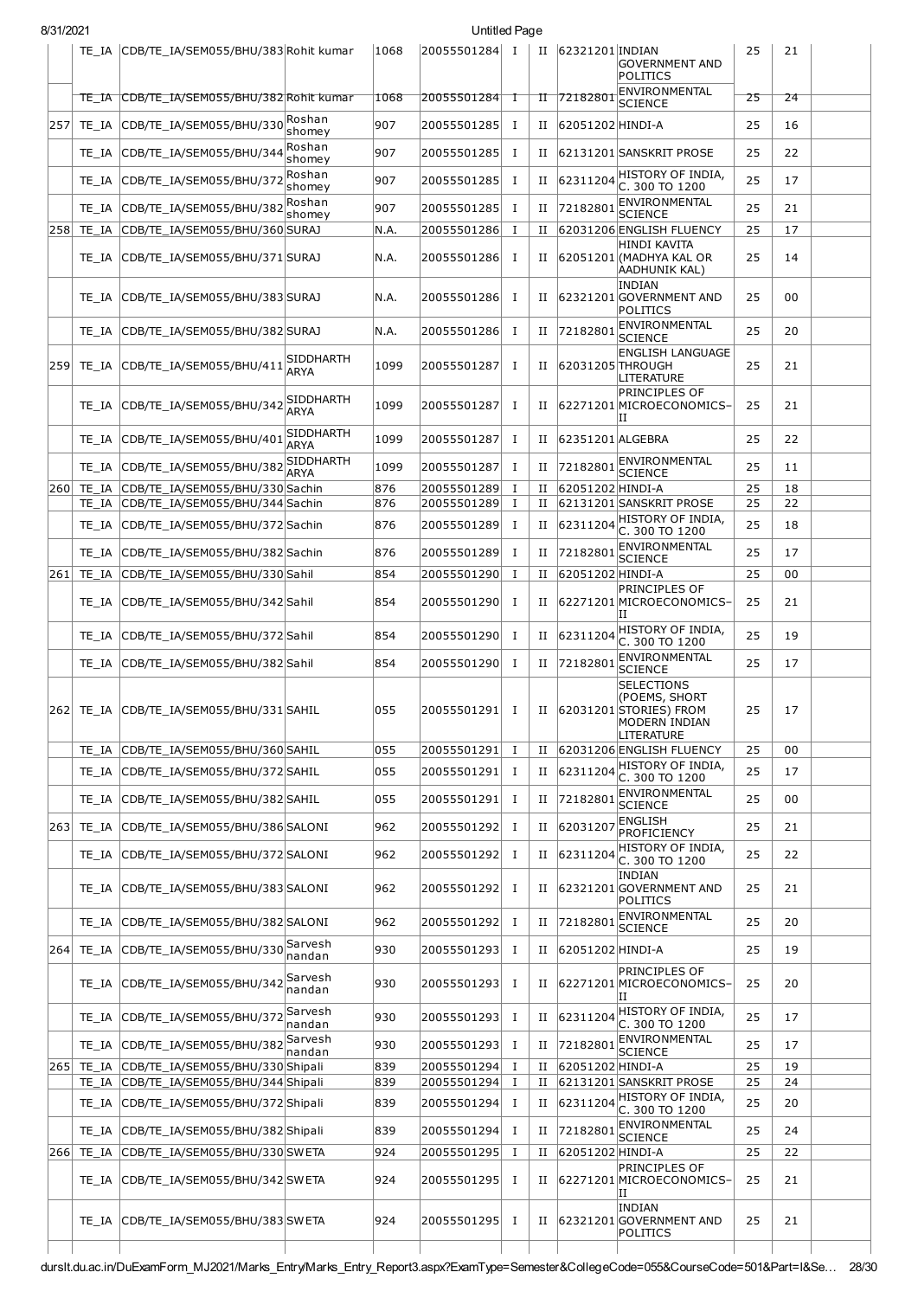| 8/31/2021 |                |                                            |                          |               | Untitled Page              |              |        |                  |                                                                                                                                    |    |          |  |
|-----------|----------------|--------------------------------------------|--------------------------|---------------|----------------------------|--------------|--------|------------------|------------------------------------------------------------------------------------------------------------------------------------|----|----------|--|
|           |                | TE_IA CDB/TE_IA/SEM055/BHU/383 Rohit kumar |                          | 1068          | 20055501284 I              |              | П      | 62321201 INDIAN  | GOVERNMENT AND<br>POLITICS                                                                                                         | 25 | 21       |  |
|           |                | TE_IA CDB/TE_IA/SEM055/BHU/382 Rohit kumar |                          | 1068          | 20055501284                | ┱            | TĪ     | 72182801         | ENVIRONMENTAL<br><b>SCIENCE</b>                                                                                                    | 25 | 24       |  |
| 257       | TE IA          | CDB/TE_IA/SEM055/BHU/330 Roshan            | shomey                   | 907           | 20055501285                | T            | п      | 62051202 HINDI-A |                                                                                                                                    | 25 | 16       |  |
|           | TE IA          | CDB/TE_IA/SEM055/BHU/344                   | Roshan<br>shomey         | 907           | 20055501285                | T            | п      |                  | 62131201 SANSKRIT PROSE                                                                                                            | 25 | 22       |  |
|           | TE IA          | CDB/TE_IA/SEM055/BHU/372                   | Roshan<br>shomey         | 907           | 20055501285                | T            | п      | 62311204         | HISTORY OF INDIA,<br>C. 300 TO 1200                                                                                                | 25 | 17       |  |
|           | TE IA          | CDB/TE_IA/SEM055/BHU/382                   | Roshan                   | 907           | 20055501285                | Ι.           | п      | 72182801         | ENVIRONMENTAL                                                                                                                      | 25 | 21       |  |
| 258       | TE IA          | CDB/TE IA/SEM055/BHU/360 SURAJ             | shomey                   | N.A.          | 20055501286                | Ι.           | П      |                  | <b>SCIENCE</b><br>62031206 ENGLISH FLUENCY                                                                                         | 25 | 17       |  |
|           | TE IA          | CDB/TE_IA/SEM055/BHU/371 SURAJ             |                          | N.A.          | 20055501286                | п.           | П      |                  | HINDI KAVITA<br>62051201 (MADHYA KAL OR<br>AADHUNIK KAL)                                                                           | 25 | 14       |  |
|           | TE IA          | CDB/TE_IA/SEM055/BHU/383 SURAJ             |                          | N.A.          | 20055501286                | Ι.           | П      |                  | <b>INDIAN</b><br>62321201 GOVERNMENT AND<br>POLITICS                                                                               | 25 | 00       |  |
|           | TE IA          | CDB/TE IA/SEM055/BHU/382 SURAJ             |                          | N.A.          | 20055501286                | Ι.           | П      | 72182801         | ENVIRONMENTAL<br><b>SCIENCE</b>                                                                                                    | 25 | 20       |  |
| 259       |                | TE IA CDB/TE IA/SEM055/BHU/411             | SIDDHARTH<br><b>ARYA</b> | 1099          | 20055501287                | Ι.           | П      |                  | <b>ENGLISH LANGUAGE</b><br>62031205 THROUGH<br>LITERATURE                                                                          | 25 | 21       |  |
|           | TE IA          | CDB/TE IA/SEM055/BHU/342                   | SIDDHARTH<br><b>ARYA</b> | 1099          | 20055501287                | Ι.           | П      |                  | PRINCIPLES OF<br>62271201MICROECONOMICS-<br>IΙ                                                                                     | 25 | 21       |  |
|           | TE IA          | CDB/TE_IA/SEM055/BHU/401                   | <b>SIDDHARTH</b>         | 1099          | 20055501287                | Ι.           | п      | 62351201 ALGEBRA |                                                                                                                                    | 25 | 22       |  |
|           |                | CDB/TE_IA/SEM055/BHU/382                   | ARYA<br><b>SIDDHARTH</b> | 1099          |                            | Ι.           |        | 72182801         | ENVIRONMENTAL                                                                                                                      | 25 |          |  |
| 260       | TE IA<br>TE IA | CDB/TE_IA/SEM055/BHU/330 Sachin            | <b>ARYA</b>              | 876           | 20055501287<br>20055501289 | 1            | и<br>и | 62051202 HINDI-A | <b>SCIENCE</b>                                                                                                                     | 25 | 11<br>18 |  |
|           | TE IA          | CDB/TE_IA/SEM055/BHU/344 Sachin            |                          | 876           | 20055501289                | Ι.           | п      |                  | 62131201 SANSKRIT PROSE                                                                                                            | 25 | 22       |  |
|           | TE IA          | CDB/TE_IA/SEM055/BHU/372 Sachin            |                          | 876           | 20055501289                | Ι.           | П      | 62311204         | HISTORY OF INDIA,<br>C. 300 TO 1200                                                                                                | 25 | 18       |  |
|           | TE IA          | CDB/TE_IA/SEM055/BHU/382 Sachin            |                          | 876           | 20055501289                | Ι.           | П      | 72182801         | ENVIRONMENTAL                                                                                                                      | 25 | 17       |  |
| 261       | TE IA          | CDB/TE_IA/SEM055/BHU/330 Sahil             |                          | 854           | 20055501290                | Ι.           | П      | 62051202 HINDI-A | <b>SCIENCE</b>                                                                                                                     | 25 | 00       |  |
|           |                | TE_IA CDB/TE_IA/SEM055/BHU/342 Sahil       |                          | 854           | 20055501290                | Ι            | П      |                  | PRINCIPLES OF<br>62271201 MICROECONOMICS-<br>ΙIJ                                                                                   | 25 | 21       |  |
|           | TE IA          | CDB/TE_IA/SEM055/BHU/372 Sahil             |                          | 854           | 20055501290                | Ι.           | П      | 62311204         | HISTORY OF INDIA,                                                                                                                  | 25 | 19       |  |
|           | TE IA          | CDB/TE_IA/SEM055/BHU/382 Sahil             |                          | 854           | 20055501290                | Ι.           | П      | 72182801         | C. 300 TO 1200<br><b>ENVIRONMENTAL</b>                                                                                             | 25 | 17       |  |
|           |                | 262 TE_IA CDB/TE_IA/SEM055/BHU/331 SAHIL   |                          | $ 055\rangle$ |                            |              |        |                  | <b>SCIENCE</b><br><b>SELECTIONS</b><br>(POEMS, SHORT<br> 20055501291  I   II  62031201 STORIES)FROM<br>MODERN INDIAN<br>LITERATURE | 25 | 17       |  |
|           |                | TE_IA CDB/TE_IA/SEM055/BHU/360 SAHIL       |                          | 055           | 20055501291                | $\mathbf{I}$ | П      |                  | 62031206 ENGLISH FLUENCY                                                                                                           | 25 | 00       |  |
|           | TE IA          | CDB/TE_IA/SEM055/BHU/372 SAHIL             |                          | 055           | 20055501291                | п.           | п      | 62311204         | HISTORY OF INDIA,<br>C. 300 TO 1200                                                                                                | 25 | 17       |  |
|           | TE IA          | CDB/TE_IA/SEM055/BHU/382 SAHIL             |                          | 055           | 20055501291                | п.           | п      | 72182801         | ENVIRONMENTAL<br><b>SCIENCE</b>                                                                                                    | 25 | 00       |  |
| 263       | TE IA          | CDB/TE_IA/SEM055/BHU/386 SALONI            |                          | 962           | 20055501292                | Ι.           | и      | 62031207         | <b>ENGLISH</b><br><b>PROFICIENCY</b>                                                                                               | 25 | 21       |  |
|           | TE IA          | CDB/TE_IA/SEM055/BHU/372 SALONI            |                          | 962           | 20055501292                | Ι.           | Н      | 62311204         | HISTORY OF INDIA,                                                                                                                  | 25 | 22       |  |
|           |                | TE_IA CDB/TE_IA/SEM055/BHU/383 SALONI      |                          | 962           | 20055501292                | Ι            | П      |                  | C. 300 TO 1200<br><b>INDIAN</b><br>62321201 GOVERNMENT AND<br>POLITICS                                                             | 25 | 21       |  |
|           | TE IA          | CDB/TE_IA/SEM055/BHU/382 SALONI            |                          | 962           | 20055501292                | Ι.           | П      | 72182801         | ENVIRONMENTAL<br><b>SCIENCE</b>                                                                                                    | 25 | 20       |  |
| 264       | TE IA          | CDB/TE_IA/SEM055/BHU/330 Sarvesh           | nandan                   | 930           | 20055501293                | Ι.           | П      | 62051202 HINDI-A |                                                                                                                                    | 25 | 19       |  |
|           | TE IA          | CDB/TE_IA/SEM055/BHU/342                   | Sarvesh<br>nandan        | 930           | 20055501293                | Ι.           | П      |                  | PRINCIPLES OF<br>62271201 MICROECONOMICS-<br>ΙI                                                                                    | 25 | 20       |  |
|           | TE IA          | CDB/TE_IA/SEM055/BHU/372                   | Sarvesh<br>nandan        | 930           | 20055501293                | Ι.           | П      | 62311204         | HISTORY OF INDIA,<br>C. 300 TO 1200                                                                                                | 25 | 17       |  |
|           | TE IA          | CDB/TE_IA/SEM055/BHU/382                   | Sarvesh<br>nandan        | 930           | 20055501293                | Ι.           | П      | 72182801         | ENVIRONMENTAL<br><b>SCIENCE</b>                                                                                                    | 25 | 17       |  |
| 265       | TE IA          | CDB/TE_IA/SEM055/BHU/330 Shipali           |                          | 839           | 20055501294                | Ι.           | П      | 62051202 HINDI-A |                                                                                                                                    | 25 | 19       |  |
|           | TE IA          | CDB/TE_IA/SEM055/BHU/344 Shipali           |                          | 839           | 20055501294                | $\bf{I}$     | П      |                  | 62131201 SANSKRIT PROSE<br>$62311204$ HISTORY OF INDIA,                                                                            | 25 | 24       |  |
|           | TE IA          | CDB/TE_IA/SEM055/BHU/372 Shipali           |                          | 839           | 20055501294                | $\bf{I}$     | и      |                  | C. 300 TO 1200                                                                                                                     | 25 | 20       |  |
|           | TE IA          | CDB/TE_IA/SEM055/BHU/382 Shipali           |                          | 839           | 20055501294                | Ι.           | п      | 72182801         | ENVIRONMENTAL<br><b>SCIENCE</b>                                                                                                    | 25 | 24       |  |
| 266       | TE_IA          | CDB/TE_IA/SEM055/BHU/330 SWETA             |                          | 924           | 20055501295                | Ι.           | П      | 62051202 HINDI-A | PRINCIPLES OF                                                                                                                      | 25 | 22       |  |
|           | TE IA          | CDB/TE_IA/SEM055/BHU/342 SW ETA            |                          | 924           | 20055501295                | Ι.           | П      |                  | 62271201 MICROECONOMICS-<br>IΙ<br>INDIAN                                                                                           | 25 | 21       |  |
|           |                | TE_IA CDB/TE_IA/SEM055/BHU/383 SWETA       |                          | 924           | 20055501295                | Ι.           | П      |                  | 62321201 GOVERNMENT AND<br>POLITICS                                                                                                | 25 | 21       |  |
|           |                |                                            |                          |               |                            |              |        |                  |                                                                                                                                    |    |          |  |

durslt.du.ac.in/DuExamForm\_MJ2021/Marks\_Entry/Marks\_Entry\_Report3.aspx?ExamType=Semester&CollegeCode=055&CourseCode=501&Part=I&Se… 28/30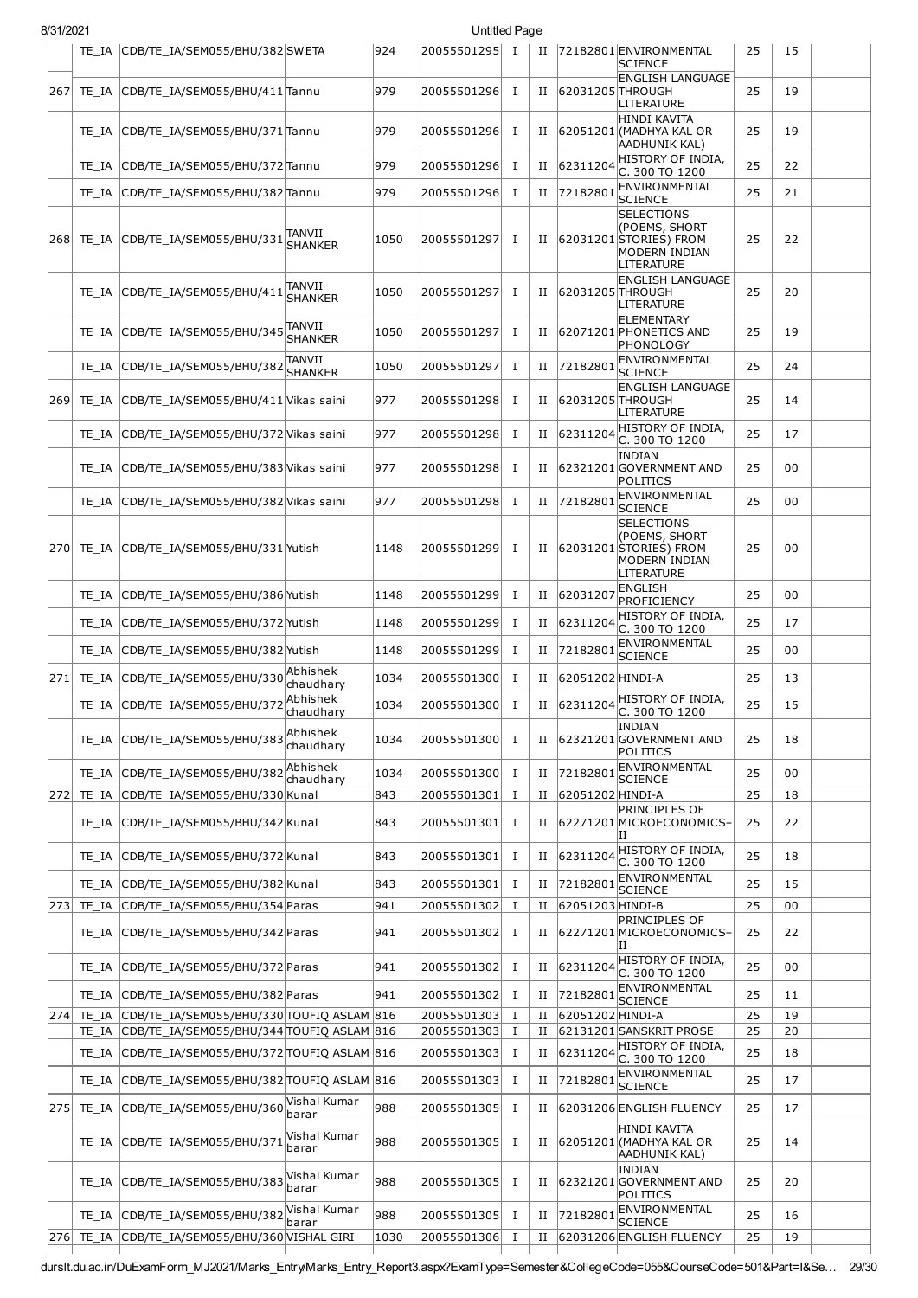| 8/31/2021 |       |                                                                                                    |                          |      | Untitled Page                |          |        |                  |                                                                                             |          |          |  |
|-----------|-------|----------------------------------------------------------------------------------------------------|--------------------------|------|------------------------------|----------|--------|------------------|---------------------------------------------------------------------------------------------|----------|----------|--|
|           |       | TE_IA CDB/TE_IA/SEM055/BHU/382SWETA                                                                |                          | 924  | 20055501295 I                |          | П      |                  | 72182801 ENVIRONMENTAL<br><b>SCIENCE</b>                                                    | 25       | 15       |  |
| 267       |       | TE_IA CDB/TE_IA/SEM055/BHU/411 Tannu                                                               |                          | 979  | 20055501296 I                |          | П      | 62031205 THROUGH | <b>ENGLISH LANGUAGE</b><br>LITERATURE                                                       | 25       | 19       |  |
|           |       | TE_IA CDB/TE_IA/SEM055/BHU/371 Tannu                                                               |                          | 979  | 20055501296 I                |          | П      |                  | HINDI KAVITA<br>62051201 (MADHYA KAL OR<br><b>AADHUNIK KAL)</b>                             | 25       | 19       |  |
|           |       | TE_IA CDB/TE_IA/SEM055/BHU/372 Tannu                                                               |                          | 979  | 20055501296 I                |          | П      | 62311204         | HISTORY OF INDIA,<br>C. 300 TO 1200                                                         | 25       | 22       |  |
|           |       | TE_IA CDB/TE_IA/SEM055/BHU/382 Tannu                                                               |                          | 979  | 20055501296 I                |          | П      | 72182801         | ENVIRONMENTAL<br><b>SCIENCE</b>                                                             | 25       | 21       |  |
|           |       | $\vert$ 268 $\vert$ TE_IA $\vert$ CDB/TE_IA/SEM055/BHU/331 $\vert$ SHANKER                         |                          | 1050 | 20055501297                  | I        | П      |                  | <b>SELECTIONS</b><br>(POEMS, SHORT<br>62031201 STORIES) FROM<br>MODERN INDIAN<br>LITERATURE | 25       | 22       |  |
|           |       | TE_IA CDB/TE_IA/SEM055/BHU/411                                                                     | TANVII<br><b>SHANKER</b> | 1050 | 20055501297                  | п        | П      | 62031205 THROUGH | <b>ENGLISH LANGUAGE</b><br>LITERATURE                                                       | 25       | 20       |  |
|           |       | TE_IA CDB/TE_IA/SEM055/BHU/345                                                                     | TANVII<br><b>SHANKER</b> | 1050 | 20055501297                  | I        | П      |                  | <b>ELEMENTARY</b><br>62071201 PHONETICS AND<br>PHONOLOGY                                    | 25       | 19       |  |
|           |       | TE_IA CDB/TE_IA/SEM055/BHU/382                                                                     | TANVII<br><b>SHANKER</b> | 1050 | 20055501297                  | Ι.       | П      | 72182801         | ENVIRONMENTAL<br><b>SCIENCE</b>                                                             | 25       | 24       |  |
| 269       |       | TE_IA CDB/TE_IA/SEM055/BHU/411 Vikas saini                                                         |                          | 977  | 20055501298                  | I        | П      |                  | <b>ENGLISH LANGUAGE</b><br>62031205 THROUGH<br>LITERATURE                                   | 25       | 14       |  |
|           |       | TE_IA CDB/TE_IA/SEM055/BHU/372 Vikas saini                                                         |                          | 977  | 20055501298                  | Ι        | н      | 62311204         | HISTORY OF INDIA,<br>C. 300 TO 1200                                                         | 25       | 17       |  |
|           |       | TE IA CDB/TE IA/SEM055/BHU/383 Vikas saini                                                         |                          | 977  | 20055501298 I                |          | П      |                  | <b>INDIAN</b><br>62321201 GOVERNMENT AND<br>POLITICS                                        | 25       | 00       |  |
|           | TE IA | CDB/TE_IA/SEM055/BHU/382 Vikas saini                                                               |                          | 977  | 20055501298                  | п        | П      | 72182801         | ENVIRONMENTAL<br><b>SCIENCE</b>                                                             | 25       | 00       |  |
| 270       |       | TE_IA CDB/TE_IA/SEM055/BHU/331 Yutish                                                              |                          | 1148 | 20055501299 I                |          | П      |                  | <b>SELECTIONS</b><br>(POEMS, SHORT<br>62031201 STORIES) FROM<br>MODERN INDIAN<br>LITERATURE | 25       | 00       |  |
|           |       | TE_IA CDB/TE_IA/SEM055/BHU/386 Yutish                                                              |                          | 1148 | 20055501299                  | I        | П      | 6203120          | <b>ENGLISH</b><br><b>PROFICIENCY</b>                                                        | 25       | 00       |  |
|           | TE IA | CDB/TE_IA/SEM055/BHU/372 Yutish                                                                    |                          | 1148 | 20055501299                  | I        | П      | 6231120          | HISTORY OF INDIA,<br>C. 300 TO 1200                                                         | 25       | 17       |  |
|           | TE IA | CDB/TE IA/SEM055/BHU/382 Yutish                                                                    |                          | 1148 | 20055501299                  | Ι.       | П      | 72182801         | ENVIRONMENTAL<br><b>SCIENCE</b>                                                             | 25       | 00       |  |
| 271       | TE IA | CDB/TE IA/SEM055/BHU/330                                                                           | Abhishek<br>chaudhary    | 1034 | 20055501300                  | Ι.       | П      | 62051202 HINDI-A |                                                                                             | 25       | 13       |  |
|           |       | TE_IA CDB/TE_IA/SEM055/BHU/372                                                                     | Abhishek<br>chaudhary    | 1034 | 20055501300                  | Ι        | и      | 62311204         | HISTORY OF INDIA,<br>C. 300 TO 1200                                                         | 25       | 15       |  |
|           |       | TE_IA CDB/TE_IA/SEM055/BHU/383 Abhishek                                                            | chaudhary                | 1034 | 20055501300 I                |          | П      |                  | <b>INDIAN</b><br>62321201 GOVERNMENT AND<br><b>POLITICS</b>                                 | 25       | 18       |  |
|           |       | TE_IA CDB/TE_IA/SEM055/BHU/382                                                                     | Abhishek<br>chaudhary    | 1034 | 20055501300 I                |          | П      | 72182801         | ENVIRONMENTAL<br><b>SCIENCE</b>                                                             | 25       | 00       |  |
| 272       |       | TE_IA CDB/TE_IA/SEM055/BHU/330 Kunal                                                               |                          | 843  | 20055501301                  | 1        | П      | 62051202 HINDI-A | PRINCIPLES OF                                                                               | 25       | 18       |  |
|           |       | TE_IA CDB/TE_IA/SEM055/BHU/342 Kunal                                                               |                          | 843  | 20055501301                  | Ι.       | П      |                  | 62271201 MICROECONOMICS-<br>ΙI                                                              | 25       | 22       |  |
|           | TE IA | CDB/TE_IA/SEM055/BHU/372 Kunal                                                                     |                          | 843  | 20055501301                  | Ι.       | П      | 62311204         | HISTORY OF INDIA,<br>C. 300 TO 1200                                                         | 25       | 18       |  |
|           |       | TE_IA CDB/TE_IA/SEM055/BHU/382 Kunal                                                               |                          | 843  | 20055501301                  | $\bf{I}$ | П      | 72182801         | ENVIRONMENTAL<br><b>SCIENCE</b>                                                             | 25       | 15       |  |
| 273       |       | TE IA CDB/TE IA/SEM055/BHU/354 Paras                                                               |                          | 941  | 20055501302                  | 1        | и      | 62051203 HINDI-B |                                                                                             | 25       | 00       |  |
|           |       | TE_IA CDB/TE_IA/SEM055/BHU/342 Paras                                                               |                          | 941  | 20055501302                  | I        | П      |                  | PRINCIPLES OF<br>62271201 MICROECONOMICS-<br>IΙ                                             | 25       | 22       |  |
|           |       | TE_IA CDB/TE_IA/SEM055/BHU/372 Paras                                                               |                          | 941  | 20055501302                  | <b>I</b> | П      | 62311204         | HISTORY OF INDIA,<br>C. 300 TO 1200                                                         | 25       | 00       |  |
|           |       | TE_IA CDB/TE_IA/SEM055/BHU/382 Paras                                                               |                          | 941  | 20055501302 I                |          | П      | 72182801         | ENVIRONMENTAL<br><b>SCIENCE</b>                                                             | 25       | 11       |  |
| 274       |       | TE_IA CDB/TE_IA/SEM055/BHU/330 TOUFIQ ASLAM 816<br>TE_IA CDB/TE_IA/SEM055/BHU/344 TOUFIQ ASLAM 816 |                          |      | 20055501303<br>20055501303 I | 1        | П<br>и | 62051202 HINDI-A | 62131201 SANSKRIT PROSE                                                                     | 25<br>25 | 19<br>20 |  |
|           |       | TE_IA CDB/TE_IA/SEM055/BHU/372 TOUFIQ ASLAM 816                                                    |                          |      | 20055501303 I                |          | П      |                  | $62311204$ HISTORY OF INDIA,                                                                | 25       | 18       |  |
|           | TE IA | CDB/TE IA/SEM055/BHU/382 TOUFIO ASLAM 816                                                          |                          |      | 20055501303 I                |          | п      | 72182801         | C. 300 TO 1200<br>ENVIRONMENTAL                                                             | 25       | 17       |  |
| 275       |       | TE_IA CDB/TE_IA/SEM055/BHU/360                                                                     | Vishal Kumar<br>barar    | 988  | 20055501305 I                |          | П      |                  | <b>SCIENCE</b><br>62031206 ENGLISH FLUENCY                                                  | 25       | 17       |  |
|           |       | TE_IA CDB/TE_IA/SEM055/BHU/371                                                                     | Vishal Kumar<br>barar    | 988  | 20055501305                  | <b>I</b> | П      |                  | HINDI KAVITA<br>62051201 (MADHYA KAL OR<br>AADHUNIK KAL)                                    | 25       | 14       |  |
|           |       | TE_IA CDB/TE_IA/SEM055/BHU/383                                                                     | Vishal Kumar<br>barar    | 988  | 20055501305                  | Ι        | П      |                  | <b>INDIAN</b><br>62321201 GOVERNMENT AND<br><b>POLITICS</b>                                 | 25       | 20       |  |
|           |       | TE_IA CDB/TE_IA/SEM055/BHU/382                                                                     | Vishal Kumar<br>barar    | 988  | 20055501305 I                |          | П      | 72182801         | ENVIRONMENTAL<br><b>SCIENCE</b>                                                             | 25       | 16       |  |
| 276       |       | TE IA CDB/TE IA/SEM055/BHU/360 VISHAL GIRI                                                         |                          | 1030 | 20055501306                  | 1        | п      |                  | 62031206 ENGLISH FLUENCY                                                                    | 25       | 19       |  |

durslt.du.ac.in/DuExamForm\_MJ2021/Marks\_Entry/Marks\_Entry\_Report3.aspx?ExamType=Semester&CollegeCode=055&CourseCode=501&Part=I&Se… 29/30